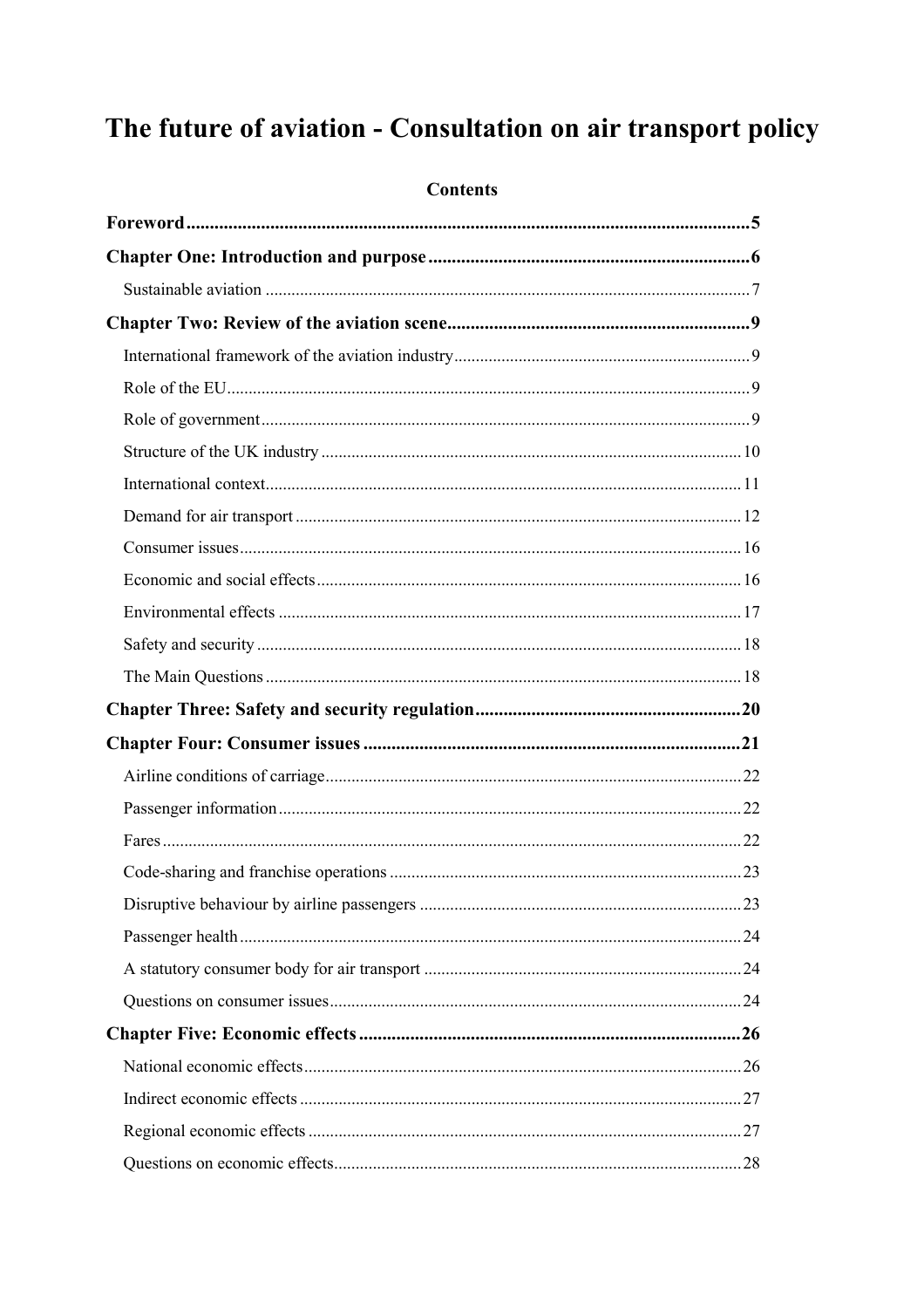# The future of aviation - Consultation on air transport policy

## **Contents**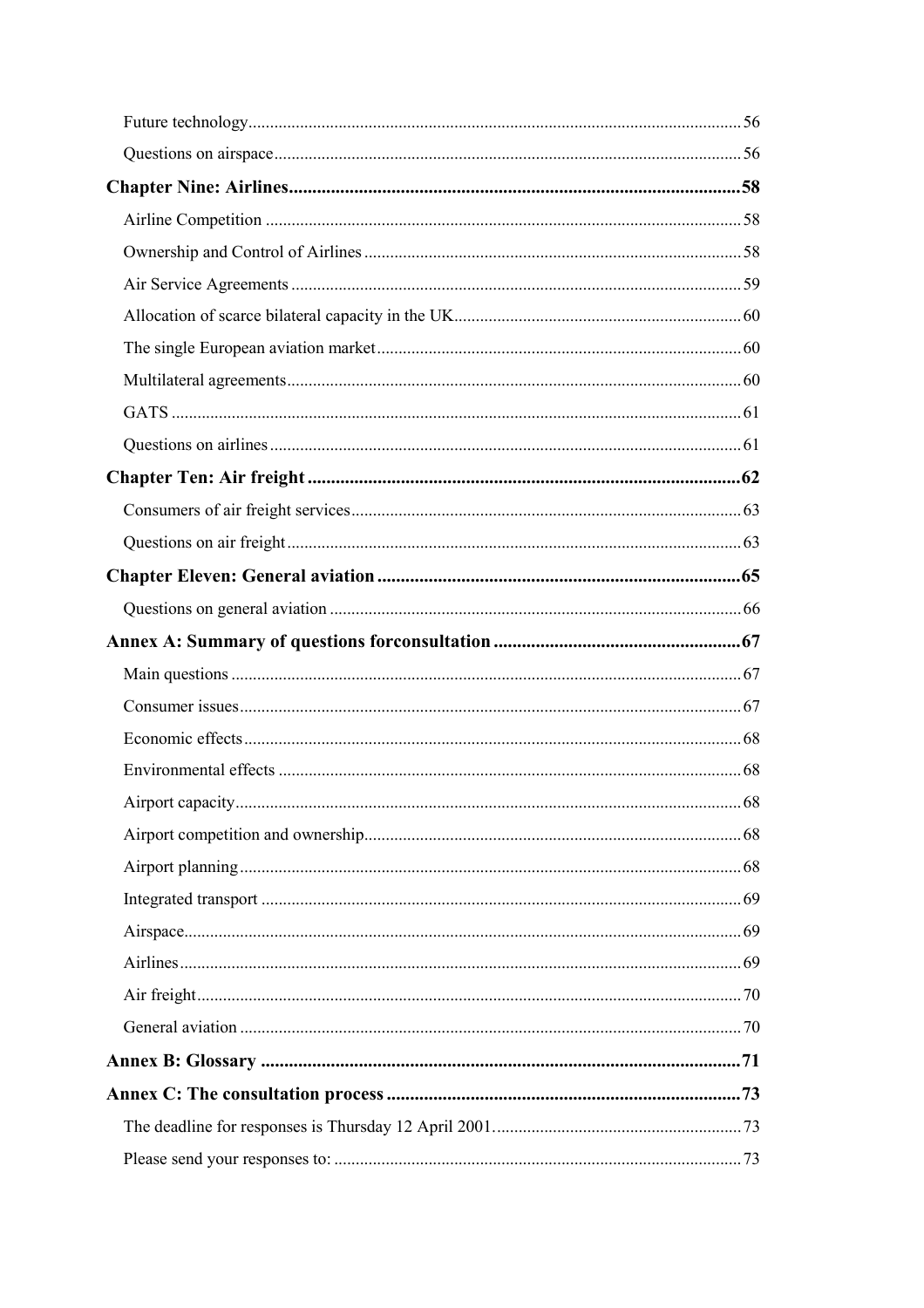| Airport capacity. | -68 |
|-------------------|-----|
|                   |     |
|                   |     |
|                   |     |
|                   |     |
|                   |     |
|                   |     |
|                   |     |
|                   |     |
|                   |     |
|                   |     |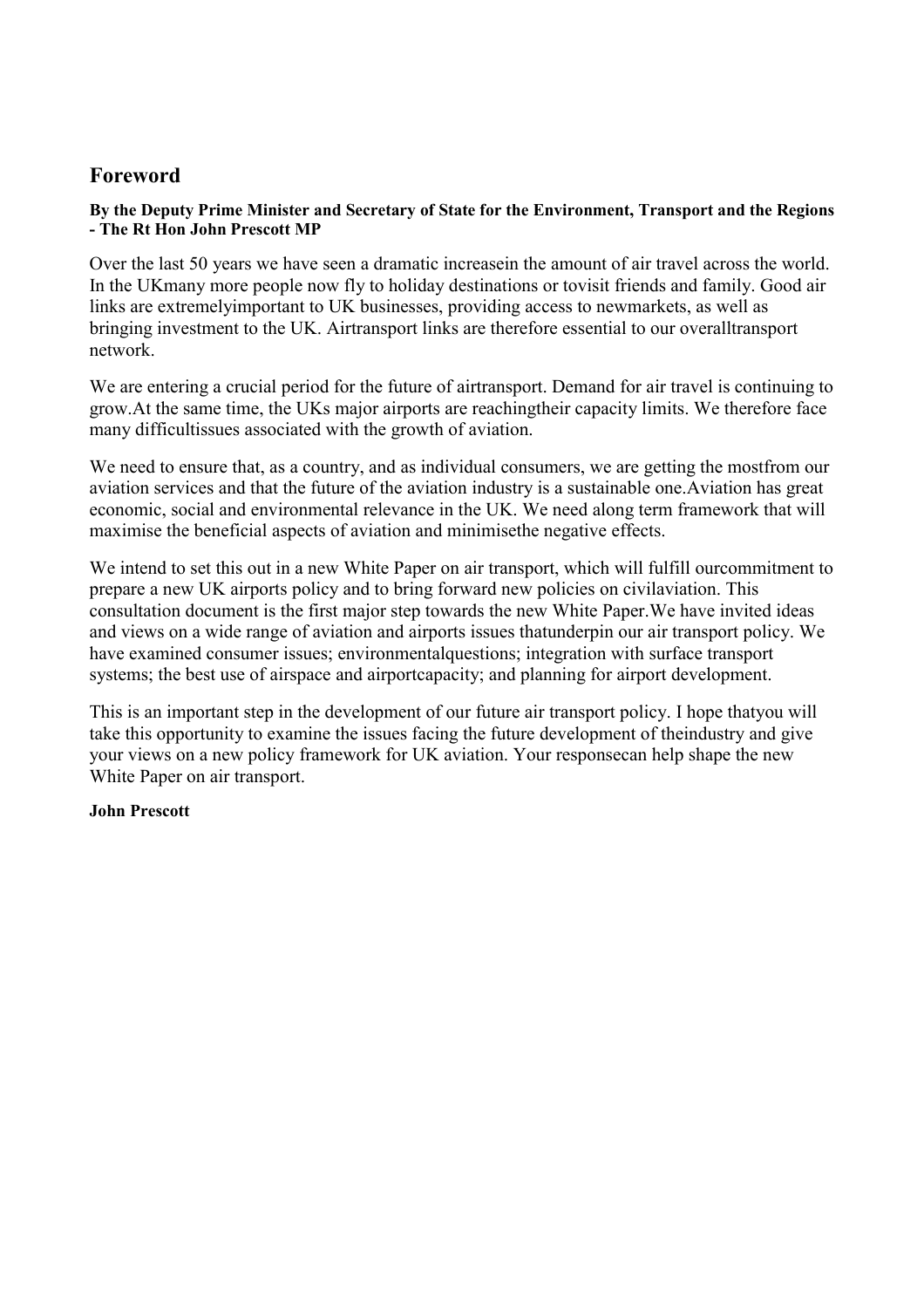## <span id="page-4-0"></span>**Foreword**

#### **By the Deputy Prime Minister and Secretary of State for the Environment, Transport and the Regions - The Rt Hon John Prescott MP**

Over the last 50 years we have seen a dramatic increasein the amount of air travel across the world. In the UKmany more people now fly to holiday destinations or tovisit friends and family. Good air links are extremelyimportant to UK businesses, providing access to newmarkets, as well as bringing investment to the UK. Airtransport links are therefore essential to our overalltransport network.

We are entering a crucial period for the future of airtransport. Demand for air travel is continuing to grow.At the same time, the UKs major airports are reachingtheir capacity limits. We therefore face many difficultissues associated with the growth of aviation.

We need to ensure that, as a country, and as individual consumers, we are getting the mostfrom our aviation services and that the future of the aviation industry is a sustainable one.Aviation has great economic, social and environmental relevance in the UK. We need along term framework that will maximise the beneficial aspects of aviation and minimisethe negative effects.

We intend to set this out in a new White Paper on air transport, which will fulfill ourcommitment to prepare a new UK airports policy and to bring forward new policies on civilaviation. This consultation document is the first major step towards the new White Paper.We have invited ideas and views on a wide range of aviation and airports issues thatunderpin our air transport policy. We have examined consumer issues; environmentalquestions; integration with surface transport systems; the best use of airspace and airportcapacity; and planning for airport development.

This is an important step in the development of our future air transport policy. I hope thatyou will take this opportunity to examine the issues facing the future development of theindustry and give your views on a new policy framework for UK aviation. Your responsecan help shape the new White Paper on air transport.

#### **John Prescott**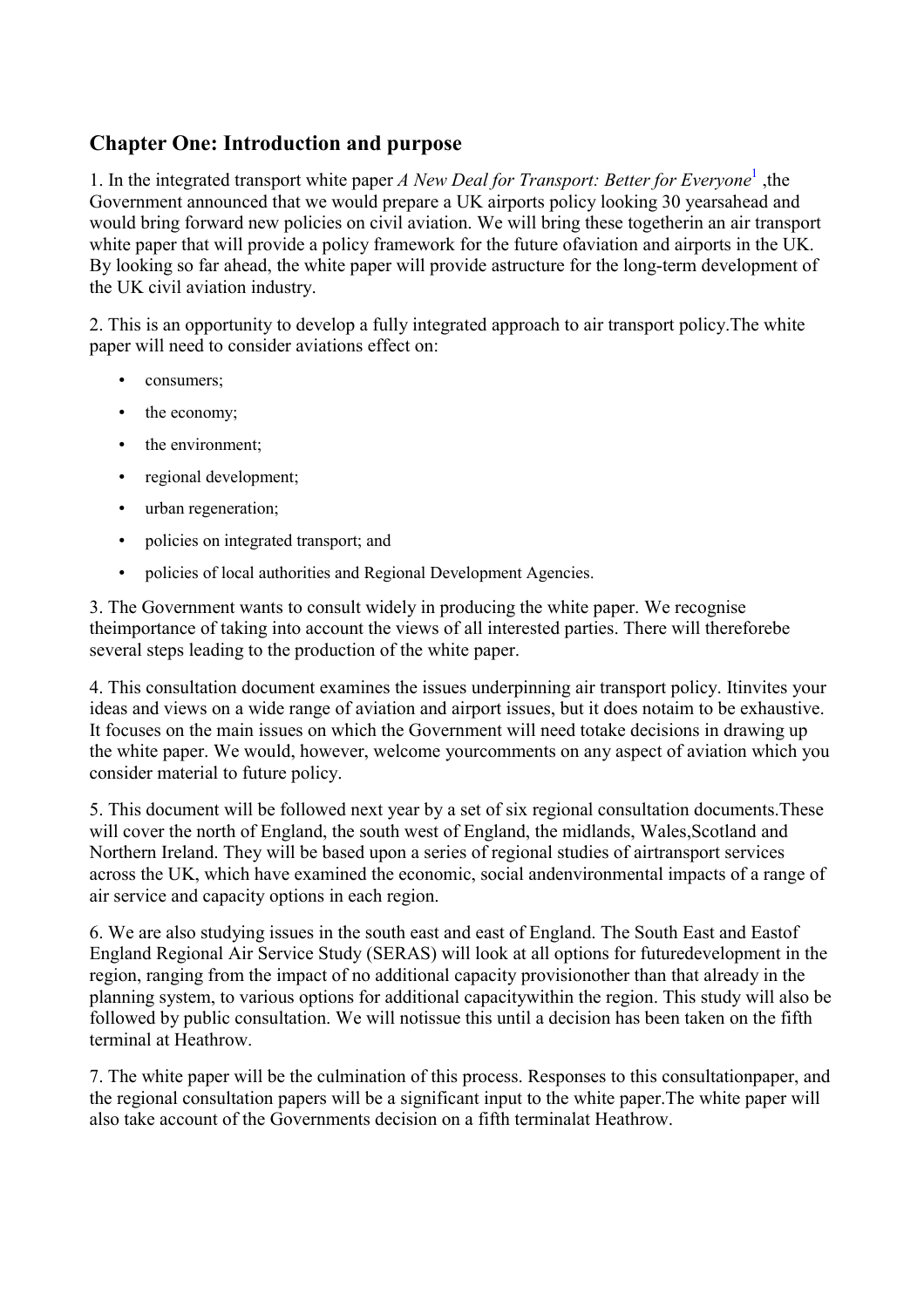# <span id="page-5-0"></span>**Chapter One: Introduction and purpose**

[1](#page-7-0). In the integrated transport white paper *A New Deal for Transport: Better for Everyone*<sup>1</sup>, the Government announced that we would prepare a UK airports policy looking 30 yearsahead and would bring forward new policies on civil aviation. We will bring these togetherin an air transport white paper that will provide a policy framework for the future ofaviation and airports in the UK. By looking so far ahead, the white paper will provide astructure for the long-term development of the UK civil aviation industry.

2. This is an opportunity to develop a fully integrated approach to air transport policy.The white paper will need to consider aviations effect on:

- consumers:
- the economy;
- the environment;
- regional development;
- urban regeneration;
- policies on integrated transport; and
- policies of local authorities and Regional Development Agencies.

3. The Government wants to consult widely in producing the white paper. We recognise theimportance of taking into account the views of all interested parties. There will thereforebe several steps leading to the production of the white paper.

4. This consultation document examines the issues underpinning air transport policy. Itinvites your ideas and views on a wide range of aviation and airport issues, but it does notaim to be exhaustive. It focuses on the main issues on which the Government will need totake decisions in drawing up the white paper. We would, however, welcome yourcomments on any aspect of aviation which you consider material to future policy.

5. This document will be followed next year by a set of six regional consultation documents.These will cover the north of England, the south west of England, the midlands, Wales, Scotland and Northern Ireland. They will be based upon a series of regional studies of airtransport services across the UK, which have examined the economic, social andenvironmental impacts of a range of air service and capacity options in each region.

6. We are also studying issues in the south east and east of England. The South East and Eastof England Regional Air Service Study (SERAS) will look at all options for futuredevelopment in the region, ranging from the impact of no additional capacity provisionother than that already in the planning system, to various options for additional capacitywithin the region. This study will also be followed by public consultation. We will notissue this until a decision has been taken on the fifth terminal at Heathrow.

7. The white paper will be the culmination of this process. Responses to this consultationpaper, and the regional consultation papers will be a significant input to the white paper.The white paper will also take account of the Governments decision on a fifth terminalat Heathrow.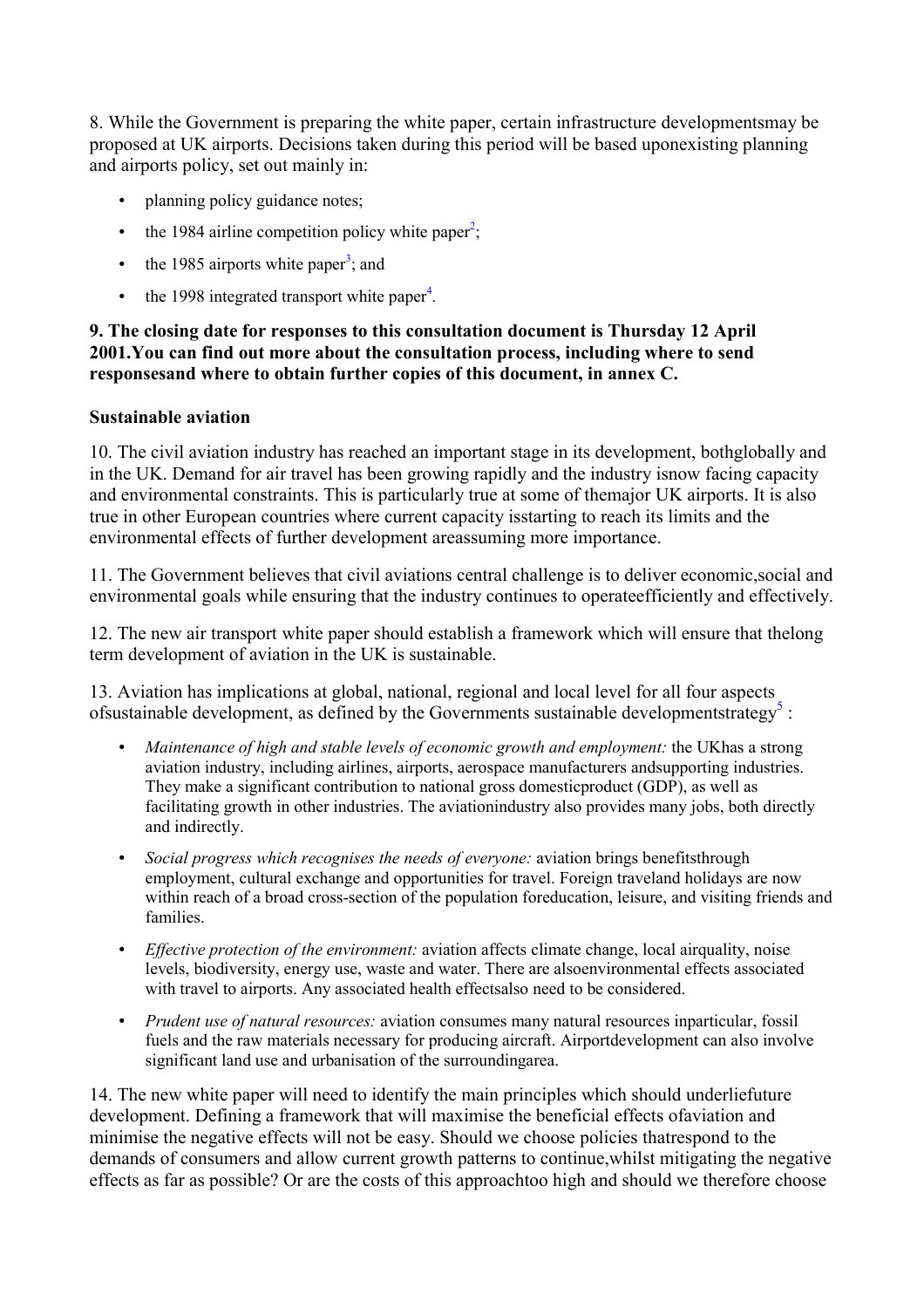<span id="page-6-0"></span>8. While the Government is preparing the white paper, certain infrastructure developmentsmay be proposed at UK airports. Decisions taken during this period will be based uponexisting planning and airports policy, set out mainly in:

- planning policy guidance notes;
- the 1984 airline competition policy white paper<sup>[2](#page-7-0)</sup>;
- the 1985 airports white paper<sup>3</sup>[;](#page-7-0) and
- the 1998 integrated transport white paper<sup>4</sup>[.](#page-7-0)

#### **9. The closing date for responses to this consultation document is Thursday 12 April 2001.You can find out more about the consultation process, including where to send responsesand where to obtain further copies of this document, in annex C.**

#### **Sustainable aviation**

10. The civil aviation industry has reached an important stage in its development, bothglobally and in the UK. Demand for air travel has been growing rapidly and the industry isnow facing capacity and environmental constraints. This is particularly true at some of themajor UK airports. It is also true in other European countries where current capacity isstarting to reach its limits and the environmental effects of further development areassuming more importance.

11. The Government believes that civil aviations central challenge is to deliver economic,social and environmental goals while ensuring that the industry continues to operateefficiently and effectively.

12. The new air transport white paper should establish a framework which will ensure that thelong term development of aviation in the UK is sustainable.

13. Aviation has implications at global, national, regional and local level for all four aspects ofsustainable development, as defined by the Governments sustainable developmentstrategy<sup>5</sup>:

- *Maintenance of high and stable levels of economic growth and employment:* the UKhas a strong aviation industry, including airlines, airports, aerospace manufacturers andsupporting industries. They make a significant contribution to national gross domesticproduct (GDP), as well as facilitating growth in other industries. The aviationindustry also provides many jobs, both directly and indirectly.
- *Social progress which recognises the needs of everyone:* aviation brings benefitsthrough employment, cultural exchange and opportunities for travel. Foreign traveland holidays are now within reach of a broad cross-section of the population foreducation, leisure, and visiting friends and families.
- *Effective protection of the environment:* aviation affects climate change, local airquality, noise levels, biodiversity, energy use, waste and water. There are alsoenvironmental effects associated with travel to airports. Any associated health effectsalso need to be considered.
- *Prudent use of natural resources:* aviation consumes many natural resources inparticular, fossil fuels and the raw materials necessary for producing aircraft. Airportdevelopment can also involve significant land use and urbanisation of the surroundingarea.

14. The new white paper will need to identify the main principles which should underliefuture development. Defining a framework that will maximise the beneficial effects ofaviation and minimise the negative effects will not be easy. Should we choose policies thatrespond to the demands of consumers and allow current growth patterns to continue,whilst mitigating the negative effects as far as possible? Or are the costs of this approachtoo high and should we therefore choose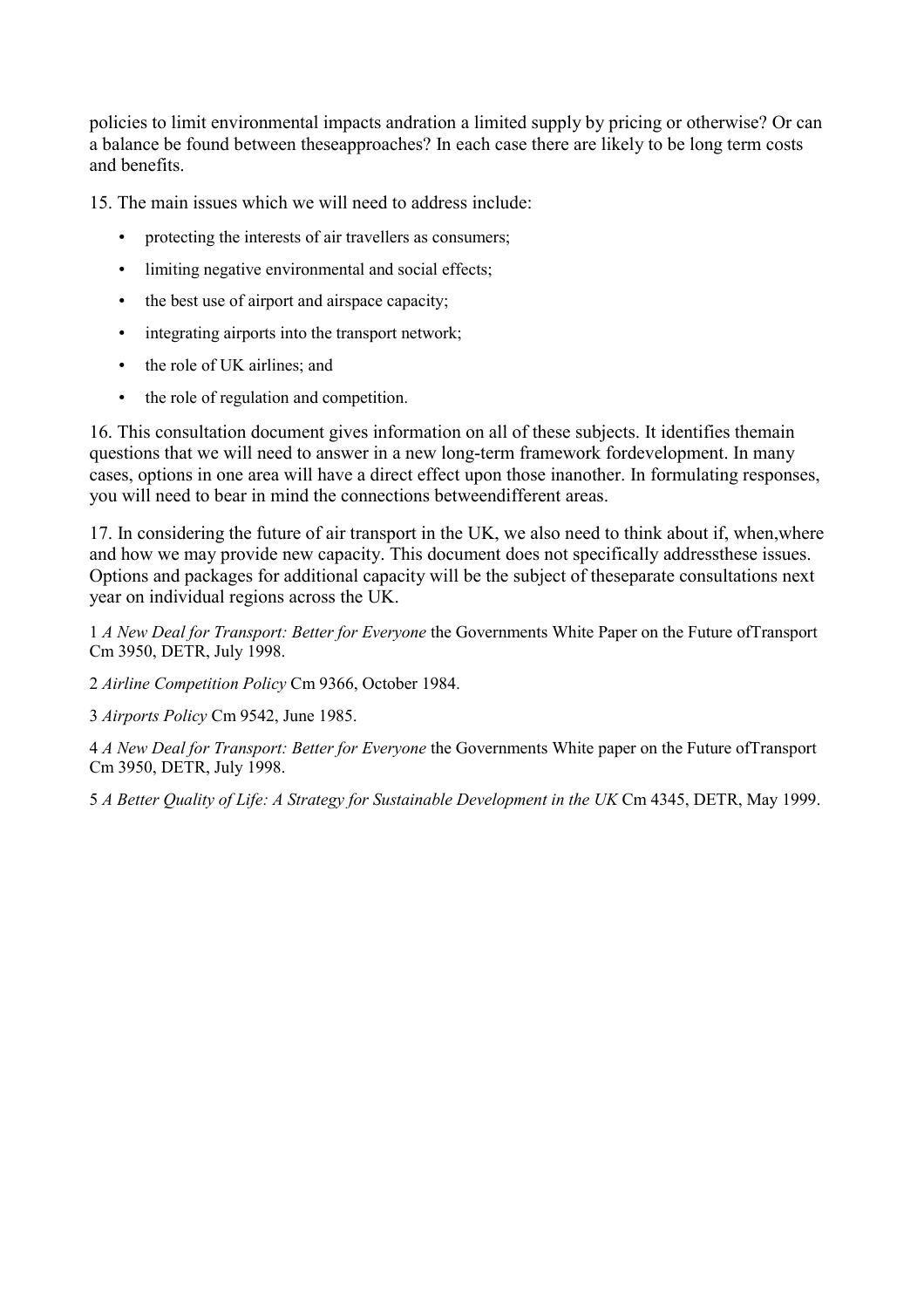<span id="page-7-0"></span>policies to limit environmental impacts andration a limited supply by pricing or otherwise? Or can a balance be found between theseapproaches? In each case there are likely to be long term costs and benefits.

15. The main issues which we will need to address include:

- protecting the interests of air travellers as consumers:
- limiting negative environmental and social effects;
- the best use of airport and airspace capacity;
- integrating airports into the transport network;
- the role of UK airlines; and
- the role of regulation and competition.

16. This consultation document gives information on all of these subjects. It identifies themain questions that we will need to answer in a new long-term framework fordevelopment. In many cases, options in one area will have a direct effect upon those inanother. In formulating responses, you will need to bear in mind the connections betweendifferent areas.

17. In considering the future of air transport in the UK, we also need to think about if, when,where and how we may provide new capacity. This document does not specifically addressthese issues. Options and packages for additional capacity will be the subject of theseparate consultations next year on individual regions across the UK.

1 *A New Deal for Transport: Better for Everyone* the Governments White Paper on the Future ofTransport Cm 3950, DETR, July 1998.

2 *Airline Competition Policy* Cm 9366, October 1984.

3 *Airports Policy* Cm 9542, June 1985.

4 *A New Deal for Transport: Better for Everyone* the Governments White paper on the Future ofTransport Cm 3950, DETR, July 1998.

5 *A Better Quality of Life: A Strategy for Sustainable Development in the UK* Cm 4345, DETR, May 1999.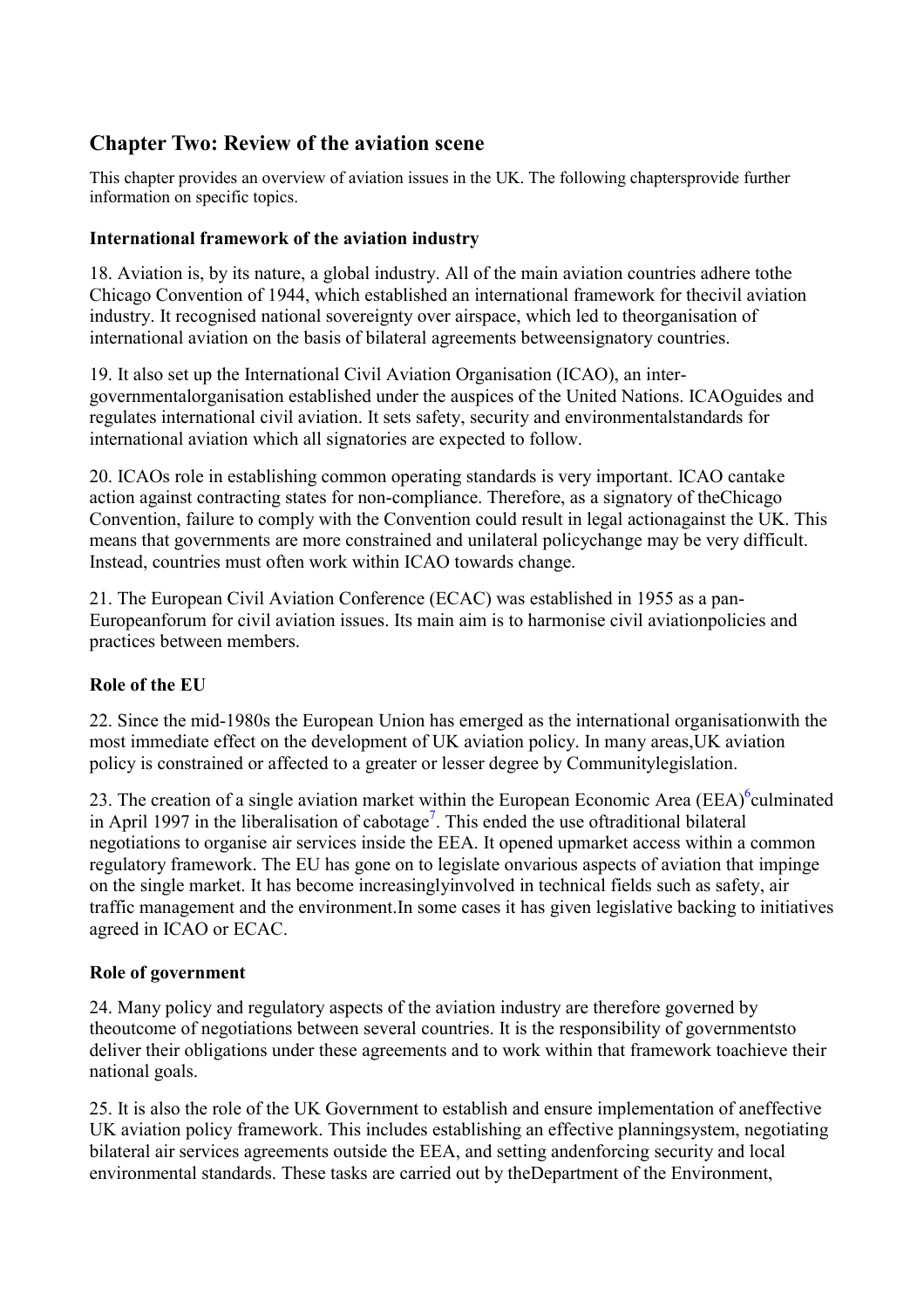# <span id="page-8-0"></span>**Chapter Two: Review of the aviation scene**

This chapter provides an overview of aviation issues in the UK. The following chaptersprovide further information on specific topics.

### **International framework of the aviation industry**

18. Aviation is, by its nature, a global industry. All of the main aviation countries adhere tothe Chicago Convention of 1944, which established an international framework for thecivil aviation industry. It recognised national sovereignty over airspace, which led to theorganisation of international aviation on the basis of bilateral agreements betweensignatory countries.

19. It also set up the International Civil Aviation Organisation (ICAO), an intergovernmentalorganisation established under the auspices of the United Nations. ICAOguides and regulates international civil aviation. It sets safety, security and environmentalstandards for international aviation which all signatories are expected to follow.

20. ICAOs role in establishing common operating standards is very important. ICAO cantake action against contracting states for non-compliance. Therefore, as a signatory of theChicago Convention, failure to comply with the Convention could result in legal actionagainst the UK. This means that governments are more constrained and unilateral policychange may be very difficult. Instead, countries must often work within ICAO towards change.

21. The European Civil Aviation Conference (ECAC) was established in 1955 as a pan-Europeanforum for civil aviation issues. Its main aim is to harmonise civil aviationpolicies and practices between members.

### **Role of the EU**

22. Since the mid-1980s the European Union has emerged as the international organisationwith the most immediate effect on the development of UK aviation policy. In many areas,UK aviation policy is constrained or affected to a greater or lesser degree by Communitylegislation.

23. The creation of a single aviation market within the European Economic Area (EEA) $^6$ culminated in April 1997 in the liberalisation of cabotage<sup>7</sup>. This ended the use oftraditional bilateral negotiations to organise air services inside the EEA. It opened upmarket access within a common regulatory framework. The EU has gone on to legislate onvarious aspects of aviation that impinge on the single market. It has become increasinglyinvolved in technical fields such as safety, air traffic management and the environment.In some cases it has given legislative backing to initiatives agreed in ICAO or ECAC.

### **Role of government**

24. Many policy and regulatory aspects of the aviation industry are therefore governed by theoutcome of negotiations between several countries. It is the responsibility of governmentsto deliver their obligations under these agreements and to work within that framework toachieve their national goals.

25. It is also the role of the UK Government to establish and ensure implementation of aneffective UK aviation policy framework. This includes establishing an effective planningsystem, negotiating bilateral air services agreements outside the EEA, and setting andenforcing security and local environmental standards. These tasks are carried out by theDepartment of the Environment,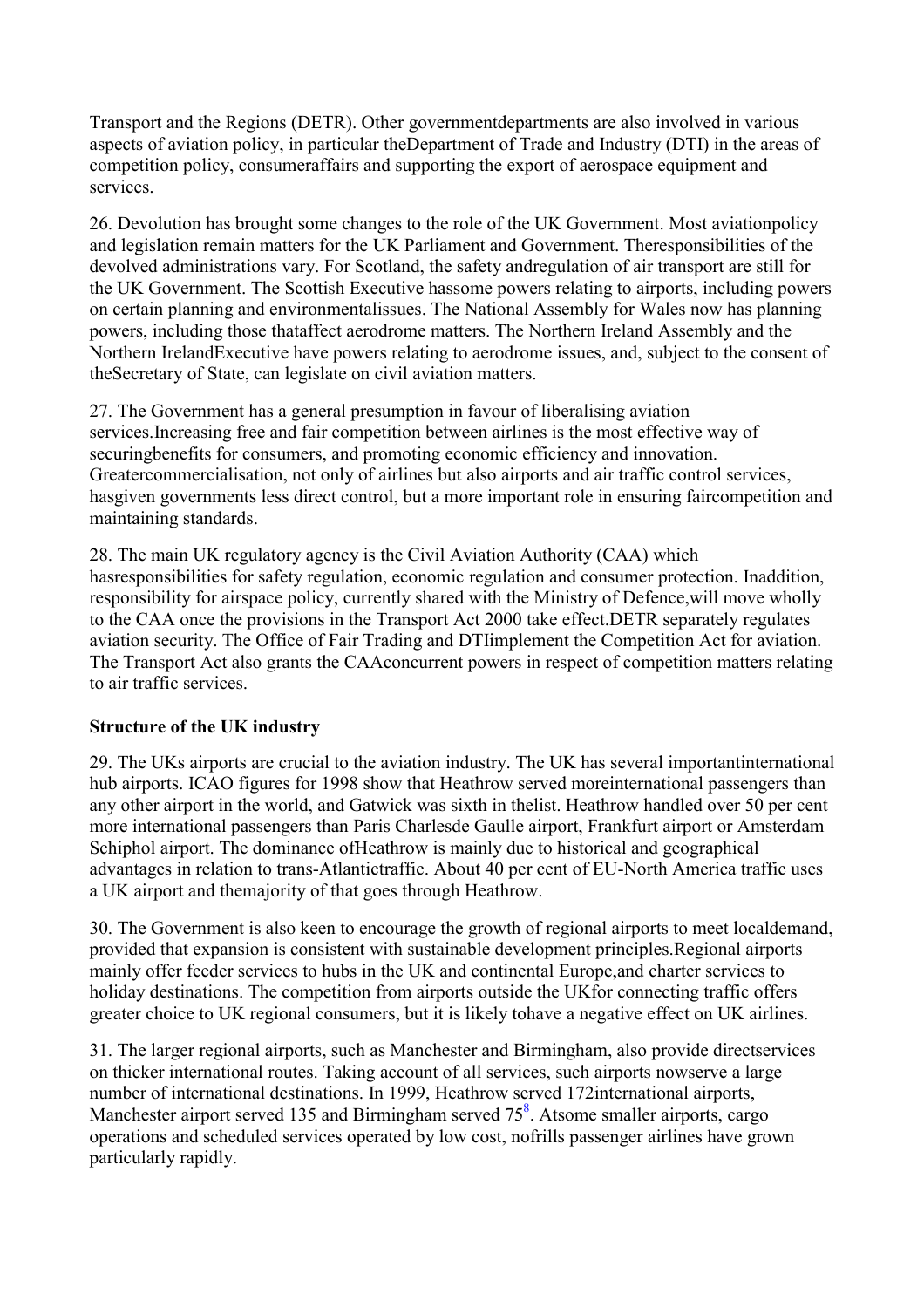<span id="page-9-0"></span>Transport and the Regions (DETR). Other governmentdepartments are also involved in various aspects of aviation policy, in particular theDepartment of Trade and Industry (DTI) in the areas of competition policy, consumeraffairs and supporting the export of aerospace equipment and services.

26. Devolution has brought some changes to the role of the UK Government. Most aviationpolicy and legislation remain matters for the UK Parliament and Government. Theresponsibilities of the devolved administrations vary. For Scotland, the safety andregulation of air transport are still for the UK Government. The Scottish Executive hassome powers relating to airports, including powers on certain planning and environmentalissues. The National Assembly for Wales now has planning powers, including those thataffect aerodrome matters. The Northern Ireland Assembly and the Northern IrelandExecutive have powers relating to aerodrome issues, and, subject to the consent of theSecretary of State, can legislate on civil aviation matters.

27. The Government has a general presumption in favour of liberalising aviation services.Increasing free and fair competition between airlines is the most effective way of securingbenefits for consumers, and promoting economic efficiency and innovation. Greatercommercialisation, not only of airlines but also airports and air traffic control services, hasgiven governments less direct control, but a more important role in ensuring faircompetition and maintaining standards.

28. The main UK regulatory agency is the Civil Aviation Authority (CAA) which hasresponsibilities for safety regulation, economic regulation and consumer protection. Inaddition, responsibility for airspace policy, currently shared with the Ministry of Defence,will move wholly to the CAA once the provisions in the Transport Act 2000 take effect.DETR separately regulates aviation security. The Office of Fair Trading and DTIimplement the Competition Act for aviation. The Transport Act also grants the CAAconcurrent powers in respect of competition matters relating to air traffic services.

### **Structure of the UK industry**

29. The UKs airports are crucial to the aviation industry. The UK has several importantinternational hub airports. ICAO figures for 1998 show that Heathrow served moreinternational passengers than any other airport in the world, and Gatwick was sixth in thelist. Heathrow handled over 50 per cent more international passengers than Paris Charlesde Gaulle airport, Frankfurt airport or Amsterdam Schiphol airport. The dominance ofHeathrow is mainly due to historical and geographical advantages in relation to trans-Atlantictraffic. About 40 per cent of EU-North America traffic uses a UK airport and themajority of that goes through Heathrow.

30. The Government is also keen to encourage the growth of regional airports to meet localdemand, provided that expansion is consistent with sustainable development principles.Regional airports mainly offer feeder services to hubs in the UK and continental Europe,and charter services to holiday destinations. The competition from airports outside the UKfor connecting traffic offers greater choice to UK regional consumers, but it is likely tohave a negative effect on UK airlines.

31. The larger regional airports, such as Manchester and Birmingham, also provide directservices on thicker international routes. Taking account of all services, such airports nowserve a large number of international destinations. In 1999, Heathrow served 172international airports, Manchester airport served 135 and Birmingham served  $75<sup>8</sup>$ . Atsome smaller airports, cargo operations and scheduled services operated by low cost, nofrills passenger airlines have grown particularly rapidly.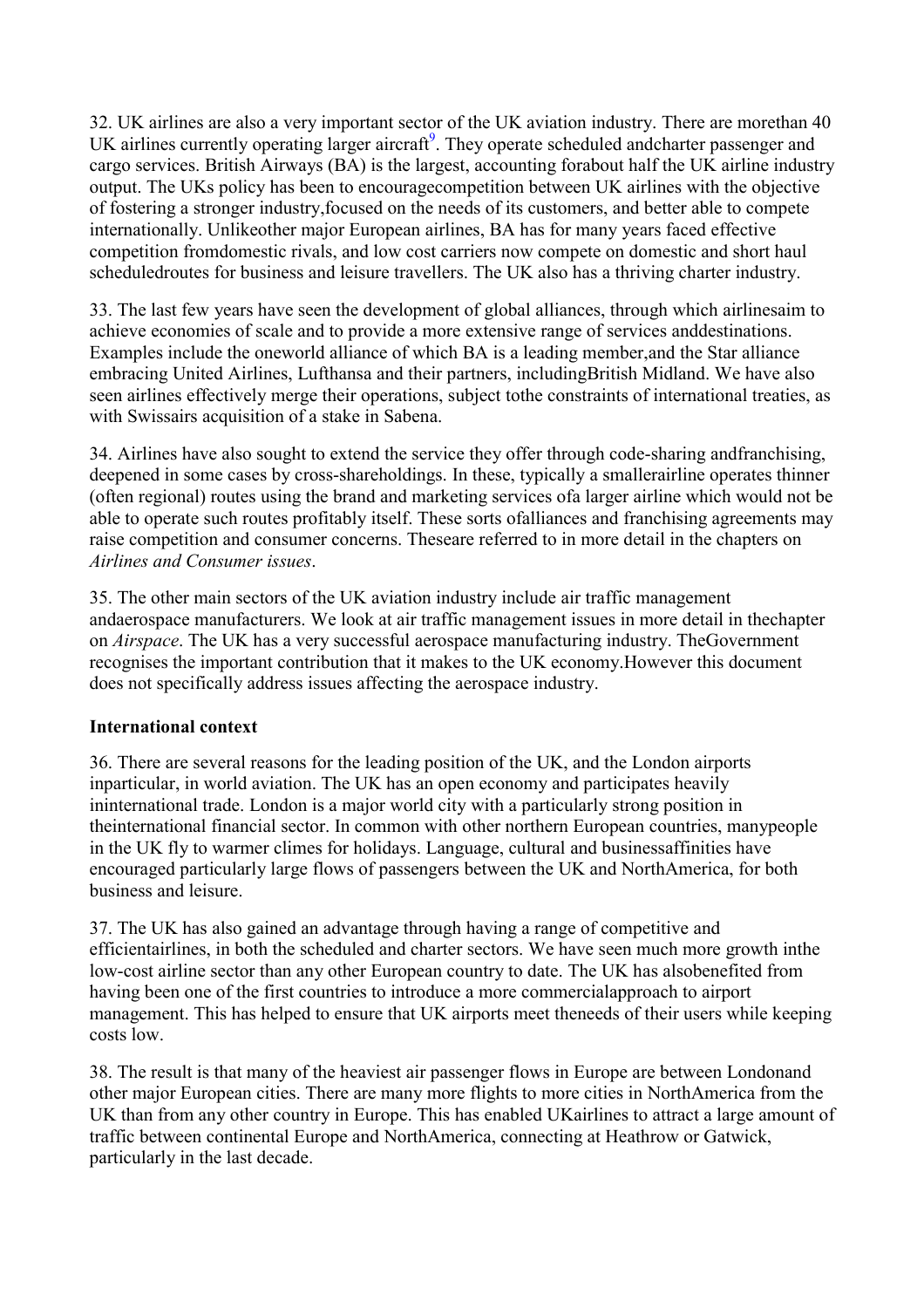<span id="page-10-0"></span>32. UK airlines are also a very important sector of the UK aviation industry. There are morethan 40 UK airlines currently operating larger aircraft<sup>9</sup>. They operate scheduled andcharter passenger and cargo services. British Airways (BA) is the largest, accounting forabout half the UK airline industry output. The UKs policy has been to encouragecompetition between UK airlines with the objective of fostering a stronger industry,focused on the needs of its customers, and better able to compete internationally. Unlikeother major European airlines, BA has for many years faced effective competition fromdomestic rivals, and low cost carriers now compete on domestic and short haul scheduledroutes for business and leisure travellers. The UK also has a thriving charter industry.

33. The last few years have seen the development of global alliances, through which airlinesaim to achieve economies of scale and to provide a more extensive range of services anddestinations. Examples include the oneworld alliance of which BA is a leading member,and the Star alliance embracing United Airlines, Lufthansa and their partners, includingBritish Midland. We have also seen airlines effectively merge their operations, subject tothe constraints of international treaties, as with Swissairs acquisition of a stake in Sabena.

34. Airlines have also sought to extend the service they offer through code-sharing andfranchising, deepened in some cases by cross-shareholdings. In these, typically a smallerairline operates thinner (often regional) routes using the brand and marketing services ofa larger airline which would not be able to operate such routes profitably itself. These sorts ofalliances and franchising agreements may raise competition and consumer concerns. Theseare referred to in more detail in the chapters on *Airlines and Consumer issues*.

35. The other main sectors of the UK aviation industry include air traffic management andaerospace manufacturers. We look at air traffic management issues in more detail in thechapter on *Airspace*. The UK has a very successful aerospace manufacturing industry. TheGovernment recognises the important contribution that it makes to the UK economy.However this document does not specifically address issues affecting the aerospace industry.

### **International context**

36. There are several reasons for the leading position of the UK, and the London airports inparticular, in world aviation. The UK has an open economy and participates heavily ininternational trade. London is a major world city with a particularly strong position in theinternational financial sector. In common with other northern European countries, manypeople in the UK fly to warmer climes for holidays. Language, cultural and businessaffinities have encouraged particularly large flows of passengers between the UK and NorthAmerica, for both business and leisure.

37. The UK has also gained an advantage through having a range of competitive and efficientairlines, in both the scheduled and charter sectors. We have seen much more growth inthe low-cost airline sector than any other European country to date. The UK has alsobenefited from having been one of the first countries to introduce a more commercialapproach to airport management. This has helped to ensure that UK airports meet theneeds of their users while keeping costs low.

38. The result is that many of the heaviest air passenger flows in Europe are between Londonand other major European cities. There are many more flights to more cities in NorthAmerica from the UK than from any other country in Europe. This has enabled UKairlines to attract a large amount of traffic between continental Europe and NorthAmerica, connecting at Heathrow or Gatwick, particularly in the last decade.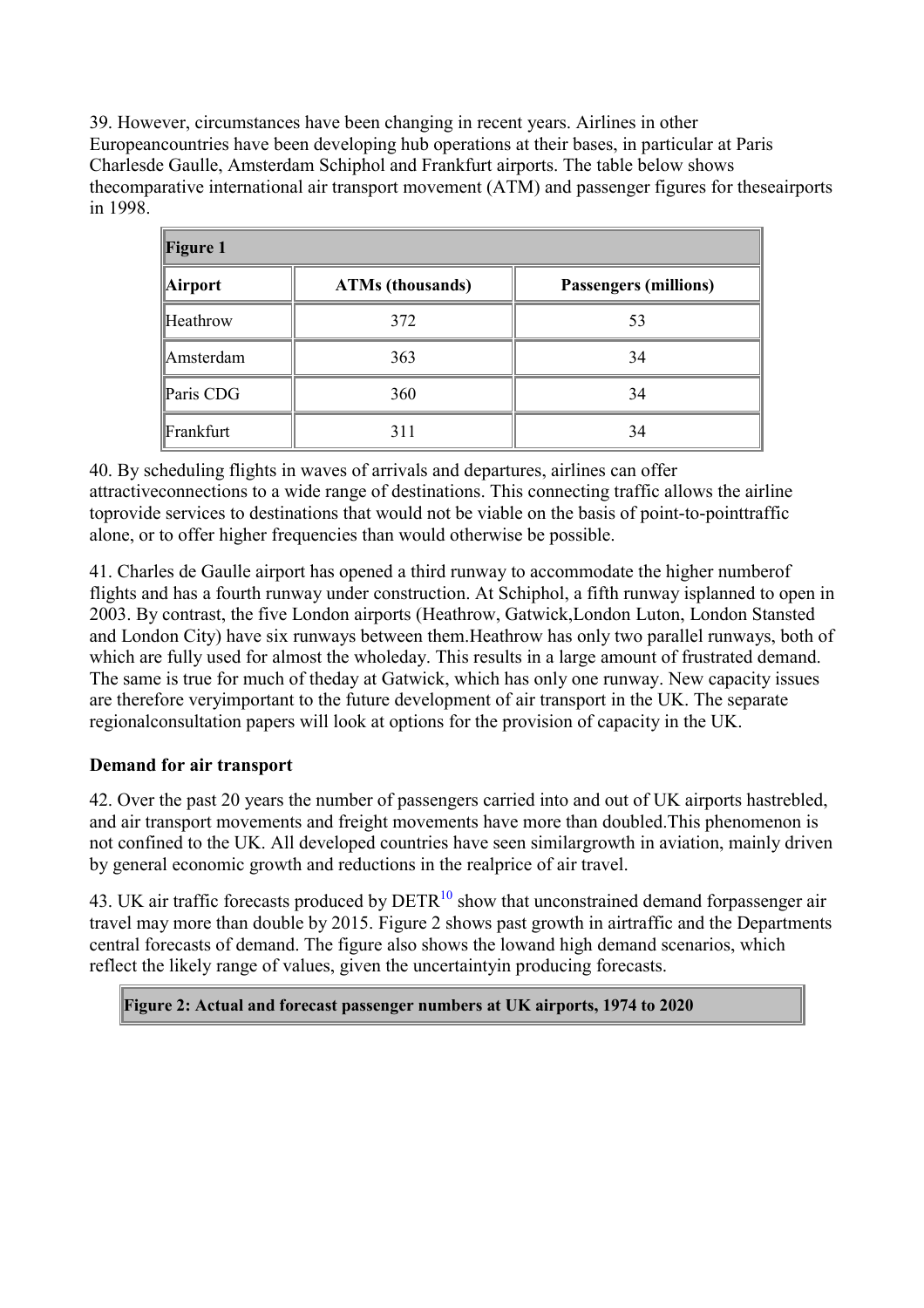<span id="page-11-0"></span>39. However, circumstances have been changing in recent years. Airlines in other Europeancountries have been developing hub operations at their bases, in particular at Paris Charlesde Gaulle, Amsterdam Schiphol and Frankfurt airports. The table below shows thecomparative international air transport movement (ATM) and passenger figures for theseairports in 1998.

| <b>Figure 1</b> |                         |                              |  |
|-----------------|-------------------------|------------------------------|--|
| Airport         | <b>ATMs (thousands)</b> | <b>Passengers (millions)</b> |  |
| Heathrow        | 372                     | 53                           |  |
| Amsterdam       | 363                     | 34                           |  |
| Paris CDG       | 360                     | 34                           |  |
| Frankfurt       | 311                     | 34                           |  |

40. By scheduling flights in waves of arrivals and departures, airlines can offer attractiveconnections to a wide range of destinations. This connecting traffic allows the airline toprovide services to destinations that would not be viable on the basis of point-to-pointtraffic alone, or to offer higher frequencies than would otherwise be possible.

41. Charles de Gaulle airport has opened a third runway to accommodate the higher numberof flights and has a fourth runway under construction. At Schiphol, a fifth runway isplanned to open in 2003. By contrast, the five London airports (Heathrow, Gatwick,London Luton, London Stansted and London City) have six runways between them.Heathrow has only two parallel runways, both of which are fully used for almost the wholeday. This results in a large amount of frustrated demand. The same is true for much of theday at Gatwick, which has only one runway. New capacity issues are therefore veryimportant to the future development of air transport in the UK. The separate regionalconsultation papers will look at options for the provision of capacity in the UK.

## **Demand for air transport**

42. Over the past 20 years the number of passengers carried into and out of UK airports hastrebled, and air transport movements and freight movements have more than doubled.This phenomenon is not confined to the UK. All developed countries have seen similargrowth in aviation, mainly driven by general economic growth and reductions in the realprice of air travel.

43. UK air traffic forecasts produced by  $DETR<sup>10</sup>$  $DETR<sup>10</sup>$  $DETR<sup>10</sup>$  show that unconstrained demand forpassenger air travel may more than double by 2015. Figure 2 shows past growth in airtraffic and the Departments central forecasts of demand. The figure also shows the lowand high demand scenarios, which reflect the likely range of values, given the uncertaintyin producing forecasts.

**Figure 2: Actual and forecast passenger numbers at UK airports, 1974 to 2020**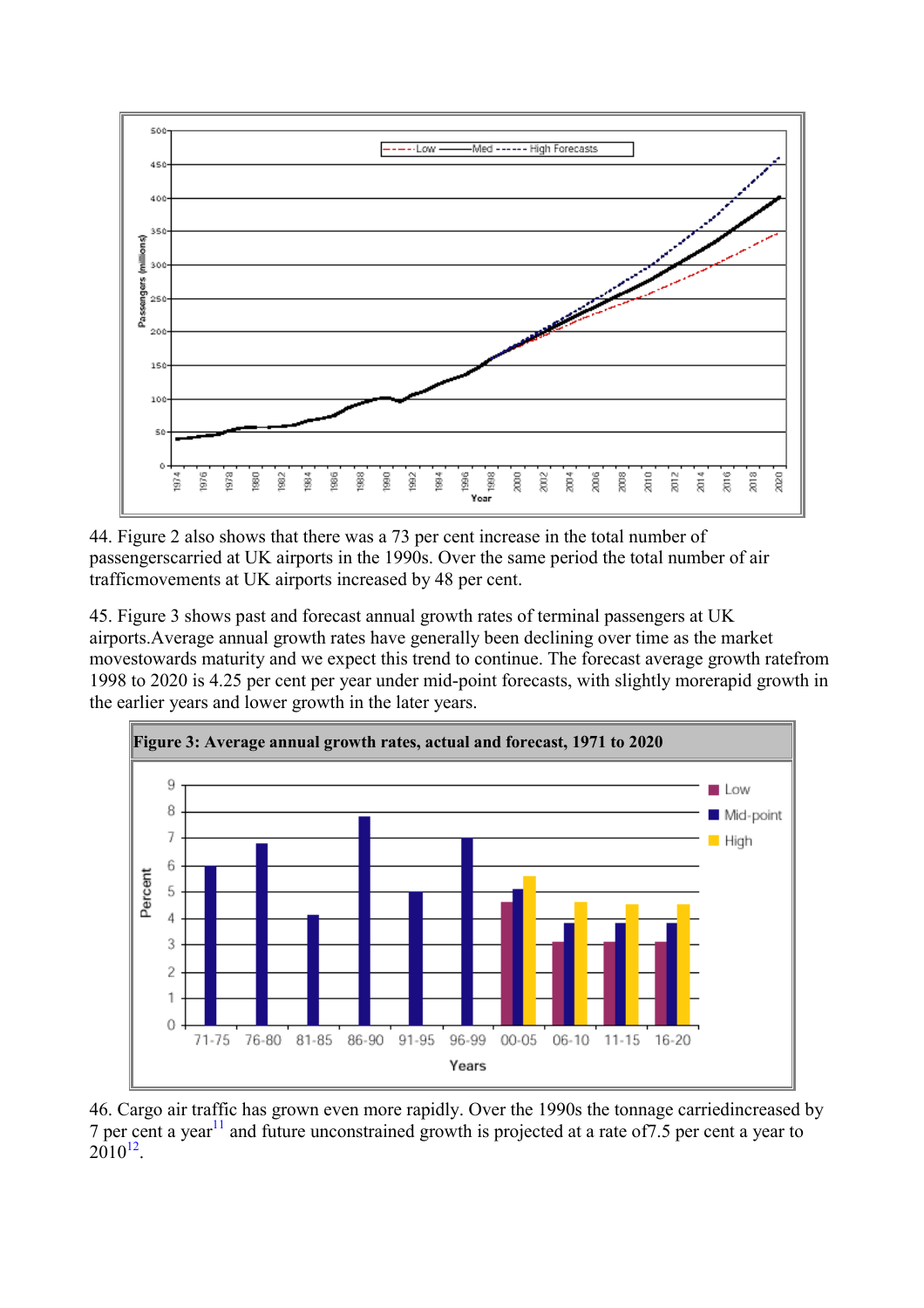

44. Figure 2 also shows that there was a 73 per cent increase in the total number of passengerscarried at UK airports in the 1990s. Over the same period the total number of air trafficmovements at UK airports increased by 48 per cent.

45. Figure 3 shows past and forecast annual growth rates of terminal passengers at UK airports.Average annual growth rates have generally been declining over time as the market movestowards maturity and we expect this trend to continue. The forecast average growth ratefrom 1998 to 2020 is 4.25 per cent per year under mid-point forecasts, with slightly morerapid growth in the earlier years and lower growth in the later years.



46. Cargo air traffic has grown even more rapidly. Over the 1990s the tonnage carriedincreased by 7 per cent a year<sup>11</sup> and future unconstrained growth is projected at a rate of  $7.5$  per cent a year to  $2010^{12}$  $2010^{12}$  $2010^{12}$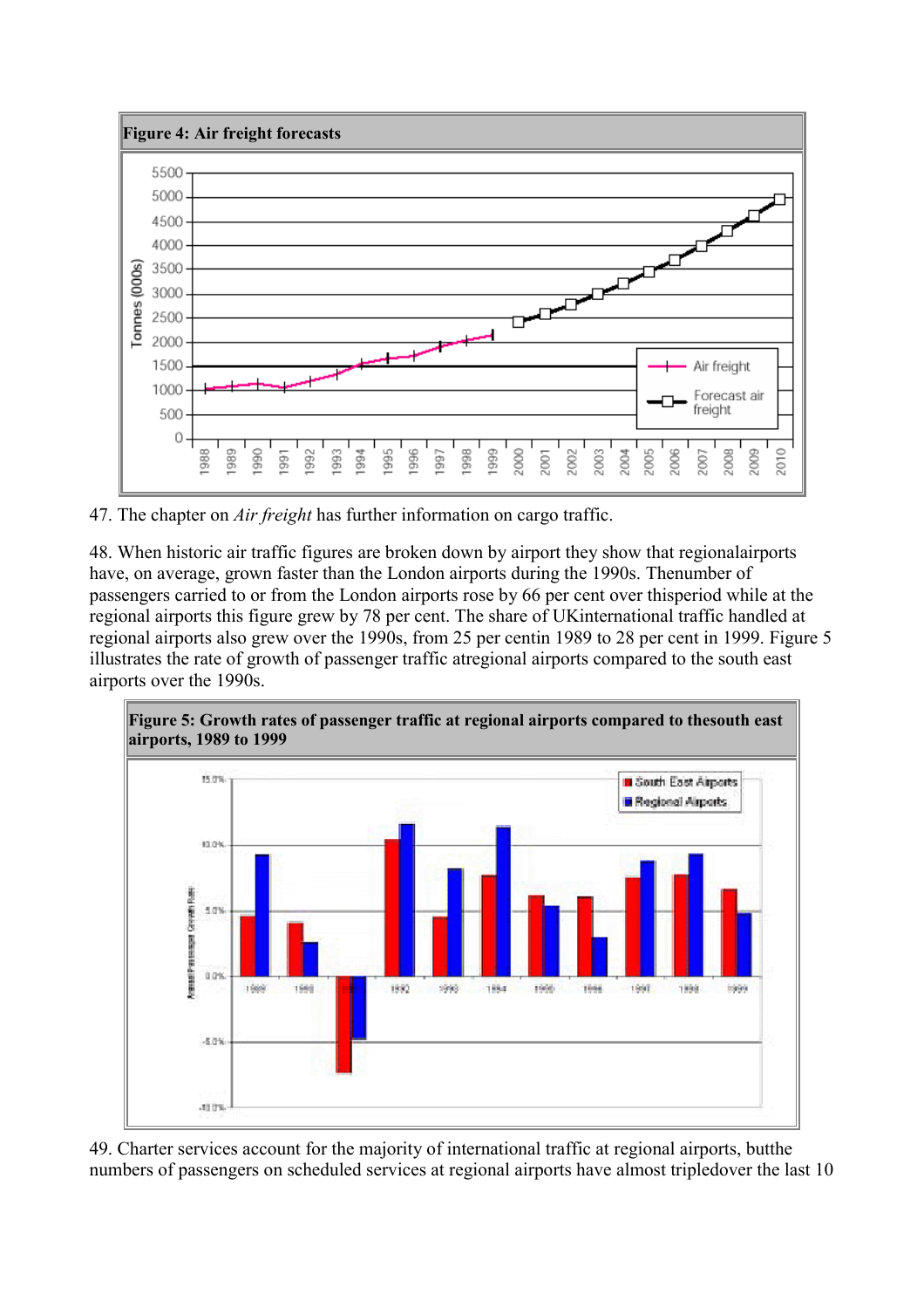

47. The chapter on *Air freight* has further information on cargo traffic.

48. When historic air traffic figures are broken down by airport they show that regionalairports have, on average, grown faster than the London airports during the 1990s. Thenumber of passengers carried to or from the London airports rose by 66 per cent over thisperiod while at the regional airports this figure grew by 78 per cent. The share of UKinternational traffic handled at regional airports also grew over the 1990s, from 25 per centin 1989 to 28 per cent in 1999. Figure 5 illustrates the rate of growth of passenger traffic atregional airports compared to the south east airports over the 1990s.



49. Charter services account for the majority of international traffic at regional airports, butthe numbers of passengers on scheduled services at regional airports have almost tripledover the last 10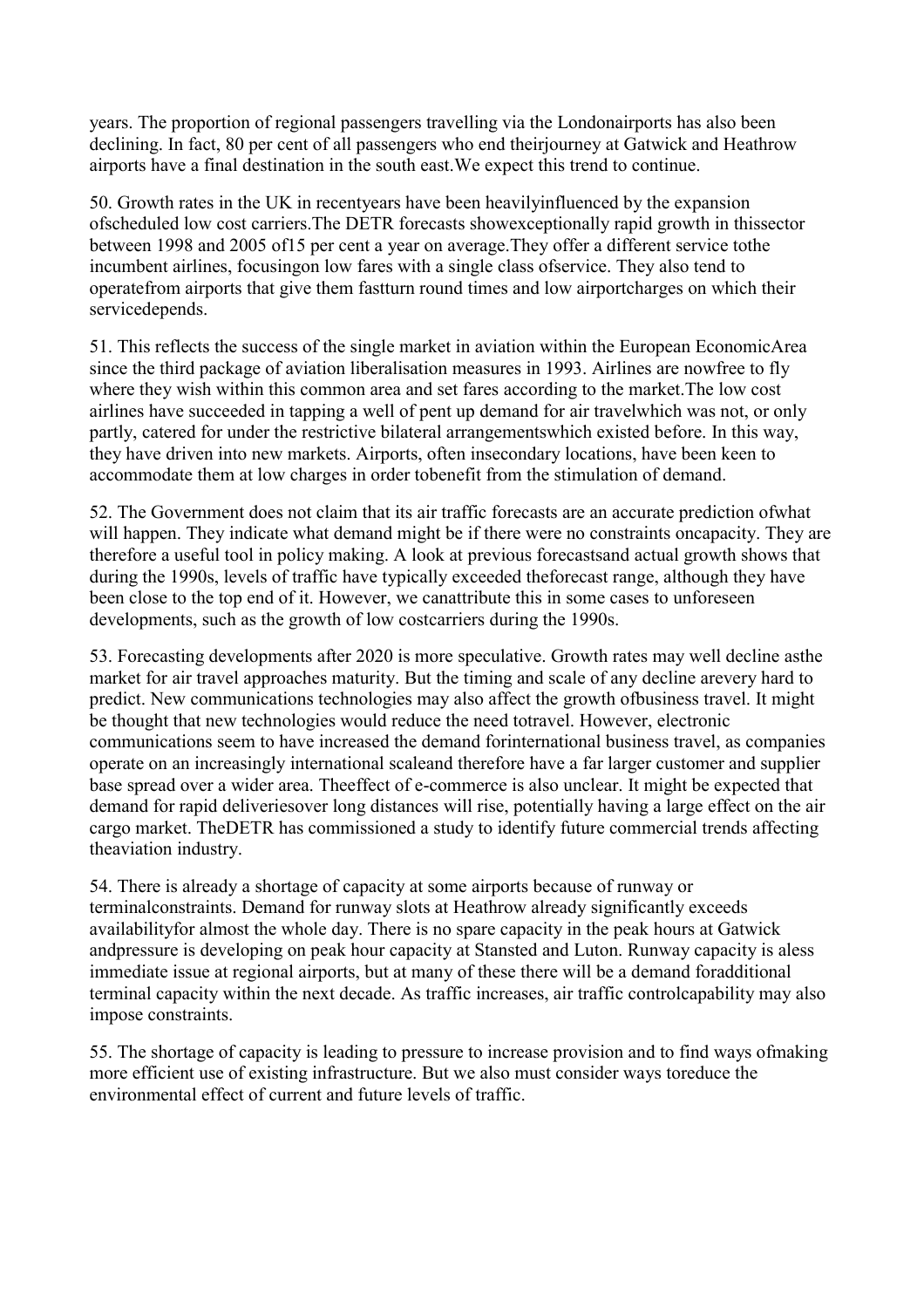years. The proportion of regional passengers travelling via the Londonairports has also been declining. In fact, 80 per cent of all passengers who end theirjourney at Gatwick and Heathrow airports have a final destination in the south east.We expect this trend to continue.

50. Growth rates in the UK in recentyears have been heavilyinfluenced by the expansion ofscheduled low cost carriers.The DETR forecasts showexceptionally rapid growth in thissector between 1998 and 2005 of15 per cent a year on average.They offer a different service tothe incumbent airlines, focusingon low fares with a single class ofservice. They also tend to operatefrom airports that give them fastturn round times and low airportcharges on which their servicedepends.

51. This reflects the success of the single market in aviation within the European EconomicArea since the third package of aviation liberalisation measures in 1993. Airlines are nowfree to fly where they wish within this common area and set fares according to the market.The low cost airlines have succeeded in tapping a well of pent up demand for air travelwhich was not, or only partly, catered for under the restrictive bilateral arrangementswhich existed before. In this way, they have driven into new markets. Airports, often insecondary locations, have been keen to accommodate them at low charges in order tobenefit from the stimulation of demand.

52. The Government does not claim that its air traffic forecasts are an accurate prediction ofwhat will happen. They indicate what demand might be if there were no constraints oncapacity. They are therefore a useful tool in policy making. A look at previous forecastsand actual growth shows that during the 1990s, levels of traffic have typically exceeded theforecast range, although they have been close to the top end of it. However, we canattribute this in some cases to unforeseen developments, such as the growth of low costcarriers during the 1990s.

53. Forecasting developments after 2020 is more speculative. Growth rates may well decline asthe market for air travel approaches maturity. But the timing and scale of any decline arevery hard to predict. New communications technologies may also affect the growth ofbusiness travel. It might be thought that new technologies would reduce the need totravel. However, electronic communications seem to have increased the demand forinternational business travel, as companies operate on an increasingly international scaleand therefore have a far larger customer and supplier base spread over a wider area. Theeffect of e-commerce is also unclear. It might be expected that demand for rapid deliveriesover long distances will rise, potentially having a large effect on the air cargo market. TheDETR has commissioned a study to identify future commercial trends affecting theaviation industry.

54. There is already a shortage of capacity at some airports because of runway or terminalconstraints. Demand for runway slots at Heathrow already significantly exceeds availabilityfor almost the whole day. There is no spare capacity in the peak hours at Gatwick andpressure is developing on peak hour capacity at Stansted and Luton. Runway capacity is aless immediate issue at regional airports, but at many of these there will be a demand foradditional terminal capacity within the next decade. As traffic increases, air traffic controlcapability may also impose constraints.

55. The shortage of capacity is leading to pressure to increase provision and to find ways ofmaking more efficient use of existing infrastructure. But we also must consider ways toreduce the environmental effect of current and future levels of traffic.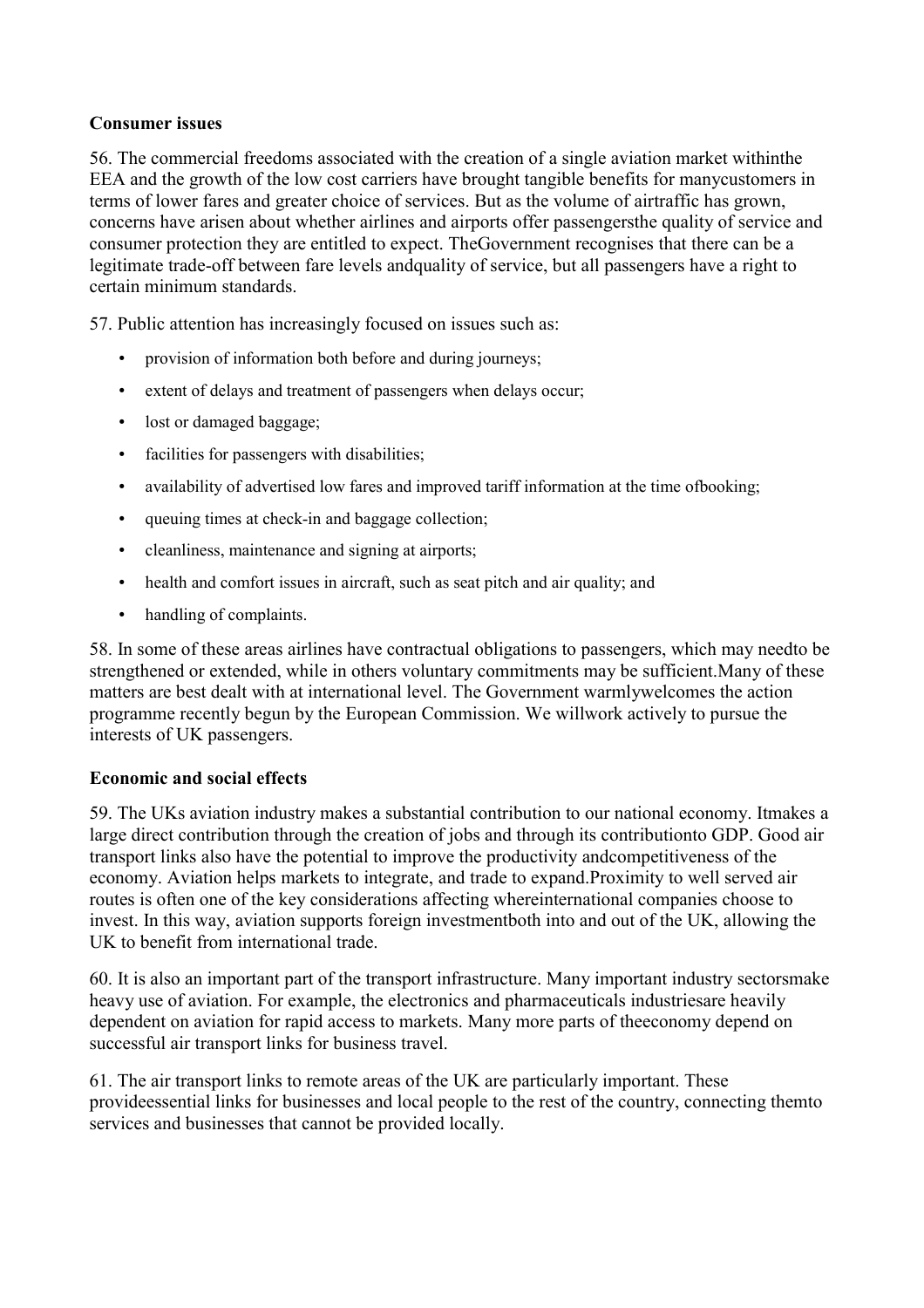#### <span id="page-15-0"></span>**Consumer issues**

56. The commercial freedoms associated with the creation of a single aviation market withinthe EEA and the growth of the low cost carriers have brought tangible benefits for manycustomers in terms of lower fares and greater choice of services. But as the volume of airtraffic has grown, concerns have arisen about whether airlines and airports offer passengersthe quality of service and consumer protection they are entitled to expect. TheGovernment recognises that there can be a legitimate trade-off between fare levels andquality of service, but all passengers have a right to certain minimum standards.

57. Public attention has increasingly focused on issues such as:

- provision of information both before and during journeys;
- extent of delays and treatment of passengers when delays occur;
- lost or damaged baggage:
- facilities for passengers with disabilities;
- availability of advertised low fares and improved tariff information at the time of booking;
- queuing times at check-in and baggage collection;
- cleanliness, maintenance and signing at airports;
- health and comfort issues in aircraft, such as seat pitch and air quality; and
- handling of complaints.

58. In some of these areas airlines have contractual obligations to passengers, which may needto be strengthened or extended, while in others voluntary commitments may be sufficient.Many of these matters are best dealt with at international level. The Government warmlywelcomes the action programme recently begun by the European Commission. We willwork actively to pursue the interests of UK passengers.

#### **Economic and social effects**

59. The UKs aviation industry makes a substantial contribution to our national economy. Itmakes a large direct contribution through the creation of jobs and through its contributionto GDP. Good air transport links also have the potential to improve the productivity andcompetitiveness of the economy. Aviation helps markets to integrate, and trade to expand.Proximity to well served air routes is often one of the key considerations affecting whereinternational companies choose to invest. In this way, aviation supports foreign investmentboth into and out of the UK, allowing the UK to benefit from international trade.

60. It is also an important part of the transport infrastructure. Many important industry sectorsmake heavy use of aviation. For example, the electronics and pharmaceuticals industriesare heavily dependent on aviation for rapid access to markets. Many more parts of theeconomy depend on successful air transport links for business travel.

61. The air transport links to remote areas of the UK are particularly important. These provideessential links for businesses and local people to the rest of the country, connecting themto services and businesses that cannot be provided locally.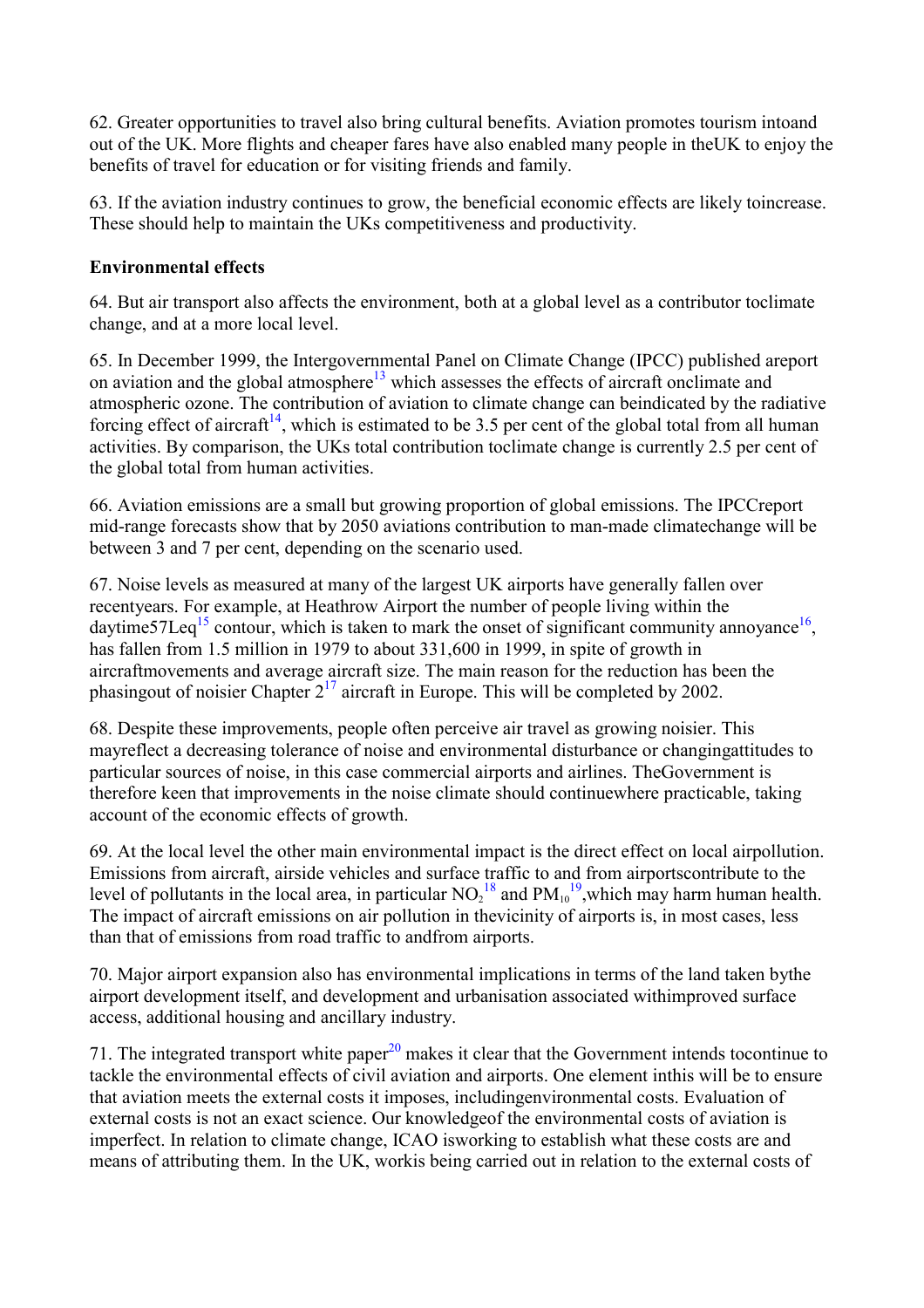<span id="page-16-0"></span>62. Greater opportunities to travel also bring cultural benefits. Aviation promotes tourism intoand out of the UK. More flights and cheaper fares have also enabled many people in theUK to enjoy the benefits of travel for education or for visiting friends and family.

63. If the aviation industry continues to grow, the beneficial economic effects are likely toincrease. These should help to maintain the UKs competitiveness and productivity.

## **Environmental effects**

64. But air transport also affects the environment, both at a global level as a contributor toclimate change, and at a more local level.

65. In December 1999, the Intergovernmental Panel on Climate Change (IPCC) published areport on aviation and the global atmosphere<sup>13</sup> which assesses the effects of aircraft onclimate and atmospheric ozone. The contribution of aviation to climate change can beindicated by the radiative forcing effect of aircraft<sup>14</sup>, which is estimated to be 3.5 per cent of the global total from all human activities. By comparison, the UKs total contribution toclimate change is currently 2.5 per cent of the global total from human activities.

66. Aviation emissions are a small but growing proportion of global emissions. The IPCCreport mid-range forecasts show that by 2050 aviations contribution to man-made climatechange will be between 3 and 7 per cent, depending on the scenario used.

67. Noise levels as measured at many of the largest UK airports have generally fallen over recentyears. For example, at Heathrow Airport the number of people living within the daytime57Leq<sup>[15](#page-7-0)</sup> contour, which is taken to mark the onset of significant community annoyance<sup>16</sup>, has fallen from 1.5 million in 1979 to about 331,600 in 1999, in spite of growth in aircraftmovements and average aircraft size. The main reason for the reduction has been the phasingout of noisier Chapter  $2^{17}$  aircraft in Europe. This will be completed by 2002.

68. Despite these improvements, people often perceive air travel as growing noisier. This mayreflect a decreasing tolerance of noise and environmental disturbance or changingattitudes to particular sources of noise, in this case commercial airports and airlines. TheGovernment is therefore keen that improvements in the noise climate should continuewhere practicable, taking account of the economic effects of growth.

69. At the local level the other main environmental impact is the direct effect on local airpollution. Emissions from aircraft, airside vehicles and surface traffic to and from airportscontribute to the level of pollutants in the local area, in particular  $NO<sub>2</sub><sup>18</sup>$  $NO<sub>2</sub><sup>18</sup>$  $NO<sub>2</sub><sup>18</sup>$  and  $PM<sub>10</sub><sup>19</sup>$  $PM<sub>10</sub><sup>19</sup>$  $PM<sub>10</sub><sup>19</sup>$ , which may harm human health. The impact of aircraft emissions on air pollution in thevicinity of airports is, in most cases, less than that of emissions from road traffic to andfrom airports.

70. Major airport expansion also has environmental implications in terms of the land taken bythe airport development itself, and development and urbanisation associated withimproved surface access, additional housing and ancillary industry.

71. The integrated transport white paper $^{20}$  makes it clear that the Government intends tocontinue to tackle the environmental effects of civil aviation and airports. One element inthis will be to ensure that aviation meets the external costs it imposes, includingenvironmental costs. Evaluation of external costs is not an exact science. Our knowledgeof the environmental costs of aviation is imperfect. In relation to climate change, ICAO isworking to establish what these costs are and means of attributing them. In the UK, workis being carried out in relation to the external costs of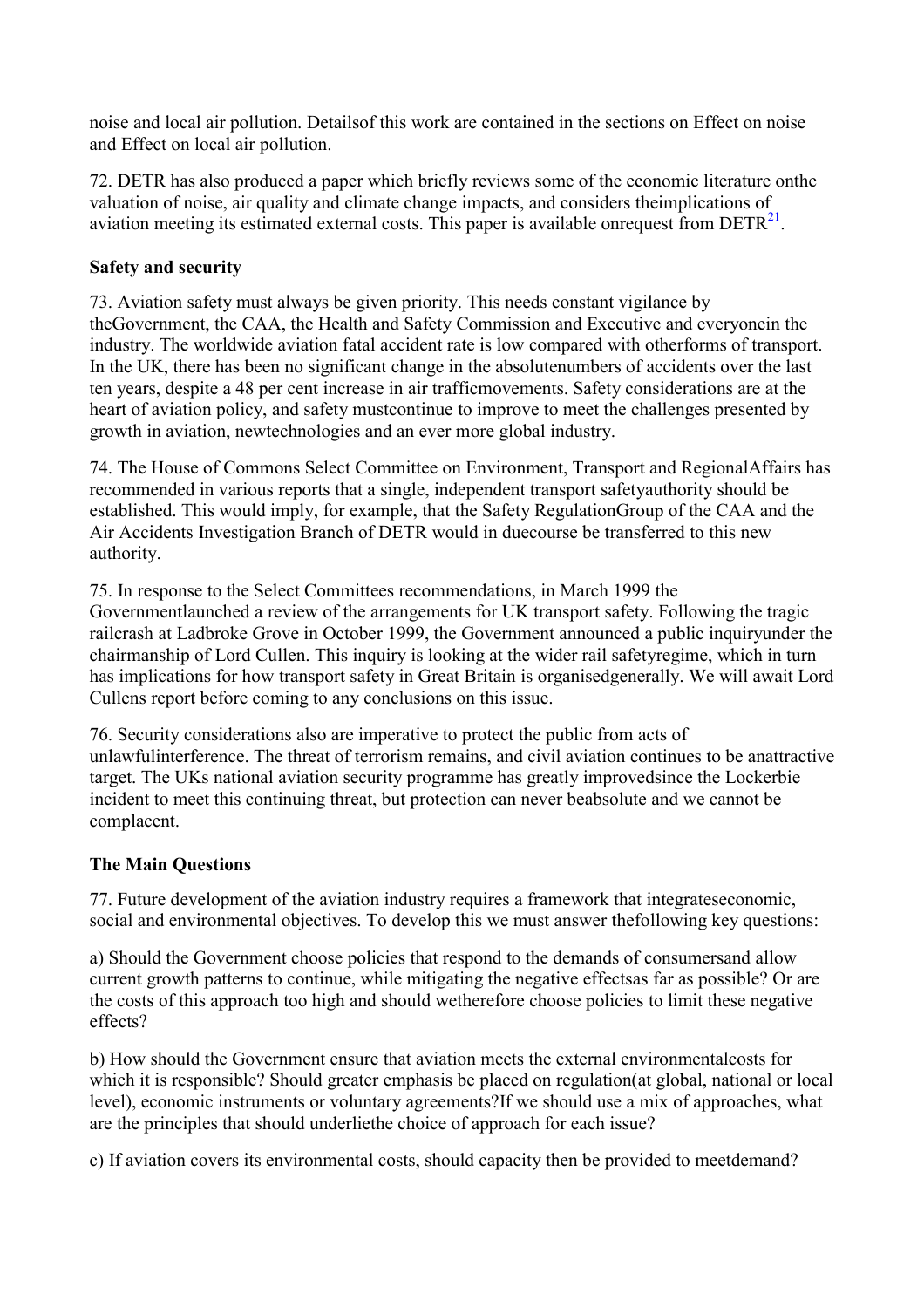<span id="page-17-0"></span>noise and local air pollution. Detailsof this work are contained in the sections on Effect on noise and Effect on local air pollution.

72. DETR has also produced a paper which briefly reviews some of the economic literature onthe valuation of noise, air quality and climate change impacts, and considers theimplications of aviation meeting its estimated external costs. This paper is available onrequest from  $DETR<sup>21</sup>$  $DETR<sup>21</sup>$  $DETR<sup>21</sup>$ .

## **Safety and security**

73. Aviation safety must always be given priority. This needs constant vigilance by theGovernment, the CAA, the Health and Safety Commission and Executive and everyonein the industry. The worldwide aviation fatal accident rate is low compared with otherforms of transport. In the UK, there has been no significant change in the absolutenumbers of accidents over the last ten years, despite a 48 per cent increase in air trafficmovements. Safety considerations are at the heart of aviation policy, and safety mustcontinue to improve to meet the challenges presented by growth in aviation, newtechnologies and an ever more global industry.

74. The House of Commons Select Committee on Environment, Transport and RegionalAffairs has recommended in various reports that a single, independent transport safetyauthority should be established. This would imply, for example, that the Safety RegulationGroup of the CAA and the Air Accidents Investigation Branch of DETR would in duecourse be transferred to this new authority.

75. In response to the Select Committees recommendations, in March 1999 the Governmentlaunched a review of the arrangements for UK transport safety. Following the tragic railcrash at Ladbroke Grove in October 1999, the Government announced a public inquiryunder the chairmanship of Lord Cullen. This inquiry is looking at the wider rail safetyregime, which in turn has implications for how transport safety in Great Britain is organisedgenerally. We will await Lord Cullens report before coming to any conclusions on this issue.

76. Security considerations also are imperative to protect the public from acts of unlawfulinterference. The threat of terrorism remains, and civil aviation continues to be anattractive target. The UKs national aviation security programme has greatly improvedsince the Lockerbie incident to meet this continuing threat, but protection can never beabsolute and we cannot be complacent.

## **The Main Questions**

77. Future development of the aviation industry requires a framework that integrateseconomic, social and environmental objectives. To develop this we must answer thefollowing key questions:

a) Should the Government choose policies that respond to the demands of consumersand allow current growth patterns to continue, while mitigating the negative effectsas far as possible? Or are the costs of this approach too high and should wetherefore choose policies to limit these negative effects?

b) How should the Government ensure that aviation meets the external environmentalcosts for which it is responsible? Should greater emphasis be placed on regulation at global, national or local level), economic instruments or voluntary agreements?If we should use a mix of approaches, what are the principles that should underliethe choice of approach for each issue?

c) If aviation covers its environmental costs, should capacity then be provided to meetdemand?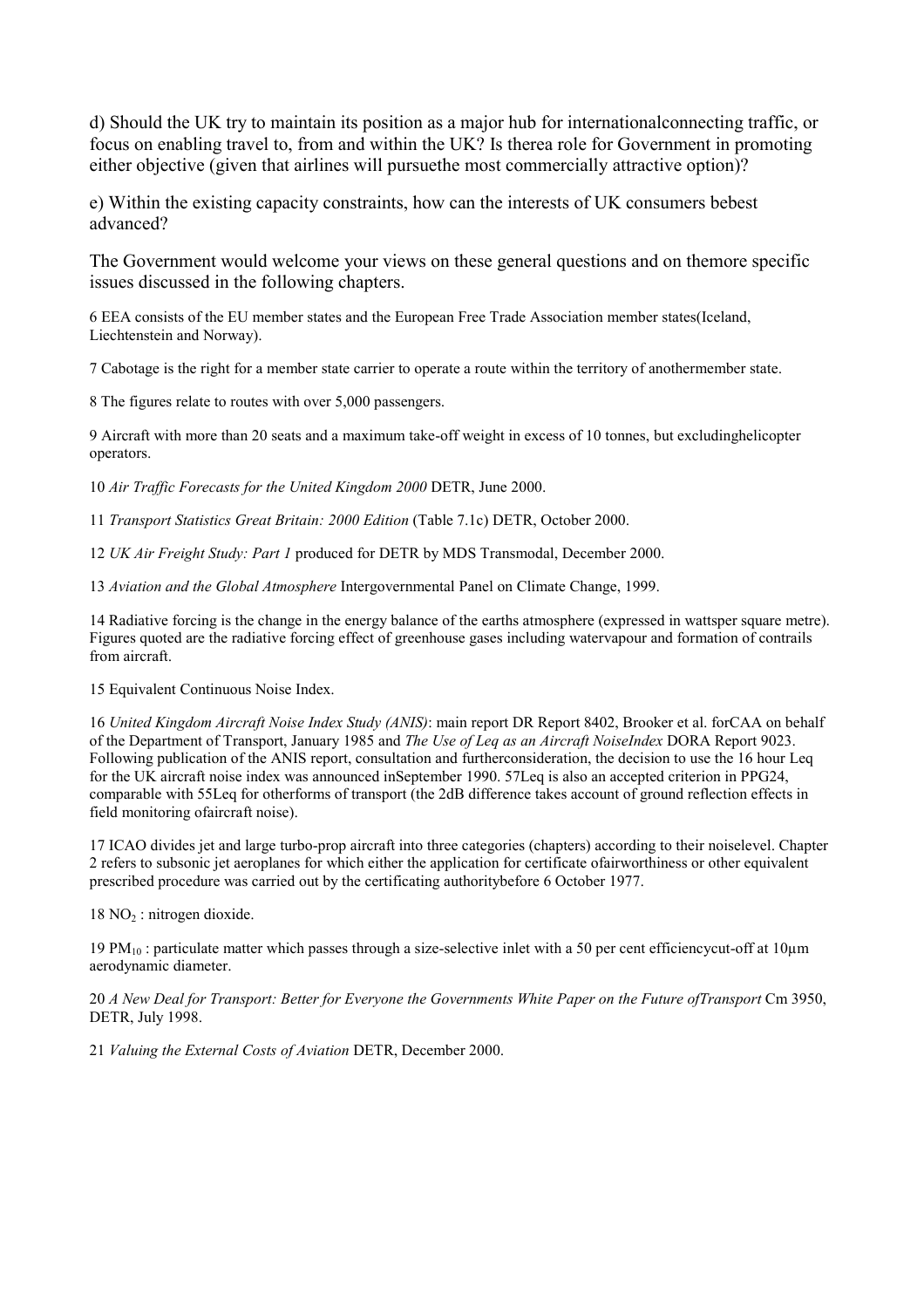d) Should the UK try to maintain its position as a major hub for internationalconnecting traffic, or focus on enabling travel to, from and within the UK? Is therea role for Government in promoting either objective (given that airlines will pursuethe most commercially attractive option)?

e) Within the existing capacity constraints, how can the interests of UK consumers bebest advanced?

The Government would welcome your views on these general questions and on themore specific issues discussed in the following chapters.

6 EEA consists of the EU member states and the European Free Trade Association member states(Iceland, Liechtenstein and Norway).

7 Cabotage is the right for a member state carrier to operate a route within the territory of anothermember state.

8 The figures relate to routes with over 5,000 passengers.

9 Aircraft with more than 20 seats and a maximum take-off weight in excess of 10 tonnes, but excludinghelicopter operators.

10 *Air Traffic Forecasts for the United Kingdom 2000* DETR, June 2000.

11 *Transport Statistics Great Britain: 2000 Edition* (Table 7.1c) DETR, October 2000.

12 *UK Air Freight Study: Part 1* produced for DETR by MDS Transmodal, December 2000.

13 *Aviation and the Global Atmosphere* Intergovernmental Panel on Climate Change, 1999.

14 Radiative forcing is the change in the energy balance of the earths atmosphere (expressed in wattsper square metre). Figures quoted are the radiative forcing effect of greenhouse gases including watervapour and formation of contrails from aircraft.

15 Equivalent Continuous Noise Index.

16 *United Kingdom Aircraft Noise Index Study (ANIS)*: main report DR Report 8402, Brooker et al. forCAA on behalf of the Department of Transport, January 1985 and *The Use of Leq as an Aircraft NoiseIndex* DORA Report 9023. Following publication of the ANIS report, consultation and furtherconsideration, the decision to use the 16 hour Leq for the UK aircraft noise index was announced inSeptember 1990. 57Leq is also an accepted criterion in PPG24, comparable with 55Leq for otherforms of transport (the 2dB difference takes account of ground reflection effects in field monitoring ofaircraft noise).

17 ICAO divides jet and large turbo-prop aircraft into three categories (chapters) according to their noiselevel. Chapter 2 refers to subsonic jet aeroplanes for which either the application for certificate ofairworthiness or other equivalent prescribed procedure was carried out by the certificating authoritybefore 6 October 1977.

 $18 \text{ NO}_2$ : nitrogen dioxide.

19 PM $_{10}$  : particulate matter which passes through a size-selective inlet with a 50 per cent efficiencycut-off at 10 $\mu$ m aerodynamic diameter.

20 *A New Deal for Transport: Better for Everyone the Governments White Paper on the Future ofTransport* Cm 3950, DETR, July 1998.

21 *Valuing the External Costs of Aviation* DETR, December 2000.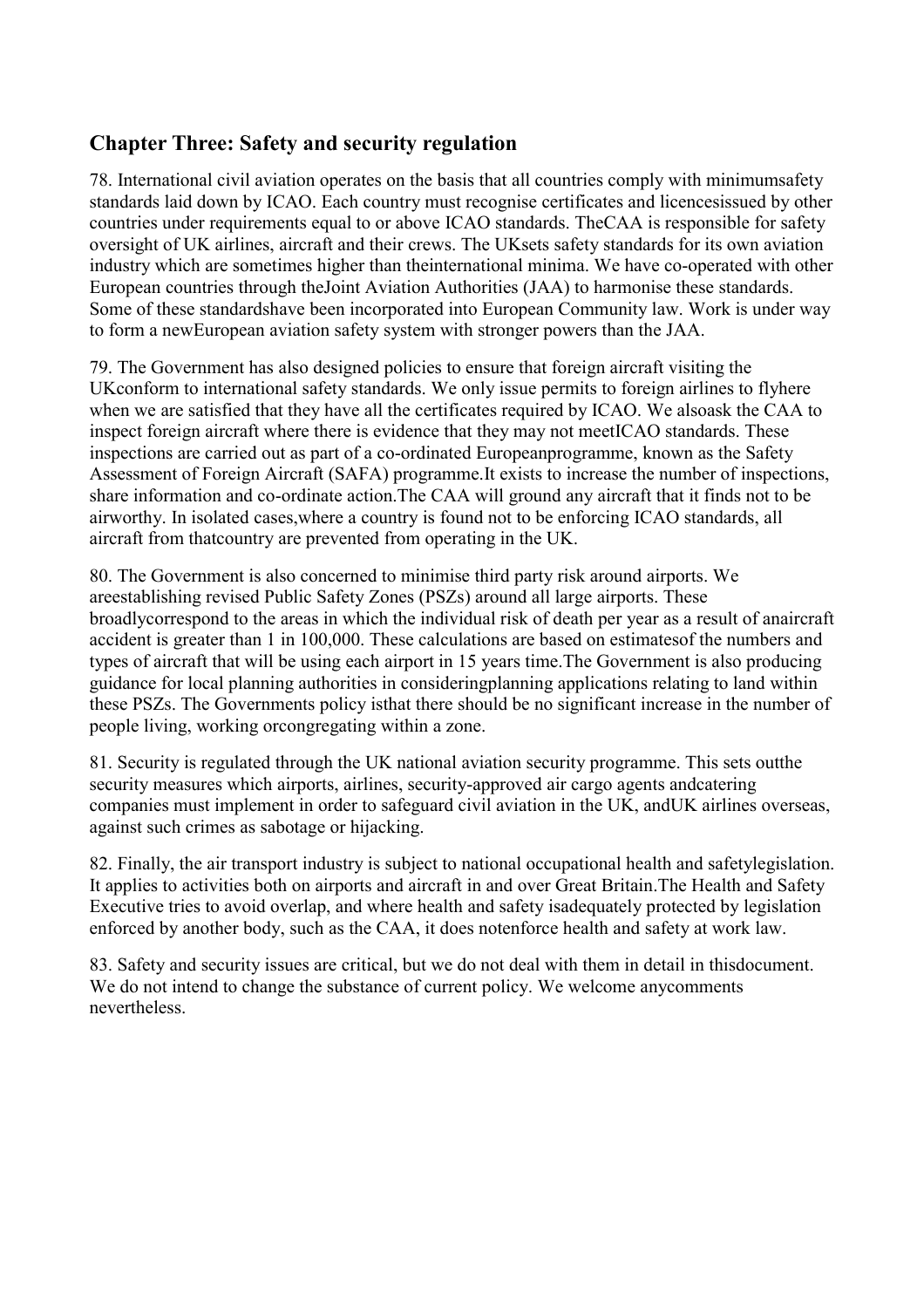# <span id="page-19-0"></span>**Chapter Three: Safety and security regulation**

78. International civil aviation operates on the basis that all countries comply with minimumsafety standards laid down by ICAO. Each country must recognise certificates and licencesissued by other countries under requirements equal to or above ICAO standards. TheCAA is responsible for safety oversight of UK airlines, aircraft and their crews. The UKsets safety standards for its own aviation industry which are sometimes higher than theinternational minima. We have co-operated with other European countries through theJoint Aviation Authorities (JAA) to harmonise these standards. Some of these standardshave been incorporated into European Community law. Work is under way to form a newEuropean aviation safety system with stronger powers than the JAA.

79. The Government has also designed policies to ensure that foreign aircraft visiting the UKconform to international safety standards. We only issue permits to foreign airlines to flyhere when we are satisfied that they have all the certificates required by ICAO. We alsoask the CAA to inspect foreign aircraft where there is evidence that they may not meetICAO standards. These inspections are carried out as part of a co-ordinated Europeanprogramme, known as the Safety Assessment of Foreign Aircraft (SAFA) programme.It exists to increase the number of inspections, share information and co-ordinate action.The CAA will ground any aircraft that it finds not to be airworthy. In isolated cases,where a country is found not to be enforcing ICAO standards, all aircraft from thatcountry are prevented from operating in the UK.

80. The Government is also concerned to minimise third party risk around airports. We areestablishing revised Public Safety Zones (PSZs) around all large airports. These broadlycorrespond to the areas in which the individual risk of death per year as a result of anaircraft accident is greater than 1 in 100,000. These calculations are based on estimatesof the numbers and types of aircraft that will be using each airport in 15 years time.The Government is also producing guidance for local planning authorities in consideringplanning applications relating to land within these PSZs. The Governments policy isthat there should be no significant increase in the number of people living, working orcongregating within a zone.

81. Security is regulated through the UK national aviation security programme. This sets outthe security measures which airports, airlines, security-approved air cargo agents andcatering companies must implement in order to safeguard civil aviation in the UK, andUK airlines overseas, against such crimes as sabotage or hijacking.

82. Finally, the air transport industry is subject to national occupational health and safetylegislation. It applies to activities both on airports and aircraft in and over Great Britain.The Health and Safety Executive tries to avoid overlap, and where health and safety isadequately protected by legislation enforced by another body, such as the CAA, it does notenforce health and safety at work law.

83. Safety and security issues are critical, but we do not deal with them in detail in thisdocument. We do not intend to change the substance of current policy. We welcome any comments nevertheless.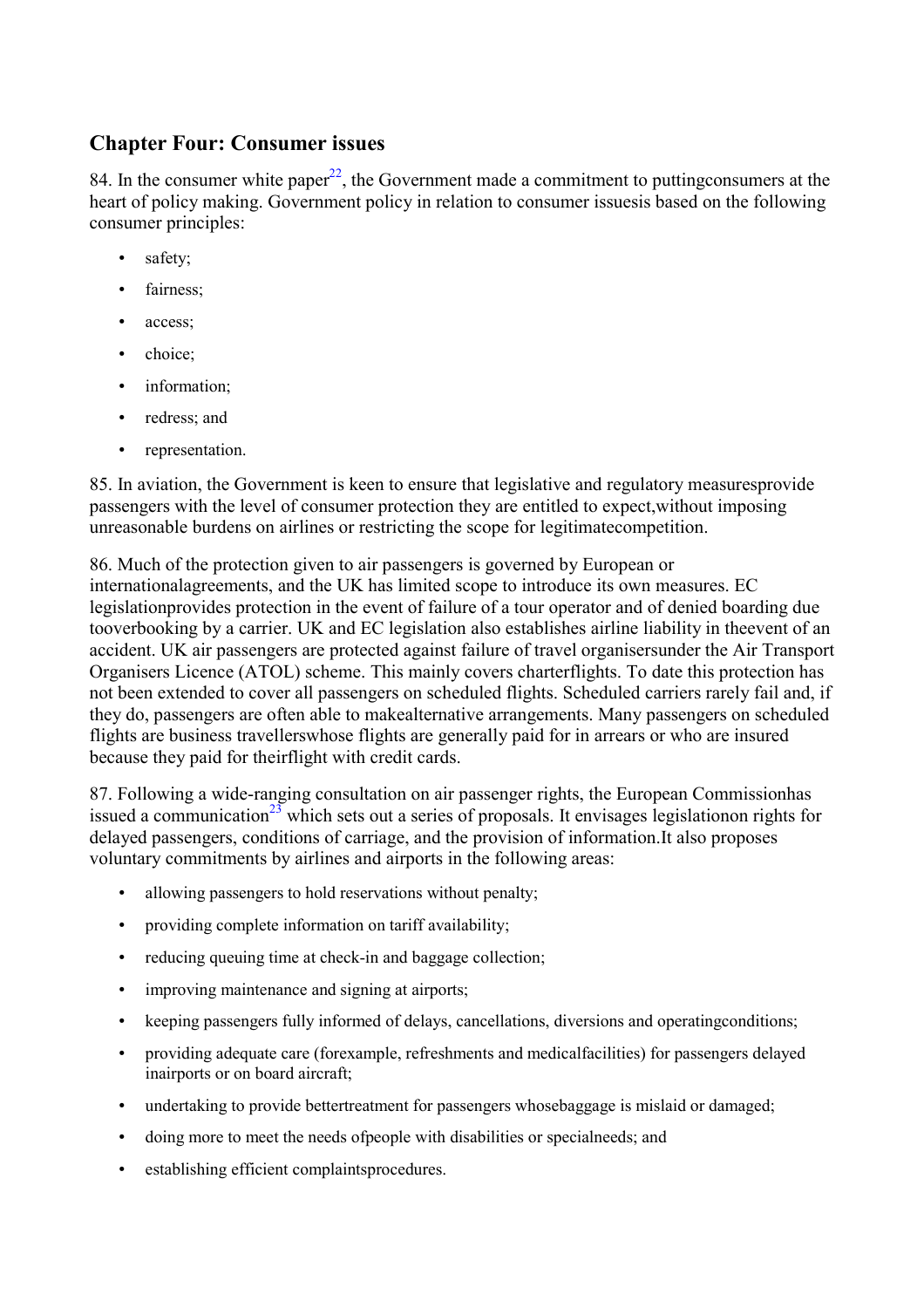## <span id="page-20-0"></span>**Chapter Four: Consumer issues**

84. In the consumer white paper<sup>22</sup>, the Government made a commitment to putting consumers at the heart of policy making. Government policy in relation to consumer issuesis based on the following consumer principles:

- safety;
- fairness;
- access:
- choice:
- information;
- redress; and
- representation.

85. In aviation, the Government is keen to ensure that legislative and regulatory measuresprovide passengers with the level of consumer protection they are entitled to expect,without imposing unreasonable burdens on airlines or restricting the scope for legitimatecompetition.

86. Much of the protection given to air passengers is governed by European or internationalagreements, and the UK has limited scope to introduce its own measures. EC legislationprovides protection in the event of failure of a tour operator and of denied boarding due tooverbooking by a carrier. UK and EC legislation also establishes airline liability in theevent of an accident. UK air passengers are protected against failure of travel organisersunder the Air Transport Organisers Licence (ATOL) scheme. This mainly covers charterflights. To date this protection has not been extended to cover all passengers on scheduled flights. Scheduled carriers rarely fail and, if they do, passengers are often able to makealternative arrangements. Many passengers on scheduled flights are business travellerswhose flights are generally paid for in arrears or who are insured because they paid for theirflight with credit cards.

87. Following a wide-ranging consultation on air passenger rights, the European Commissionhas issued a communication<sup>23</sup> which sets out a series of proposals. It envisages legislationon rights for delayed passengers, conditions of carriage, and the provision of information.It also proposes voluntary commitments by airlines and airports in the following areas:

- allowing passengers to hold reservations without penalty;
- providing complete information on tariff availability;
- reducing queuing time at check-in and baggage collection;
- improving maintenance and signing at airports;
- keeping passengers fully informed of delays, cancellations, diversions and operatingconditions;
- providing adequate care (forexample, refreshments and medicalfacilities) for passengers delayed inairports or on board aircraft;
- undertaking to provide bettertreatment for passengers whosebaggage is mislaid or damaged;
- doing more to meet the needs ofpeople with disabilities or specialneeds; and
- establishing efficient complaintsprocedures.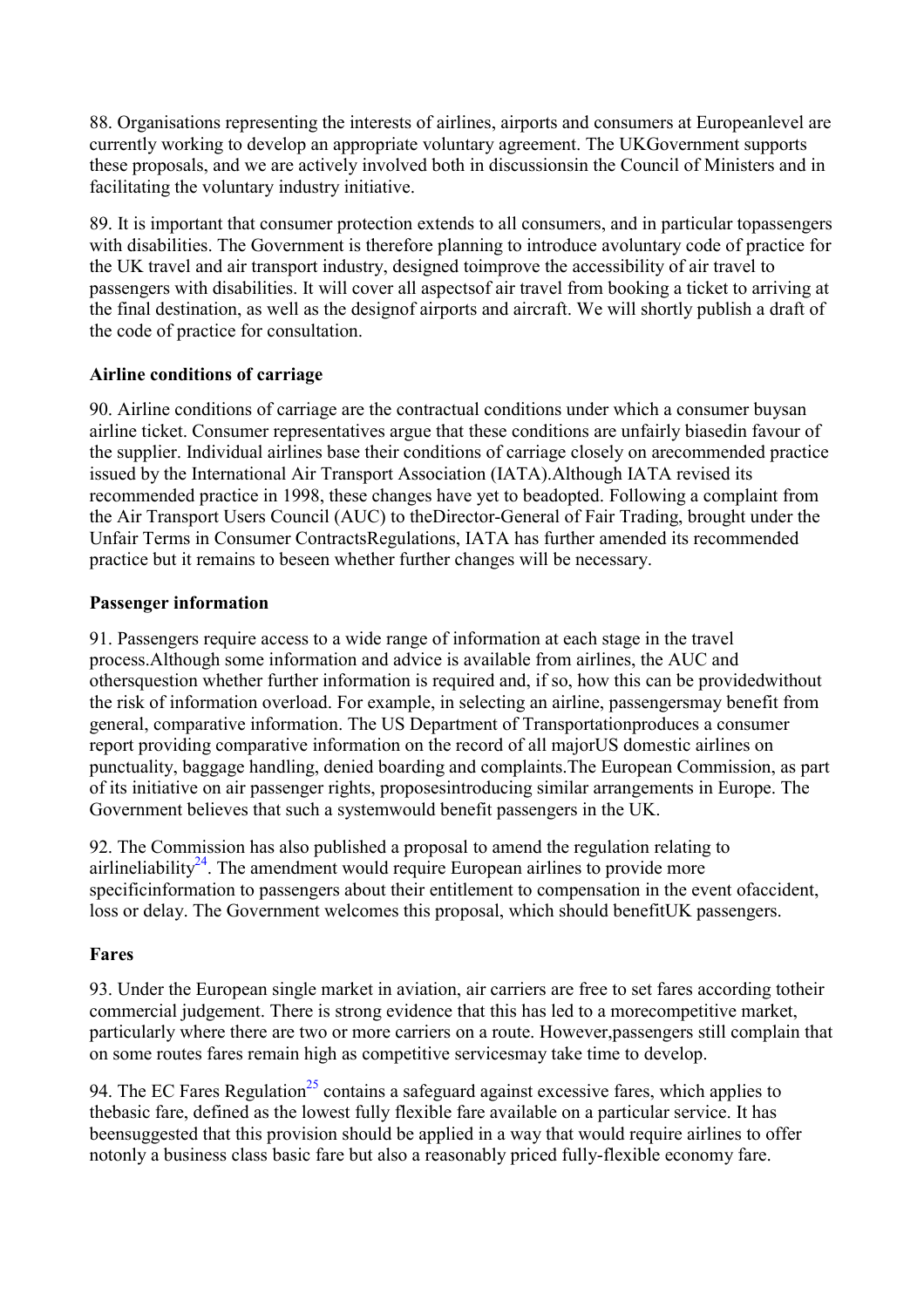<span id="page-21-0"></span>88. Organisations representing the interests of airlines, airports and consumers at Europeanlevel are currently working to develop an appropriate voluntary agreement. The UKGovernment supports these proposals, and we are actively involved both in discussionsin the Council of Ministers and in facilitating the voluntary industry initiative.

89. It is important that consumer protection extends to all consumers, and in particular topassengers with disabilities. The Government is therefore planning to introduce avoluntary code of practice for the UK travel and air transport industry, designed toimprove the accessibility of air travel to passengers with disabilities. It will cover all aspectsof air travel from booking a ticket to arriving at the final destination, as well as the designof airports and aircraft. We will shortly publish a draft of the code of practice for consultation.

### **Airline conditions of carriage**

90. Airline conditions of carriage are the contractual conditions under which a consumer buysan airline ticket. Consumer representatives argue that these conditions are unfairly biasedin favour of the supplier. Individual airlines base their conditions of carriage closely on arecommended practice issued by the International Air Transport Association (IATA).Although IATA revised its recommended practice in 1998, these changes have yet to beadopted. Following a complaint from the Air Transport Users Council (AUC) to theDirector-General of Fair Trading, brought under the Unfair Terms in Consumer ContractsRegulations, IATA has further amended its recommended practice but it remains to beseen whether further changes will be necessary.

## **Passenger information**

91. Passengers require access to a wide range of information at each stage in the travel process.Although some information and advice is available from airlines, the AUC and othersquestion whether further information is required and, if so, how this can be providedwithout the risk of information overload. For example, in selecting an airline, passengersmay benefit from general, comparative information. The US Department of Transportationproduces a consumer report providing comparative information on the record of all majorUS domestic airlines on punctuality, baggage handling, denied boarding and complaints.The European Commission, as part of its initiative on air passenger rights, proposesintroducing similar arrangements in Europe. The Government believes that such a systemwould benefit passengers in the UK.

92. The Commission has also published a proposal to amend the regulation relating to airlineliability<sup>24</sup>. The amendment would require European airlines to provide more specificinformation to passengers about their entitlement to compensation in the event ofaccident, loss or delay. The Government welcomes this proposal, which should benefitUK passengers.

## **Fares**

93. Under the European single market in aviation, air carriers are free to set fares according totheir commercial judgement. There is strong evidence that this has led to a morecompetitive market, particularly where there are two or more carriers on a route. However,passengers still complain that on some routes fares remain high as competitive servicesmay take time to develop.

94. The EC Fares Regulation<sup>25</sup> contains a safeguard against excessive fares, which applies to thebasic fare, defined as the lowest fully flexible fare available on a particular service. It has beensuggested that this provision should be applied in a way that would require airlines to offer notonly a business class basic fare but also a reasonably priced fully-flexible economy fare.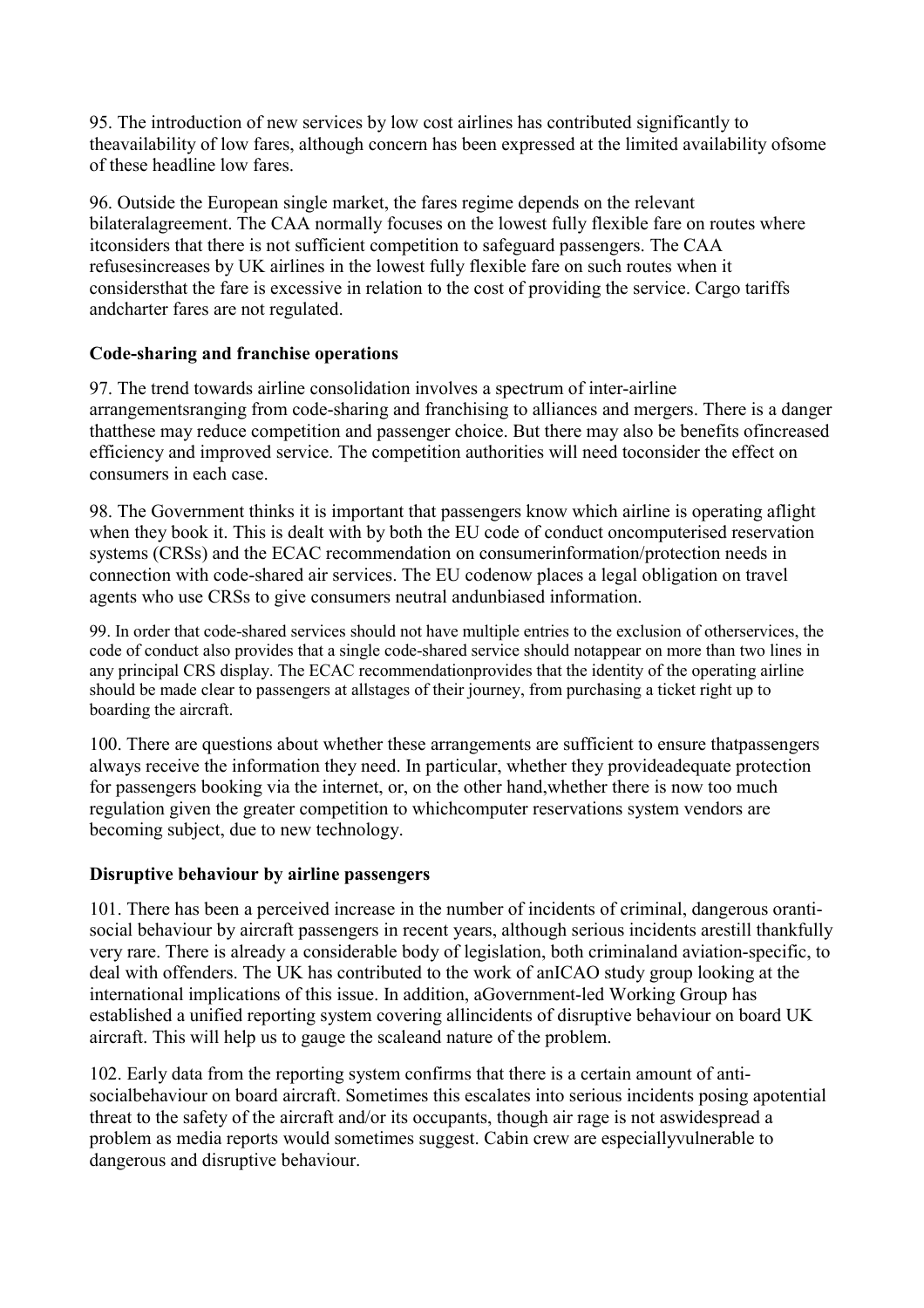<span id="page-22-0"></span>95. The introduction of new services by low cost airlines has contributed significantly to theavailability of low fares, although concern has been expressed at the limited availability ofsome of these headline low fares.

96. Outside the European single market, the fares regime depends on the relevant bilateralagreement. The CAA normally focuses on the lowest fully flexible fare on routes where itconsiders that there is not sufficient competition to safeguard passengers. The CAA refusesincreases by UK airlines in the lowest fully flexible fare on such routes when it considersthat the fare is excessive in relation to the cost of providing the service. Cargo tariffs andcharter fares are not regulated.

### **Code-sharing and franchise operations**

97. The trend towards airline consolidation involves a spectrum of inter-airline arrangementsranging from code-sharing and franchising to alliances and mergers. There is a danger thatthese may reduce competition and passenger choice. But there may also be benefits ofincreased efficiency and improved service. The competition authorities will need toconsider the effect on consumers in each case.

98. The Government thinks it is important that passengers know which airline is operating aflight when they book it. This is dealt with by both the EU code of conduct oncomputerised reservation systems (CRSs) and the ECAC recommendation on consumerinformation/protection needs in connection with code-shared air services. The EU codenow places a legal obligation on travel agents who use CRSs to give consumers neutral andunbiased information.

99. In order that code-shared services should not have multiple entries to the exclusion of otherservices, the code of conduct also provides that a single code-shared service should notappear on more than two lines in any principal CRS display. The ECAC recommendationprovides that the identity of the operating airline should be made clear to passengers at allstages of their journey, from purchasing a ticket right up to boarding the aircraft.

100. There are questions about whether these arrangements are sufficient to ensure thatpassengers always receive the information they need. In particular, whether they provideadequate protection for passengers booking via the internet, or, on the other hand,whether there is now too much regulation given the greater competition to whichcomputer reservations system vendors are becoming subject, due to new technology.

## **Disruptive behaviour by airline passengers**

101. There has been a perceived increase in the number of incidents of criminal, dangerous orantisocial behaviour by aircraft passengers in recent years, although serious incidents arestill thankfully very rare. There is already a considerable body of legislation, both criminaland aviation-specific, to deal with offenders. The UK has contributed to the work of anICAO study group looking at the international implications of this issue. In addition, aGovernment-led Working Group has established a unified reporting system covering allincidents of disruptive behaviour on board UK aircraft. This will help us to gauge the scaleand nature of the problem.

102. Early data from the reporting system confirms that there is a certain amount of antisocialbehaviour on board aircraft. Sometimes this escalates into serious incidents posing apotential threat to the safety of the aircraft and/or its occupants, though air rage is not aswidespread a problem as media reports would sometimes suggest. Cabin crew are especiallyvulnerable to dangerous and disruptive behaviour.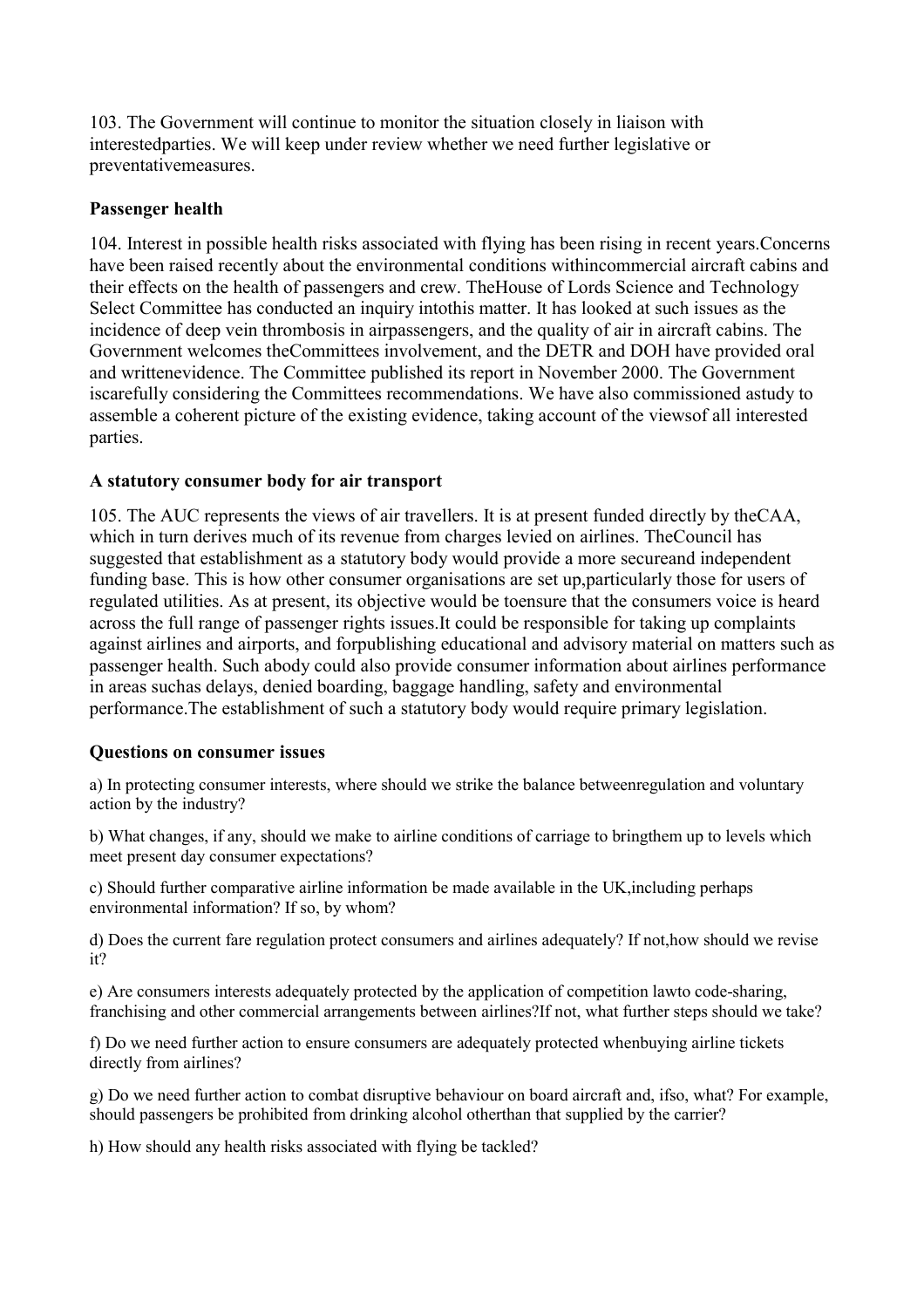<span id="page-23-0"></span>103. The Government will continue to monitor the situation closely in liaison with interestedparties. We will keep under review whether we need further legislative or preventativemeasures.

#### **Passenger health**

104. Interest in possible health risks associated with flying has been rising in recent years.Concerns have been raised recently about the environmental conditions withincommercial aircraft cabins and their effects on the health of passengers and crew. TheHouse of Lords Science and Technology Select Committee has conducted an inquiry intothis matter. It has looked at such issues as the incidence of deep vein thrombosis in airpassengers, and the quality of air in aircraft cabins. The Government welcomes theCommittees involvement, and the DETR and DOH have provided oral and writtenevidence. The Committee published its report in November 2000. The Government iscarefully considering the Committees recommendations. We have also commissioned astudy to assemble a coherent picture of the existing evidence, taking account of the viewsof all interested **parties** 

#### **A statutory consumer body for air transport**

105. The AUC represents the views of air travellers. It is at present funded directly by theCAA, which in turn derives much of its revenue from charges levied on airlines. TheCouncil has suggested that establishment as a statutory body would provide a more secureand independent funding base. This is how other consumer organisations are set up,particularly those for users of regulated utilities. As at present, its objective would be toensure that the consumers voice is heard across the full range of passenger rights issues.It could be responsible for taking up complaints against airlines and airports, and forpublishing educational and advisory material on matters such as passenger health. Such abody could also provide consumer information about airlines performance in areas suchas delays, denied boarding, baggage handling, safety and environmental performance.The establishment of such a statutory body would require primary legislation.

#### **Questions on consumer issues**

a) In protecting consumer interests, where should we strike the balance betweenregulation and voluntary action by the industry?

b) What changes, if any, should we make to airline conditions of carriage to bringthem up to levels which meet present day consumer expectations?

c) Should further comparative airline information be made available in the UK,including perhaps environmental information? If so, by whom?

d) Does the current fare regulation protect consumers and airlines adequately? If not,how should we revise it?

e) Are consumers interests adequately protected by the application of competition lawto code-sharing, franchising and other commercial arrangements between airlines?If not, what further steps should we take?

f) Do we need further action to ensure consumers are adequately protected whenbuying airline tickets directly from airlines?

g) Do we need further action to combat disruptive behaviour on board aircraft and, ifso, what? For example, should passengers be prohibited from drinking alcohol otherthan that supplied by the carrier?

h) How should any health risks associated with flying be tackled?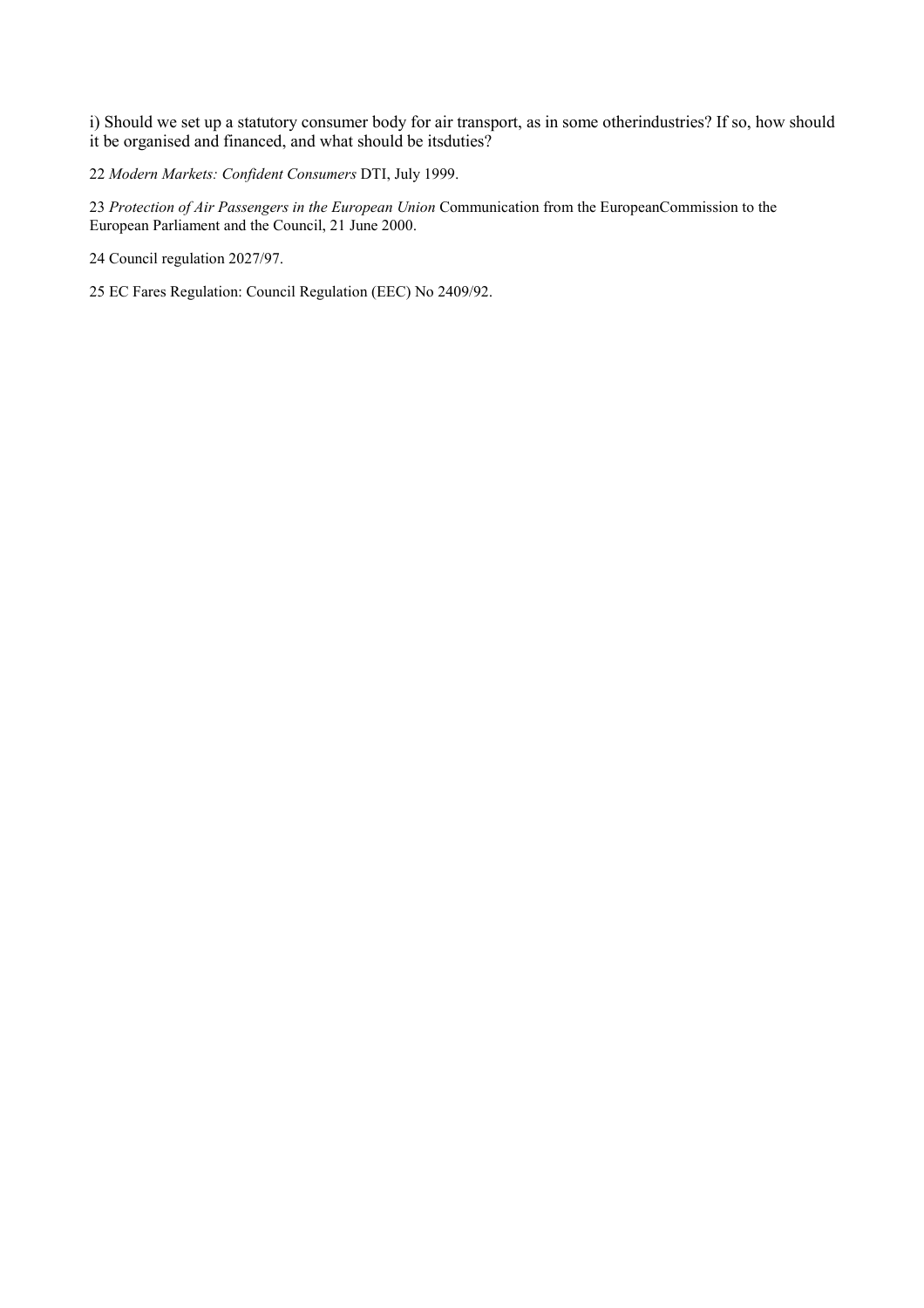i) Should we set up a statutory consumer body for air transport, as in some otherindustries? If so, how should it be organised and financed, and what should be itsduties?

22 *Modern Markets: Confident Consumers* DTI, July 1999.

23 *Protection of Air Passengers in the European Union* Communication from the EuropeanCommission to the European Parliament and the Council, 21 June 2000.

24 Council regulation 2027/97.

25 EC Fares Regulation: Council Regulation (EEC) No 2409/92.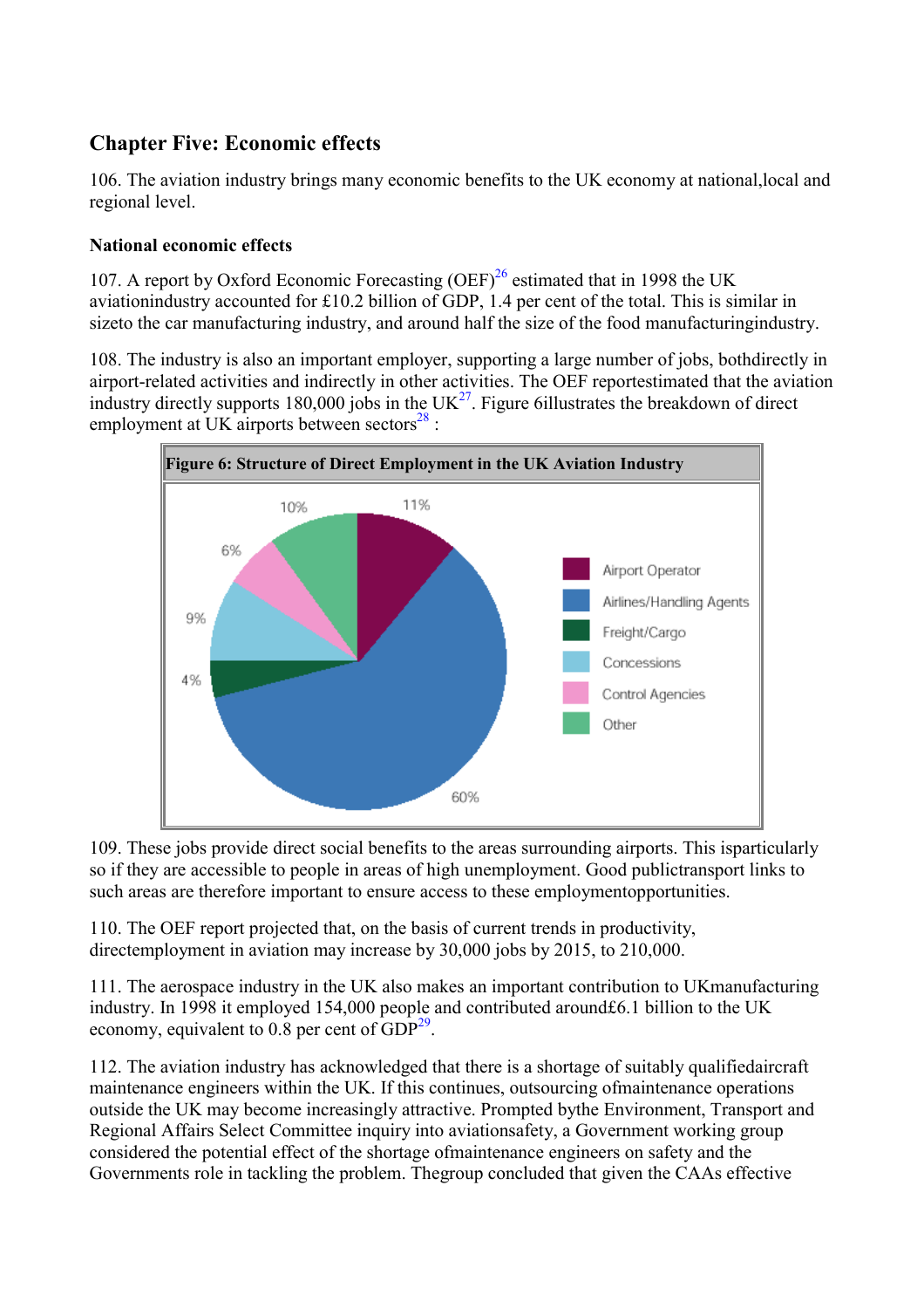# <span id="page-25-0"></span>**Chapter Five: Economic effects**

106. The aviation industry brings many economic benefits to the UK economy at national,local and regional level.

## **National economic effects**

107. A report by Oxford Economic Forecasting  $(OEF)^{26}$  $(OEF)^{26}$  $(OEF)^{26}$  estimated that in 1998 the UK aviationindustry accounted for £10.2 billion of GDP, 1.4 per cent of the total. This is similar in sizeto the car manufacturing industry, and around half the size of the food manufacturingindustry.

108. The industry is also an important employer, supporting a large number of jobs, bothdirectly in airport-related activities and indirectly in other activities. The OEF reportestimated that the aviation industry directly supports 180,000 jobs in the  $UK^{27}$  $UK^{27}$  $UK^{27}$ . Figure 6illustrates the breakdown of direct employment at UK airports between sectors $^{28}$  :



109. These jobs provide direct social benefits to the areas surrounding airports. This isparticularly so if they are accessible to people in areas of high unemployment. Good publictransport links to such areas are therefore important to ensure access to these employmentopportunities.

110. The OEF report projected that, on the basis of current trends in productivity, directemployment in aviation may increase by 30,000 jobs by 2015, to 210,000.

111. The aerospace industry in the UK also makes an important contribution to UKmanufacturing industry. In 1998 it employed 154,000 people and contributed around£6.1 billion to the UK economy, equivalent to  $0.8$  per cent of  $GDP<sup>29</sup>$ .

112. The aviation industry has acknowledged that there is a shortage of suitably qualifiedaircraft maintenance engineers within the UK. If this continues, outsourcing ofmaintenance operations outside the UK may become increasingly attractive. Prompted bythe Environment, Transport and Regional Affairs Select Committee inquiry into aviationsafety, a Government working group considered the potential effect of the shortage ofmaintenance engineers on safety and the Governments role in tackling the problem. Thegroup concluded that given the CAAs effective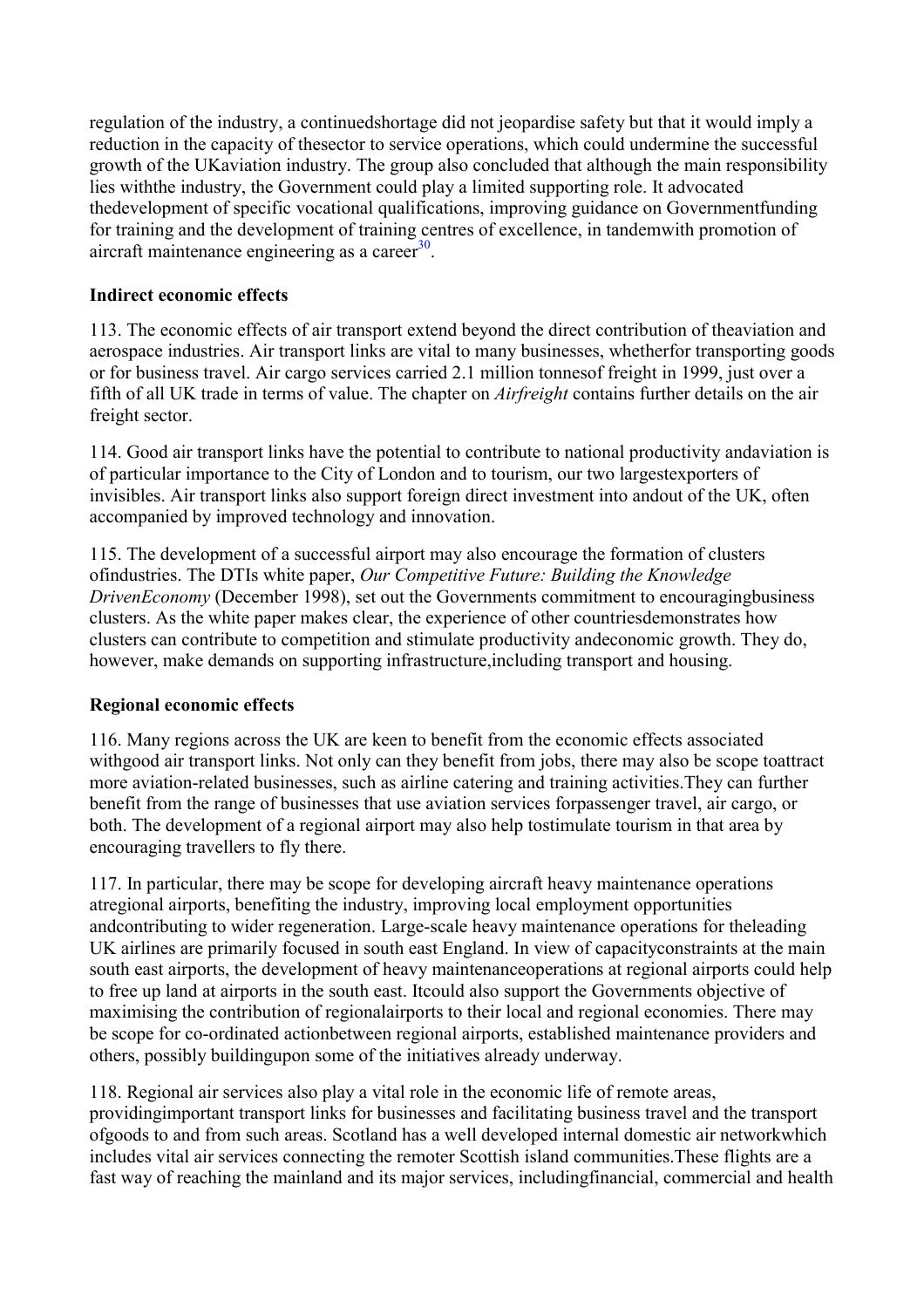<span id="page-26-0"></span>regulation of the industry, a continuedshortage did not jeopardise safety but that it would imply a reduction in the capacity of thesector to service operations, which could undermine the successful growth of the UKaviation industry. The group also concluded that although the main responsibility lies withthe industry, the Government could play a limited supporting role. It advocated thedevelopment of specific vocational qualifications, improving guidance on Governmentfunding for training and the development of training centres of excellence, in tandemwith promotion of aircraft maintenance engineering as a career $30$ .

## **Indirect economic effects**

113. The economic effects of air transport extend beyond the direct contribution of theaviation and aerospace industries. Air transport links are vital to many businesses, whetherfor transporting goods or for business travel. Air cargo services carried 2.1 million tonnesof freight in 1999, just over a fifth of all UK trade in terms of value. The chapter on *Airfreight* contains further details on the air freight sector.

114. Good air transport links have the potential to contribute to national productivity andaviation is of particular importance to the City of London and to tourism, our two largestexporters of invisibles. Air transport links also support foreign direct investment into andout of the UK, often accompanied by improved technology and innovation.

115. The development of a successful airport may also encourage the formation of clusters ofindustries. The DTIs white paper, *Our Competitive Future: Building the Knowledge DrivenEconomy* (December 1998), set out the Governments commitment to encouragingbusiness clusters. As the white paper makes clear, the experience of other countriesdemonstrates how clusters can contribute to competition and stimulate productivity andeconomic growth. They do, however, make demands on supporting infrastructure,including transport and housing.

## **Regional economic effects**

116. Many regions across the UK are keen to benefit from the economic effects associated withgood air transport links. Not only can they benefit from jobs, there may also be scope toattract more aviation-related businesses, such as airline catering and training activities.They can further benefit from the range of businesses that use aviation services forpassenger travel, air cargo, or both. The development of a regional airport may also help tostimulate tourism in that area by encouraging travellers to fly there.

117. In particular, there may be scope for developing aircraft heavy maintenance operations atregional airports, benefiting the industry, improving local employment opportunities andcontributing to wider regeneration. Large-scale heavy maintenance operations for theleading UK airlines are primarily focused in south east England. In view of capacityconstraints at the main south east airports, the development of heavy maintenanceoperations at regional airports could help to free up land at airports in the south east. Itcould also support the Governments objective of maximising the contribution of regionalairports to their local and regional economies. There may be scope for co-ordinated actionbetween regional airports, established maintenance providers and others, possibly buildingupon some of the initiatives already underway.

118. Regional air services also play a vital role in the economic life of remote areas, providingimportant transport links for businesses and facilitating business travel and the transport ofgoods to and from such areas. Scotland has a well developed internal domestic air networkwhich includes vital air services connecting the remoter Scottish island communities.These flights are a fast way of reaching the mainland and its major services, includingfinancial, commercial and health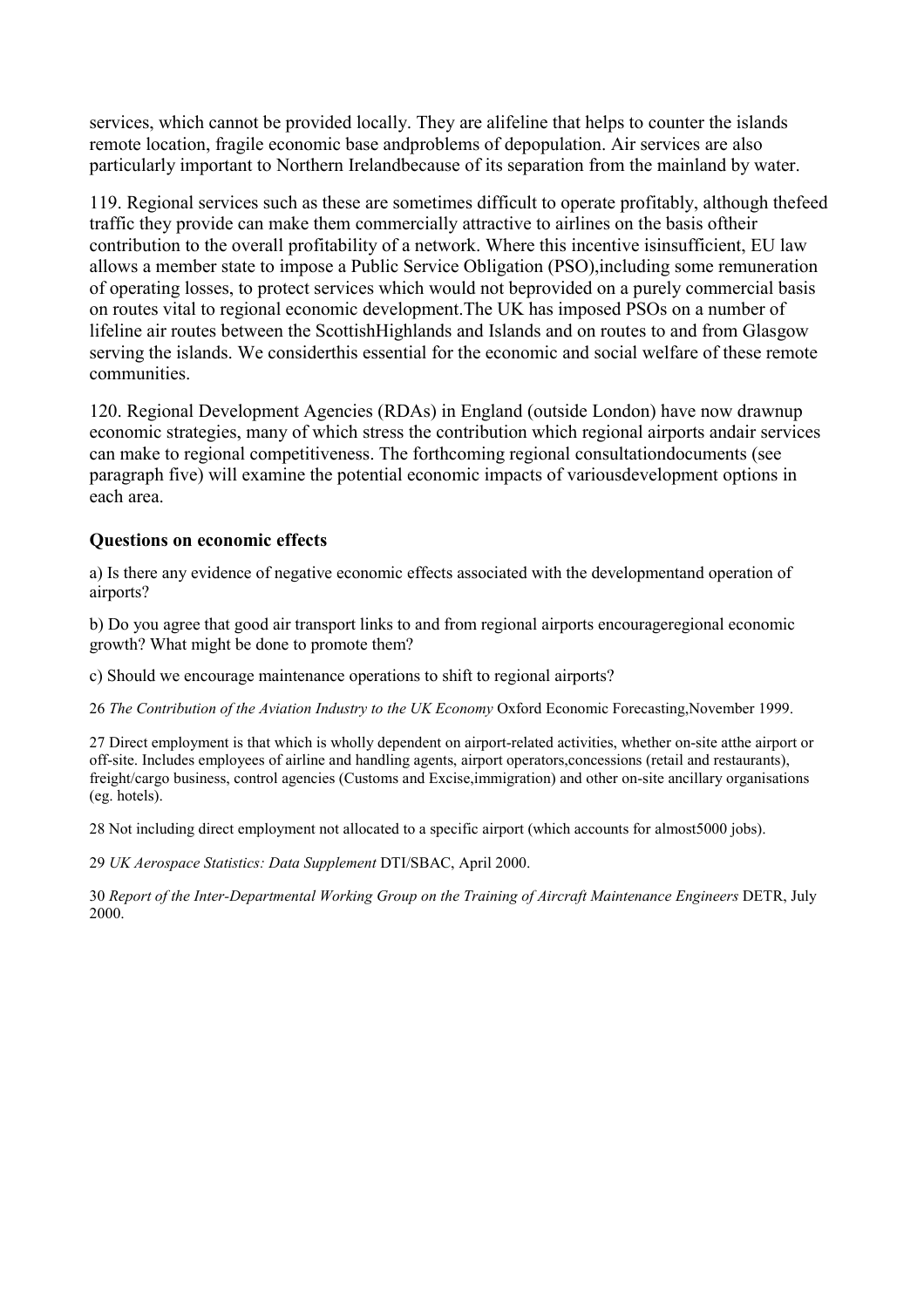<span id="page-27-0"></span>services, which cannot be provided locally. They are alifeline that helps to counter the islands remote location, fragile economic base andproblems of depopulation. Air services are also particularly important to Northern Irelandbecause of its separation from the mainland by water.

119. Regional services such as these are sometimes difficult to operate profitably, although thefeed traffic they provide can make them commercially attractive to airlines on the basis oftheir contribution to the overall profitability of a network. Where this incentive isinsufficient, EU law allows a member state to impose a Public Service Obligation (PSO),including some remuneration of operating losses, to protect services which would not beprovided on a purely commercial basis on routes vital to regional economic development.The UK has imposed PSOs on a number of lifeline air routes between the ScottishHighlands and Islands and on routes to and from Glasgow serving the islands. We considerthis essential for the economic and social welfare of these remote communities.

120. Regional Development Agencies (RDAs) in England (outside London) have now drawnup economic strategies, many of which stress the contribution which regional airports andair services can make to regional competitiveness. The forthcoming regional consultationdocuments (see paragraph five) will examine the potential economic impacts of variousdevelopment options in each area.

#### **Questions on economic effects**

a) Is there any evidence of negative economic effects associated with the developmentand operation of airports?

b) Do you agree that good air transport links to and from regional airports encourageregional economic growth? What might be done to promote them?

c) Should we encourage maintenance operations to shift to regional airports?

26 *The Contribution of the Aviation Industry to the UK Economy* Oxford Economic Forecasting,November 1999.

27 Direct employment is that which is wholly dependent on airport-related activities, whether on-site atthe airport or off-site. Includes employees of airline and handling agents, airport operators,concessions (retail and restaurants), freight/cargo business, control agencies (Customs and Excise,immigration) and other on-site ancillary organisations (eg. hotels).

28 Not including direct employment not allocated to a specific airport (which accounts for almost5000 jobs).

29 *UK Aerospace Statistics: Data Supplement* DTI/SBAC, April 2000.

30 *Report of the Inter-Departmental Working Group on the Training of Aircraft Maintenance Engineers* DETR, July 2000.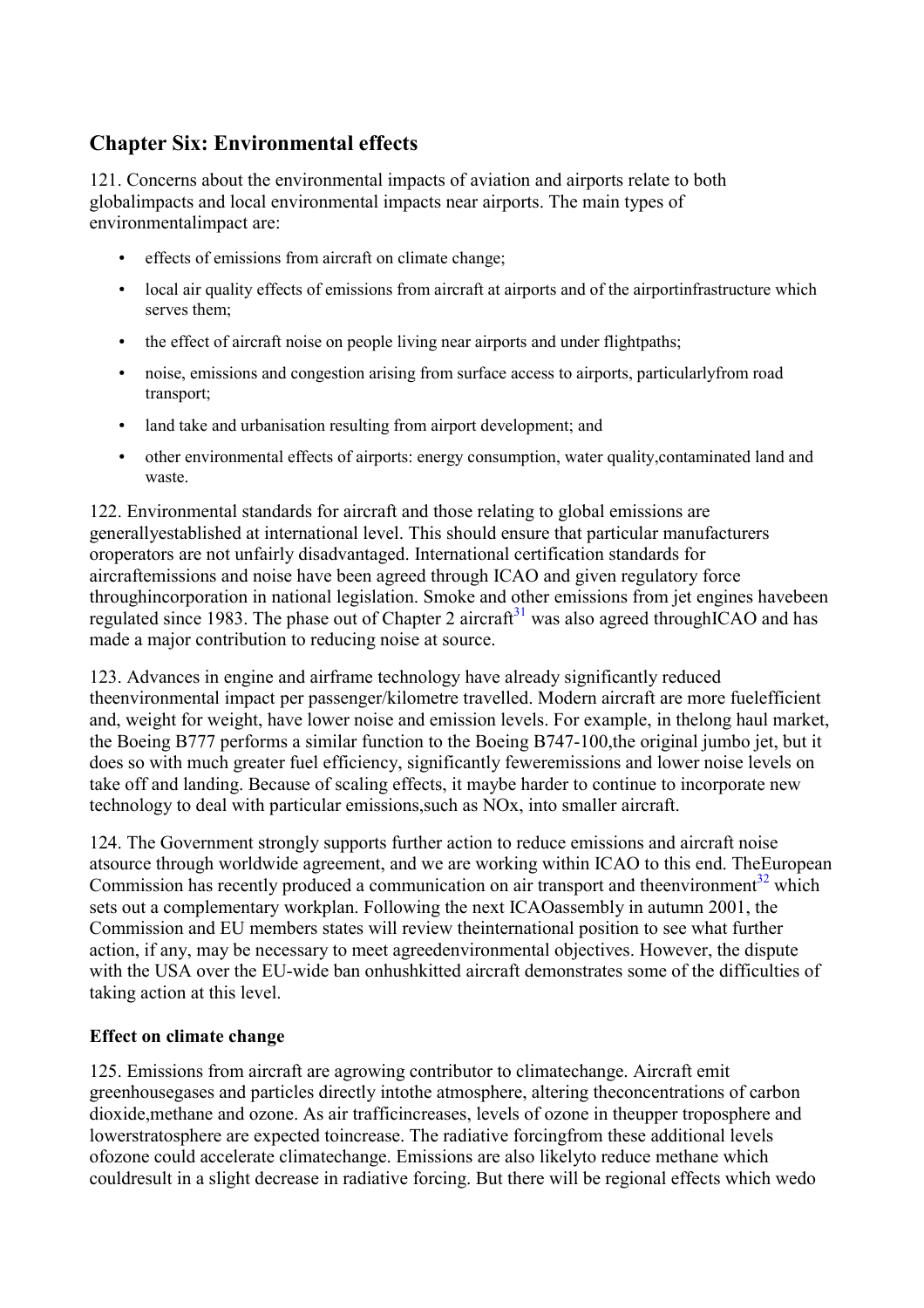# <span id="page-28-0"></span>**Chapter Six: Environmental effects**

121. Concerns about the environmental impacts of aviation and airports relate to both globalimpacts and local environmental impacts near airports. The main types of environmentalimpact are:

- effects of emissions from aircraft on climate change;
- local air quality effects of emissions from aircraft at airports and of the airportinfrastructure which serves them;
- the effect of aircraft noise on people living near airports and under flightpaths;
- noise, emissions and congestion arising from surface access to airports, particularly from road transport;
- land take and urbanisation resulting from airport development; and
- other environmental effects of airports: energy consumption, water quality, contaminated land and waste.

122. Environmental standards for aircraft and those relating to global emissions are generallyestablished at international level. This should ensure that particular manufacturers oroperators are not unfairly disadvantaged. International certification standards for aircraftemissions and noise have been agreed through ICAO and given regulatory force throughincorporation in national legislation. Smoke and other emissions from jet engines havebeen regulated since 1983. The phase out of Chapter 2 aircraft<sup>[31](#page-7-0)</sup> was also agreed throughICAO and has made a major contribution to reducing noise at source.

123. Advances in engine and airframe technology have already significantly reduced theenvironmental impact per passenger/kilometre travelled. Modern aircraft are more fuelefficient and, weight for weight, have lower noise and emission levels. For example, in thelong haul market, the Boeing B777 performs a similar function to the Boeing B747-100,the original jumbo jet, but it does so with much greater fuel efficiency, significantly feweremissions and lower noise levels on take off and landing. Because of scaling effects, it maybe harder to continue to incorporate new technology to deal with particular emissions,such as NOx, into smaller aircraft.

124. The Government strongly supports further action to reduce emissions and aircraft noise atsource through worldwide agreement, and we are working within ICAO to this end. TheEuropean Commission has recently produced a communication on air transport and theenvironment<sup>32</sup> which sets out a complementary workplan. Following the next ICAOassembly in autumn 2001, the Commission and EU members states will review theinternational position to see what further action, if any, may be necessary to meet agreedenvironmental objectives. However, the dispute with the USA over the EU-wide ban onhushkitted aircraft demonstrates some of the difficulties of taking action at this level.

## **Effect on climate change**

125. Emissions from aircraft are agrowing contributor to climatechange. Aircraft emit greenhousegases and particles directly intothe atmosphere, altering theconcentrations of carbon dioxide,methane and ozone. As air trafficincreases, levels of ozone in theupper troposphere and lowerstratosphere are expected toincrease. The radiative forcingfrom these additional levels ofozone could accelerate climatechange. Emissions are also likelyto reduce methane which couldresult in a slight decrease in radiative forcing. But there will be regional effects which wedo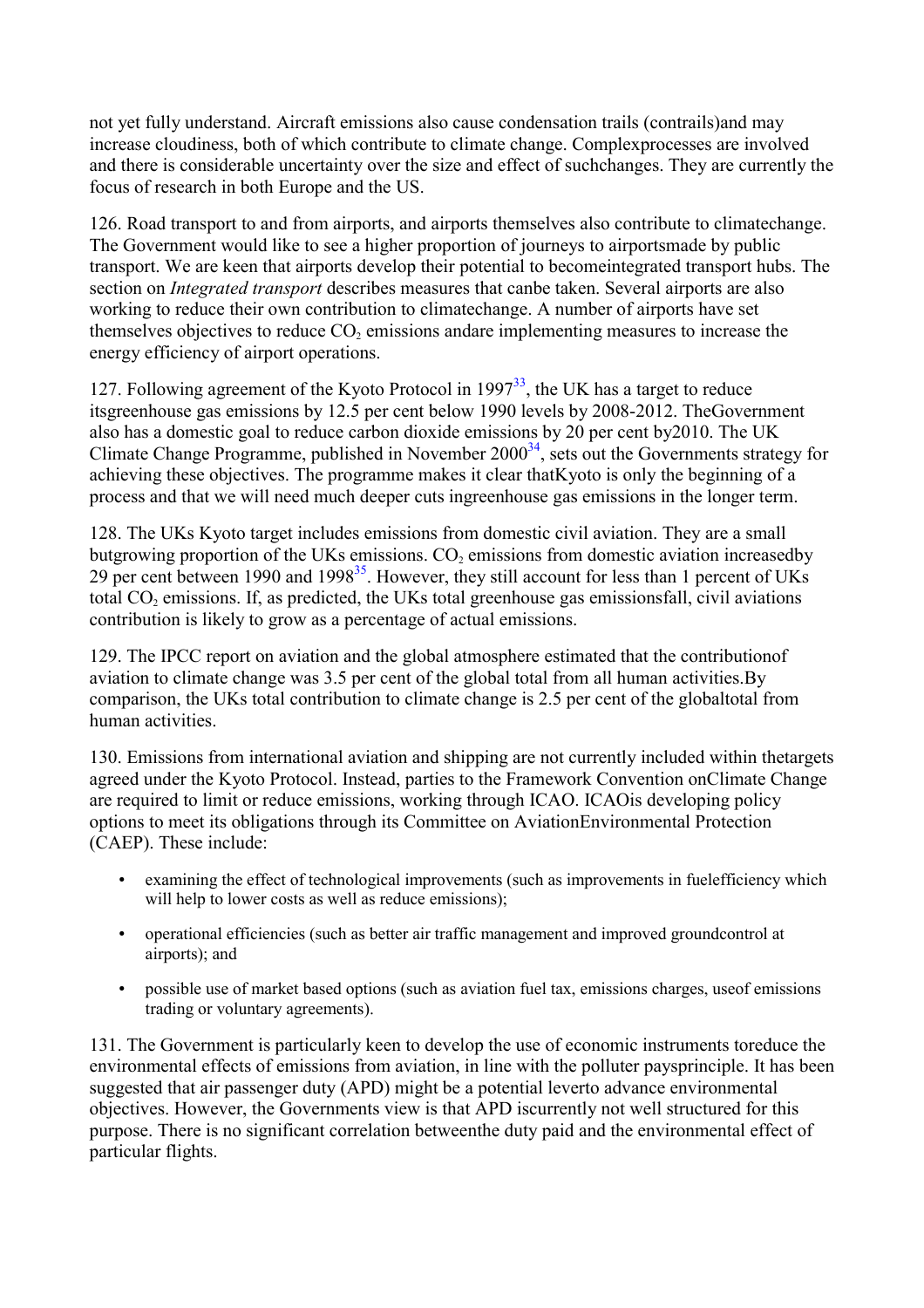not yet fully understand. Aircraft emissions also cause condensation trails (contrails)and may increase cloudiness, both of which contribute to climate change. Complexprocesses are involved and there is considerable uncertainty over the size and effect of suchchanges. They are currently the focus of research in both Europe and the US.

126. Road transport to and from airports, and airports themselves also contribute to climatechange. The Government would like to see a higher proportion of journeys to airportsmade by public transport. We are keen that airports develop their potential to becomeintegrated transport hubs. The section on *Integrated transport* describes measures that canbe taken. Several airports are also working to reduce their own contribution to climatechange. A number of airports have set themselves objectives to reduce  $CO<sub>2</sub>$  emissions andare implementing measures to increase the energy efficiency of airport operations.

127. Following agreement of the Kyoto Protocol in  $1997<sup>33</sup>$  $1997<sup>33</sup>$  $1997<sup>33</sup>$ , the UK has a target to reduce itsgreenhouse gas emissions by 12.5 per cent below 1990 levels by 2008-2012. TheGovernment also has a domestic goal to reduce carbon dioxide emissions by 20 per cent by2010. The UK Climate Change Programme, published in November  $2000<sup>34</sup>$  $2000<sup>34</sup>$  $2000<sup>34</sup>$ , sets out the Governments strategy for achieving these objectives. The programme makes it clear thatKyoto is only the beginning of a process and that we will need much deeper cuts ingreenhouse gas emissions in the longer term.

128. The UKs Kyoto target includes emissions from domestic civil aviation. They are a small butgrowing proportion of the UKs emissions.  $CO<sub>2</sub>$  emissions from domestic aviation increasedby 29 per cent between 1990 and 1998<sup>35</sup>. However, they still account for less than 1 percent of UKs total  $CO<sub>2</sub>$  emissions. If, as predicted, the UKs total greenhouse gas emissionsfall, civil aviations contribution is likely to grow as a percentage of actual emissions.

129. The IPCC report on aviation and the global atmosphere estimated that the contributionof aviation to climate change was 3.5 per cent of the global total from all human activities.By comparison, the UKs total contribution to climate change is 2.5 per cent of the globaltotal from human activities.

130. Emissions from international aviation and shipping are not currently included within thetargets agreed under the Kyoto Protocol. Instead, parties to the Framework Convention onClimate Change are required to limit or reduce emissions, working through ICAO. ICAOis developing policy options to meet its obligations through its Committee on AviationEnvironmental Protection (CAEP). These include:

- examining the effect of technological improvements (such as improvements in fuelefficiency which will help to lower costs as well as reduce emissions);
- operational efficiencies (such as better air traffic management and improved groundcontrol at airports); and
- possible use of market based options (such as aviation fuel tax, emissions charges, useof emissions trading or voluntary agreements).

131. The Government is particularly keen to develop the use of economic instruments toreduce the environmental effects of emissions from aviation, in line with the polluter paysprinciple. It has been suggested that air passenger duty (APD) might be a potential leverto advance environmental objectives. However, the Governments view is that APD iscurrently not well structured for this purpose. There is no significant correlation betweenthe duty paid and the environmental effect of particular flights.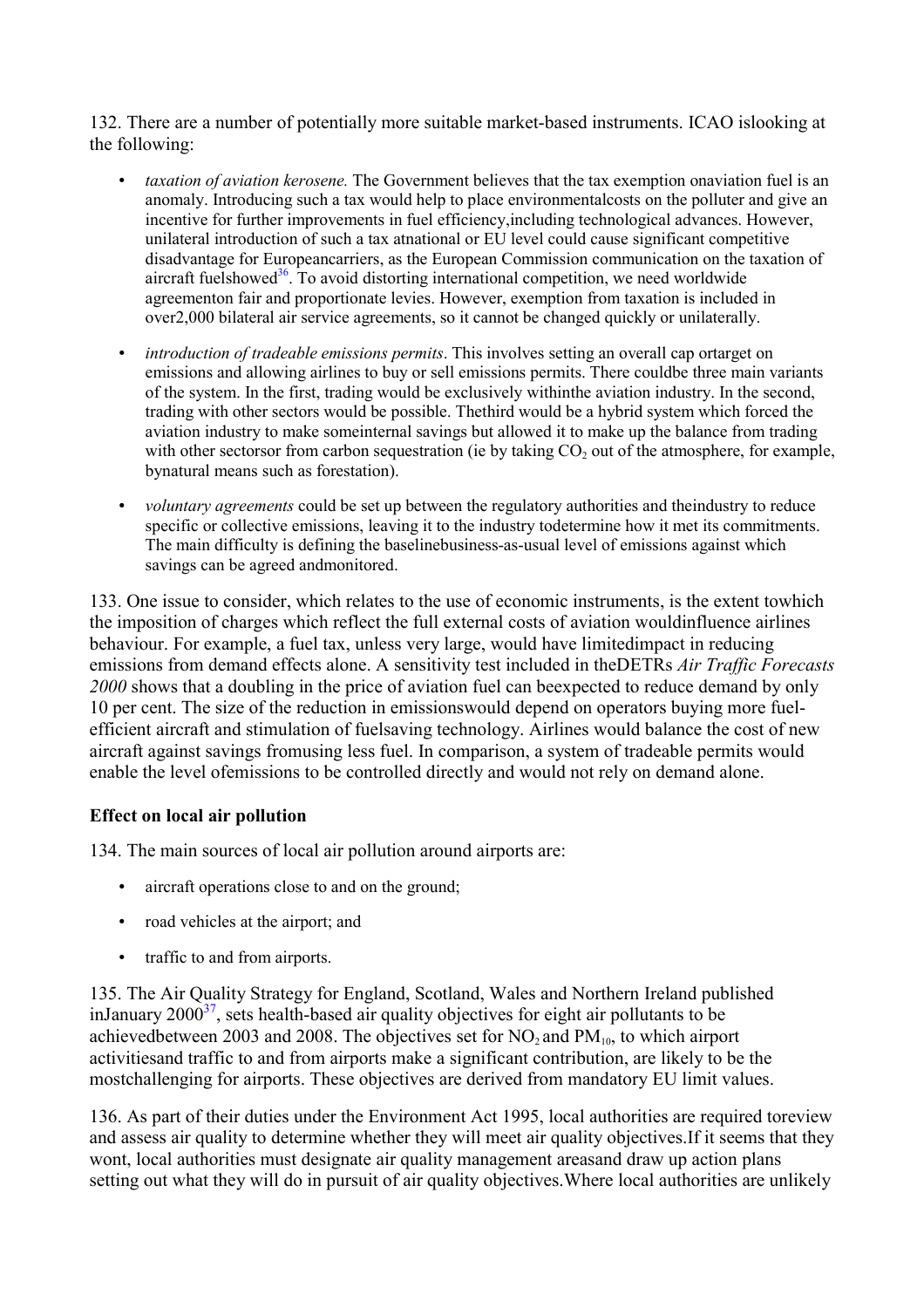<span id="page-30-0"></span>132. There are a number of potentially more suitable market-based instruments. ICAO islooking at the following:

- *taxation of aviation kerosene.* The Government believes that the tax exemption onaviation fuel is an anomaly. Introducing such a tax would help to place environmentalcosts on the polluter and give an incentive for further improvements in fuel efficiency,including technological advances. However, unilateral introduction of such a tax atnational or EU level could cause significant competitive disadvantage for Europeancarriers, as the European Commission communication on the taxation of aircraft fuelshowed<sup>[36](#page-7-0)</sup>. To avoid distorting international competition, we need worldwide agreementon fair and proportionate levies. However, exemption from taxation is included in over2,000 bilateral air service agreements, so it cannot be changed quickly or unilaterally.
- *introduction of tradeable emissions permits*. This involves setting an overall cap ortarget on emissions and allowing airlines to buy or sell emissions permits. There couldbe three main variants of the system. In the first, trading would be exclusively withinthe aviation industry. In the second, trading with other sectors would be possible. Thethird would be a hybrid system which forced the aviation industry to make someinternal savings but allowed it to make up the balance from trading with other sectorsor from carbon sequestration (ie by taking  $CO<sub>2</sub>$  out of the atmosphere, for example, bynatural means such as forestation).
- *voluntary agreements* could be set up between the regulatory authorities and theindustry to reduce specific or collective emissions, leaving it to the industry todetermine how it met its commitments. The main difficulty is defining the baselinebusiness-as-usual level of emissions against which savings can be agreed andmonitored.

133. One issue to consider, which relates to the use of economic instruments, is the extent towhich the imposition of charges which reflect the full external costs of aviation wouldinfluence airlines behaviour. For example, a fuel tax, unless very large, would have limitedimpact in reducing emissions from demand effects alone. A sensitivity test included in theDETRs *Air Traffic Forecasts 2000* shows that a doubling in the price of aviation fuel can beexpected to reduce demand by only 10 per cent. The size of the reduction in emissionswould depend on operators buying more fuelefficient aircraft and stimulation of fuelsaving technology. Airlines would balance the cost of new aircraft against savings fromusing less fuel. In comparison, a system of tradeable permits would enable the level ofemissions to be controlled directly and would not rely on demand alone.

## **Effect on local air pollution**

134. The main sources of local air pollution around airports are:

- aircraft operations close to and on the ground;
- road vehicles at the airport; and
- traffic to and from airports.

135. The Air Quality Strategy for England, Scotland, Wales and Northern Ireland published inJanuary  $2000^{37}$ , sets health-based air quality objectives for eight air pollutants to be achievedbetween 2003 and 2008. The objectives set for  $NO_2$  and  $PM_{10}$ , to which airport activitiesand traffic to and from airports make a significant contribution, are likely to be the mostchallenging for airports. These objectives are derived from mandatory EU limit values.

136. As part of their duties under the Environment Act 1995, local authorities are required toreview and assess air quality to determine whether they will meet air quality objectives.If it seems that they wont, local authorities must designate air quality management areasand draw up action plans setting out what they will do in pursuit of air quality objectives.Where local authorities are unlikely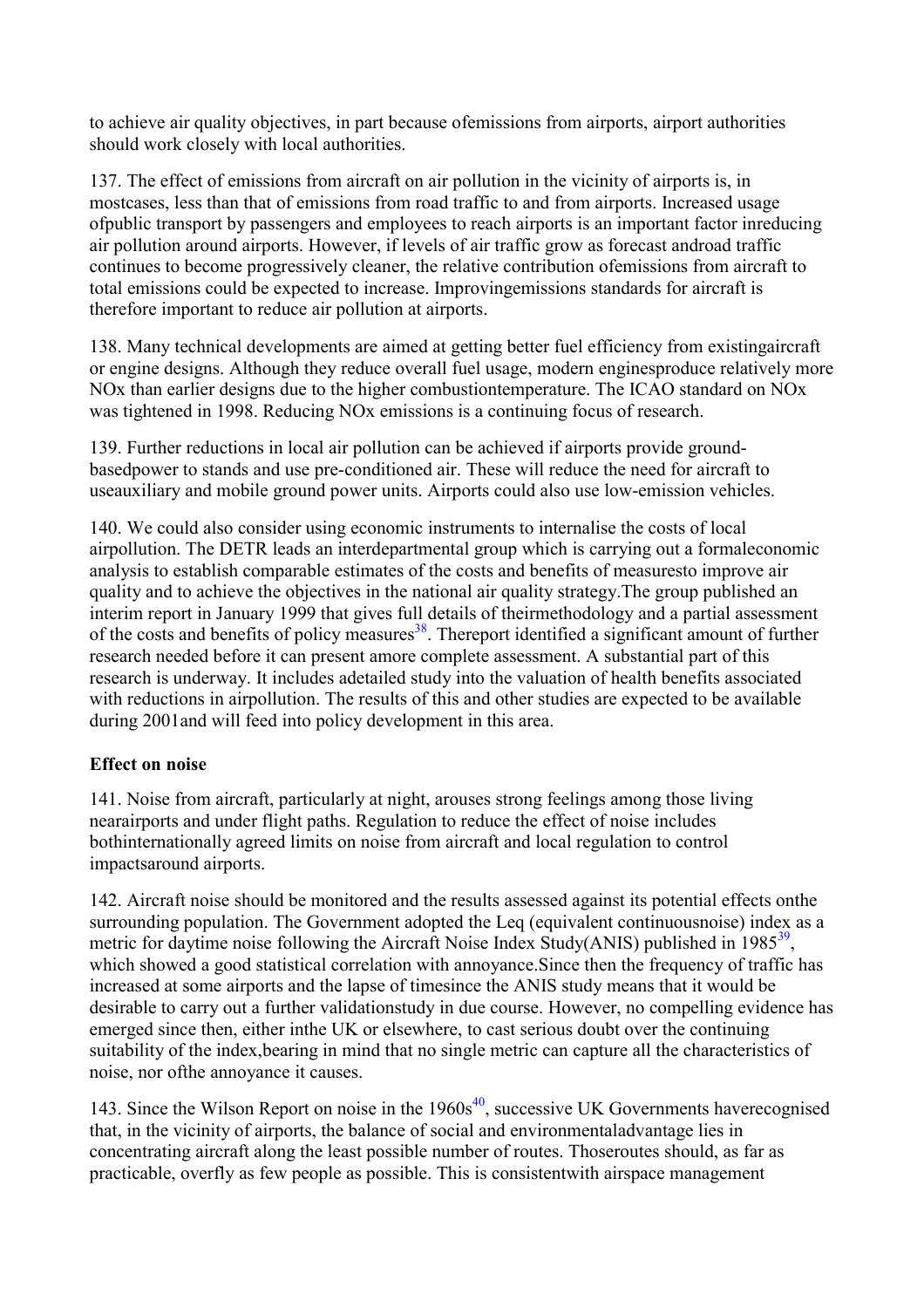<span id="page-31-0"></span>to achieve air quality objectives, in part because ofemissions from airports, airport authorities should work closely with local authorities.

137. The effect of emissions from aircraft on air pollution in the vicinity of airports is, in mostcases, less than that of emissions from road traffic to and from airports. Increased usage ofpublic transport by passengers and employees to reach airports is an important factor inreducing air pollution around airports. However, if levels of air traffic grow as forecast androad traffic continues to become progressively cleaner, the relative contribution ofemissions from aircraft to total emissions could be expected to increase. Improvingemissions standards for aircraft is therefore important to reduce air pollution at airports.

138. Many technical developments are aimed at getting better fuel efficiency from existingaircraft or engine designs. Although they reduce overall fuel usage, modern enginesproduce relatively more NOx than earlier designs due to the higher combustiontemperature. The ICAO standard on NOx was tightened in 1998. Reducing NOx emissions is a continuing focus of research.

139. Further reductions in local air pollution can be achieved if airports provide groundbasedpower to stands and use pre-conditioned air. These will reduce the need for aircraft to useauxiliary and mobile ground power units. Airports could also use low-emission vehicles.

140. We could also consider using economic instruments to internalise the costs of local airpollution. The DETR leads an interdepartmental group which is carrying out a formaleconomic analysis to establish comparable estimates of the costs and benefits of measuresto improve air quality and to achieve the objectives in the national air quality strategy.The group published an interim report in January 1999 that gives full details of theirmethodology and a partial assessment of the costs and benefits of policy measures<sup>38</sup>. Thereport identified a significant amount of further research needed before it can present amore complete assessment. A substantial part of this research is underway. It includes adetailed study into the valuation of health benefits associated with reductions in airpollution. The results of this and other studies are expected to be available during 2001and will feed into policy development in this area.

## **Effect on noise**

141. Noise from aircraft, particularly at night, arouses strong feelings among those living nearairports and under flight paths. Regulation to reduce the effect of noise includes bothinternationally agreed limits on noise from aircraft and local regulation to control impactsaround airports.

142. Aircraft noise should be monitored and the results assessed against its potential effects onthe surrounding population. The Government adopted the Leq (equivalent continuousnoise) index as a metric for daytime noise following the Aircraft Noise Index Study(ANIS) published in  $1985^{39}$  $1985^{39}$  $1985^{39}$ . which showed a good statistical correlation with annoyance.Since then the frequency of traffic has increased at some airports and the lapse of timesince the ANIS study means that it would be desirable to carry out a further validationstudy in due course. However, no compelling evidence has emerged since then, either inthe UK or elsewhere, to cast serious doubt over the continuing suitability of the index,bearing in mind that no single metric can capture all the characteristics of noise, nor ofthe annoyance it causes.

143. Since the Wilson Report on noise in the  $1960s<sup>40</sup>$  $1960s<sup>40</sup>$  $1960s<sup>40</sup>$ , successive UK Governments haverecognised that, in the vicinity of airports, the balance of social and environmentaladvantage lies in concentrating aircraft along the least possible number of routes. Thoseroutes should, as far as practicable, overfly as few people as possible. This is consistentwith airspace management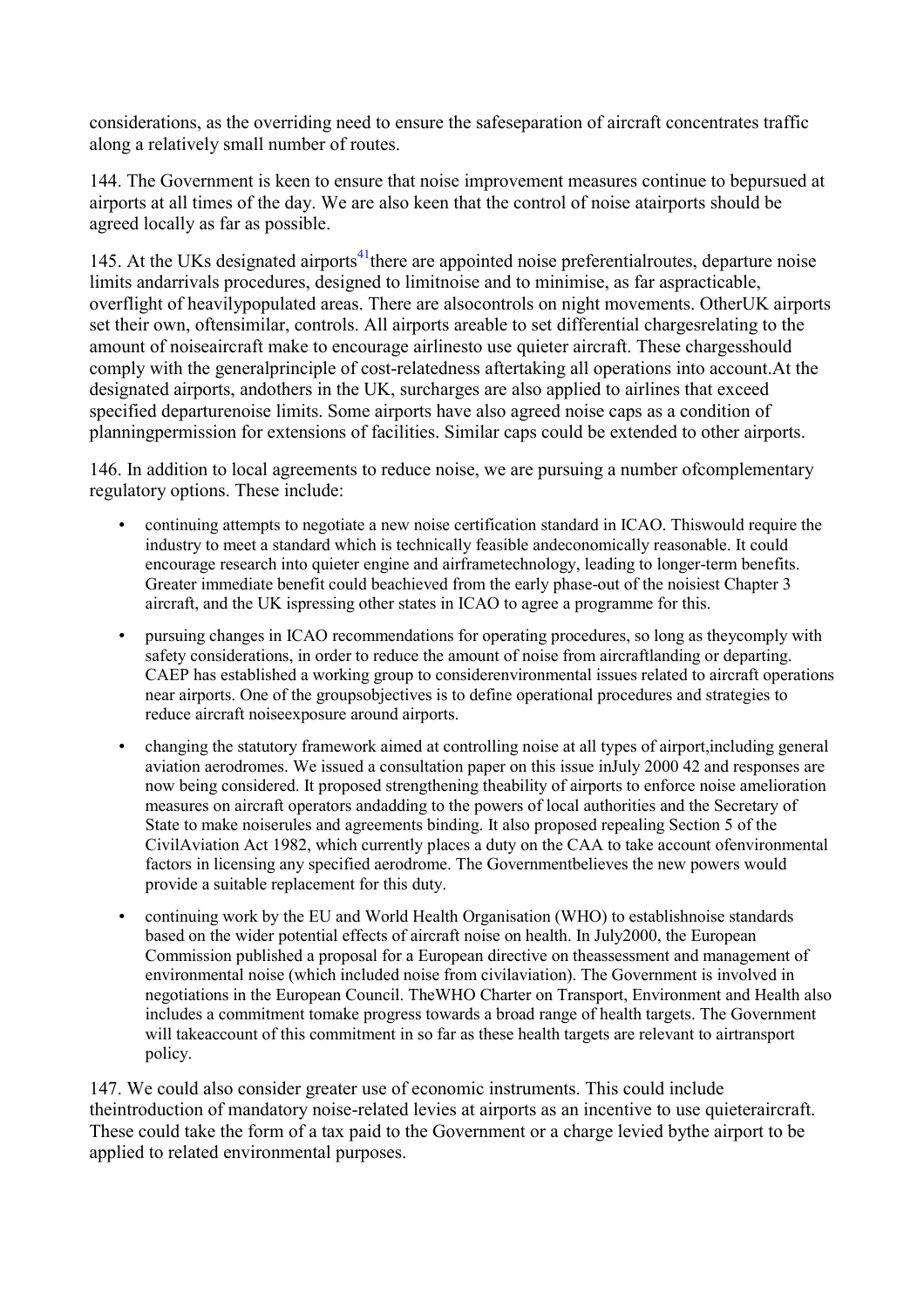considerations, as the overriding need to ensure the safeseparation of aircraft concentrates traffic along a relatively small number of routes.

144. The Government is keen to ensure that noise improvement measures continue to bepursued at airports at all times of the day. We are also keen that the control of noise atairports should be agreed locally as far as possible.

145. At the UKs designated airports<sup>41</sup>there are appointed noise preferentialroutes, departure noise limits andarrivals procedures, designed to limitnoise and to minimise, as far aspracticable, overflight of heavilypopulated areas. There are alsocontrols on night movements. OtherUK airports set their own, oftensimilar, controls. All airports areable to set differential chargesrelating to the amount of noiseaircraft make to encourage airlinesto use quieter aircraft. These chargesshould comply with the generalprinciple of cost-relatedness aftertaking all operations into account.At the designated airports, andothers in the UK, surcharges are also applied to airlines that exceed specified departurenoise limits. Some airports have also agreed noise caps as a condition of planningpermission for extensions of facilities. Similar caps could be extended to other airports.

146. In addition to local agreements to reduce noise, we are pursuing a number ofcomplementary regulatory options. These include:

- continuing attempts to negotiate a new noise certification standard in ICAO. Thiswould require the industry to meet a standard which is technically feasible andeconomically reasonable. It could encourage research into quieter engine and airframetechnology, leading to longer-term benefits. Greater immediate benefit could beachieved from the early phase-out of the noisiest Chapter 3 aircraft, and the UK ispressing other states in ICAO to agree a programme for this.
- pursuing changes in ICAO recommendations for operating procedures, so long as theycomply with safety considerations, in order to reduce the amount of noise from aircraftlanding or departing. CAEP has established a working group to considerenvironmental issues related to aircraft operations near airports. One of the groupsobjectives is to define operational procedures and strategies to reduce aircraft noiseexposure around airports.
- changing the statutory framework aimed at controlling noise at all types of airport,including general aviation aerodromes. We issued a consultation paper on this issue inJuly 2000 42 and responses are now being considered. It proposed strengthening theability of airports to enforce noise amelioration measures on aircraft operators andadding to the powers of local authorities and the Secretary of State to make noiserules and agreements binding. It also proposed repealing Section 5 of the CivilAviation Act 1982, which currently places a duty on the CAA to take account ofenvironmental factors in licensing any specified aerodrome. The Governmentbelieves the new powers would provide a suitable replacement for this duty.
- continuing work by the EU and World Health Organisation (WHO) to establishnoise standards based on the wider potential effects of aircraft noise on health. In July2000, the European Commission published a proposal for a European directive on theassessment and management of environmental noise (which included noise from civilaviation). The Government is involved in negotiations in the European Council. TheWHO Charter on Transport, Environment and Health also includes a commitment tomake progress towards a broad range of health targets. The Government will takeaccount of this commitment in so far as these health targets are relevant to airtransport policy.

147. We could also consider greater use of economic instruments. This could include theintroduction of mandatory noise-related levies at airports as an incentive to use quieteraircraft. These could take the form of a tax paid to the Government or a charge levied bythe airport to be applied to related environmental purposes.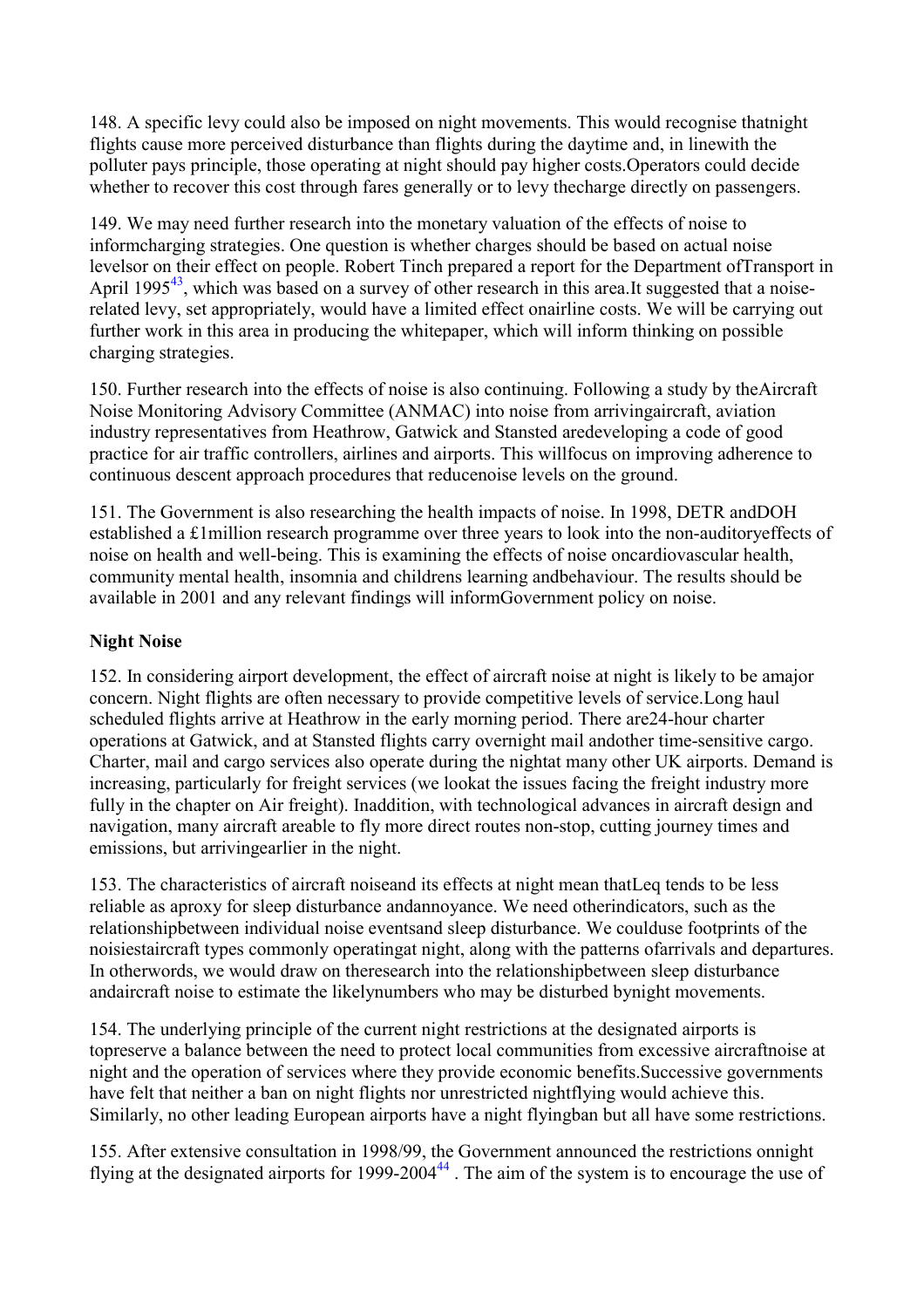<span id="page-33-0"></span>148. A specific levy could also be imposed on night movements. This would recognise thatnight flights cause more perceived disturbance than flights during the daytime and, in linewith the polluter pays principle, those operating at night should pay higher costs.Operators could decide whether to recover this cost through fares generally or to levy thecharge directly on passengers.

149. We may need further research into the monetary valuation of the effects of noise to informcharging strategies. One question is whether charges should be based on actual noise levelsor on their effect on people. Robert Tinch prepared a report for the Department ofTransport in April 1995<sup>[43](#page-7-0)</sup>, which was based on a survey of other research in this area.It suggested that a noiserelated levy, set appropriately, would have a limited effect onairline costs. We will be carrying out further work in this area in producing the whitepaper, which will inform thinking on possible charging strategies.

150. Further research into the effects of noise is also continuing. Following a study by theAircraft Noise Monitoring Advisory Committee (ANMAC) into noise from arrivingaircraft, aviation industry representatives from Heathrow, Gatwick and Stansted aredeveloping a code of good practice for air traffic controllers, airlines and airports. This willfocus on improving adherence to continuous descent approach procedures that reducenoise levels on the ground.

151. The Government is also researching the health impacts of noise. In 1998, DETR andDOH established a £1million research programme over three years to look into the non-auditoryeffects of noise on health and well-being. This is examining the effects of noise oncardiovascular health, community mental health, insomnia and childrens learning andbehaviour. The results should be available in 2001 and any relevant findings will informGovernment policy on noise.

### **Night Noise**

152. In considering airport development, the effect of aircraft noise at night is likely to be amajor concern. Night flights are often necessary to provide competitive levels of service.Long haul scheduled flights arrive at Heathrow in the early morning period. There are24-hour charter operations at Gatwick, and at Stansted flights carry overnight mail andother time-sensitive cargo. Charter, mail and cargo services also operate during the nightat many other UK airports. Demand is increasing, particularly for freight services (we lookat the issues facing the freight industry more fully in the chapter on Air freight). Inaddition, with technological advances in aircraft design and navigation, many aircraft areable to fly more direct routes non-stop, cutting journey times and emissions, but arrivingearlier in the night.

153. The characteristics of aircraft noiseand its effects at night mean thatLeq tends to be less reliable as aproxy for sleep disturbance andannoyance. We need otherindicators, such as the relationshipbetween individual noise eventsand sleep disturbance. We coulduse footprints of the noisiestaircraft types commonly operatingat night, along with the patterns ofarrivals and departures. In otherwords, we would draw on theresearch into the relationshipbetween sleep disturbance andaircraft noise to estimate the likelynumbers who may be disturbed bynight movements.

154. The underlying principle of the current night restrictions at the designated airports is topreserve a balance between the need to protect local communities from excessive aircraftnoise at night and the operation of services where they provide economic benefits.Successive governments have felt that neither a ban on night flights nor unrestricted nightflying would achieve this. Similarly, no other leading European airports have a night flyingban but all have some restrictions.

155. After extensive consultation in 1998/99, the Government announced the restrictions onnight flying at the designated airports for 1999-2004<sup>[44](#page-7-0)</sup>. The aim of the system is to encourage the use of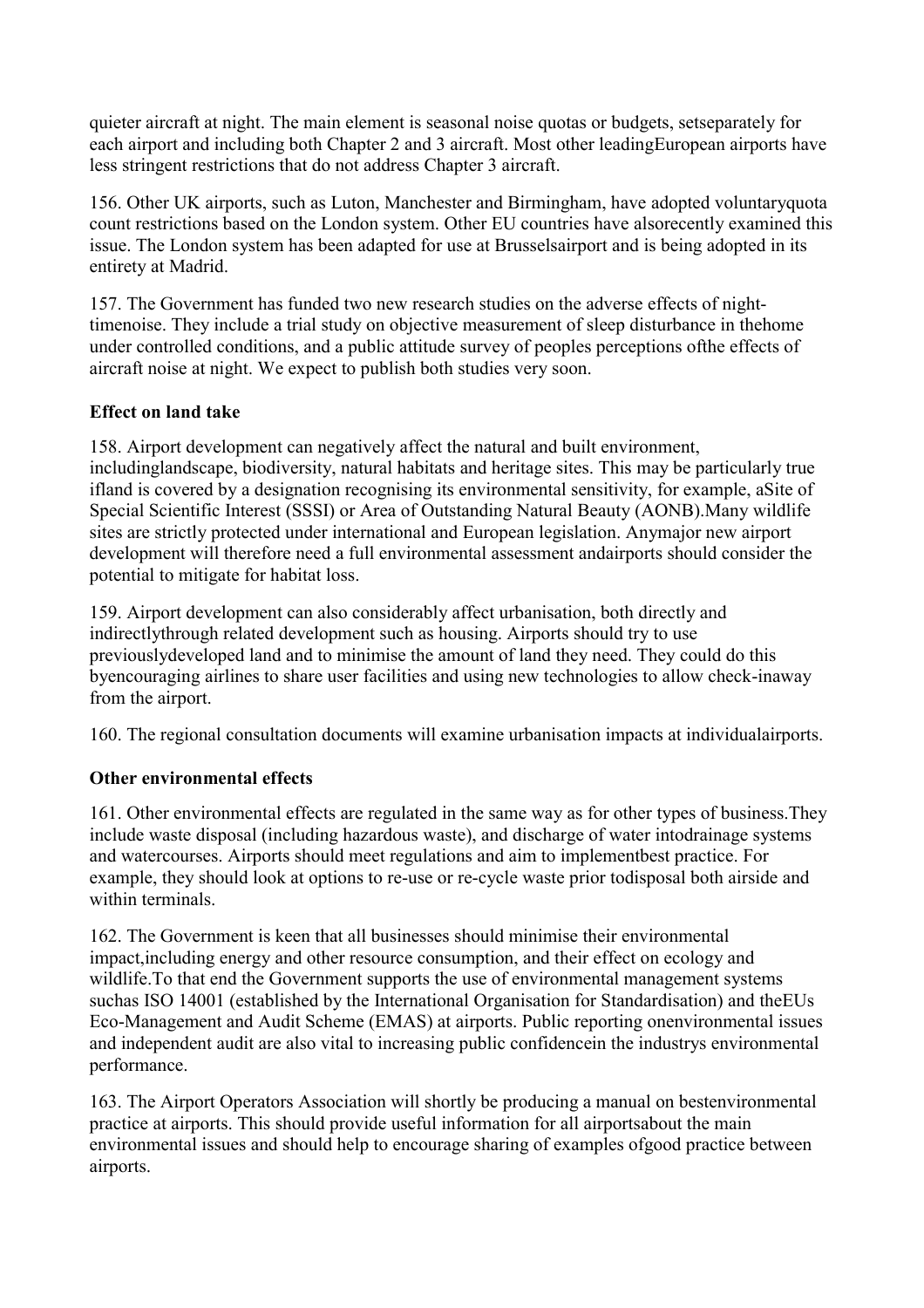<span id="page-34-0"></span>quieter aircraft at night. The main element is seasonal noise quotas or budgets, setseparately for each airport and including both Chapter 2 and 3 aircraft. Most other leadingEuropean airports have less stringent restrictions that do not address Chapter 3 aircraft.

156. Other UK airports, such as Luton, Manchester and Birmingham, have adopted voluntaryquota count restrictions based on the London system. Other EU countries have alsorecently examined this issue. The London system has been adapted for use at Brusselsairport and is being adopted in its entirety at Madrid.

157. The Government has funded two new research studies on the adverse effects of nighttimenoise. They include a trial study on objective measurement of sleep disturbance in thehome under controlled conditions, and a public attitude survey of peoples perceptions ofthe effects of aircraft noise at night. We expect to publish both studies very soon.

## **Effect on land take**

158. Airport development can negatively affect the natural and built environment, includinglandscape, biodiversity, natural habitats and heritage sites. This may be particularly true ifland is covered by a designation recognising its environmental sensitivity, for example, aSite of Special Scientific Interest (SSSI) or Area of Outstanding Natural Beauty (AONB).Many wildlife sites are strictly protected under international and European legislation. Anymajor new airport development will therefore need a full environmental assessment andairports should consider the potential to mitigate for habitat loss.

159. Airport development can also considerably affect urbanisation, both directly and indirectlythrough related development such as housing. Airports should try to use previouslydeveloped land and to minimise the amount of land they need. They could do this byencouraging airlines to share user facilities and using new technologies to allow check-inaway from the airport.

160. The regional consultation documents will examine urbanisation impacts at individualairports.

## **Other environmental effects**

161. Other environmental effects are regulated in the same way as for other types of business.They include waste disposal (including hazardous waste), and discharge of water intodrainage systems and watercourses. Airports should meet regulations and aim to implementbest practice. For example, they should look at options to re-use or re-cycle waste prior todisposal both airside and within terminals.

162. The Government is keen that all businesses should minimise their environmental impact,including energy and other resource consumption, and their effect on ecology and wildlife.To that end the Government supports the use of environmental management systems suchas ISO 14001 (established by the International Organisation for Standardisation) and theEUs Eco-Management and Audit Scheme (EMAS) at airports. Public reporting onenvironmental issues and independent audit are also vital to increasing public confidencein the industrys environmental performance.

163. The Airport Operators Association will shortly be producing a manual on bestenvironmental practice at airports. This should provide useful information for all airportsabout the main environmental issues and should help to encourage sharing of examples ofgood practice between airports.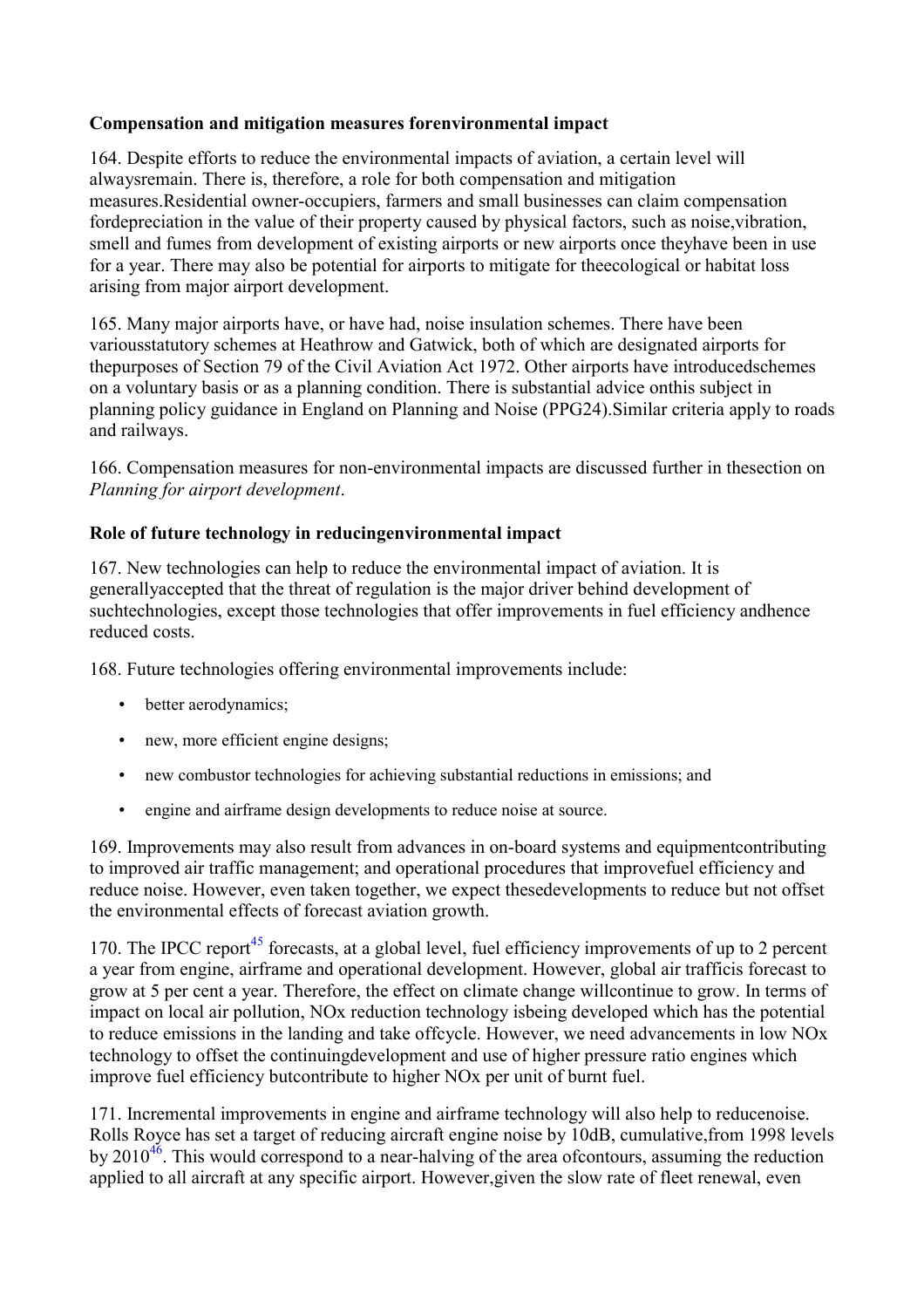## <span id="page-35-0"></span>**Compensation and mitigation measures forenvironmental impact**

164. Despite efforts to reduce the environmental impacts of aviation, a certain level will alwaysremain. There is, therefore, a role for both compensation and mitigation measures.Residential owner-occupiers, farmers and small businesses can claim compensation fordepreciation in the value of their property caused by physical factors, such as noise,vibration, smell and fumes from development of existing airports or new airports once theyhave been in use for a year. There may also be potential for airports to mitigate for theecological or habitat loss arising from major airport development.

165. Many major airports have, or have had, noise insulation schemes. There have been variousstatutory schemes at Heathrow and Gatwick, both of which are designated airports for thepurposes of Section 79 of the Civil Aviation Act 1972. Other airports have introducedschemes on a voluntary basis or as a planning condition. There is substantial advice onthis subject in planning policy guidance in England on Planning and Noise (PPG24).Similar criteria apply to roads and railways.

166. Compensation measures for non-environmental impacts are discussed further in thesection on *Planning for airport development*.

## **Role of future technology in reducingenvironmental impact**

167. New technologies can help to reduce the environmental impact of aviation. It is generallyaccepted that the threat of regulation is the major driver behind development of suchtechnologies, except those technologies that offer improvements in fuel efficiency andhence reduced costs.

168. Future technologies offering environmental improvements include:

- better aerodynamics;
- new, more efficient engine designs;
- new combustor technologies for achieving substantial reductions in emissions; and
- engine and airframe design developments to reduce noise at source.

169. Improvements may also result from advances in on-board systems and equipmentcontributing to improved air traffic management; and operational procedures that improvefuel efficiency and reduce noise. However, even taken together, we expect thesedevelopments to reduce but not offset the environmental effects of forecast aviation growth.

170. The IPCC report<sup>[45](#page-7-0)</sup> forecasts, at a global level, fuel efficiency improvements of up to 2 percent a year from engine, airframe and operational development. However, global air trafficis forecast to grow at 5 per cent a year. Therefore, the effect on climate change willcontinue to grow. In terms of impact on local air pollution, NOx reduction technology isbeing developed which has the potential to reduce emissions in the landing and take offcycle. However, we need advancements in low NOx technology to offset the continuingdevelopment and use of higher pressure ratio engines which improve fuel efficiency butcontribute to higher NOx per unit of burnt fuel.

171. Incremental improvements in engine and airframe technology will also help to reducenoise. Rolls Royce has set a target of reducing aircraft engine noise by 10dB, cumulative,from 1998 levels by  $2010^{46}$  $2010^{46}$  $2010^{46}$ . This would correspond to a near-halving of the area of contours, assuming the reduction applied to all aircraft at any specific airport. However,given the slow rate of fleet renewal, even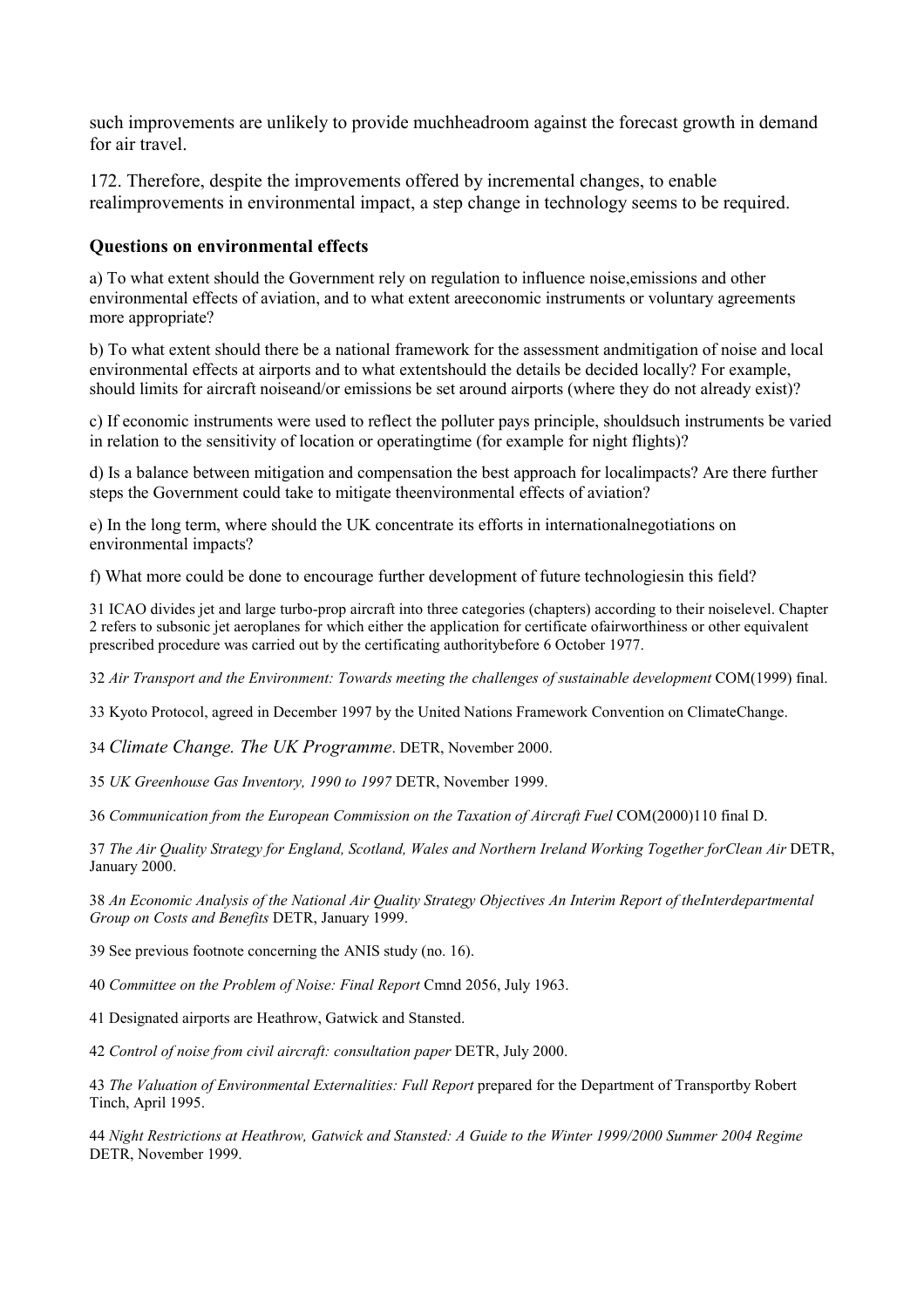such improvements are unlikely to provide muchheadroom against the forecast growth in demand for air travel.

172. Therefore, despite the improvements offered by incremental changes, to enable realimprovements in environmental impact, a step change in technology seems to be required.

#### **Questions on environmental effects**

a) To what extent should the Government rely on regulation to influence noise,emissions and other environmental effects of aviation, and to what extent areeconomic instruments or voluntary agreements more appropriate?

b) To what extent should there be a national framework for the assessment andmitigation of noise and local environmental effects at airports and to what extentshould the details be decided locally? For example, should limits for aircraft noiseand/or emissions be set around airports (where they do not already exist)?

c) If economic instruments were used to reflect the polluter pays principle, shouldsuch instruments be varied in relation to the sensitivity of location or operatingtime (for example for night flights)?

d) Is a balance between mitigation and compensation the best approach for localimpacts? Are there further steps the Government could take to mitigate theenvironmental effects of aviation?

e) In the long term, where should the UK concentrate its efforts in internationalnegotiations on environmental impacts?

f) What more could be done to encourage further development of future technologiesin this field?

31 ICAO divides jet and large turbo-prop aircraft into three categories (chapters) according to their noiselevel. Chapter 2 refers to subsonic jet aeroplanes for which either the application for certificate ofairworthiness or other equivalent prescribed procedure was carried out by the certificating authoritybefore 6 October 1977.

32 *Air Transport and the Environment: Towards meeting the challenges of sustainable development* COM(1999) final.

33 Kyoto Protocol, agreed in December 1997 by the United Nations Framework Convention on ClimateChange.

34 *Climate Change. The UK Programme*. DETR, November 2000.

35 *UK Greenhouse Gas Inventory, 1990 to 1997* DETR, November 1999.

36 *Communication from the European Commission on the Taxation of Aircraft Fuel* COM(2000)110 final D.

37 *The Air Quality Strategy for England, Scotland, Wales and Northern Ireland Working Together forClean Air* DETR, January 2000.

38 *An Economic Analysis of the National Air Quality Strategy Objectives An Interim Report of theInterdepartmental Group on Costs and Benefits* DETR, January 1999.

39 See previous footnote concerning the ANIS study (no. 16).

40 *Committee on the Problem of Noise: Final Report* Cmnd 2056, July 1963.

41 Designated airports are Heathrow, Gatwick and Stansted.

42 *Control of noise from civil aircraft: consultation paper* DETR, July 2000.

43 *The Valuation of Environmental Externalities: Full Report* prepared for the Department of Transportby Robert Tinch, April 1995.

44 *Night Restrictions at Heathrow, Gatwick and Stansted: A Guide to the Winter 1999/2000 Summer 2004 Regime* DETR, November 1999.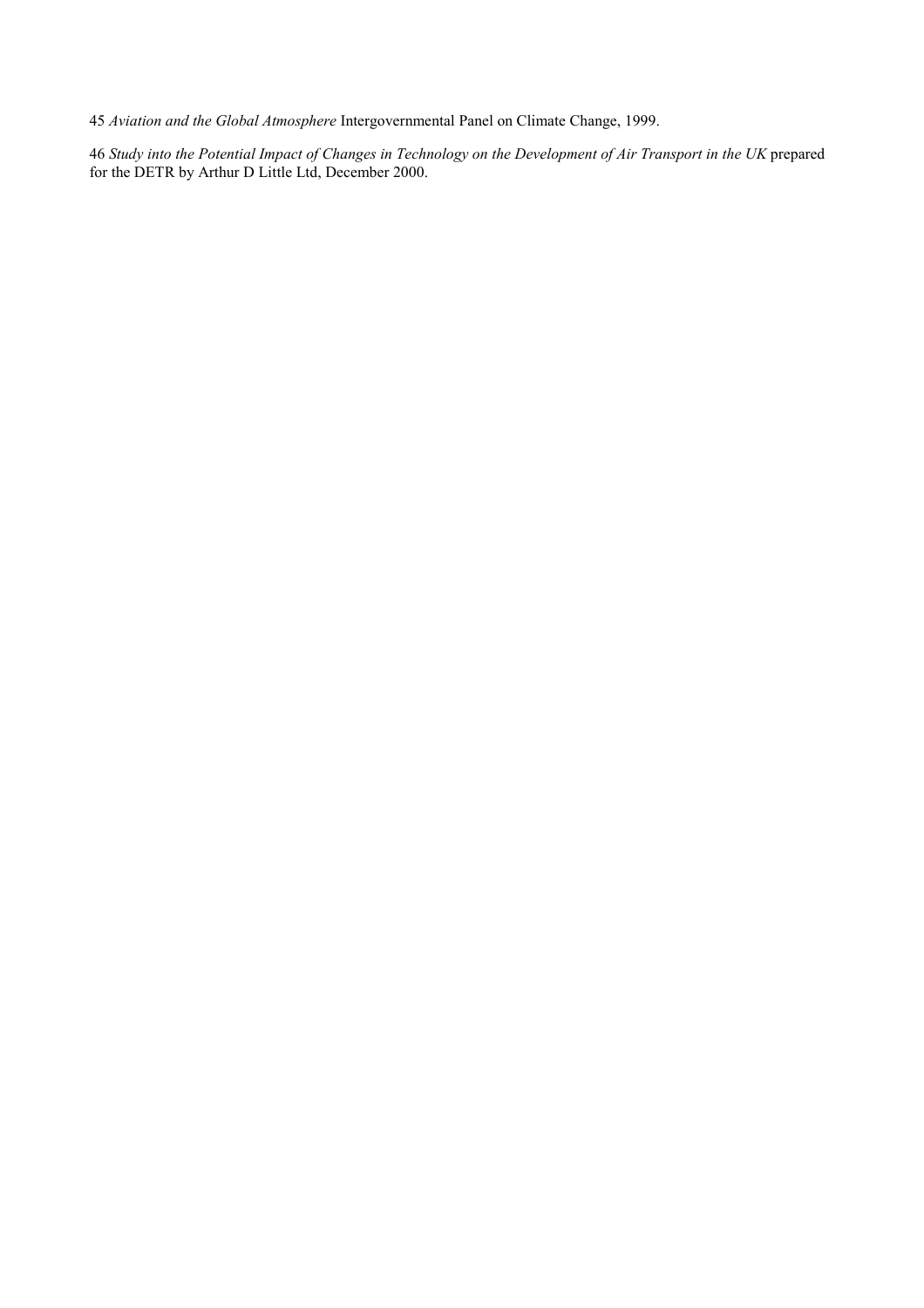*Aviation and the Global Atmosphere* Intergovernmental Panel on Climate Change, 1999.

*Study into the Potential Impact of Changes in Technology on the Development of Air Transport in the UK* prepared for the DETR by Arthur D Little Ltd, December 2000.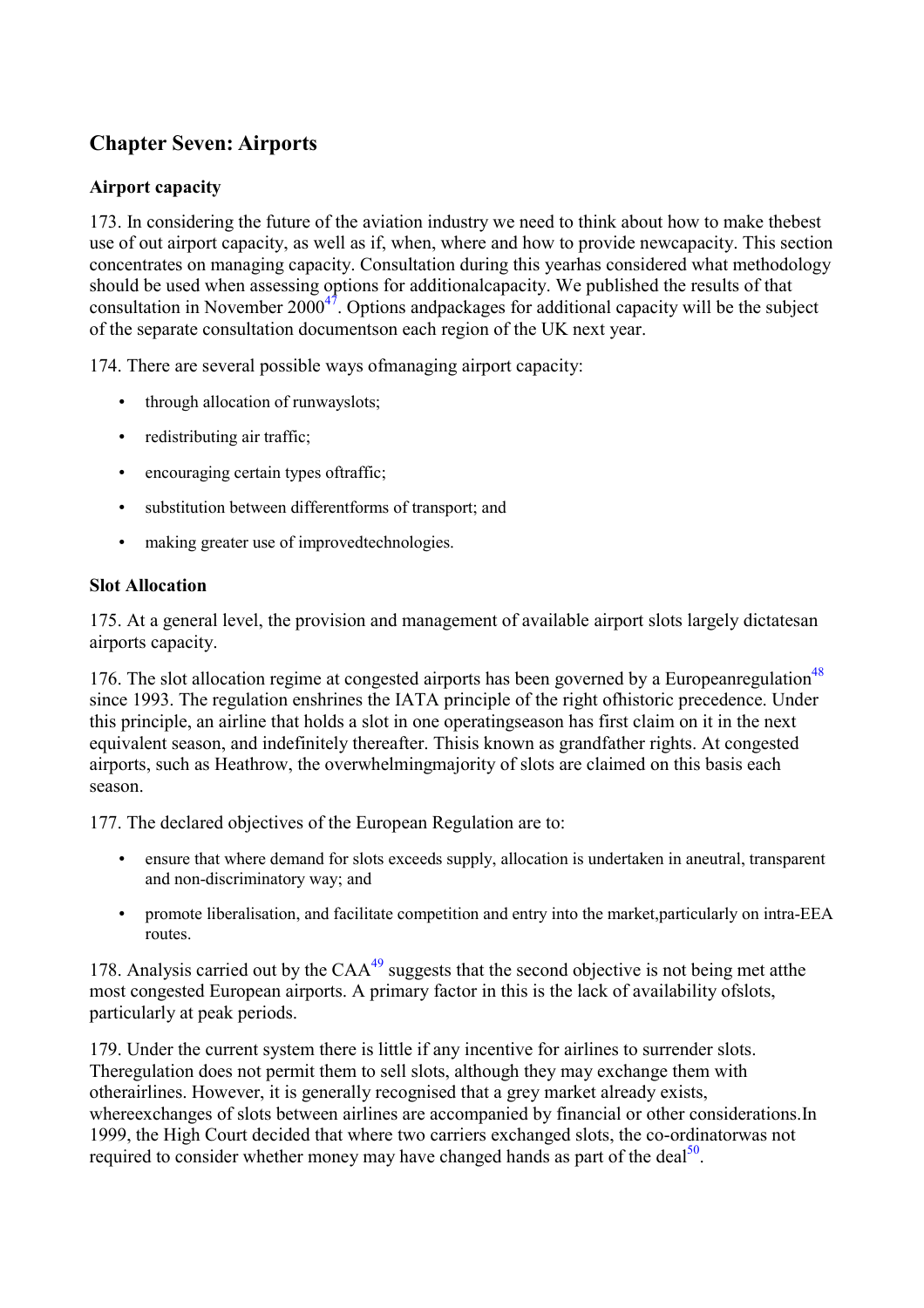# **Chapter Seven: Airports**

# **Airport capacity**

173. In considering the future of the aviation industry we need to think about how to make thebest use of out airport capacity, as well as if, when, where and how to provide newcapacity. This section concentrates on managing capacity. Consultation during this yearhas considered what methodology should be used when assessing options for additionalcapacity. We published the results of that consultation in November  $2000^{47}$ . Options andpackages for additional capacity will be the subject of the separate consultation documentson each region of the UK next year.

174. There are several possible ways ofmanaging airport capacity:

- through allocation of runwayslots;
- redistributing air traffic;
- encouraging certain types oftraffic;
- substitution between differentforms of transport; and
- making greater use of improvedtechnologies.

# **Slot Allocation**

175. At a general level, the provision and management of available airport slots largely dictatesan airports capacity.

176. The slot allocation regime at congested airports has been governed by a Europeanregulation<sup>[48](#page-7-0)</sup> since 1993. The regulation enshrines the IATA principle of the right ofhistoric precedence. Under this principle, an airline that holds a slot in one operatingseason has first claim on it in the next equivalent season, and indefinitely thereafter. Thisis known as grandfather rights. At congested airports, such as Heathrow, the overwhelmingmajority of slots are claimed on this basis each season.

177. The declared objectives of the European Regulation are to:

- ensure that where demand for slots exceeds supply, allocation is undertaken in aneutral, transparent and non-discriminatory way; and
- promote liberalisation, and facilitate competition and entry into the market, particularly on intra-EEA routes.

178. Analysis carried out by the  $CAA^{49}$  $CAA^{49}$  $CAA^{49}$  suggests that the second objective is not being met atthe most congested European airports. A primary factor in this is the lack of availability ofslots, particularly at peak periods.

179. Under the current system there is little if any incentive for airlines to surrender slots. Theregulation does not permit them to sell slots, although they may exchange them with otherairlines. However, it is generally recognised that a grey market already exists, whereexchanges of slots between airlines are accompanied by financial or other considerations.In 1999, the High Court decided that where two carriers exchanged slots, the co-ordinatorwas not required to consider whether money may have changed hands as part of the deal<sup>50</sup>.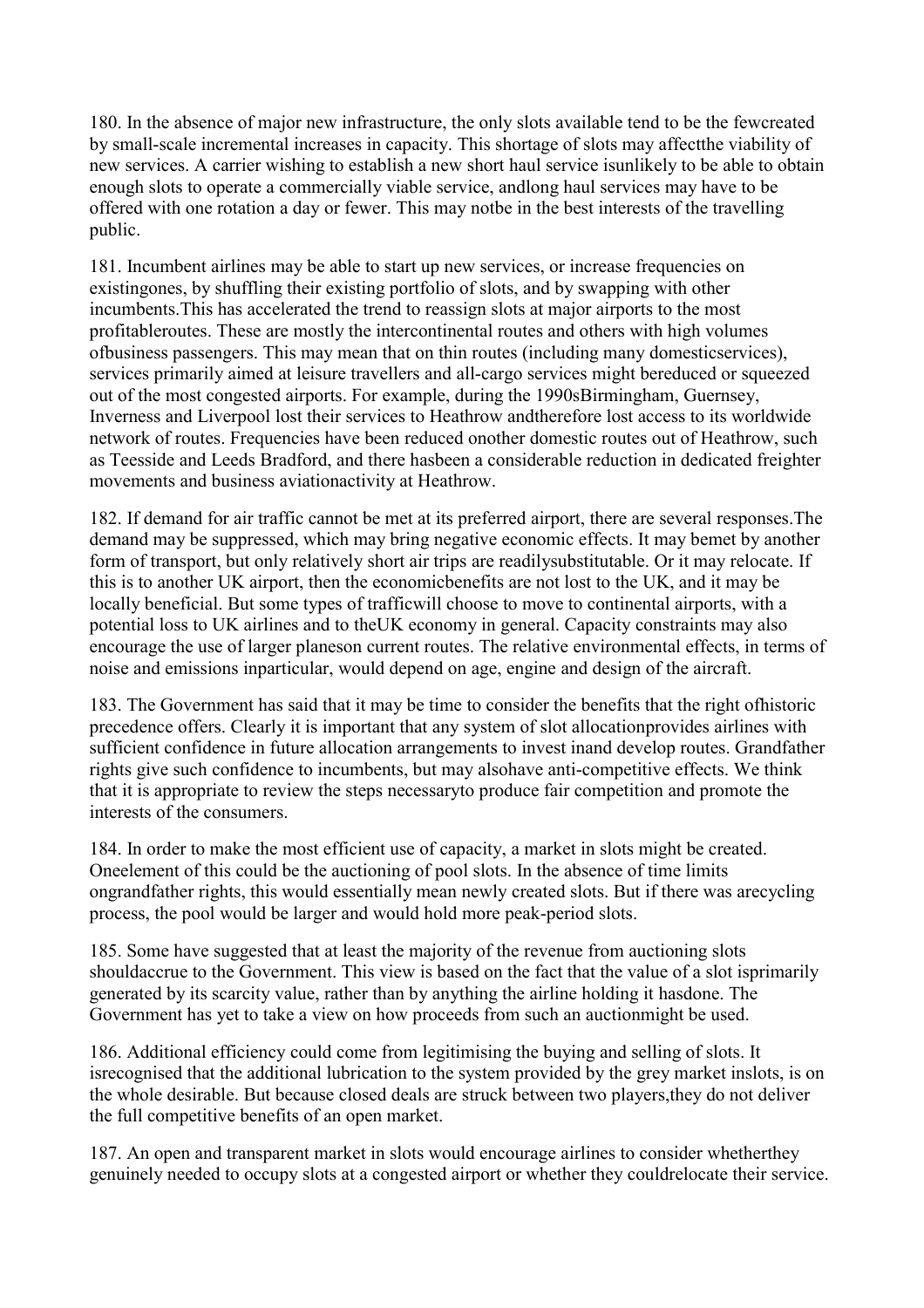180. In the absence of major new infrastructure, the only slots available tend to be the fewcreated by small-scale incremental increases in capacity. This shortage of slots may affectthe viability of new services. A carrier wishing to establish a new short haul service isunlikely to be able to obtain enough slots to operate a commercially viable service, andlong haul services may have to be offered with one rotation a day or fewer. This may notbe in the best interests of the travelling public.

181. Incumbent airlines may be able to start up new services, or increase frequencies on existingones, by shuffling their existing portfolio of slots, and by swapping with other incumbents.This has accelerated the trend to reassign slots at major airports to the most profitableroutes. These are mostly the intercontinental routes and others with high volumes ofbusiness passengers. This may mean that on thin routes (including many domesticservices), services primarily aimed at leisure travellers and all-cargo services might bereduced or squeezed out of the most congested airports. For example, during the 1990sBirmingham, Guernsey, Inverness and Liverpool lost their services to Heathrow andtherefore lost access to its worldwide network of routes. Frequencies have been reduced onother domestic routes out of Heathrow, such as Teesside and Leeds Bradford, and there hasbeen a considerable reduction in dedicated freighter movements and business aviationactivity at Heathrow.

182. If demand for air traffic cannot be met at its preferred airport, there are several responses.The demand may be suppressed, which may bring negative economic effects. It may bemet by another form of transport, but only relatively short air trips are readilysubstitutable. Or it may relocate. If this is to another UK airport, then the economicbenefits are not lost to the UK, and it may be locally beneficial. But some types of trafficwill choose to move to continental airports, with a potential loss to UK airlines and to theUK economy in general. Capacity constraints may also encourage the use of larger planeson current routes. The relative environmental effects, in terms of noise and emissions inparticular, would depend on age, engine and design of the aircraft.

183. The Government has said that it may be time to consider the benefits that the right ofhistoric precedence offers. Clearly it is important that any system of slot allocationprovides airlines with sufficient confidence in future allocation arrangements to invest inand develop routes. Grandfather rights give such confidence to incumbents, but may alsohave anti-competitive effects. We think that it is appropriate to review the steps necessaryto produce fair competition and promote the interests of the consumers.

184. In order to make the most efficient use of capacity, a market in slots might be created. Oneelement of this could be the auctioning of pool slots. In the absence of time limits ongrandfather rights, this would essentially mean newly created slots. But if there was arecycling process, the pool would be larger and would hold more peak-period slots.

185. Some have suggested that at least the majority of the revenue from auctioning slots shouldaccrue to the Government. This view is based on the fact that the value of a slot isprimarily generated by its scarcity value, rather than by anything the airline holding it hasdone. The Government has yet to take a view on how proceeds from such an auctionmight be used.

186. Additional efficiency could come from legitimising the buying and selling of slots. It isrecognised that the additional lubrication to the system provided by the grey market inslots, is on the whole desirable. But because closed deals are struck between two players,they do not deliver the full competitive benefits of an open market.

187. An open and transparent market in slots would encourage airlines to consider whetherthey genuinely needed to occupy slots at a congested airport or whether they couldrelocate their service.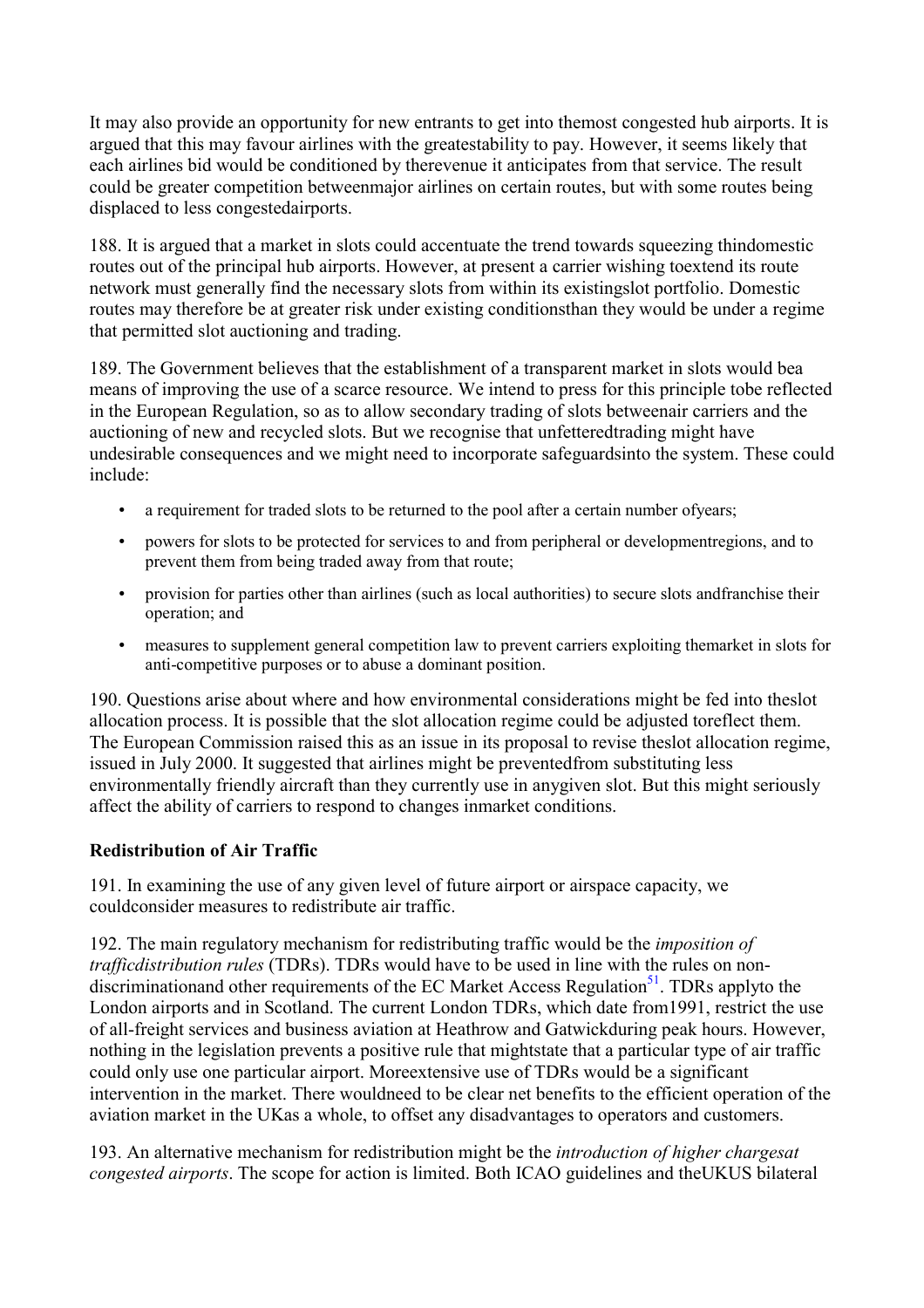It may also provide an opportunity for new entrants to get into themost congested hub airports. It is argued that this may favour airlines with the greatestability to pay. However, it seems likely that each airlines bid would be conditioned by therevenue it anticipates from that service. The result could be greater competition betweenmajor airlines on certain routes, but with some routes being displaced to less congestedairports.

188. It is argued that a market in slots could accentuate the trend towards squeezing thindomestic routes out of the principal hub airports. However, at present a carrier wishing toextend its route network must generally find the necessary slots from within its existingslot portfolio. Domestic routes may therefore be at greater risk under existing conditionsthan they would be under a regime that permitted slot auctioning and trading.

189. The Government believes that the establishment of a transparent market in slots would bea means of improving the use of a scarce resource. We intend to press for this principle tobe reflected in the European Regulation, so as to allow secondary trading of slots betweenair carriers and the auctioning of new and recycled slots. But we recognise that unfetteredtrading might have undesirable consequences and we might need to incorporate safeguardsinto the system. These could include:

- a requirement for traded slots to be returned to the pool after a certain number ofyears;
- powers for slots to be protected for services to and from peripheral or developmentregions, and to prevent them from being traded away from that route;
- provision for parties other than airlines (such as local authorities) to secure slots and franchise their operation; and
- measures to supplement general competition law to prevent carriers exploiting themarket in slots for anti-competitive purposes or to abuse a dominant position.

190. Questions arise about where and how environmental considerations might be fed into theslot allocation process. It is possible that the slot allocation regime could be adjusted toreflect them. The European Commission raised this as an issue in its proposal to revise theslot allocation regime, issued in July 2000. It suggested that airlines might be preventedfrom substituting less environmentally friendly aircraft than they currently use in anygiven slot. But this might seriously affect the ability of carriers to respond to changes inmarket conditions.

# **Redistribution of Air Traffic**

191. In examining the use of any given level of future airport or airspace capacity, we couldconsider measures to redistribute air traffic.

192. The main regulatory mechanism for redistributing traffic would be the *imposition of trafficdistribution rules* (TDRs). TDRs would have to be used in line with the rules on nondiscriminationand other requirements of the EC Market Access Regulation<sup>51</sup>. TDRs applyto the London airports and in Scotland. The current London TDRs, which date from1991, restrict the use of all-freight services and business aviation at Heathrow and Gatwickduring peak hours. However, nothing in the legislation prevents a positive rule that mightstate that a particular type of air traffic could only use one particular airport. Moreextensive use of TDRs would be a significant intervention in the market. There wouldneed to be clear net benefits to the efficient operation of the aviation market in the UKas a whole, to offset any disadvantages to operators and customers.

193. An alternative mechanism for redistribution might be the *introduction of higher chargesat congested airports*. The scope for action is limited. Both ICAO guidelines and theUKUS bilateral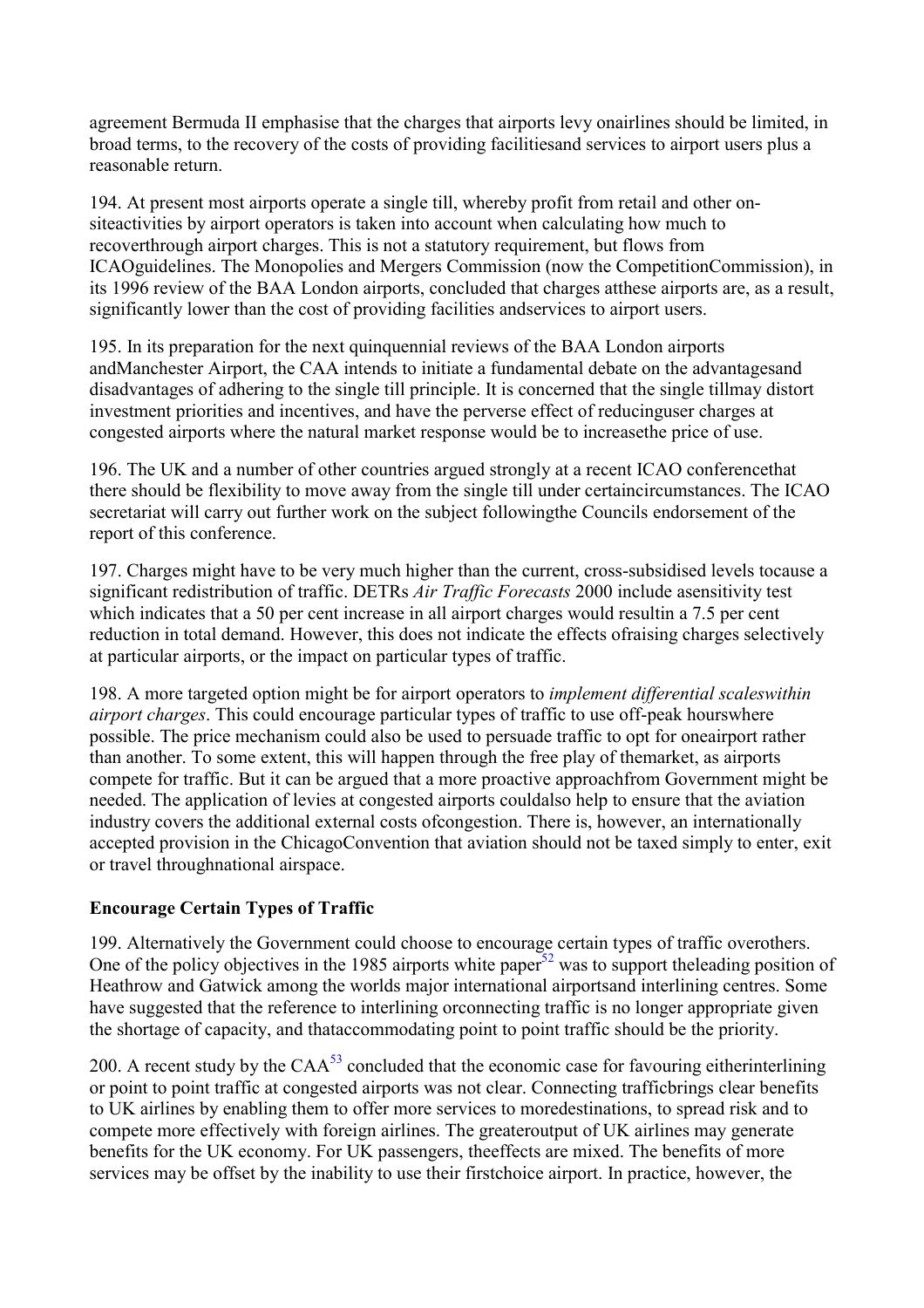agreement Bermuda II emphasise that the charges that airports levy onairlines should be limited, in broad terms, to the recovery of the costs of providing facilitiesand services to airport users plus a reasonable return.

194. At present most airports operate a single till, whereby profit from retail and other onsiteactivities by airport operators is taken into account when calculating how much to recoverthrough airport charges. This is not a statutory requirement, but flows from ICAOguidelines. The Monopolies and Mergers Commission (now the CompetitionCommission), in its 1996 review of the BAA London airports, concluded that charges atthese airports are, as a result, significantly lower than the cost of providing facilities andservices to airport users.

195. In its preparation for the next quinquennial reviews of the BAA London airports andManchester Airport, the CAA intends to initiate a fundamental debate on the advantagesand disadvantages of adhering to the single till principle. It is concerned that the single tillmay distort investment priorities and incentives, and have the perverse effect of reducinguser charges at congested airports where the natural market response would be to increasethe price of use.

196. The UK and a number of other countries argued strongly at a recent ICAO conferencethat there should be flexibility to move away from the single till under certaincircumstances. The ICAO secretariat will carry out further work on the subject followingthe Councils endorsement of the report of this conference.

197. Charges might have to be very much higher than the current, cross-subsidised levels tocause a significant redistribution of traffic. DETRs *Air Traffic Forecasts* 2000 include asensitivity test which indicates that a 50 per cent increase in all airport charges would resultin a 7.5 per cent reduction in total demand. However, this does not indicate the effects ofraising charges selectively at particular airports, or the impact on particular types of traffic.

198. A more targeted option might be for airport operators to *implement differential scaleswithin airport charges*. This could encourage particular types of traffic to use off-peak hourswhere possible. The price mechanism could also be used to persuade traffic to opt for oneairport rather than another. To some extent, this will happen through the free play of themarket, as airports compete for traffic. But it can be argued that a more proactive approachfrom Government might be needed. The application of levies at congested airports couldalso help to ensure that the aviation industry covers the additional external costs ofcongestion. There is, however, an internationally accepted provision in the ChicagoConvention that aviation should not be taxed simply to enter, exit or travel throughnational airspace.

# **Encourage Certain Types of Traffic**

199. Alternatively the Government could choose to encourage certain types of traffic overothers. One of the policy objectives in the 1985 airports white paper $52$  was to support the leading position of Heathrow and Gatwick among the worlds major international airportsand interlining centres. Some have suggested that the reference to interlining orconnecting traffic is no longer appropriate given the shortage of capacity, and thataccommodating point to point traffic should be the priority.

200. A recent study by the  $CAA<sup>53</sup>$  concluded that the economic case for favouring eitherinterlining or point to point traffic at congested airports was not clear. Connecting trafficbrings clear benefits to UK airlines by enabling them to offer more services to moredestinations, to spread risk and to compete more effectively with foreign airlines. The greateroutput of UK airlines may generate benefits for the UK economy. For UK passengers, theeffects are mixed. The benefits of more services may be offset by the inability to use their firstchoice airport. In practice, however, the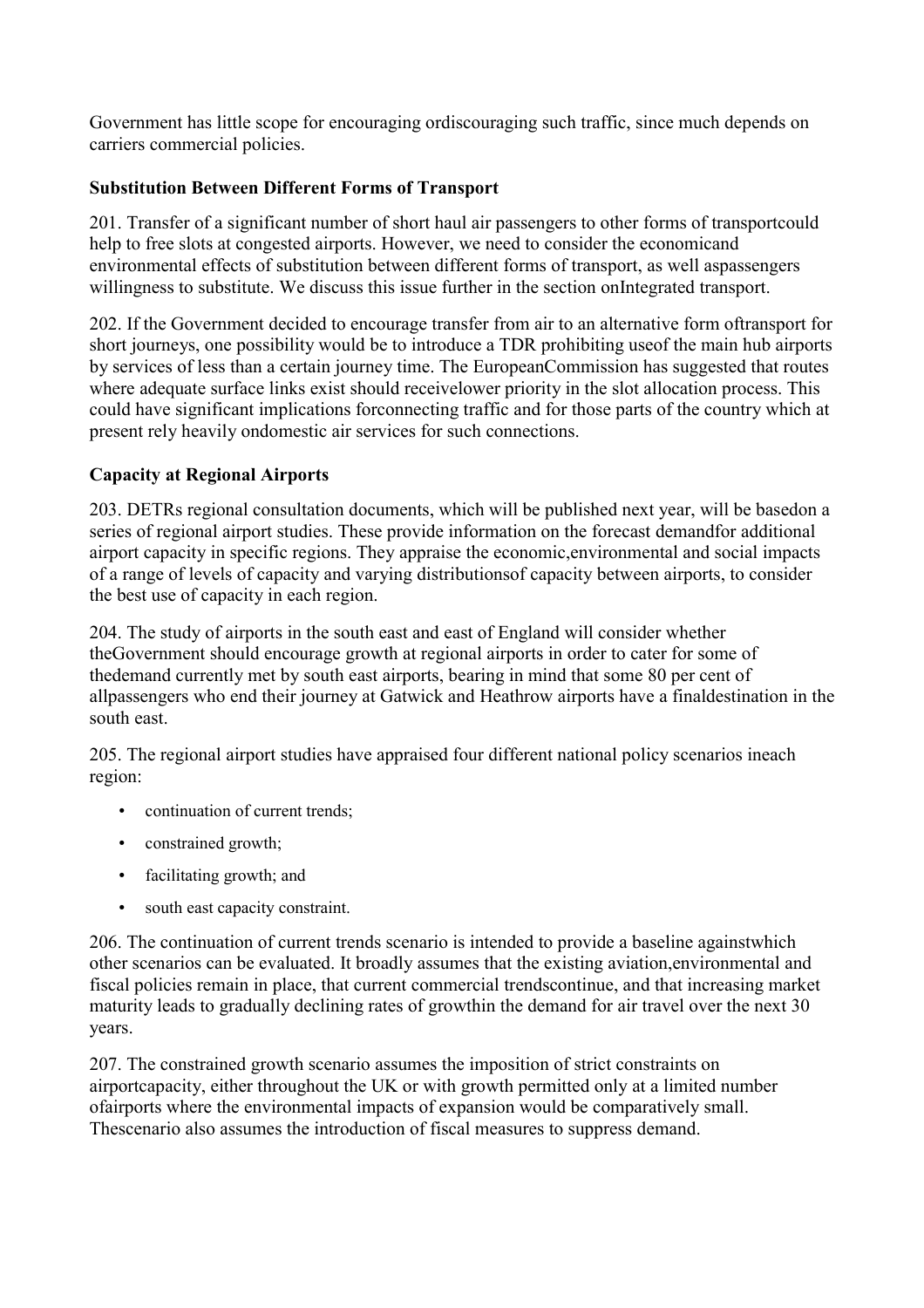Government has little scope for encouraging ordiscouraging such traffic, since much depends on carriers commercial policies.

# **Substitution Between Different Forms of Transport**

201. Transfer of a significant number of short haul air passengers to other forms of transportcould help to free slots at congested airports. However, we need to consider the economicand environmental effects of substitution between different forms of transport, as well aspassengers willingness to substitute. We discuss this issue further in the section onIntegrated transport.

202. If the Government decided to encourage transfer from air to an alternative form oftransport for short journeys, one possibility would be to introduce a TDR prohibiting useof the main hub airports by services of less than a certain journey time. The EuropeanCommission has suggested that routes where adequate surface links exist should receivelower priority in the slot allocation process. This could have significant implications forconnecting traffic and for those parts of the country which at present rely heavily ondomestic air services for such connections.

# **Capacity at Regional Airports**

203. DETRs regional consultation documents, which will be published next year, will be basedon a series of regional airport studies. These provide information on the forecast demandfor additional airport capacity in specific regions. They appraise the economic,environmental and social impacts of a range of levels of capacity and varying distributionsof capacity between airports, to consider the best use of capacity in each region.

204. The study of airports in the south east and east of England will consider whether theGovernment should encourage growth at regional airports in order to cater for some of thedemand currently met by south east airports, bearing in mind that some 80 per cent of allpassengers who end their journey at Gatwick and Heathrow airports have a finaldestination in the south east.

205. The regional airport studies have appraised four different national policy scenarios ineach region:

- continuation of current trends:
- constrained growth;
- facilitating growth; and
- south east capacity constraint.

206. The continuation of current trends scenario is intended to provide a baseline againstwhich other scenarios can be evaluated. It broadly assumes that the existing aviation,environmental and fiscal policies remain in place, that current commercial trendscontinue, and that increasing market maturity leads to gradually declining rates of growthin the demand for air travel over the next 30 years.

207. The constrained growth scenario assumes the imposition of strict constraints on airportcapacity, either throughout the UK or with growth permitted only at a limited number ofairports where the environmental impacts of expansion would be comparatively small. Thescenario also assumes the introduction of fiscal measures to suppress demand.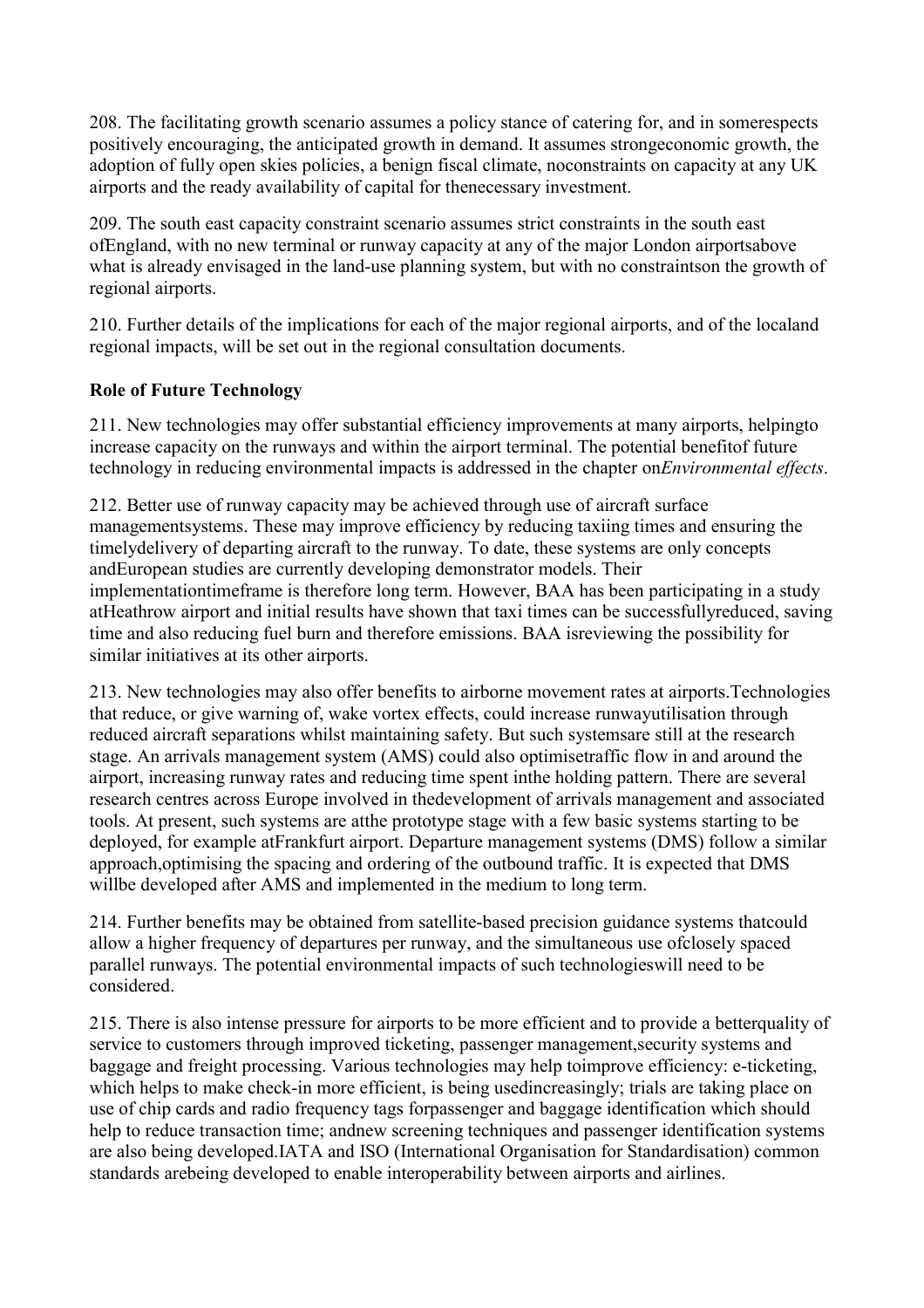208. The facilitating growth scenario assumes a policy stance of catering for, and in somerespects positively encouraging, the anticipated growth in demand. It assumes strongeconomic growth, the adoption of fully open skies policies, a benign fiscal climate, noconstraints on capacity at any UK airports and the ready availability of capital for thenecessary investment.

209. The south east capacity constraint scenario assumes strict constraints in the south east ofEngland, with no new terminal or runway capacity at any of the major London airportsabove what is already envisaged in the land-use planning system, but with no constraintson the growth of regional airports.

210. Further details of the implications for each of the major regional airports, and of the localand regional impacts, will be set out in the regional consultation documents.

# **Role of Future Technology**

211. New technologies may offer substantial efficiency improvements at many airports, helpingto increase capacity on the runways and within the airport terminal. The potential benefitof future technology in reducing environmental impacts is addressed in the chapter on*Environmental effects*.

212. Better use of runway capacity may be achieved through use of aircraft surface managementsystems. These may improve efficiency by reducing taxiing times and ensuring the timelydelivery of departing aircraft to the runway. To date, these systems are only concepts andEuropean studies are currently developing demonstrator models. Their implementationtimeframe is therefore long term. However, BAA has been participating in a study atHeathrow airport and initial results have shown that taxi times can be successfullyreduced, saving time and also reducing fuel burn and therefore emissions. BAA isreviewing the possibility for similar initiatives at its other airports.

213. New technologies may also offer benefits to airborne movement rates at airports.Technologies that reduce, or give warning of, wake vortex effects, could increase runwayutilisation through reduced aircraft separations whilst maintaining safety. But such systemsare still at the research stage. An arrivals management system (AMS) could also optimisetraffic flow in and around the airport, increasing runway rates and reducing time spent inthe holding pattern. There are several research centres across Europe involved in thedevelopment of arrivals management and associated tools. At present, such systems are atthe prototype stage with a few basic systems starting to be deployed, for example atFrankfurt airport. Departure management systems (DMS) follow a similar approach,optimising the spacing and ordering of the outbound traffic. It is expected that DMS willbe developed after AMS and implemented in the medium to long term.

214. Further benefits may be obtained from satellite-based precision guidance systems thatcould allow a higher frequency of departures per runway, and the simultaneous use ofclosely spaced parallel runways. The potential environmental impacts of such technologieswill need to be considered.

215. There is also intense pressure for airports to be more efficient and to provide a betterquality of service to customers through improved ticketing, passenger management,security systems and baggage and freight processing. Various technologies may help toimprove efficiency: e-ticketing, which helps to make check-in more efficient, is being usedincreasingly; trials are taking place on use of chip cards and radio frequency tags forpassenger and baggage identification which should help to reduce transaction time; andnew screening techniques and passenger identification systems are also being developed.IATA and ISO (International Organisation for Standardisation) common standards arebeing developed to enable interoperability between airports and airlines.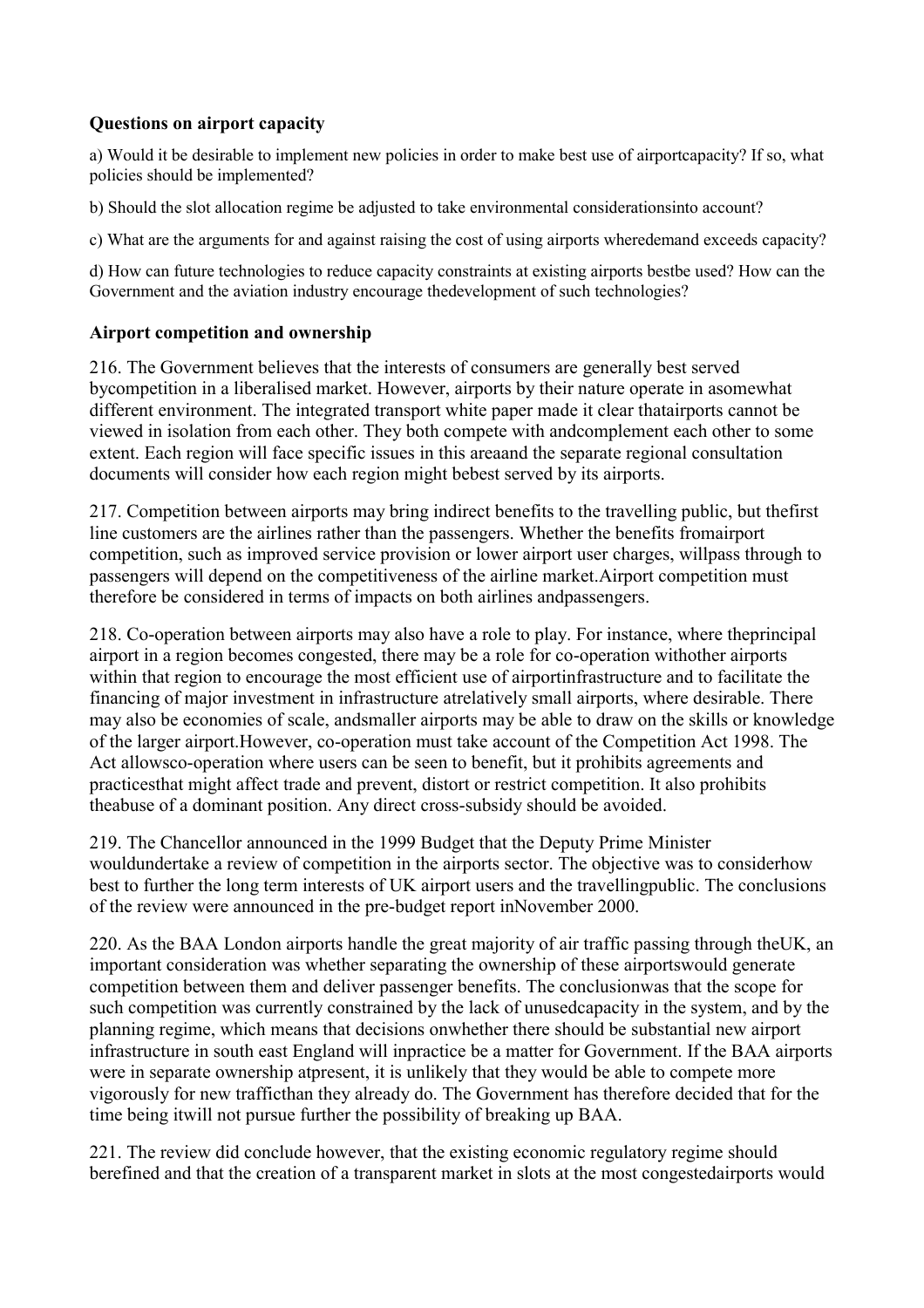# **Questions on airport capacity**

a) Would it be desirable to implement new policies in order to make best use of airportcapacity? If so, what policies should be implemented?

b) Should the slot allocation regime be adjusted to take environmental considerationsinto account?

c) What are the arguments for and against raising the cost of using airports wheredemand exceeds capacity?

d) How can future technologies to reduce capacity constraints at existing airports bestbe used? How can the Government and the aviation industry encourage thedevelopment of such technologies?

#### **Airport competition and ownership**

216. The Government believes that the interests of consumers are generally best served bycompetition in a liberalised market. However, airports by their nature operate in asomewhat different environment. The integrated transport white paper made it clear thatairports cannot be viewed in isolation from each other. They both compete with andcomplement each other to some extent. Each region will face specific issues in this areaand the separate regional consultation documents will consider how each region might bebest served by its airports.

217. Competition between airports may bring indirect benefits to the travelling public, but thefirst line customers are the airlines rather than the passengers. Whether the benefits fromairport competition, such as improved service provision or lower airport user charges, willpass through to passengers will depend on the competitiveness of the airline market.Airport competition must therefore be considered in terms of impacts on both airlines andpassengers.

218. Co-operation between airports may also have a role to play. For instance, where theprincipal airport in a region becomes congested, there may be a role for co-operation withother airports within that region to encourage the most efficient use of airportinfrastructure and to facilitate the financing of major investment in infrastructure atrelatively small airports, where desirable. There may also be economies of scale, andsmaller airports may be able to draw on the skills or knowledge of the larger airport.However, co-operation must take account of the Competition Act 1998. The Act allowsco-operation where users can be seen to benefit, but it prohibits agreements and practicesthat might affect trade and prevent, distort or restrict competition. It also prohibits theabuse of a dominant position. Any direct cross-subsidy should be avoided.

219. The Chancellor announced in the 1999 Budget that the Deputy Prime Minister wouldundertake a review of competition in the airports sector. The objective was to considerhow best to further the long term interests of UK airport users and the travellingpublic. The conclusions of the review were announced in the pre-budget report inNovember 2000.

220. As the BAA London airports handle the great majority of air traffic passing through theUK, an important consideration was whether separating the ownership of these airportswould generate competition between them and deliver passenger benefits. The conclusionwas that the scope for such competition was currently constrained by the lack of unusedcapacity in the system, and by the planning regime, which means that decisions onwhether there should be substantial new airport infrastructure in south east England will inpractice be a matter for Government. If the BAA airports were in separate ownership atpresent, it is unlikely that they would be able to compete more vigorously for new trafficthan they already do. The Government has therefore decided that for the time being itwill not pursue further the possibility of breaking up BAA.

221. The review did conclude however, that the existing economic regulatory regime should berefined and that the creation of a transparent market in slots at the most congestedairports would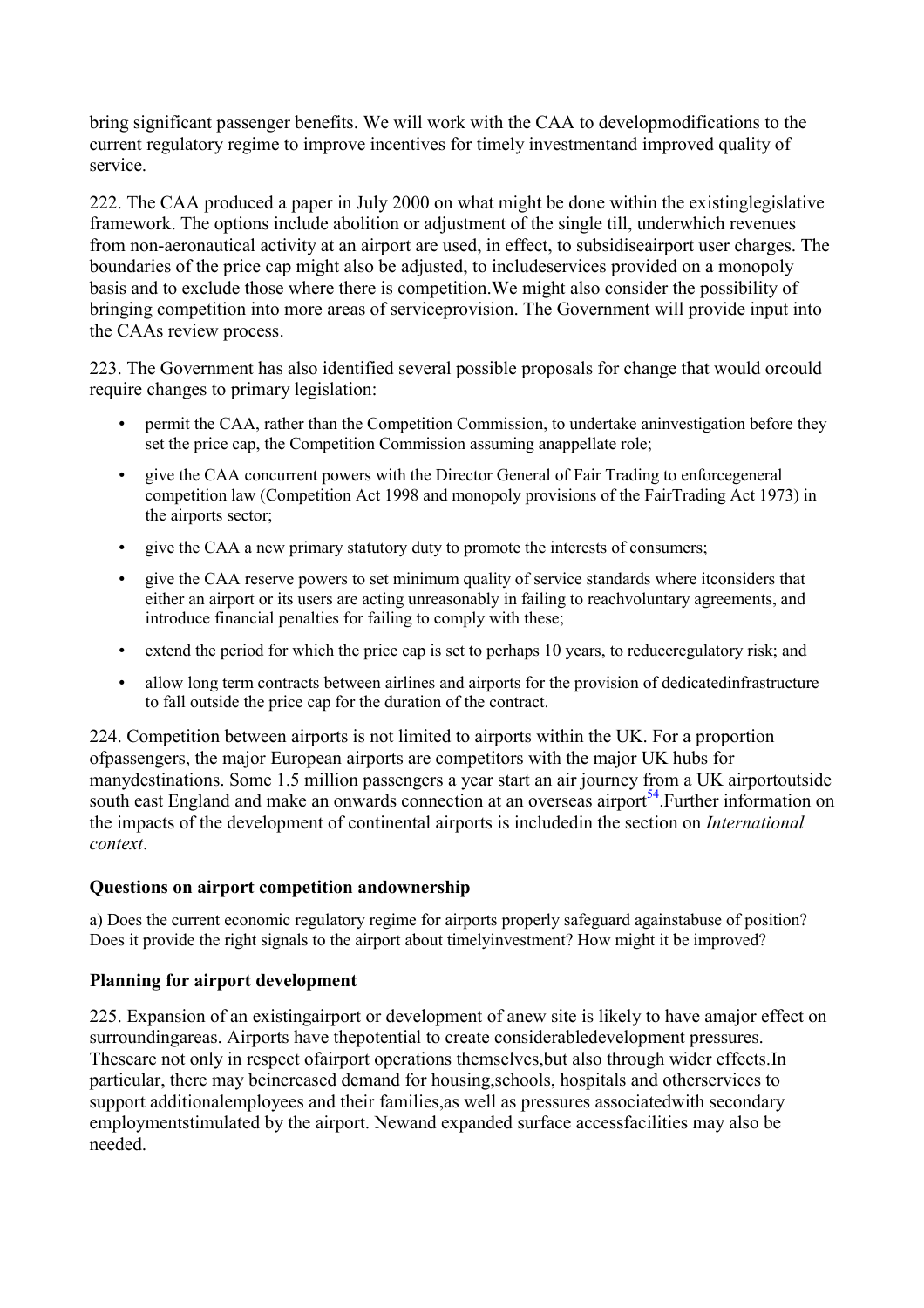bring significant passenger benefits. We will work with the CAA to developmodifications to the current regulatory regime to improve incentives for timely investmentand improved quality of service.

222. The CAA produced a paper in July 2000 on what might be done within the existinglegislative framework. The options include abolition or adjustment of the single till, underwhich revenues from non-aeronautical activity at an airport are used, in effect, to subsidiseairport user charges. The boundaries of the price cap might also be adjusted, to includeservices provided on a monopoly basis and to exclude those where there is competition.We might also consider the possibility of bringing competition into more areas of serviceprovision. The Government will provide input into the CAAs review process.

223. The Government has also identified several possible proposals for change that would orcould require changes to primary legislation:

- permit the CAA, rather than the Competition Commission, to undertake aninvestigation before they set the price cap, the Competition Commission assuming anappellate role;
- give the CAA concurrent powers with the Director General of Fair Trading to enforcegeneral competition law (Competition Act 1998 and monopoly provisions of the FairTrading Act 1973) in the airports sector;
- give the CAA a new primary statutory duty to promote the interests of consumers;
- give the CAA reserve powers to set minimum quality of service standards where itconsiders that either an airport or its users are acting unreasonably in failing to reachvoluntary agreements, and introduce financial penalties for failing to comply with these;
- extend the period for which the price cap is set to perhaps 10 years, to reduceregulatory risk; and
- allow long term contracts between airlines and airports for the provision of dedicatedinfrastructure to fall outside the price cap for the duration of the contract.

224. Competition between airports is not limited to airports within the UK. For a proportion ofpassengers, the major European airports are competitors with the major UK hubs for manydestinations. Some 1.5 million passengers a year start an air journey from a UK airportoutside south east England and make an onwards connection at an overseas airport<sup>54</sup>. Further information on the impacts of the development of continental airports is includedin the section on *International context*.

#### **Questions on airport competition andownership**

a) Does the current economic regulatory regime for airports properly safeguard againstabuse of position? Does it provide the right signals to the airport about timelyinvestment? How might it be improved?

#### **Planning for airport development**

225. Expansion of an existingairport or development of anew site is likely to have amajor effect on surroundingareas. Airports have thepotential to create considerabledevelopment pressures. Theseare not only in respect ofairport operations themselves,but also through wider effects.In particular, there may beincreased demand for housing,schools, hospitals and otherservices to support additionalemployees and their families,as well as pressures associatedwith secondary employmentstimulated by the airport. Newand expanded surface accessfacilities may also be needed.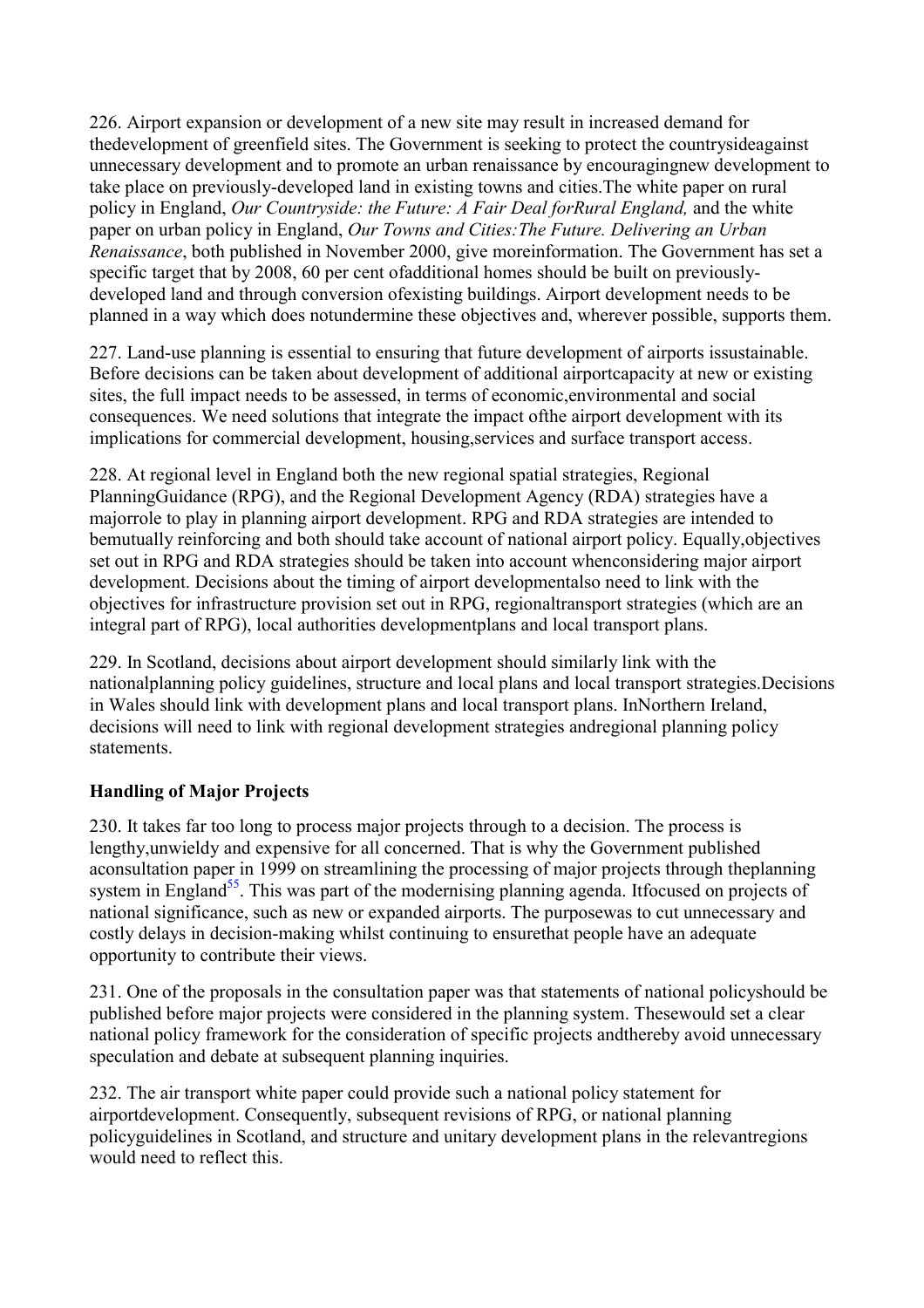226. Airport expansion or development of a new site may result in increased demand for thedevelopment of greenfield sites. The Government is seeking to protect the countrysideagainst unnecessary development and to promote an urban renaissance by encouragingnew development to take place on previously-developed land in existing towns and cities.The white paper on rural policy in England, *Our Countryside: the Future: A Fair Deal forRural England,* and the white paper on urban policy in England, *Our Towns and Cities:The Future. Delivering an Urban Renaissance*, both published in November 2000, give moreinformation. The Government has set a specific target that by 2008, 60 per cent ofadditional homes should be built on previouslydeveloped land and through conversion ofexisting buildings. Airport development needs to be planned in a way which does notundermine these objectives and, wherever possible, supports them.

227. Land-use planning is essential to ensuring that future development of airports issustainable. Before decisions can be taken about development of additional airportcapacity at new or existing sites, the full impact needs to be assessed, in terms of economic,environmental and social consequences. We need solutions that integrate the impact ofthe airport development with its implications for commercial development, housing,services and surface transport access.

228. At regional level in England both the new regional spatial strategies, Regional PlanningGuidance (RPG), and the Regional Development Agency (RDA) strategies have a majorrole to play in planning airport development. RPG and RDA strategies are intended to bemutually reinforcing and both should take account of national airport policy. Equally, objectives set out in RPG and RDA strategies should be taken into account whenconsidering major airport development. Decisions about the timing of airport developmentalso need to link with the objectives for infrastructure provision set out in RPG, regionaltransport strategies (which are an integral part of RPG), local authorities developmentplans and local transport plans.

229. In Scotland, decisions about airport development should similarly link with the nationalplanning policy guidelines, structure and local plans and local transport strategies.Decisions in Wales should link with development plans and local transport plans. InNorthern Ireland, decisions will need to link with regional development strategies andregional planning policy statements.

# **Handling of Major Projects**

230. It takes far too long to process major projects through to a decision. The process is lengthy,unwieldy and expensive for all concerned. That is why the Government published aconsultation paper in 1999 on streamlining the processing of major projects through theplanning system in England<sup>55</sup>. This was part of the modernising planning agenda. Itfocused on projects of national significance, such as new or expanded airports. The purposewas to cut unnecessary and costly delays in decision-making whilst continuing to ensurethat people have an adequate opportunity to contribute their views.

231. One of the proposals in the consultation paper was that statements of national policyshould be published before major projects were considered in the planning system. Thesewould set a clear national policy framework for the consideration of specific projects andthereby avoid unnecessary speculation and debate at subsequent planning inquiries.

232. The air transport white paper could provide such a national policy statement for airportdevelopment. Consequently, subsequent revisions of RPG, or national planning policyguidelines in Scotland, and structure and unitary development plans in the relevantregions would need to reflect this.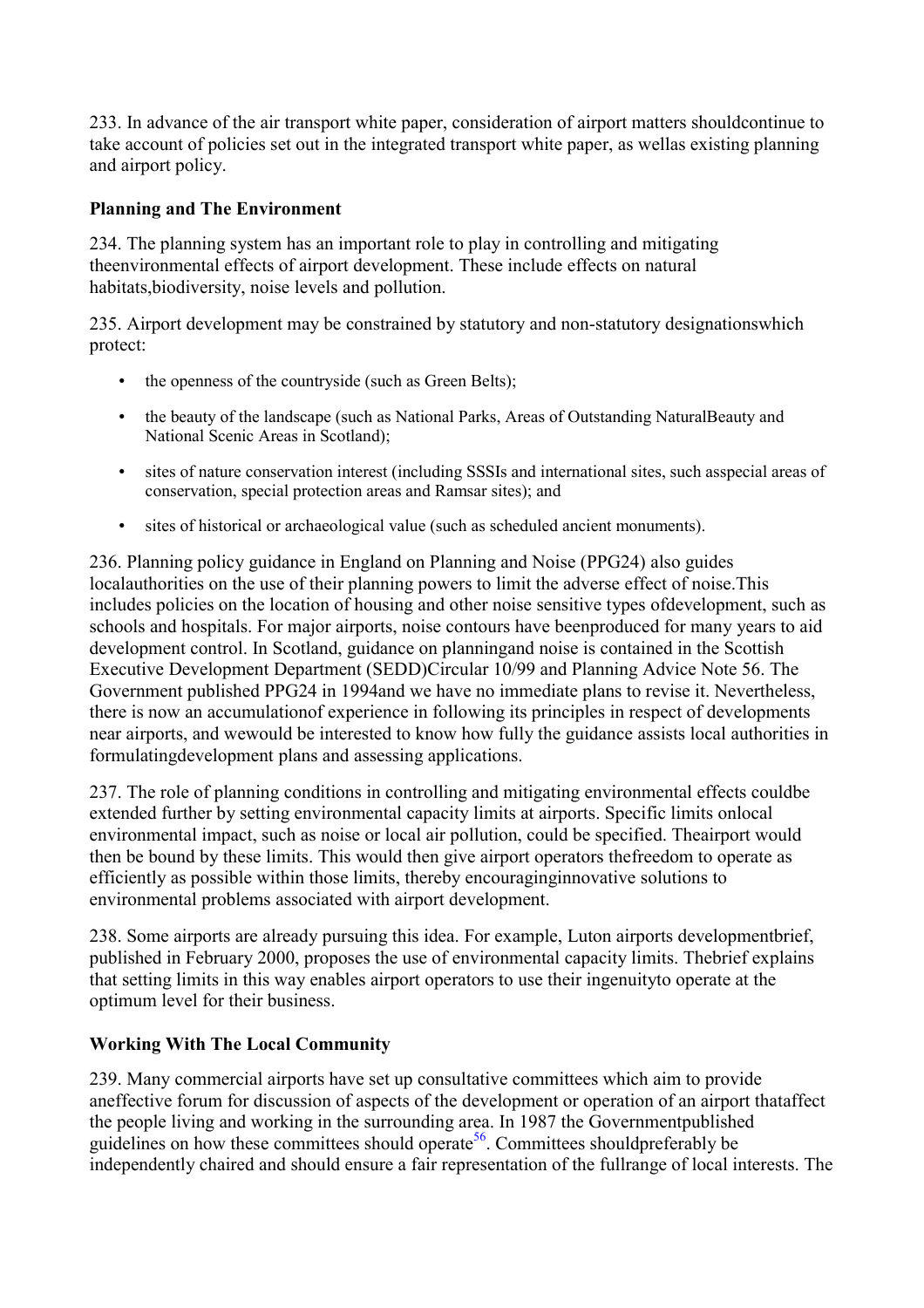233. In advance of the air transport white paper, consideration of airport matters shouldcontinue to take account of policies set out in the integrated transport white paper, as wellas existing planning and airport policy.

# **Planning and The Environment**

234. The planning system has an important role to play in controlling and mitigating theenvironmental effects of airport development. These include effects on natural habitats,biodiversity, noise levels and pollution.

235. Airport development may be constrained by statutory and non-statutory designationswhich protect:

- the openness of the countryside (such as Green Belts);
- the beauty of the landscape (such as National Parks, Areas of Outstanding NaturalBeauty and National Scenic Areas in Scotland);
- sites of nature conservation interest (including SSSIs and international sites, such asspecial areas of conservation, special protection areas and Ramsar sites); and
- sites of historical or archaeological value (such as scheduled ancient monuments).

236. Planning policy guidance in England on Planning and Noise (PPG24) also guides localauthorities on the use of their planning powers to limit the adverse effect of noise.This includes policies on the location of housing and other noise sensitive types ofdevelopment, such as schools and hospitals. For major airports, noise contours have beenproduced for many years to aid development control. In Scotland, guidance on planningand noise is contained in the Scottish Executive Development Department (SEDD)Circular 10/99 and Planning Advice Note 56. The Government published PPG24 in 1994and we have no immediate plans to revise it. Nevertheless, there is now an accumulationof experience in following its principles in respect of developments near airports, and wewould be interested to know how fully the guidance assists local authorities in formulatingdevelopment plans and assessing applications.

237. The role of planning conditions in controlling and mitigating environmental effects couldbe extended further by setting environmental capacity limits at airports. Specific limits onlocal environmental impact, such as noise or local air pollution, could be specified. Theairport would then be bound by these limits. This would then give airport operators thefreedom to operate as efficiently as possible within those limits, thereby encouraginginnovative solutions to environmental problems associated with airport development.

238. Some airports are already pursuing this idea. For example, Luton airports developmentbrief, published in February 2000, proposes the use of environmental capacity limits. Thebrief explains that setting limits in this way enables airport operators to use their ingenuityto operate at the optimum level for their business.

#### **Working With The Local Community**

239. Many commercial airports have set up consultative committees which aim to provide aneffective forum for discussion of aspects of the development or operation of an airport thataffect the people living and working in the surrounding area. In 1987 the Governmentpublished guidelines on how these committees should operate<sup>56</sup>. Committees shouldpreferably be independently chaired and should ensure a fair representation of the fullrange of local interests. The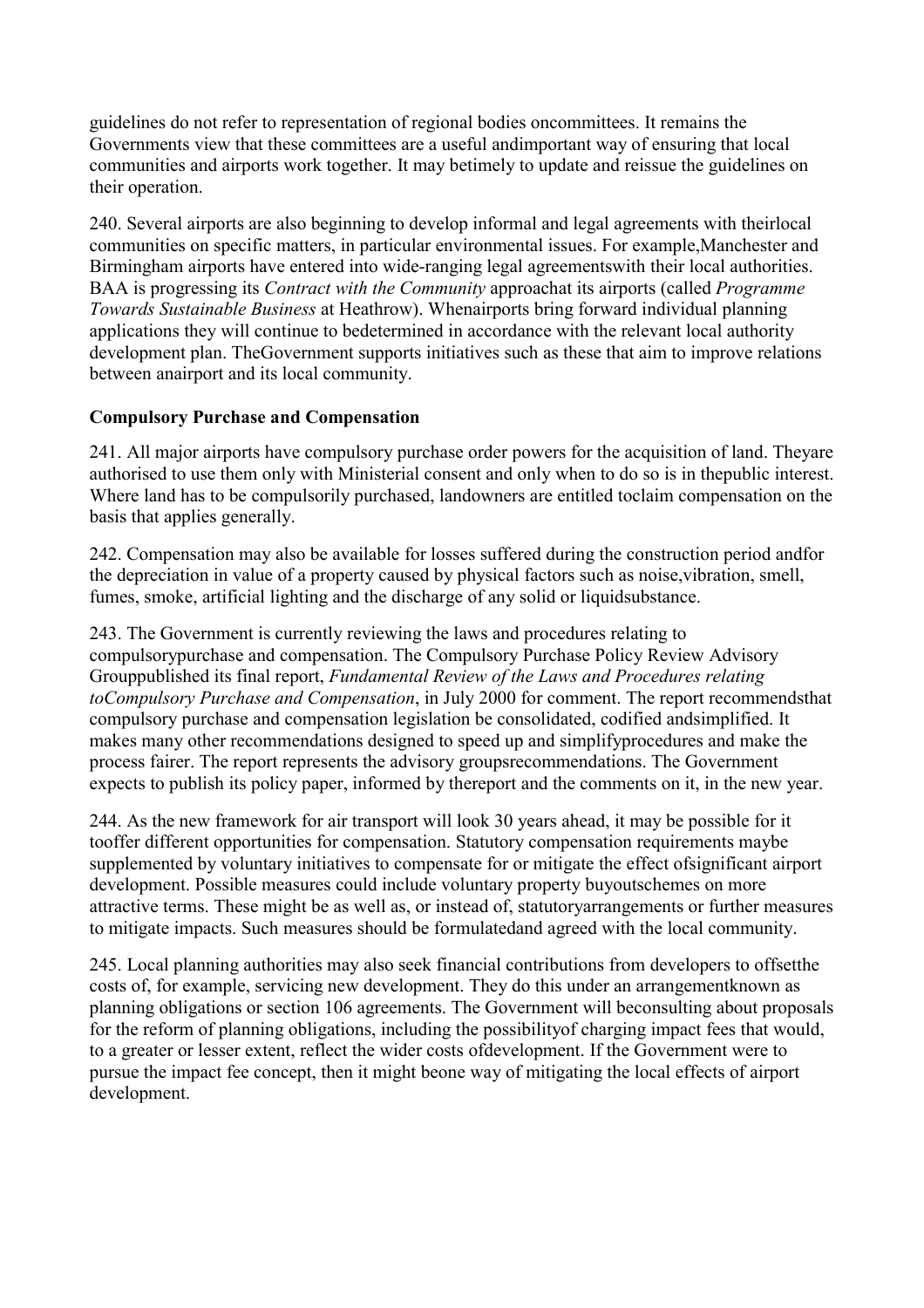guidelines do not refer to representation of regional bodies oncommittees. It remains the Governments view that these committees are a useful andimportant way of ensuring that local communities and airports work together. It may betimely to update and reissue the guidelines on their operation.

240. Several airports are also beginning to develop informal and legal agreements with theirlocal communities on specific matters, in particular environmental issues. For example,Manchester and Birmingham airports have entered into wide-ranging legal agreementswith their local authorities. BAA is progressing its *Contract with the Community* approachat its airports (called *Programme Towards Sustainable Business* at Heathrow). Whenairports bring forward individual planning applications they will continue to bedetermined in accordance with the relevant local authority development plan. TheGovernment supports initiatives such as these that aim to improve relations between anairport and its local community.

#### **Compulsory Purchase and Compensation**

241. All major airports have compulsory purchase order powers for the acquisition of land. Theyare authorised to use them only with Ministerial consent and only when to do so is in thepublic interest. Where land has to be compulsorily purchased, landowners are entitled toclaim compensation on the basis that applies generally.

242. Compensation may also be available for losses suffered during the construction period andfor the depreciation in value of a property caused by physical factors such as noise,vibration, smell, fumes, smoke, artificial lighting and the discharge of any solid or liquidsubstance.

243. The Government is currently reviewing the laws and procedures relating to compulsorypurchase and compensation. The Compulsory Purchase Policy Review Advisory Grouppublished its final report, *Fundamental Review of the Laws and Procedures relating toCompulsory Purchase and Compensation*, in July 2000 for comment. The report recommendsthat compulsory purchase and compensation legislation be consolidated, codified andsimplified. It makes many other recommendations designed to speed up and simplifyprocedures and make the process fairer. The report represents the advisory groupsrecommendations. The Government expects to publish its policy paper, informed by thereport and the comments on it, in the new year.

244. As the new framework for air transport will look 30 years ahead, it may be possible for it tooffer different opportunities for compensation. Statutory compensation requirements maybe supplemented by voluntary initiatives to compensate for or mitigate the effect ofsignificant airport development. Possible measures could include voluntary property buyoutschemes on more attractive terms. These might be as well as, or instead of, statutoryarrangements or further measures to mitigate impacts. Such measures should be formulatedand agreed with the local community.

245. Local planning authorities may also seek financial contributions from developers to offsetthe costs of, for example, servicing new development. They do this under an arrangementknown as planning obligations or section 106 agreements. The Government will beconsulting about proposals for the reform of planning obligations, including the possibilityof charging impact fees that would, to a greater or lesser extent, reflect the wider costs ofdevelopment. If the Government were to pursue the impact fee concept, then it might beone way of mitigating the local effects of airport development.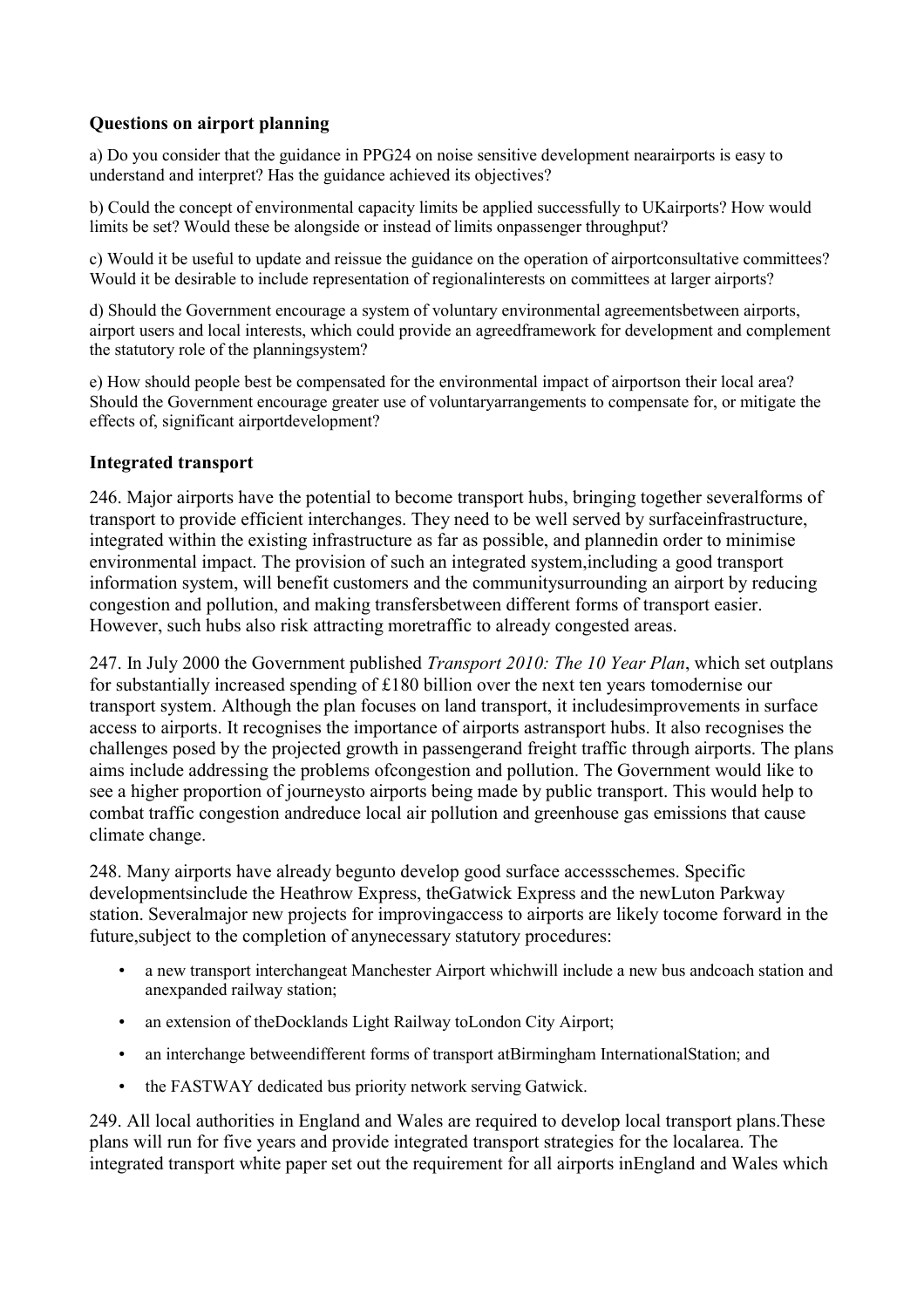# **Questions on airport planning**

a) Do you consider that the guidance in PPG24 on noise sensitive development nearairports is easy to understand and interpret? Has the guidance achieved its objectives?

b) Could the concept of environmental capacity limits be applied successfully to UKairports? How would limits be set? Would these be alongside or instead of limits onpassenger throughput?

c) Would it be useful to update and reissue the guidance on the operation of airportconsultative committees? Would it be desirable to include representation of regionalinterests on committees at larger airports?

d) Should the Government encourage a system of voluntary environmental agreementsbetween airports, airport users and local interests, which could provide an agreedframework for development and complement the statutory role of the planningsystem?

e) How should people best be compensated for the environmental impact of airportson their local area? Should the Government encourage greater use of voluntaryarrangements to compensate for, or mitigate the effects of, significant airportdevelopment?

#### **Integrated transport**

246. Major airports have the potential to become transport hubs, bringing together severalforms of transport to provide efficient interchanges. They need to be well served by surfaceinfrastructure, integrated within the existing infrastructure as far as possible, and plannedin order to minimise environmental impact. The provision of such an integrated system,including a good transport information system, will benefit customers and the communitysurrounding an airport by reducing congestion and pollution, and making transfersbetween different forms of transport easier. However, such hubs also risk attracting moretraffic to already congested areas.

247. In July 2000 the Government published *Transport 2010: The 10 Year Plan*, which set outplans for substantially increased spending of £180 billion over the next ten years tomodernise our transport system. Although the plan focuses on land transport, it includesimprovements in surface access to airports. It recognises the importance of airports astransport hubs. It also recognises the challenges posed by the projected growth in passengerand freight traffic through airports. The plans aims include addressing the problems ofcongestion and pollution. The Government would like to see a higher proportion of journeysto airports being made by public transport. This would help to combat traffic congestion andreduce local air pollution and greenhouse gas emissions that cause climate change.

248. Many airports have already begunto develop good surface accessschemes. Specific developmentsinclude the Heathrow Express, theGatwick Express and the newLuton Parkway station. Severalmajor new projects for improvingaccess to airports are likely tocome forward in the future,subject to the completion of anynecessary statutory procedures:

- a new transport interchangeat Manchester Airport whichwill include a new bus andcoach station and anexpanded railway station;
- an extension of theDocklands Light Railway toLondon City Airport;
- an interchange betweendifferent forms of transport atBirmingham InternationalStation; and
- the FASTWAY dedicated bus priority network serving Gatwick.

249. All local authorities in England and Wales are required to develop local transport plans.These plans will run for five years and provide integrated transport strategies for the localarea. The integrated transport white paper set out the requirement for all airports inEngland and Wales which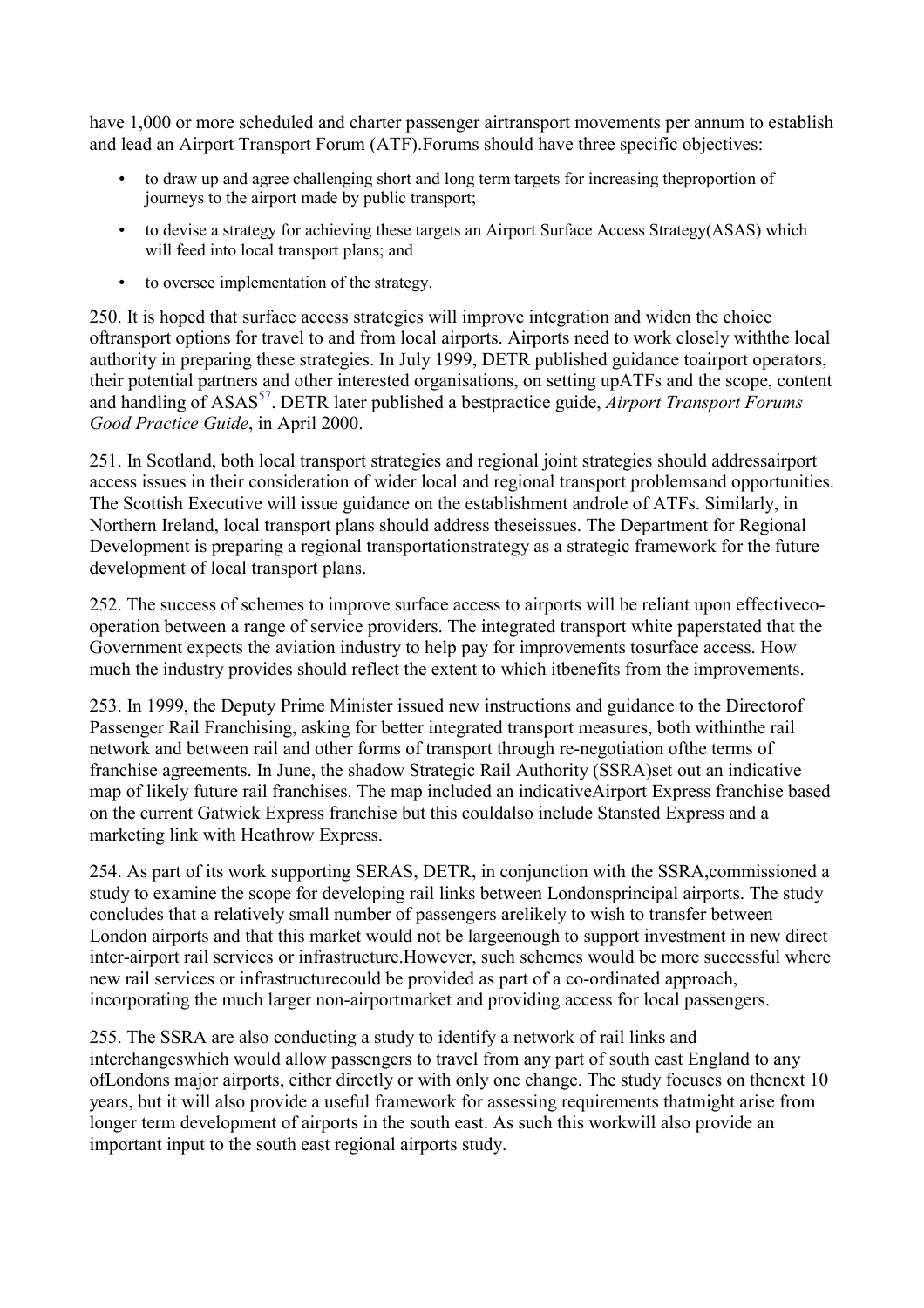have 1,000 or more scheduled and charter passenger airtransport movements per annum to establish and lead an Airport Transport Forum (ATF).Forums should have three specific objectives:

- to draw up and agree challenging short and long term targets for increasing theproportion of journeys to the airport made by public transport;
- to devise a strategy for achieving these targets an Airport Surface Access Strategy(ASAS) which will feed into local transport plans; and
- to oversee implementation of the strategy.

250. It is hoped that surface access strategies will improve integration and widen the choice oftransport options for travel to and from local airports. Airports need to work closely withthe local authority in preparing these strategies. In July 1999, DETR published guidance toairport operators, their potential partners and other interested organisations, on setting upATFs and the scope, content and handling of ASAS<sup>[57](#page-7-0)</sup>. DETR later published a bestpractice guide, *Airport Transport Forums Good Practice Guide*, in April 2000.

251. In Scotland, both local transport strategies and regional joint strategies should addressairport access issues in their consideration of wider local and regional transport problemsand opportunities. The Scottish Executive will issue guidance on the establishment androle of ATFs. Similarly, in Northern Ireland, local transport plans should address theseissues. The Department for Regional Development is preparing a regional transportationstrategy as a strategic framework for the future development of local transport plans.

252. The success of schemes to improve surface access to airports will be reliant upon effectivecooperation between a range of service providers. The integrated transport white paperstated that the Government expects the aviation industry to help pay for improvements tosurface access. How much the industry provides should reflect the extent to which itbenefits from the improvements.

253. In 1999, the Deputy Prime Minister issued new instructions and guidance to the Directorof Passenger Rail Franchising, asking for better integrated transport measures, both withinthe rail network and between rail and other forms of transport through re-negotiation ofthe terms of franchise agreements. In June, the shadow Strategic Rail Authority (SSRA)set out an indicative map of likely future rail franchises. The map included an indicativeAirport Express franchise based on the current Gatwick Express franchise but this couldalso include Stansted Express and a marketing link with Heathrow Express.

254. As part of its work supporting SERAS, DETR, in conjunction with the SSRA,commissioned a study to examine the scope for developing rail links between Londonsprincipal airports. The study concludes that a relatively small number of passengers arelikely to wish to transfer between London airports and that this market would not be largeenough to support investment in new direct inter-airport rail services or infrastructure.However, such schemes would be more successful where new rail services or infrastructurecould be provided as part of a co-ordinated approach, incorporating the much larger non-airportmarket and providing access for local passengers.

255. The SSRA are also conducting a study to identify a network of rail links and interchangeswhich would allow passengers to travel from any part of south east England to any ofLondons major airports, either directly or with only one change. The study focuses on thenext 10 years, but it will also provide a useful framework for assessing requirements thatmight arise from longer term development of airports in the south east. As such this workwill also provide an important input to the south east regional airports study.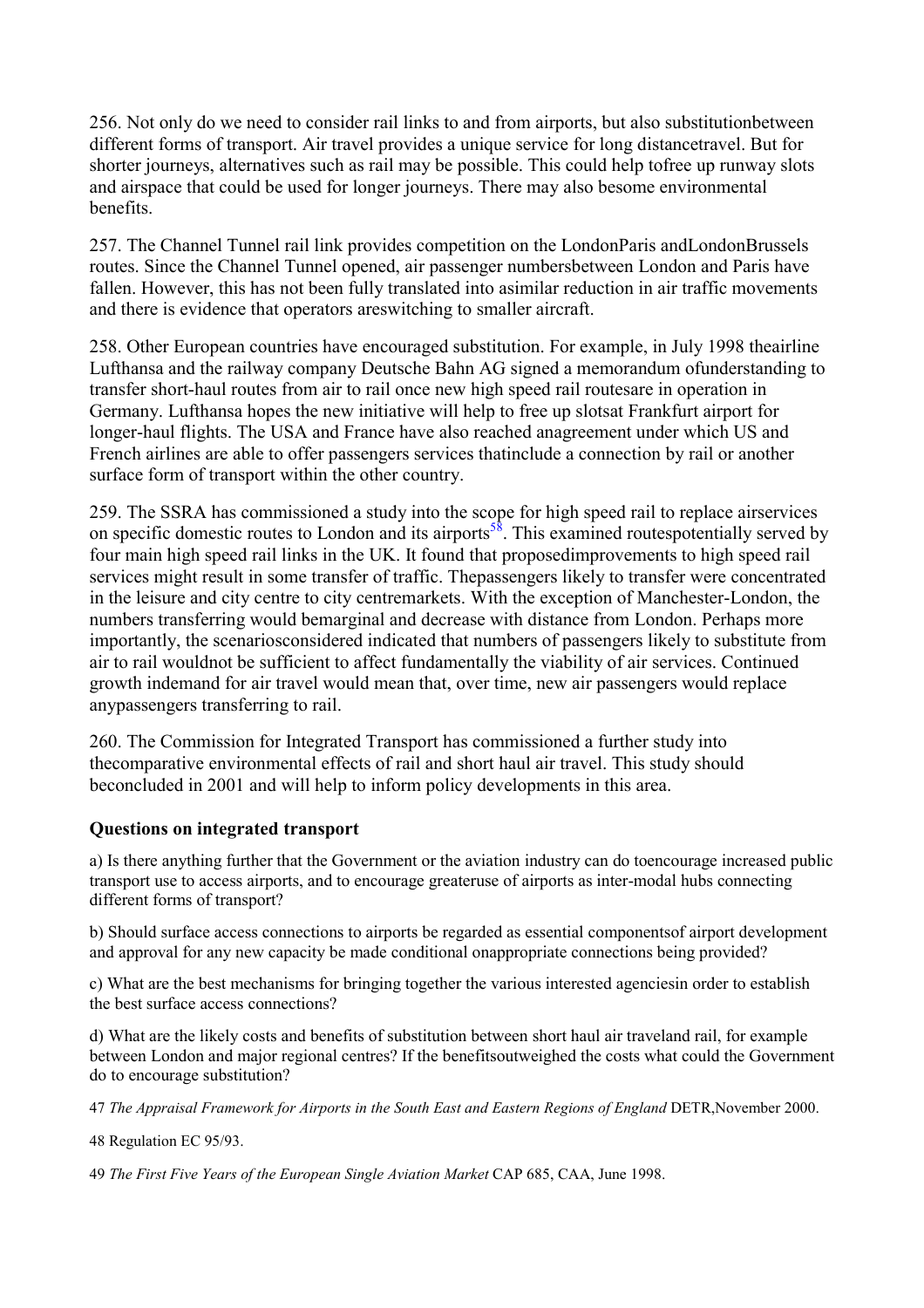256. Not only do we need to consider rail links to and from airports, but also substitutionbetween different forms of transport. Air travel provides a unique service for long distancetravel. But for shorter journeys, alternatives such as rail may be possible. This could help tofree up runway slots and airspace that could be used for longer journeys. There may also besome environmental benefits.

257. The Channel Tunnel rail link provides competition on the LondonParis andLondonBrussels routes. Since the Channel Tunnel opened, air passenger numbersbetween London and Paris have fallen. However, this has not been fully translated into asimilar reduction in air traffic movements and there is evidence that operators areswitching to smaller aircraft.

258. Other European countries have encouraged substitution. For example, in July 1998 theairline Lufthansa and the railway company Deutsche Bahn AG signed a memorandum ofunderstanding to transfer short-haul routes from air to rail once new high speed rail routesare in operation in Germany. Lufthansa hopes the new initiative will help to free up slotsat Frankfurt airport for longer-haul flights. The USA and France have also reached anagreement under which US and French airlines are able to offer passengers services thatinclude a connection by rail or another surface form of transport within the other country.

259. The SSRA has commissioned a study into the scope for high speed rail to replace airservices on specific domestic routes to London and its airports<sup>58</sup>. This examined routespotentially served by four main high speed rail links in the UK. It found that proposedimprovements to high speed rail services might result in some transfer of traffic. Thepassengers likely to transfer were concentrated in the leisure and city centre to city centremarkets. With the exception of Manchester-London, the numbers transferring would bemarginal and decrease with distance from London. Perhaps more importantly, the scenariosconsidered indicated that numbers of passengers likely to substitute from air to rail wouldnot be sufficient to affect fundamentally the viability of air services. Continued growth indemand for air travel would mean that, over time, new air passengers would replace anypassengers transferring to rail.

260. The Commission for Integrated Transport has commissioned a further study into thecomparative environmental effects of rail and short haul air travel. This study should beconcluded in 2001 and will help to inform policy developments in this area.

#### **Questions on integrated transport**

a) Is there anything further that the Government or the aviation industry can do toencourage increased public transport use to access airports, and to encourage greateruse of airports as inter-modal hubs connecting different forms of transport?

b) Should surface access connections to airports be regarded as essential componentsof airport development and approval for any new capacity be made conditional onappropriate connections being provided?

c) What are the best mechanisms for bringing together the various interested agenciesin order to establish the best surface access connections?

d) What are the likely costs and benefits of substitution between short haul air traveland rail, for example between London and major regional centres? If the benefitsoutweighed the costs what could the Government do to encourage substitution?

47 *The Appraisal Framework for Airports in the South East and Eastern Regions of England* DETR,November 2000.

48 Regulation EC 95/93.

49 *The First Five Years of the European Single Aviation Market* CAP 685, CAA, June 1998.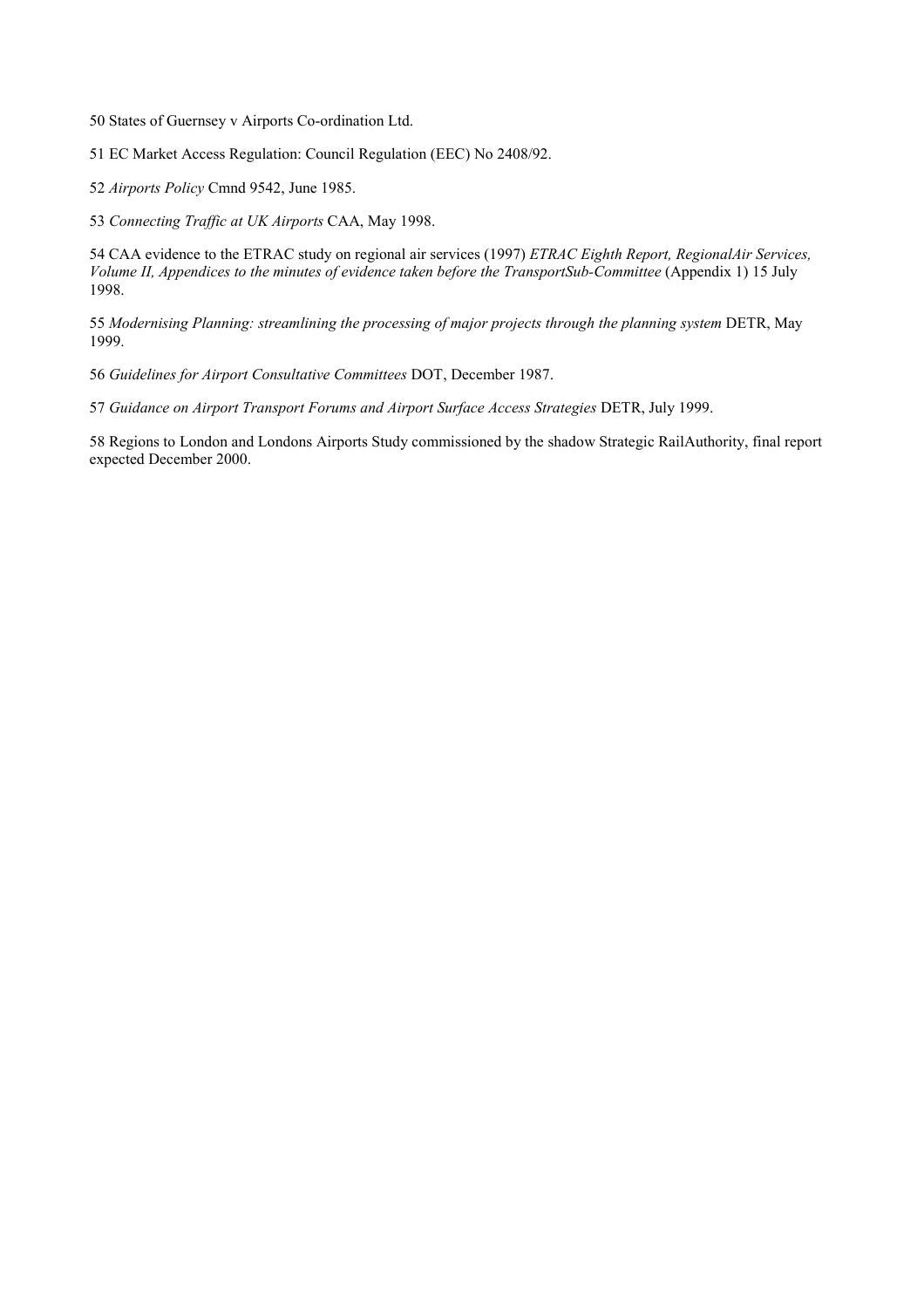50 States of Guernsey v Airports Co-ordination Ltd.

51 EC Market Access Regulation: Council Regulation (EEC) No 2408/92.

52 *Airports Policy* Cmnd 9542, June 1985.

53 *Connecting Traffic at UK Airports* CAA, May 1998.

54 CAA evidence to the ETRAC study on regional air services (1997) *ETRAC Eighth Report, RegionalAir Services, Volume II, Appendices to the minutes of evidence taken before the TransportSub-Committee* (Appendix 1) 15 July 1998.

55 *Modernising Planning: streamlining the processing of major projects through the planning system* DETR, May 1999.

56 *Guidelines for Airport Consultative Committees* DOT, December 1987.

57 *Guidance on Airport Transport Forums and Airport Surface Access Strategies* DETR, July 1999.

58 Regions to London and Londons Airports Study commissioned by the shadow Strategic RailAuthority, final report expected December 2000.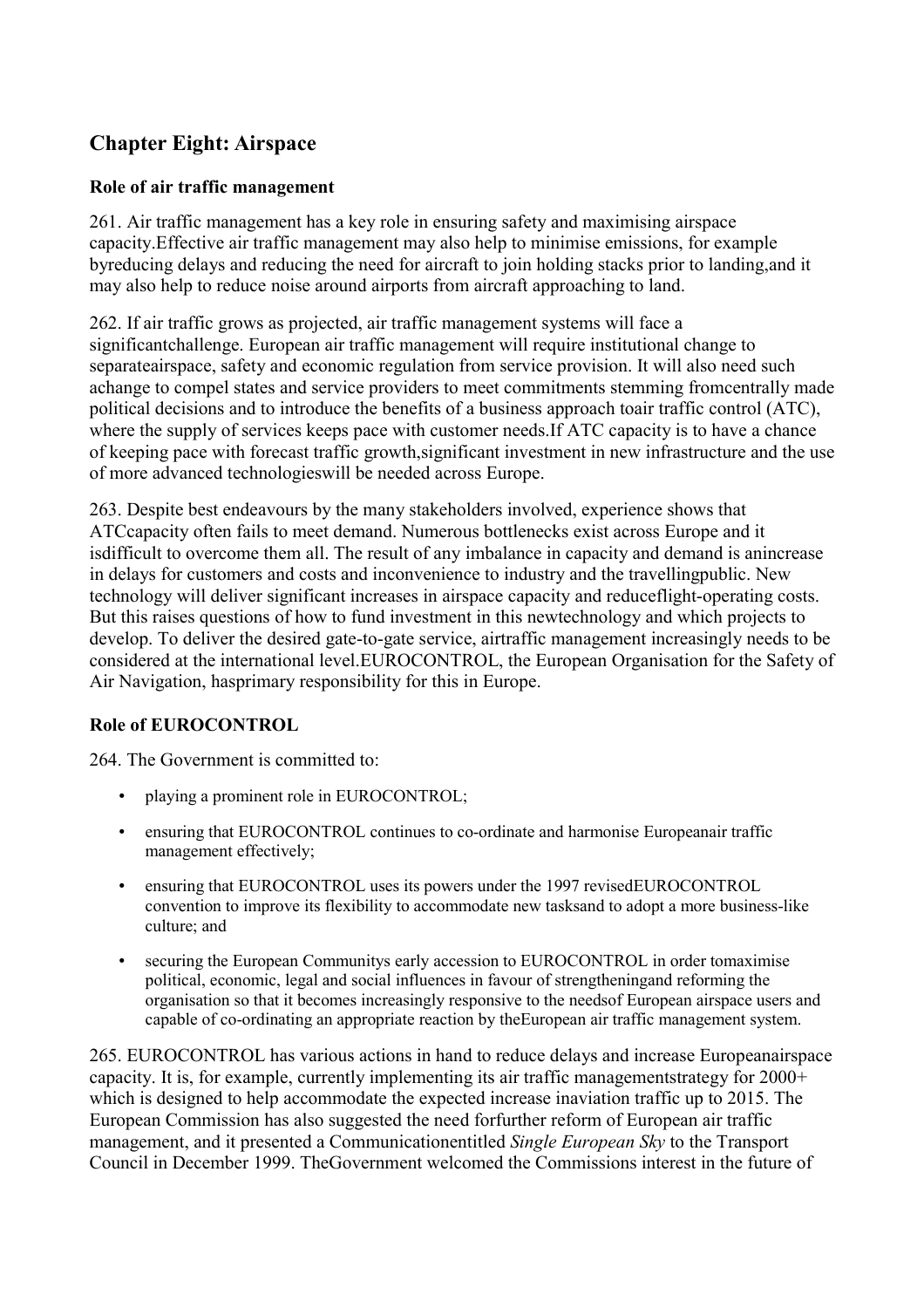# **Chapter Eight: Airspace**

# **Role of air traffic management**

261. Air traffic management has a key role in ensuring safety and maximising airspace capacity.Effective air traffic management may also help to minimise emissions, for example byreducing delays and reducing the need for aircraft to join holding stacks prior to landing,and it may also help to reduce noise around airports from aircraft approaching to land.

262. If air traffic grows as projected, air traffic management systems will face a significantchallenge. European air traffic management will require institutional change to separateairspace, safety and economic regulation from service provision. It will also need such achange to compel states and service providers to meet commitments stemming fromcentrally made political decisions and to introduce the benefits of a business approach toair traffic control (ATC), where the supply of services keeps pace with customer needs.If ATC capacity is to have a chance of keeping pace with forecast traffic growth,significant investment in new infrastructure and the use of more advanced technologieswill be needed across Europe.

263. Despite best endeavours by the many stakeholders involved, experience shows that ATCcapacity often fails to meet demand. Numerous bottlenecks exist across Europe and it isdifficult to overcome them all. The result of any imbalance in capacity and demand is anincrease in delays for customers and costs and inconvenience to industry and the travellingpublic. New technology will deliver significant increases in airspace capacity and reduceflight-operating costs. But this raises questions of how to fund investment in this newtechnology and which projects to develop. To deliver the desired gate-to-gate service, airtraffic management increasingly needs to be considered at the international level.EUROCONTROL, the European Organisation for the Safety of Air Navigation, hasprimary responsibility for this in Europe.

# **Role of EUROCONTROL**

264. The Government is committed to:

- playing a prominent role in EUROCONTROL:
- ensuring that EUROCONTROL continues to co-ordinate and harmonise Europeanair traffic management effectively;
- ensuring that EUROCONTROL uses its powers under the 1997 revisedEUROCONTROL convention to improve its flexibility to accommodate new tasksand to adopt a more business-like culture; and
- securing the European Communitys early accession to EUROCONTROL in order tomaximise political, economic, legal and social influences in favour of strengtheningand reforming the organisation so that it becomes increasingly responsive to the needsof European airspace users and capable of co-ordinating an appropriate reaction by theEuropean air traffic management system.

265. EUROCONTROL has various actions in hand to reduce delays and increase Europeanairspace capacity. It is, for example, currently implementing its air traffic managementstrategy for 2000+ which is designed to help accommodate the expected increase inaviation traffic up to 2015. The European Commission has also suggested the need forfurther reform of European air traffic management, and it presented a Communicationentitled *Single European Sky* to the Transport Council in December 1999. TheGovernment welcomed the Commissions interest in the future of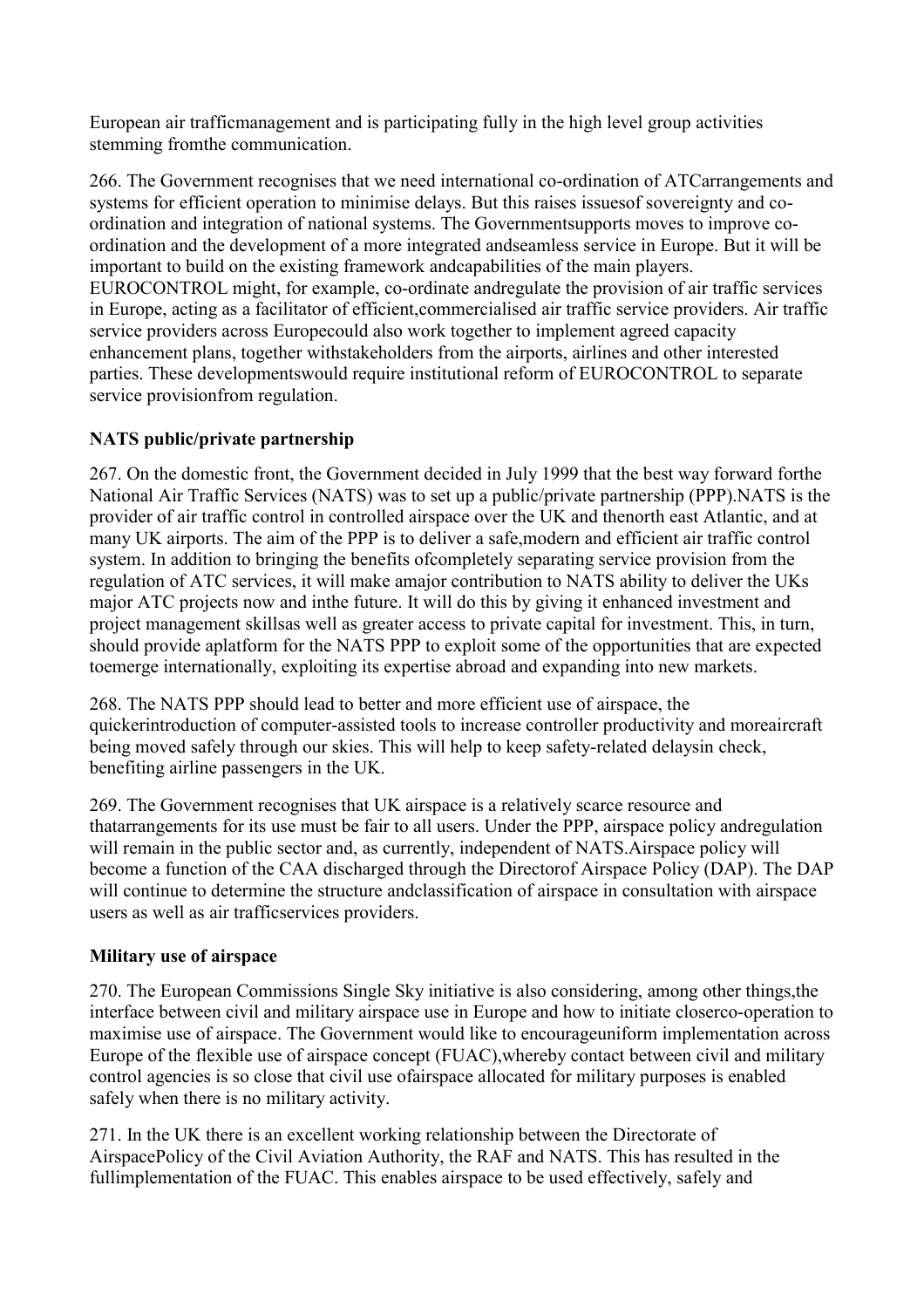European air trafficmanagement and is participating fully in the high level group activities stemming fromthe communication.

266. The Government recognises that we need international co-ordination of ATCarrangements and systems for efficient operation to minimise delays. But this raises issuesof sovereignty and coordination and integration of national systems. The Governmentsupports moves to improve coordination and the development of a more integrated andseamless service in Europe. But it will be important to build on the existing framework andcapabilities of the main players. EUROCONTROL might, for example, co-ordinate andregulate the provision of air traffic services in Europe, acting as a facilitator of efficient,commercialised air traffic service providers. Air traffic service providers across Europecould also work together to implement agreed capacity enhancement plans, together withstakeholders from the airports, airlines and other interested parties. These developmentswould require institutional reform of EUROCONTROL to separate service provisionfrom regulation.

# **NATS public/private partnership**

267. On the domestic front, the Government decided in July 1999 that the best way forward forthe National Air Traffic Services (NATS) was to set up a public/private partnership (PPP).NATS is the provider of air traffic control in controlled airspace over the UK and thenorth east Atlantic, and at many UK airports. The aim of the PPP is to deliver a safe,modern and efficient air traffic control system. In addition to bringing the benefits ofcompletely separating service provision from the regulation of ATC services, it will make amajor contribution to NATS ability to deliver the UKs major ATC projects now and inthe future. It will do this by giving it enhanced investment and project management skillsas well as greater access to private capital for investment. This, in turn, should provide aplatform for the NATS PPP to exploit some of the opportunities that are expected toemerge internationally, exploiting its expertise abroad and expanding into new markets.

268. The NATS PPP should lead to better and more efficient use of airspace, the quickerintroduction of computer-assisted tools to increase controller productivity and moreaircraft being moved safely through our skies. This will help to keep safety-related delaysin check, benefiting airline passengers in the UK.

269. The Government recognises that UK airspace is a relatively scarce resource and thatarrangements for its use must be fair to all users. Under the PPP, airspace policy andregulation will remain in the public sector and, as currently, independent of NATS. Airspace policy will become a function of the CAA discharged through the Directorof Airspace Policy (DAP). The DAP will continue to determine the structure andclassification of airspace in consultation with airspace users as well as air trafficservices providers.

#### **Military use of airspace**

270. The European Commissions Single Sky initiative is also considering, among other things,the interface between civil and military airspace use in Europe and how to initiate closerco-operation to maximise use of airspace. The Government would like to encourageuniform implementation across Europe of the flexible use of airspace concept (FUAC),whereby contact between civil and military control agencies is so close that civil use ofairspace allocated for military purposes is enabled safely when there is no military activity.

271. In the UK there is an excellent working relationship between the Directorate of AirspacePolicy of the Civil Aviation Authority, the RAF and NATS. This has resulted in the fullimplementation of the FUAC. This enables airspace to be used effectively, safely and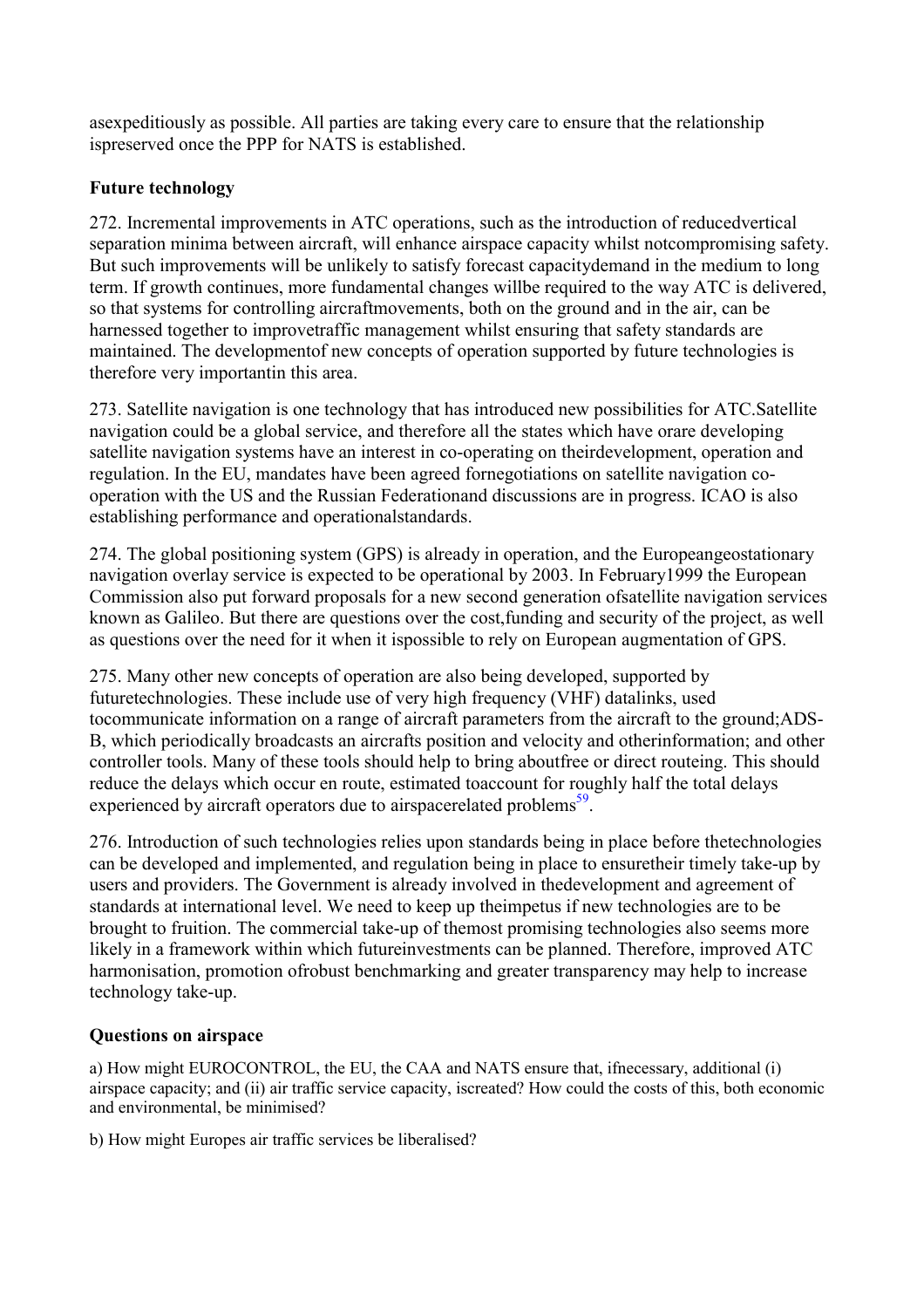asexpeditiously as possible. All parties are taking every care to ensure that the relationship ispreserved once the PPP for NATS is established.

# **Future technology**

272. Incremental improvements in ATC operations, such as the introduction of reducedvertical separation minima between aircraft, will enhance airspace capacity whilst notcompromising safety. But such improvements will be unlikely to satisfy forecast capacitydemand in the medium to long term. If growth continues, more fundamental changes willbe required to the way ATC is delivered, so that systems for controlling aircraftmovements, both on the ground and in the air, can be harnessed together to improvetraffic management whilst ensuring that safety standards are maintained. The developmentof new concepts of operation supported by future technologies is therefore very importantin this area.

273. Satellite navigation is one technology that has introduced new possibilities for ATC.Satellite navigation could be a global service, and therefore all the states which have orare developing satellite navigation systems have an interest in co-operating on theirdevelopment, operation and regulation. In the EU, mandates have been agreed fornegotiations on satellite navigation cooperation with the US and the Russian Federationand discussions are in progress. ICAO is also establishing performance and operationalstandards.

274. The global positioning system (GPS) is already in operation, and the Europeangeostationary navigation overlay service is expected to be operational by 2003. In February1999 the European Commission also put forward proposals for a new second generation ofsatellite navigation services known as Galileo. But there are questions over the cost,funding and security of the project, as well as questions over the need for it when it ispossible to rely on European augmentation of GPS.

275. Many other new concepts of operation are also being developed, supported by futuretechnologies. These include use of very high frequency (VHF) datalinks, used tocommunicate information on a range of aircraft parameters from the aircraft to the ground;ADS-B, which periodically broadcasts an aircrafts position and velocity and otherinformation; and other controller tools. Many of these tools should help to bring aboutfree or direct routeing. This should reduce the delays which occur en route, estimated toaccount for roughly half the total delays experienced by aircraft operators due to airspacerelated problems<sup>59</sup>.

276. Introduction of such technologies relies upon standards being in place before thetechnologies can be developed and implemented, and regulation being in place to ensuretheir timely take-up by users and providers. The Government is already involved in thedevelopment and agreement of standards at international level. We need to keep up theimpetus if new technologies are to be brought to fruition. The commercial take-up of themost promising technologies also seems more likely in a framework within which futureinvestments can be planned. Therefore, improved ATC harmonisation, promotion ofrobust benchmarking and greater transparency may help to increase technology take-up.

# **Questions on airspace**

a) How might EUROCONTROL, the EU, the CAA and NATS ensure that, ifnecessary, additional (i) airspace capacity; and (ii) air traffic service capacity, iscreated? How could the costs of this, both economic and environmental, be minimised?

b) How might Europes air traffic services be liberalised?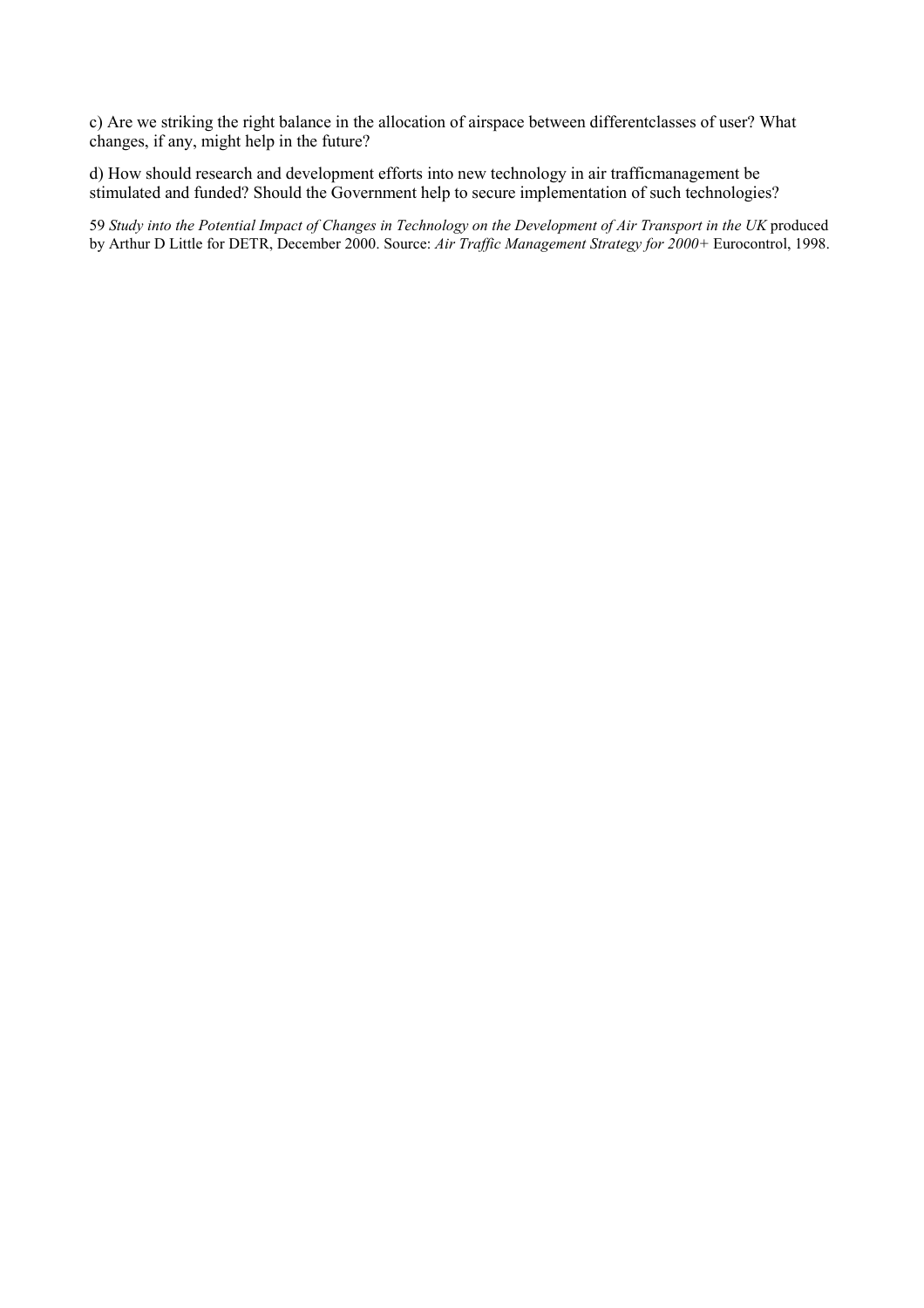c) Are we striking the right balance in the allocation of airspace between differentclasses of user? What changes, if any, might help in the future?

d) How should research and development efforts into new technology in air trafficmanagement be stimulated and funded? Should the Government help to secure implementation of such technologies?

59 *Study into the Potential Impact of Changes in Technology on the Development of Air Transport in the UK* produced by Arthur D Little for DETR, December 2000. Source: *Air Traffic Management Strategy for 2000+* Eurocontrol, 1998.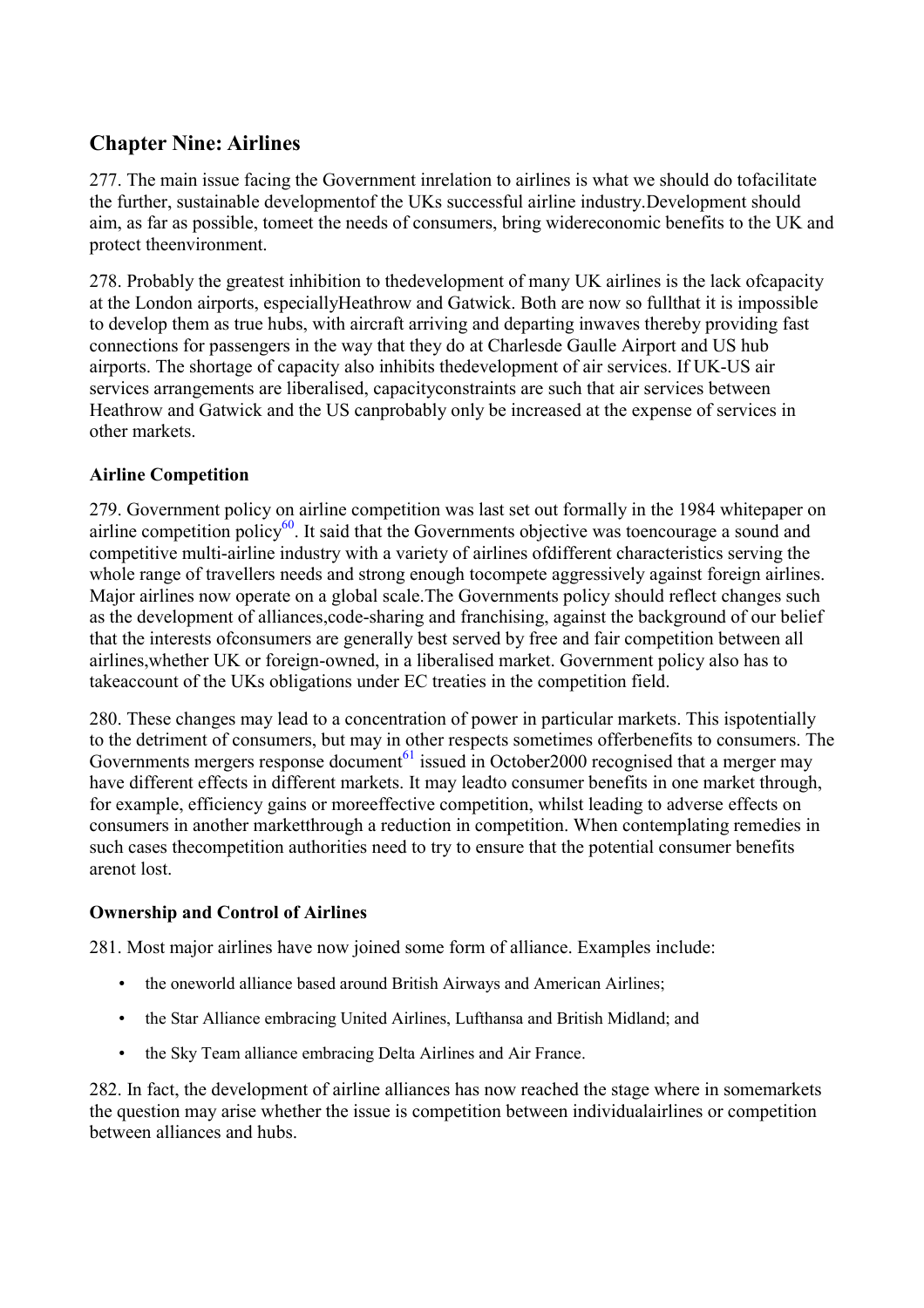# **Chapter Nine: Airlines**

277. The main issue facing the Government inrelation to airlines is what we should do tofacilitate the further, sustainable developmentof the UKs successful airline industry.Development should aim, as far as possible, tomeet the needs of consumers, bring widereconomic benefits to the UK and protect theenvironment.

278. Probably the greatest inhibition to thedevelopment of many UK airlines is the lack ofcapacity at the London airports, especiallyHeathrow and Gatwick. Both are now so fullthat it is impossible to develop them as true hubs, with aircraft arriving and departing inwaves thereby providing fast connections for passengers in the way that they do at Charlesde Gaulle Airport and US hub airports. The shortage of capacity also inhibits thedevelopment of air services. If UK-US air services arrangements are liberalised, capacityconstraints are such that air services between Heathrow and Gatwick and the US canprobably only be increased at the expense of services in other markets.

# **Airline Competition**

279. Government policy on airline competition was last set out formally in the 1984 whitepaper on airline competition policy<sup>60</sup>. It said that the Governments objective was toencourage a sound and competitive multi-airline industry with a variety of airlines ofdifferent characteristics serving the whole range of travellers needs and strong enough tocompete aggressively against foreign airlines. Major airlines now operate on a global scale.The Governments policy should reflect changes such as the development of alliances,code-sharing and franchising, against the background of our belief that the interests ofconsumers are generally best served by free and fair competition between all airlines,whether UK or foreign-owned, in a liberalised market. Government policy also has to takeaccount of the UKs obligations under EC treaties in the competition field.

280. These changes may lead to a concentration of power in particular markets. This ispotentially to the detriment of consumers, but may in other respects sometimes offerbenefits to consumers. The Governments mergers response document<sup>[61](#page-7-0)</sup> issued in October 2000 recognised that a merger may have different effects in different markets. It may leadto consumer benefits in one market through, for example, efficiency gains or moreeffective competition, whilst leading to adverse effects on consumers in another marketthrough a reduction in competition. When contemplating remedies in such cases thecompetition authorities need to try to ensure that the potential consumer benefits arenot lost.

#### **Ownership and Control of Airlines**

281. Most major airlines have now joined some form of alliance. Examples include:

- the oneworld alliance based around British Airways and American Airlines;
- the Star Alliance embracing United Airlines, Lufthansa and British Midland; and
- the Sky Team alliance embracing Delta Airlines and Air France.

282. In fact, the development of airline alliances has now reached the stage where in somemarkets the question may arise whether the issue is competition between individualairlines or competition between alliances and hubs.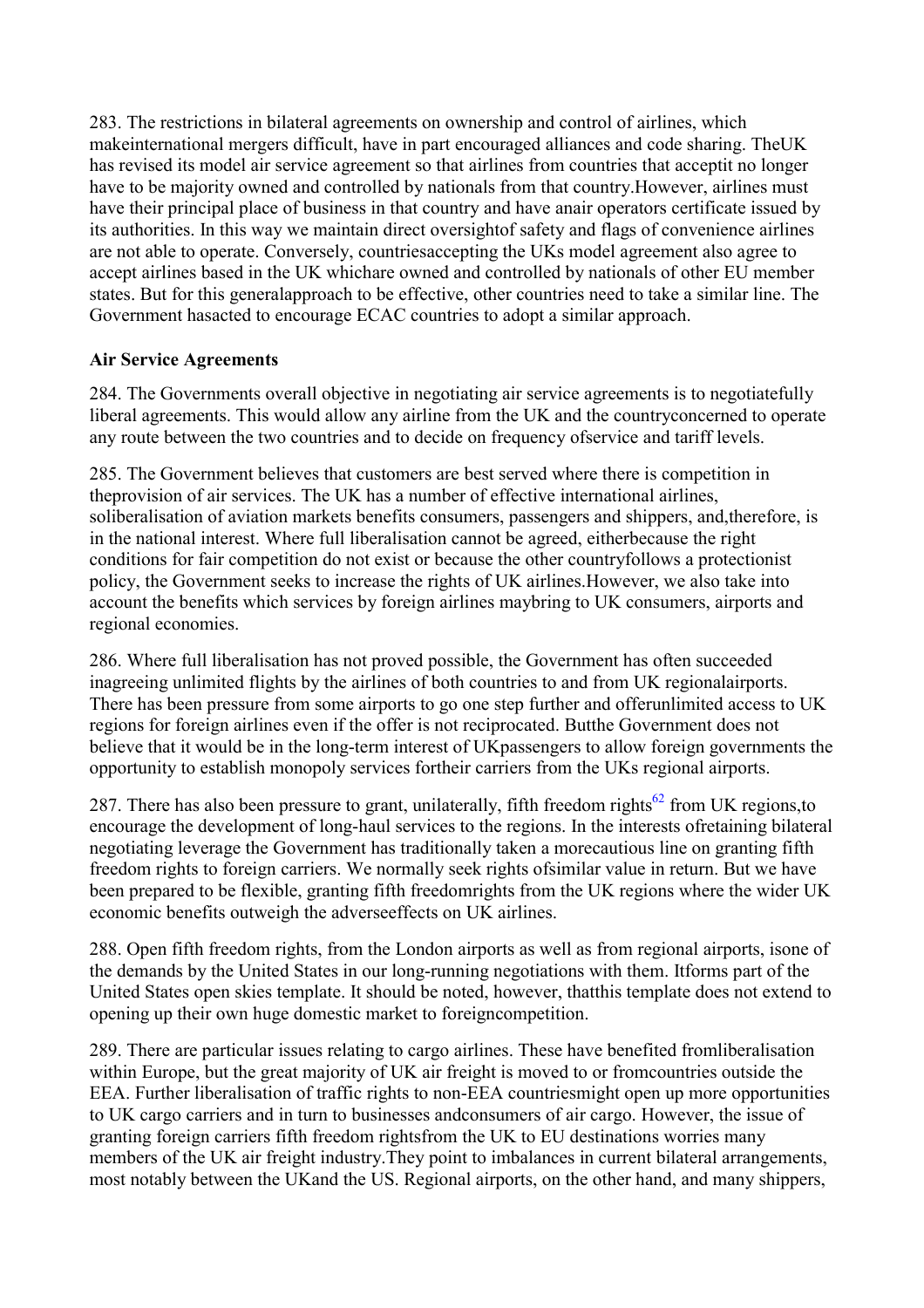283. The restrictions in bilateral agreements on ownership and control of airlines, which makeinternational mergers difficult, have in part encouraged alliances and code sharing. TheUK has revised its model air service agreement so that airlines from countries that acceptit no longer have to be majority owned and controlled by nationals from that country.However, airlines must have their principal place of business in that country and have anair operators certificate issued by its authorities. In this way we maintain direct oversightof safety and flags of convenience airlines are not able to operate. Conversely, countriesaccepting the UKs model agreement also agree to accept airlines based in the UK whichare owned and controlled by nationals of other EU member states. But for this generalapproach to be effective, other countries need to take a similar line. The Government hasacted to encourage ECAC countries to adopt a similar approach.

# **Air Service Agreements**

284. The Governments overall objective in negotiating air service agreements is to negotiatefully liberal agreements. This would allow any airline from the UK and the countryconcerned to operate any route between the two countries and to decide on frequency ofservice and tariff levels.

285. The Government believes that customers are best served where there is competition in theprovision of air services. The UK has a number of effective international airlines, soliberalisation of aviation markets benefits consumers, passengers and shippers, and,therefore, is in the national interest. Where full liberalisation cannot be agreed, eitherbecause the right conditions for fair competition do not exist or because the other countryfollows a protectionist policy, the Government seeks to increase the rights of UK airlines.However, we also take into account the benefits which services by foreign airlines maybring to UK consumers, airports and regional economies.

286. Where full liberalisation has not proved possible, the Government has often succeeded inagreeing unlimited flights by the airlines of both countries to and from UK regionalairports. There has been pressure from some airports to go one step further and offerunlimited access to UK regions for foreign airlines even if the offer is not reciprocated. Butthe Government does not believe that it would be in the long-term interest of UKpassengers to allow foreign governments the opportunity to establish monopoly services fortheir carriers from the UKs regional airports.

287. There has also been pressure to grant, unilaterally, fifth freedom rights<sup>62</sup> from UK regions, to encourage the development of long-haul services to the regions. In the interests ofretaining bilateral negotiating leverage the Government has traditionally taken a morecautious line on granting fifth freedom rights to foreign carriers. We normally seek rights ofsimilar value in return. But we have been prepared to be flexible, granting fifth freedomrights from the UK regions where the wider UK economic benefits outweigh the adverseeffects on UK airlines.

288. Open fifth freedom rights, from the London airports as well as from regional airports, isone of the demands by the United States in our long-running negotiations with them. Itforms part of the United States open skies template. It should be noted, however, thatthis template does not extend to opening up their own huge domestic market to foreigncompetition.

289. There are particular issues relating to cargo airlines. These have benefited fromliberalisation within Europe, but the great majority of UK air freight is moved to or fromcountries outside the EEA. Further liberalisation of traffic rights to non-EEA countriesmight open up more opportunities to UK cargo carriers and in turn to businesses andconsumers of air cargo. However, the issue of granting foreign carriers fifth freedom rightsfrom the UK to EU destinations worries many members of the UK air freight industry.They point to imbalances in current bilateral arrangements, most notably between the UKand the US. Regional airports, on the other hand, and many shippers,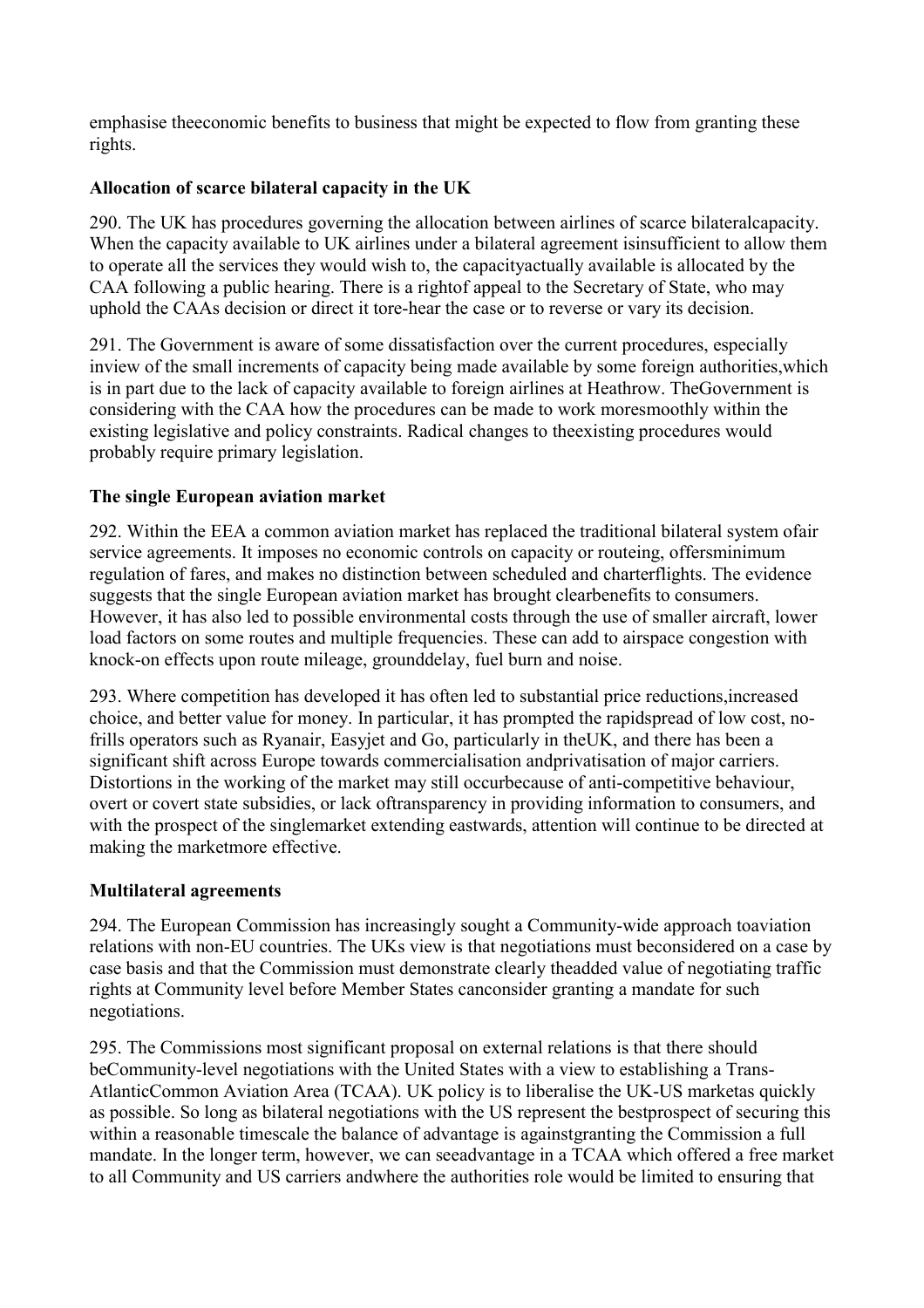emphasise theeconomic benefits to business that might be expected to flow from granting these rights.

# **Allocation of scarce bilateral capacity in the UK**

290. The UK has procedures governing the allocation between airlines of scarce bilateralcapacity. When the capacity available to UK airlines under a bilateral agreement isinsufficient to allow them to operate all the services they would wish to, the capacityactually available is allocated by the CAA following a public hearing. There is a rightof appeal to the Secretary of State, who may uphold the CAAs decision or direct it tore-hear the case or to reverse or vary its decision.

291. The Government is aware of some dissatisfaction over the current procedures, especially inview of the small increments of capacity being made available by some foreign authorities,which is in part due to the lack of capacity available to foreign airlines at Heathrow. TheGovernment is considering with the CAA how the procedures can be made to work moresmoothly within the existing legislative and policy constraints. Radical changes to theexisting procedures would probably require primary legislation.

# **The single European aviation market**

292. Within the EEA a common aviation market has replaced the traditional bilateral system ofair service agreements. It imposes no economic controls on capacity or routeing, offersminimum regulation of fares, and makes no distinction between scheduled and charterflights. The evidence suggests that the single European aviation market has brought clearbenefits to consumers. However, it has also led to possible environmental costs through the use of smaller aircraft, lower load factors on some routes and multiple frequencies. These can add to airspace congestion with knock-on effects upon route mileage, grounddelay, fuel burn and noise.

293. Where competition has developed it has often led to substantial price reductions,increased choice, and better value for money. In particular, it has prompted the rapidspread of low cost, nofrills operators such as Ryanair, Easyjet and Go, particularly in theUK, and there has been a significant shift across Europe towards commercialisation andprivatisation of major carriers. Distortions in the working of the market may still occurbecause of anti-competitive behaviour, overt or covert state subsidies, or lack oftransparency in providing information to consumers, and with the prospect of the singlemarket extending eastwards, attention will continue to be directed at making the marketmore effective.

#### **Multilateral agreements**

294. The European Commission has increasingly sought a Community-wide approach toaviation relations with non-EU countries. The UKs view is that negotiations must beconsidered on a case by case basis and that the Commission must demonstrate clearly theadded value of negotiating traffic rights at Community level before Member States canconsider granting a mandate for such negotiations.

295. The Commissions most significant proposal on external relations is that there should beCommunity-level negotiations with the United States with a view to establishing a Trans-AtlanticCommon Aviation Area (TCAA). UK policy is to liberalise the UK-US marketas quickly as possible. So long as bilateral negotiations with the US represent the bestprospect of securing this within a reasonable timescale the balance of advantage is againstgranting the Commission a full mandate. In the longer term, however, we can seeadvantage in a TCAA which offered a free market to all Community and US carriers andwhere the authorities role would be limited to ensuring that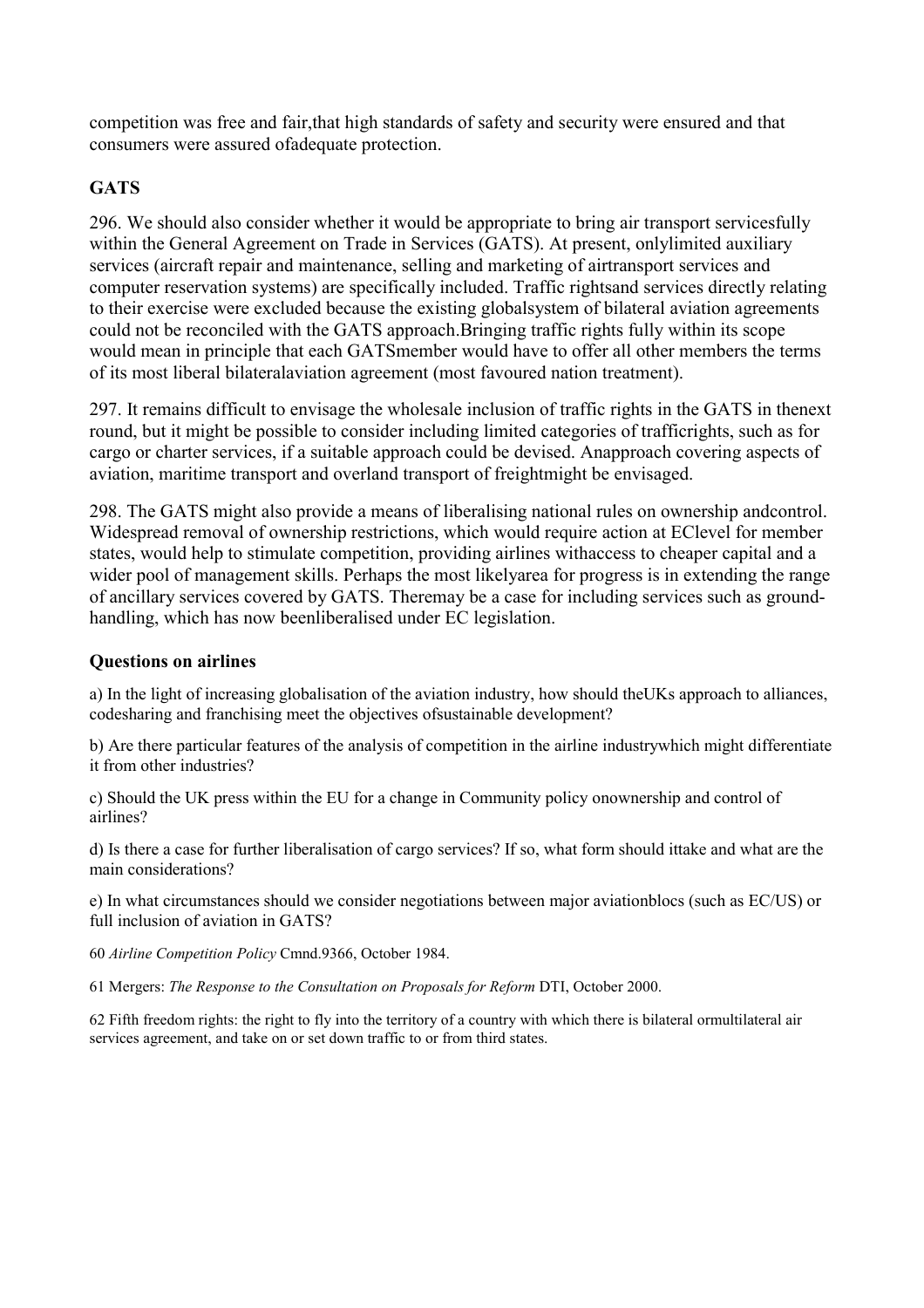competition was free and fair,that high standards of safety and security were ensured and that consumers were assured ofadequate protection.

# **GATS**

296. We should also consider whether it would be appropriate to bring air transport servicesfully within the General Agreement on Trade in Services (GATS). At present, onlylimited auxiliary services (aircraft repair and maintenance, selling and marketing of airtransport services and computer reservation systems) are specifically included. Traffic rightsand services directly relating to their exercise were excluded because the existing globalsystem of bilateral aviation agreements could not be reconciled with the GATS approach.Bringing traffic rights fully within its scope would mean in principle that each GATSmember would have to offer all other members the terms of its most liberal bilateralaviation agreement (most favoured nation treatment).

297. It remains difficult to envisage the wholesale inclusion of traffic rights in the GATS in thenext round, but it might be possible to consider including limited categories of trafficrights, such as for cargo or charter services, if a suitable approach could be devised. Anapproach covering aspects of aviation, maritime transport and overland transport of freightmight be envisaged.

298. The GATS might also provide a means of liberalising national rules on ownership andcontrol. Widespread removal of ownership restrictions, which would require action at EClevel for member states, would help to stimulate competition, providing airlines withaccess to cheaper capital and a wider pool of management skills. Perhaps the most likelyarea for progress is in extending the range of ancillary services covered by GATS. Theremay be a case for including services such as groundhandling, which has now beenliberalised under EC legislation.

#### **Questions on airlines**

a) In the light of increasing globalisation of the aviation industry, how should theUKs approach to alliances, codesharing and franchising meet the objectives ofsustainable development?

b) Are there particular features of the analysis of competition in the airline industrywhich might differentiate it from other industries?

c) Should the UK press within the EU for a change in Community policy onownership and control of airlines?

d) Is there a case for further liberalisation of cargo services? If so, what form should ittake and what are the main considerations?

e) In what circumstances should we consider negotiations between major aviationblocs (such as EC/US) or full inclusion of aviation in GATS?

60 *Airline Competition Policy* Cmnd.9366, October 1984.

61 Mergers: *The Response to the Consultation on Proposals for Reform* DTI, October 2000.

62 Fifth freedom rights: the right to fly into the territory of a country with which there is bilateral ormultilateral air services agreement, and take on or set down traffic to or from third states.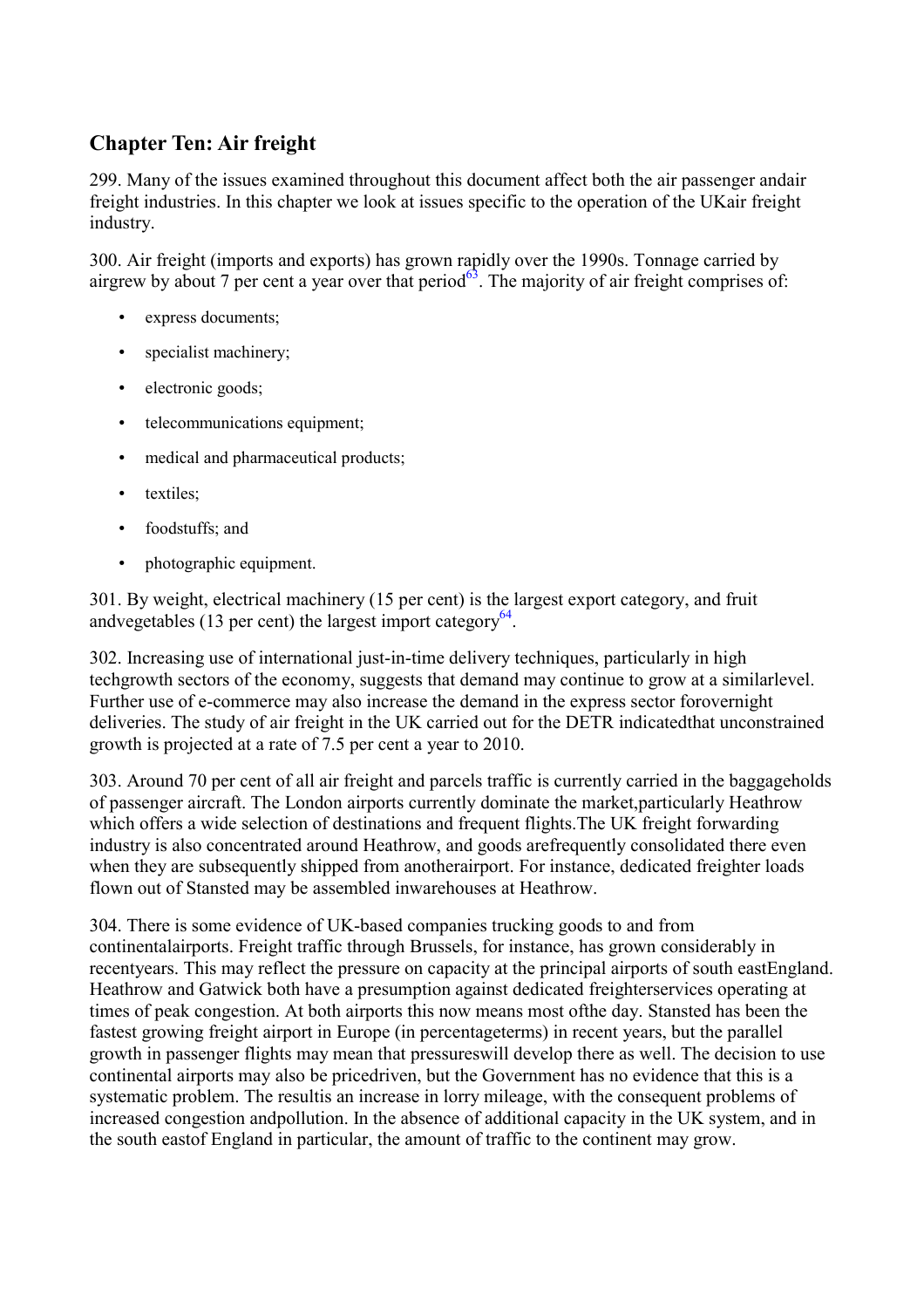# **Chapter Ten: Air freight**

299. Many of the issues examined throughout this document affect both the air passenger andair freight industries. In this chapter we look at issues specific to the operation of the UKair freight industry.

300. Air freight (imports and exports) has grown rapidly over the 1990s. Tonnage carried by airgrew by about 7 per cent a year over that period $^{63}$ . The majority of air freight comprises of:

- express documents:
- specialist machinery;
- electronic goods;
- telecommunications equipment;
- medical and pharmaceutical products;
- textiles:
- foodstuffs; and
- photographic equipment.

301. By weight, electrical machinery (15 per cent) is the largest export category, and fruit andvegetables (13 per cent) the largest import category<sup>64</sup>.

302. Increasing use of international just-in-time delivery techniques, particularly in high techgrowth sectors of the economy, suggests that demand may continue to grow at a similarlevel. Further use of e-commerce may also increase the demand in the express sector forovernight deliveries. The study of air freight in the UK carried out for the DETR indicatedthat unconstrained growth is projected at a rate of 7.5 per cent a year to 2010.

303. Around 70 per cent of all air freight and parcels traffic is currently carried in the baggageholds of passenger aircraft. The London airports currently dominate the market,particularly Heathrow which offers a wide selection of destinations and frequent flights.The UK freight forwarding industry is also concentrated around Heathrow, and goods arefrequently consolidated there even when they are subsequently shipped from anotherairport. For instance, dedicated freighter loads flown out of Stansted may be assembled inwarehouses at Heathrow.

304. There is some evidence of UK-based companies trucking goods to and from continentalairports. Freight traffic through Brussels, for instance, has grown considerably in recentyears. This may reflect the pressure on capacity at the principal airports of south eastEngland. Heathrow and Gatwick both have a presumption against dedicated freighterservices operating at times of peak congestion. At both airports this now means most ofthe day. Stansted has been the fastest growing freight airport in Europe (in percentageterms) in recent years, but the parallel growth in passenger flights may mean that pressureswill develop there as well. The decision to use continental airports may also be pricedriven, but the Government has no evidence that this is a systematic problem. The resultis an increase in lorry mileage, with the consequent problems of increased congestion andpollution. In the absence of additional capacity in the UK system, and in the south eastof England in particular, the amount of traffic to the continent may grow.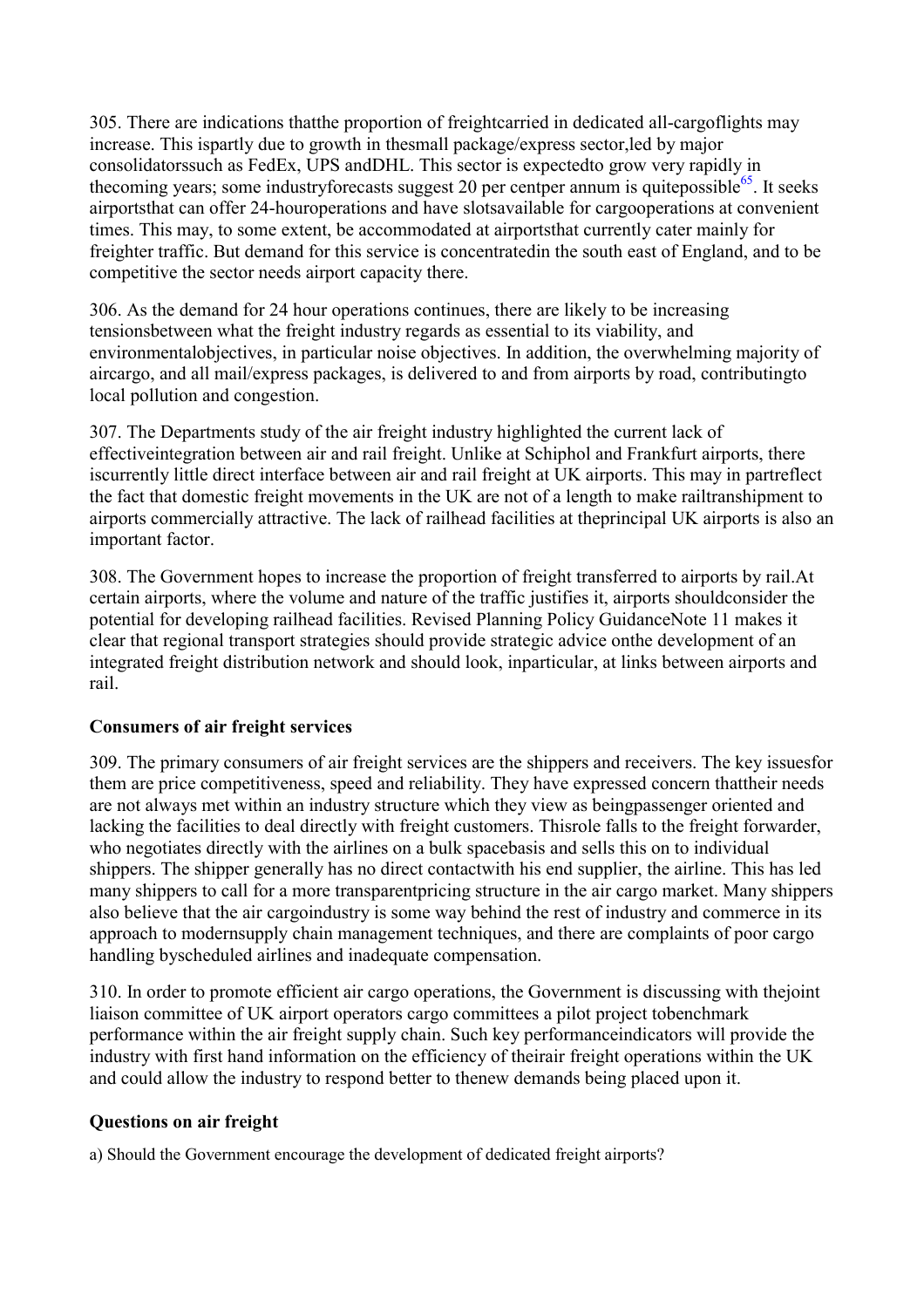305. There are indications thatthe proportion of freightcarried in dedicated all-cargoflights may increase. This ispartly due to growth in thesmall package/express sector,led by major consolidatorssuch as FedEx, UPS andDHL. This sector is expectedto grow very rapidly in the coming years; some industryfore casts suggest 20 per cent per annum is quite possible<sup>65</sup>. It seeks airportsthat can offer 24-houroperations and have slotsavailable for cargooperations at convenient times. This may, to some extent, be accommodated at airportsthat currently cater mainly for freighter traffic. But demand for this service is concentratedin the south east of England, and to be competitive the sector needs airport capacity there.

306. As the demand for 24 hour operations continues, there are likely to be increasing tensionsbetween what the freight industry regards as essential to its viability, and environmentalobjectives, in particular noise objectives. In addition, the overwhelming majority of aircargo, and all mail/express packages, is delivered to and from airports by road, contributingto local pollution and congestion.

307. The Departments study of the air freight industry highlighted the current lack of effectiveintegration between air and rail freight. Unlike at Schiphol and Frankfurt airports, there iscurrently little direct interface between air and rail freight at UK airports. This may in partreflect the fact that domestic freight movements in the UK are not of a length to make railtranshipment to airports commercially attractive. The lack of railhead facilities at theprincipal UK airports is also an important factor.

308. The Government hopes to increase the proportion of freight transferred to airports by rail.At certain airports, where the volume and nature of the traffic justifies it, airports shouldconsider the potential for developing railhead facilities. Revised Planning Policy GuidanceNote 11 makes it clear that regional transport strategies should provide strategic advice onthe development of an integrated freight distribution network and should look, inparticular, at links between airports and rail.

#### **Consumers of air freight services**

309. The primary consumers of air freight services are the shippers and receivers. The key issuesfor them are price competitiveness, speed and reliability. They have expressed concern thattheir needs are not always met within an industry structure which they view as beingpassenger oriented and lacking the facilities to deal directly with freight customers. Thisrole falls to the freight forwarder, who negotiates directly with the airlines on a bulk spacebasis and sells this on to individual shippers. The shipper generally has no direct contactwith his end supplier, the airline. This has led many shippers to call for a more transparentpricing structure in the air cargo market. Many shippers also believe that the air cargoindustry is some way behind the rest of industry and commerce in its approach to modernsupply chain management techniques, and there are complaints of poor cargo handling byscheduled airlines and inadequate compensation.

310. In order to promote efficient air cargo operations, the Government is discussing with thejoint liaison committee of UK airport operators cargo committees a pilot project tobenchmark performance within the air freight supply chain. Such key performanceindicators will provide the industry with first hand information on the efficiency of theirair freight operations within the UK and could allow the industry to respond better to thenew demands being placed upon it.

#### **Questions on air freight**

a) Should the Government encourage the development of dedicated freight airports?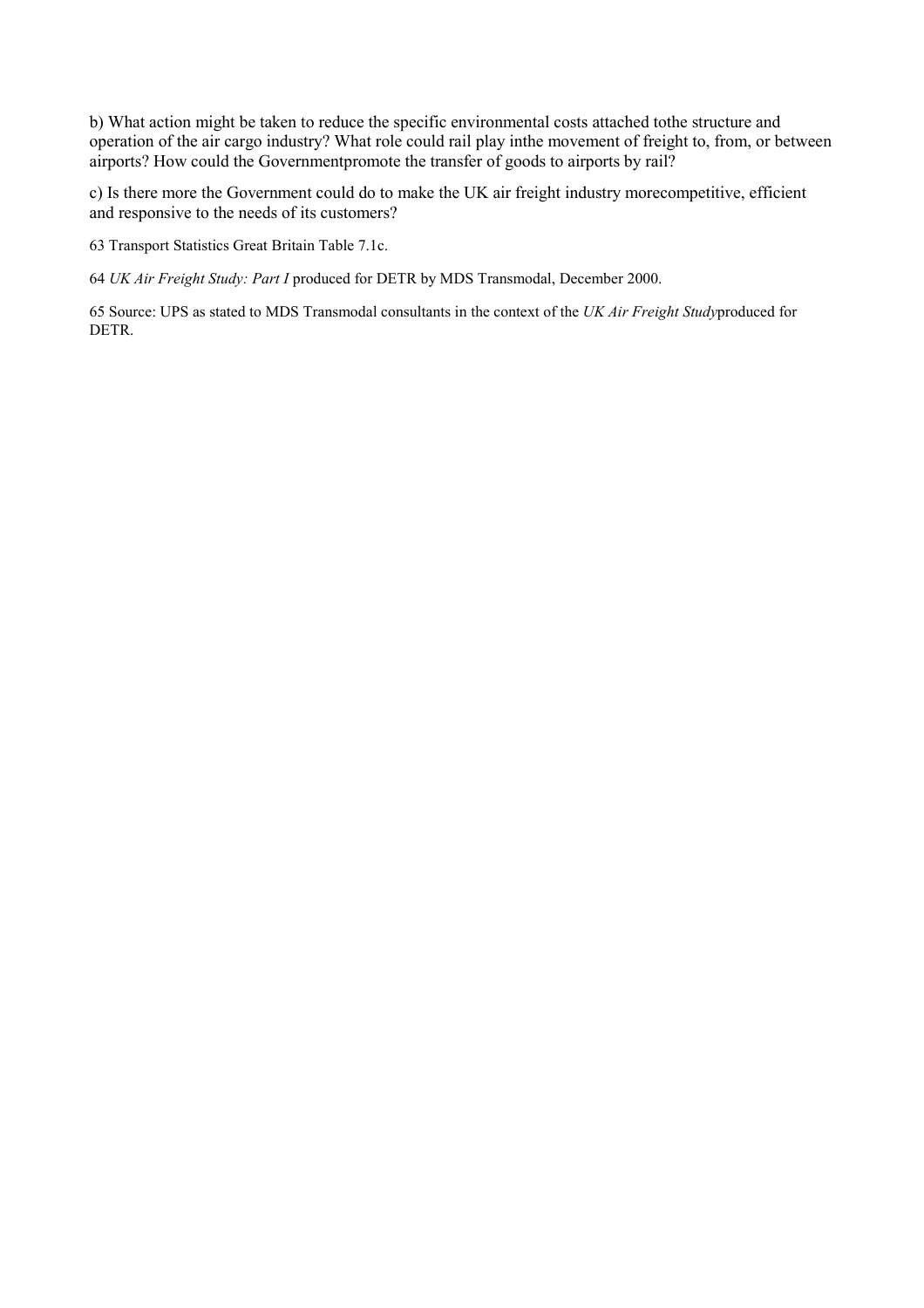b) What action might be taken to reduce the specific environmental costs attached tothe structure and operation of the air cargo industry? What role could rail play inthe movement of freight to, from, or between airports? How could the Governmentpromote the transfer of goods to airports by rail?

c) Is there more the Government could do to make the UK air freight industry morecompetitive, efficient and responsive to the needs of its customers?

63 Transport Statistics Great Britain Table 7.1c.

64 *UK Air Freight Study: Part I* produced for DETR by MDS Transmodal, December 2000.

65 Source: UPS as stated to MDS Transmodal consultants in the context of the *UK Air Freight Study*produced for DETR.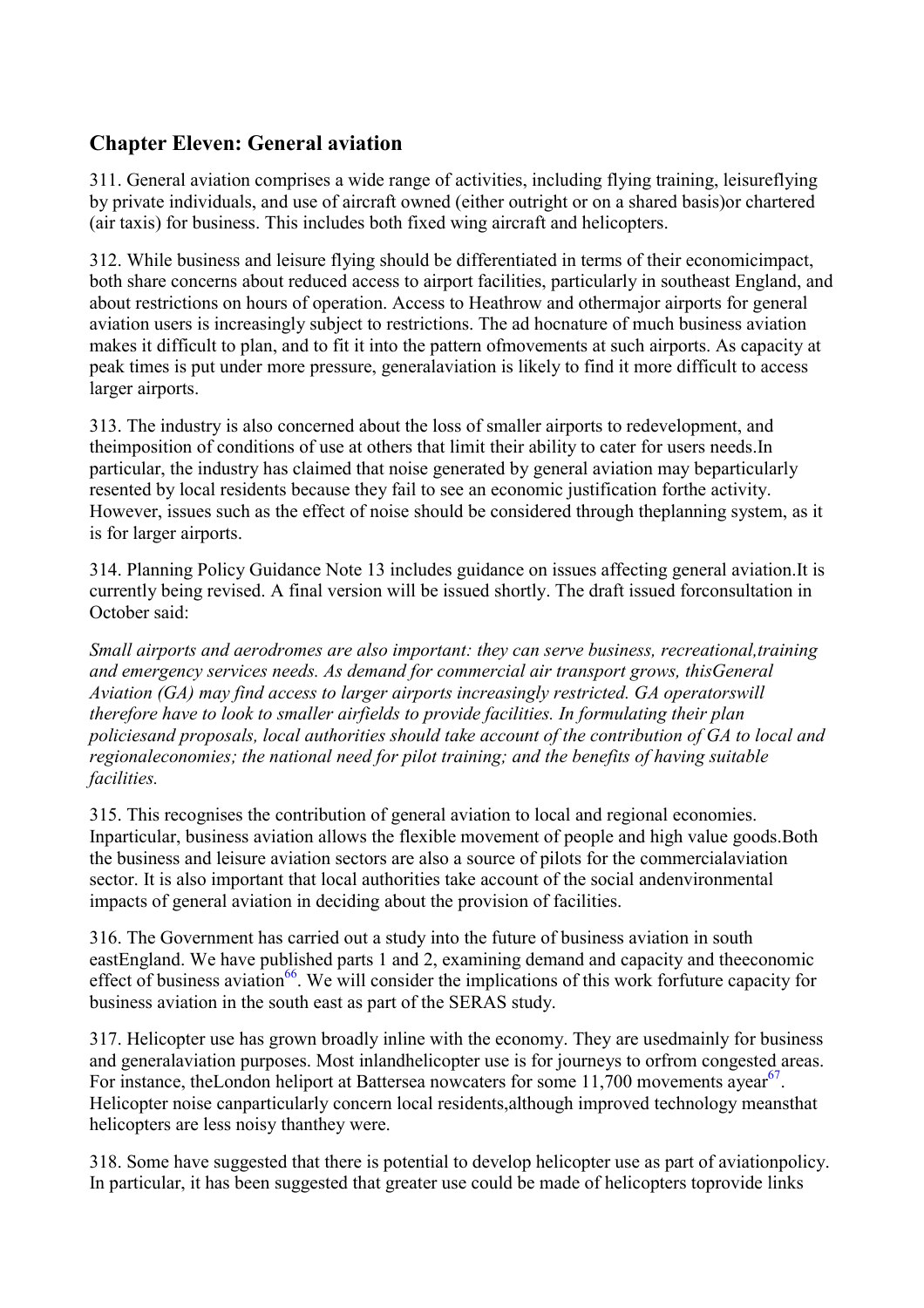# **Chapter Eleven: General aviation**

311. General aviation comprises a wide range of activities, including flying training, leisureflying by private individuals, and use of aircraft owned (either outright or on a shared basis)or chartered (air taxis) for business. This includes both fixed wing aircraft and helicopters.

312. While business and leisure flying should be differentiated in terms of their economicimpact, both share concerns about reduced access to airport facilities, particularly in southeast England, and about restrictions on hours of operation. Access to Heathrow and othermajor airports for general aviation users is increasingly subject to restrictions. The ad hocnature of much business aviation makes it difficult to plan, and to fit it into the pattern ofmovements at such airports. As capacity at peak times is put under more pressure, generalaviation is likely to find it more difficult to access larger airports.

313. The industry is also concerned about the loss of smaller airports to redevelopment, and theimposition of conditions of use at others that limit their ability to cater for users needs.In particular, the industry has claimed that noise generated by general aviation may beparticularly resented by local residents because they fail to see an economic justification forthe activity. However, issues such as the effect of noise should be considered through theplanning system, as it is for larger airports.

314. Planning Policy Guidance Note 13 includes guidance on issues affecting general aviation.It is currently being revised. A final version will be issued shortly. The draft issued forconsultation in October said:

*Small airports and aerodromes are also important: they can serve business, recreational,training and emergency services needs. As demand for commercial air transport grows, thisGeneral Aviation (GA) may find access to larger airports increasingly restricted. GA operatorswill therefore have to look to smaller airfields to provide facilities. In formulating their plan policiesand proposals, local authorities should take account of the contribution of GA to local and regionaleconomies; the national need for pilot training; and the benefits of having suitable facilities.*

315. This recognises the contribution of general aviation to local and regional economies. Inparticular, business aviation allows the flexible movement of people and high value goods.Both the business and leisure aviation sectors are also a source of pilots for the commercialaviation sector. It is also important that local authorities take account of the social andenvironmental impacts of general aviation in deciding about the provision of facilities.

316. The Government has carried out a study into the future of business aviation in south eastEngland. We have published parts 1 and 2, examining demand and capacity and theeconomic effect of business aviation<sup>66</sup>. We will consider the implications of this work for future capacity for business aviation in the south east as part of the SERAS study.

317. Helicopter use has grown broadly inline with the economy. They are usedmainly for business and generalaviation purposes. Most inlandhelicopter use is for journeys to orfrom congested areas. For instance, the London heliport at Battersea nowcaters for some  $11,700$  movements ayear<sup>67</sup>. Helicopter noise canparticularly concern local residents,although improved technology meansthat helicopters are less noisy thanthey were.

318. Some have suggested that there is potential to develop helicopter use as part of aviationpolicy. In particular, it has been suggested that greater use could be made of helicopters toprovide links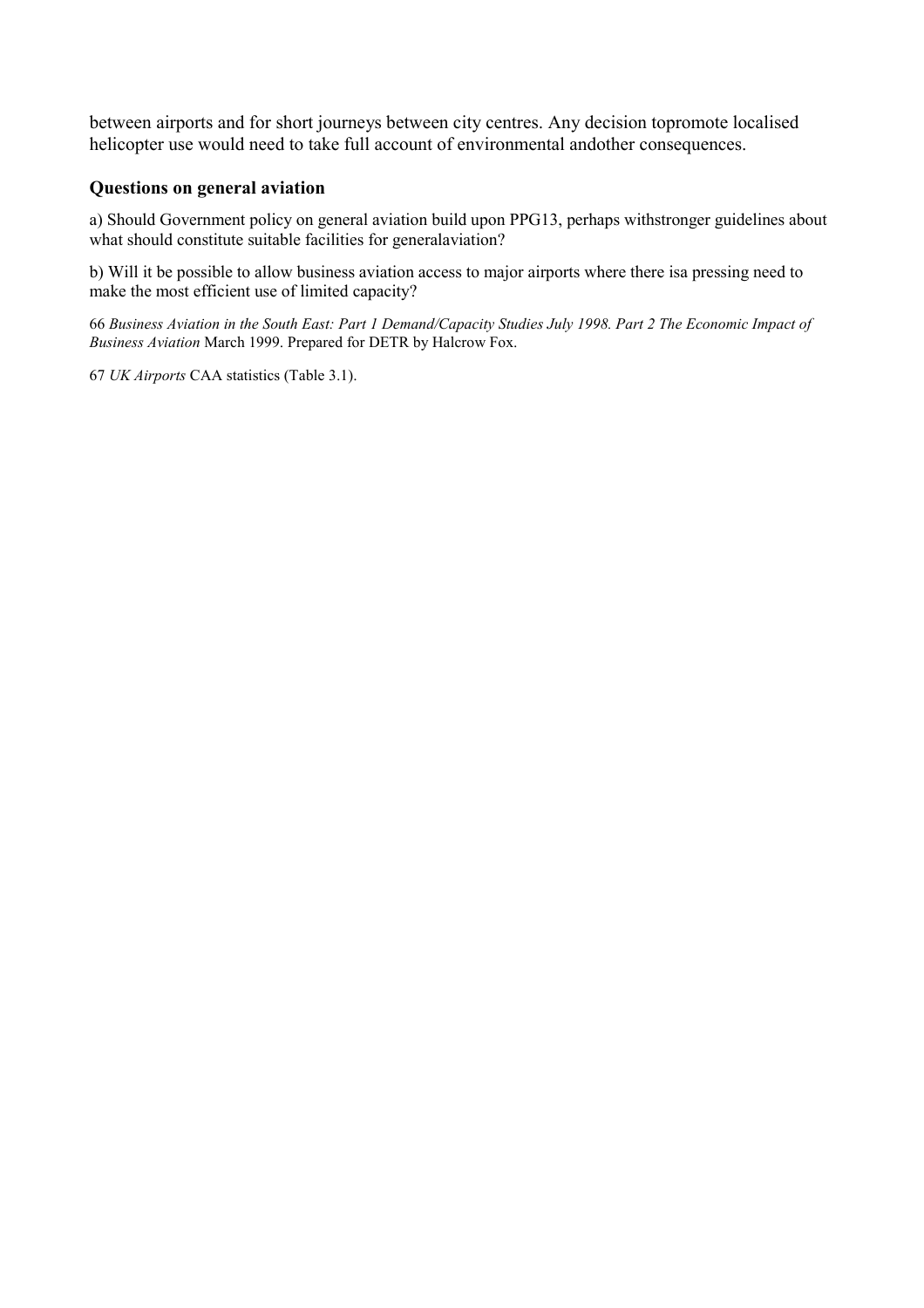between airports and for short journeys between city centres. Any decision topromote localised helicopter use would need to take full account of environmental andother consequences.

#### **Questions on general aviation**

a) Should Government policy on general aviation build upon PPG13, perhaps withstronger guidelines about what should constitute suitable facilities for generalaviation?

b) Will it be possible to allow business aviation access to major airports where there isa pressing need to make the most efficient use of limited capacity?

66 *Business Aviation in the South East: Part 1 Demand/Capacity Studies July 1998. Part 2 The Economic Impact of Business Aviation* March 1999. Prepared for DETR by Halcrow Fox.

67 *UK Airports* CAA statistics (Table 3.1).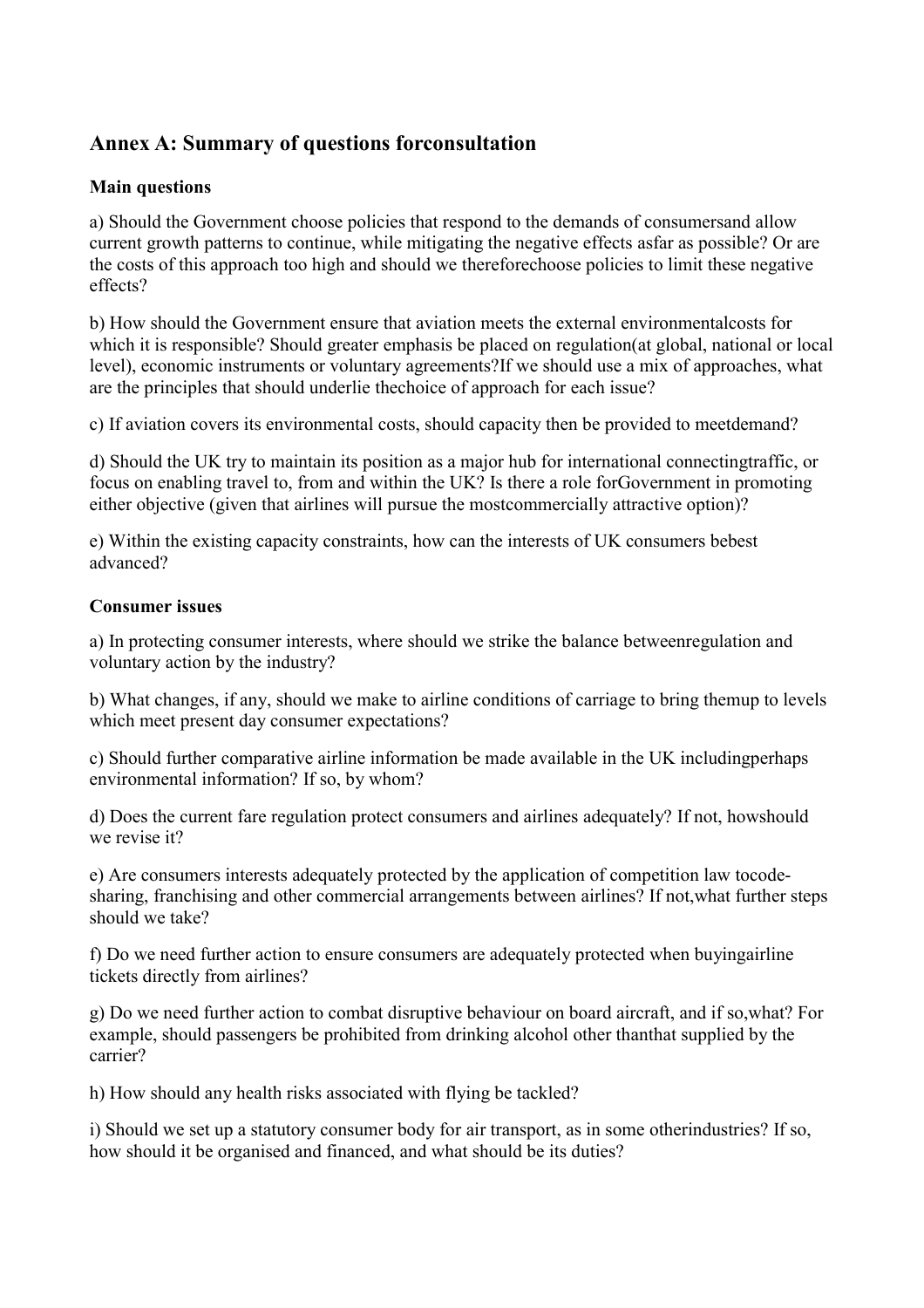# **Annex A: Summary of questions forconsultation**

#### **Main questions**

a) Should the Government choose policies that respond to the demands of consumersand allow current growth patterns to continue, while mitigating the negative effects asfar as possible? Or are the costs of this approach too high and should we thereforechoose policies to limit these negative effects?

b) How should the Government ensure that aviation meets the external environmentalcosts for which it is responsible? Should greater emphasis be placed on regulation(at global, national or local level), economic instruments or voluntary agreements?If we should use a mix of approaches, what are the principles that should underlie thechoice of approach for each issue?

c) If aviation covers its environmental costs, should capacity then be provided to meetdemand?

d) Should the UK try to maintain its position as a major hub for international connectingtraffic, or focus on enabling travel to, from and within the UK? Is there a role forGovernment in promoting either objective (given that airlines will pursue the mostcommercially attractive option)?

e) Within the existing capacity constraints, how can the interests of UK consumers bebest advanced?

# **Consumer issues**

a) In protecting consumer interests, where should we strike the balance betweenregulation and voluntary action by the industry?

b) What changes, if any, should we make to airline conditions of carriage to bring themup to levels which meet present day consumer expectations?

c) Should further comparative airline information be made available in the UK includingperhaps environmental information? If so, by whom?

d) Does the current fare regulation protect consumers and airlines adequately? If not, howshould we revise it?

e) Are consumers interests adequately protected by the application of competition law tocodesharing, franchising and other commercial arrangements between airlines? If not,what further steps should we take?

f) Do we need further action to ensure consumers are adequately protected when buyingairline tickets directly from airlines?

g) Do we need further action to combat disruptive behaviour on board aircraft, and if so,what? For example, should passengers be prohibited from drinking alcohol other thanthat supplied by the carrier?

h) How should any health risks associated with flying be tackled?

i) Should we set up a statutory consumer body for air transport, as in some otherindustries? If so, how should it be organised and financed, and what should be its duties?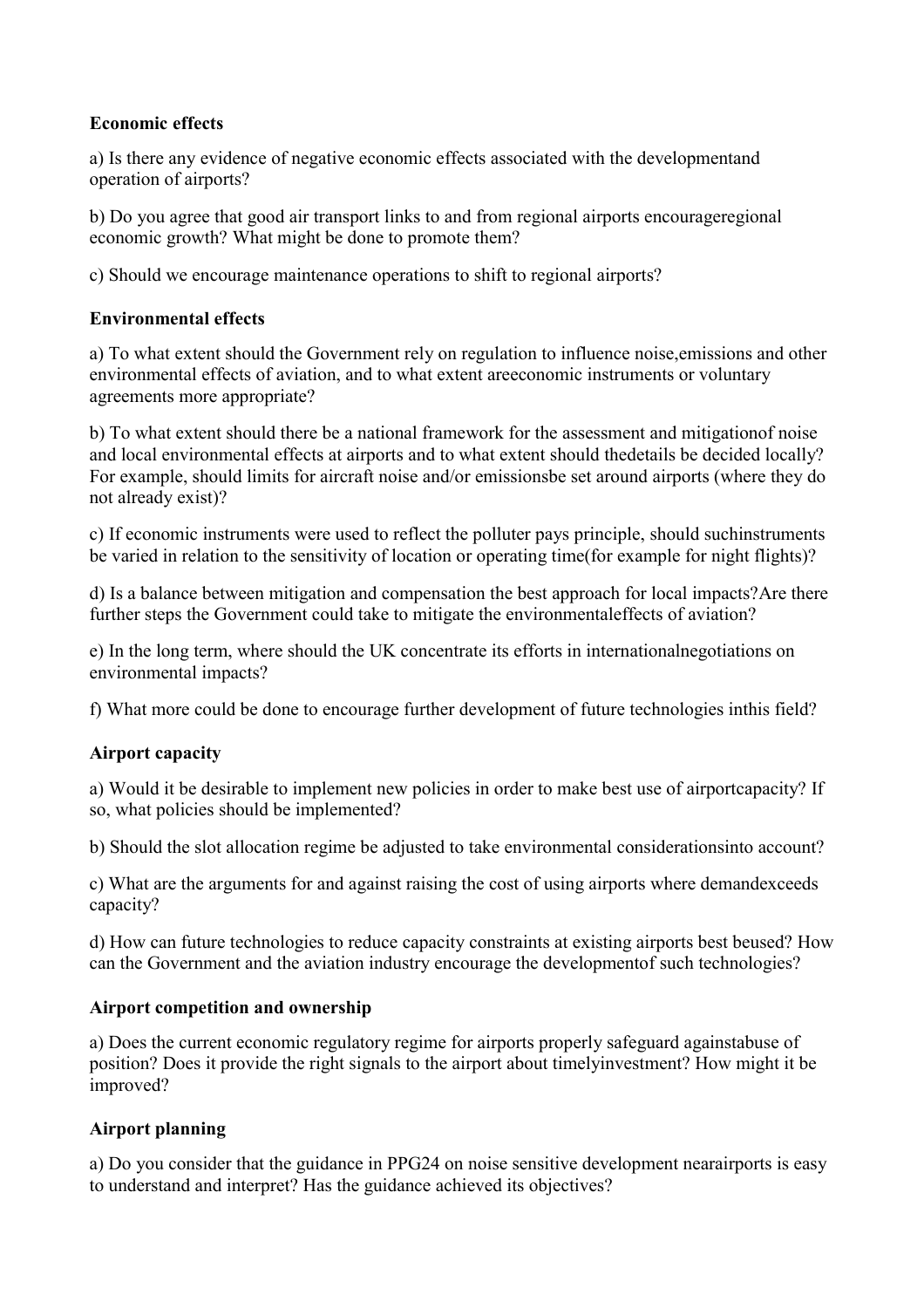#### **Economic effects**

a) Is there any evidence of negative economic effects associated with the developmentand operation of airports?

b) Do you agree that good air transport links to and from regional airports encourageregional economic growth? What might be done to promote them?

c) Should we encourage maintenance operations to shift to regional airports?

#### **Environmental effects**

a) To what extent should the Government rely on regulation to influence noise,emissions and other environmental effects of aviation, and to what extent areeconomic instruments or voluntary agreements more appropriate?

b) To what extent should there be a national framework for the assessment and mitigationof noise and local environmental effects at airports and to what extent should thedetails be decided locally? For example, should limits for aircraft noise and/or emissionsbe set around airports (where they do not already exist)?

c) If economic instruments were used to reflect the polluter pays principle, should suchinstruments be varied in relation to the sensitivity of location or operating time(for example for night flights)?

d) Is a balance between mitigation and compensation the best approach for local impacts?Are there further steps the Government could take to mitigate the environmentaleffects of aviation?

e) In the long term, where should the UK concentrate its efforts in internationalnegotiations on environmental impacts?

f) What more could be done to encourage further development of future technologies inthis field?

#### **Airport capacity**

a) Would it be desirable to implement new policies in order to make best use of airportcapacity? If so, what policies should be implemented?

b) Should the slot allocation regime be adjusted to take environmental considerationsinto account?

c) What are the arguments for and against raising the cost of using airports where demandexceeds capacity?

d) How can future technologies to reduce capacity constraints at existing airports best beused? How can the Government and the aviation industry encourage the developmentof such technologies?

#### **Airport competition and ownership**

a) Does the current economic regulatory regime for airports properly safeguard againstabuse of position? Does it provide the right signals to the airport about timelyinvestment? How might it be improved?

#### **Airport planning**

a) Do you consider that the guidance in PPG24 on noise sensitive development nearairports is easy to understand and interpret? Has the guidance achieved its objectives?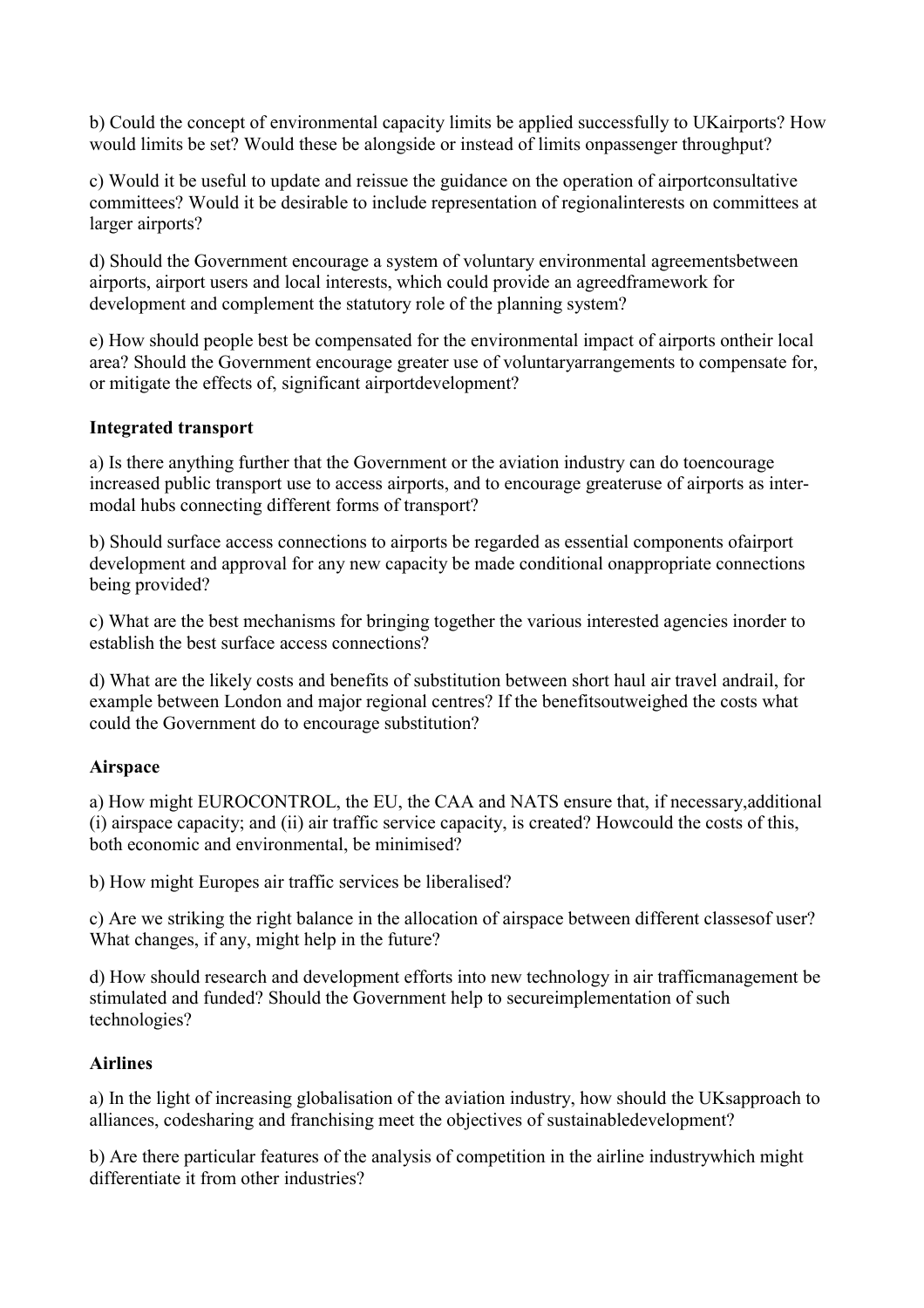b) Could the concept of environmental capacity limits be applied successfully to UKairports? How would limits be set? Would these be alongside or instead of limits onpassenger throughput?

c) Would it be useful to update and reissue the guidance on the operation of airportconsultative committees? Would it be desirable to include representation of regionalinterests on committees at larger airports?

d) Should the Government encourage a system of voluntary environmental agreementsbetween airports, airport users and local interests, which could provide an agreedframework for development and complement the statutory role of the planning system?

e) How should people best be compensated for the environmental impact of airports ontheir local area? Should the Government encourage greater use of voluntaryarrangements to compensate for, or mitigate the effects of, significant airportdevelopment?

#### **Integrated transport**

a) Is there anything further that the Government or the aviation industry can do toencourage increased public transport use to access airports, and to encourage greateruse of airports as intermodal hubs connecting different forms of transport?

b) Should surface access connections to airports be regarded as essential components ofairport development and approval for any new capacity be made conditional onappropriate connections being provided?

c) What are the best mechanisms for bringing together the various interested agencies inorder to establish the best surface access connections?

d) What are the likely costs and benefits of substitution between short haul air travel andrail, for example between London and major regional centres? If the benefitsoutweighed the costs what could the Government do to encourage substitution?

#### **Airspace**

a) How might EUROCONTROL, the EU, the CAA and NATS ensure that, if necessary,additional (i) airspace capacity; and (ii) air traffic service capacity, is created? Howcould the costs of this, both economic and environmental, be minimised?

b) How might Europes air traffic services be liberalised?

c) Are we striking the right balance in the allocation of airspace between different classesof user? What changes, if any, might help in the future?

d) How should research and development efforts into new technology in air trafficmanagement be stimulated and funded? Should the Government help to secureimplementation of such technologies?

# **Airlines**

a) In the light of increasing globalisation of the aviation industry, how should the UKsapproach to alliances, codesharing and franchising meet the objectives of sustainabledevelopment?

b) Are there particular features of the analysis of competition in the airline industrywhich might differentiate it from other industries?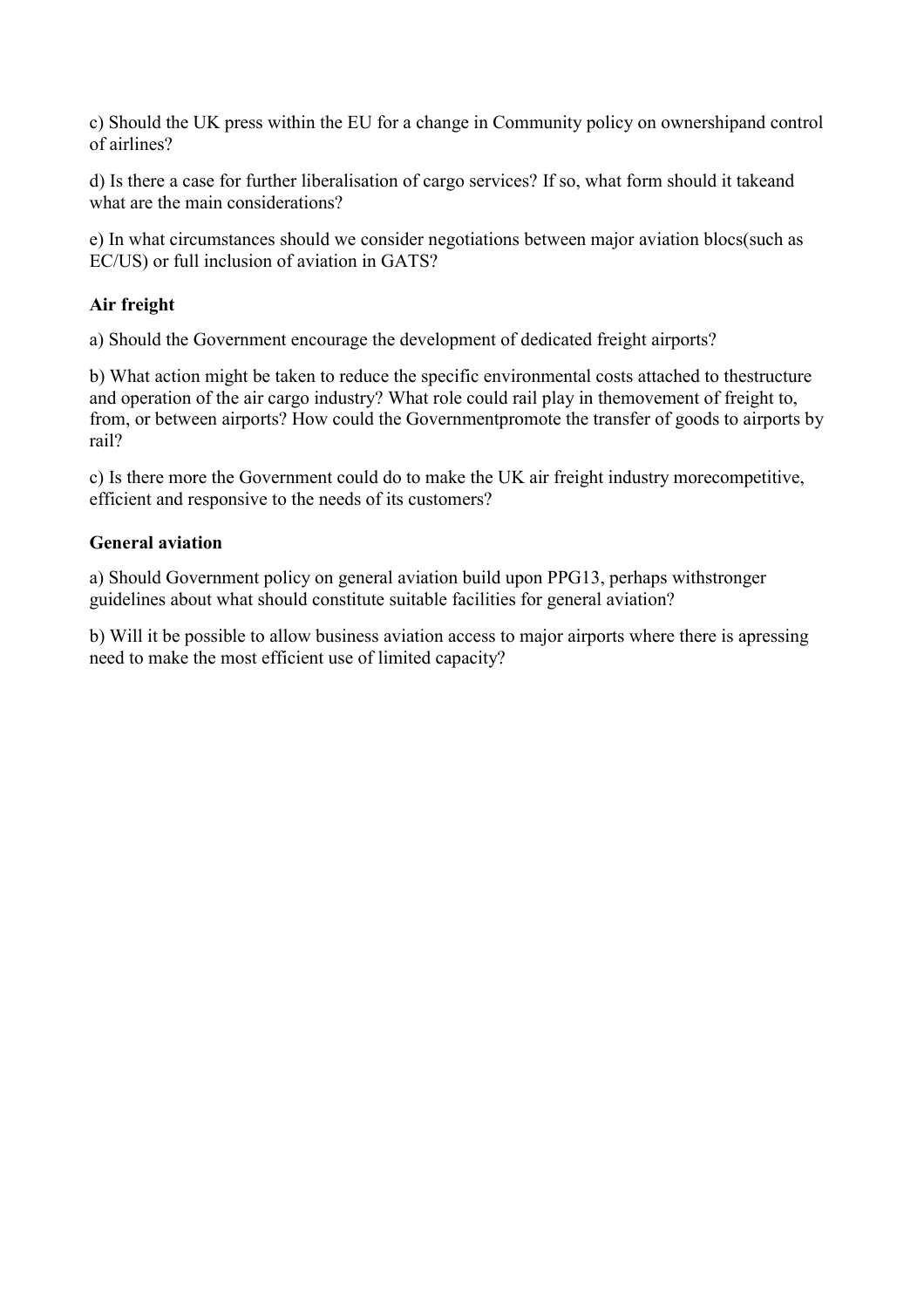c) Should the UK press within the EU for a change in Community policy on ownershipand control of airlines?

d) Is there a case for further liberalisation of cargo services? If so, what form should it takeand what are the main considerations?

e) In what circumstances should we consider negotiations between major aviation blocs(such as EC/US) or full inclusion of aviation in GATS?

# **Air freight**

a) Should the Government encourage the development of dedicated freight airports?

b) What action might be taken to reduce the specific environmental costs attached to thestructure and operation of the air cargo industry? What role could rail play in themovement of freight to, from, or between airports? How could the Governmentpromote the transfer of goods to airports by rail?

c) Is there more the Government could do to make the UK air freight industry morecompetitive, efficient and responsive to the needs of its customers?

#### **General aviation**

a) Should Government policy on general aviation build upon PPG13, perhaps withstronger guidelines about what should constitute suitable facilities for general aviation?

b) Will it be possible to allow business aviation access to major airports where there is apressing need to make the most efficient use of limited capacity?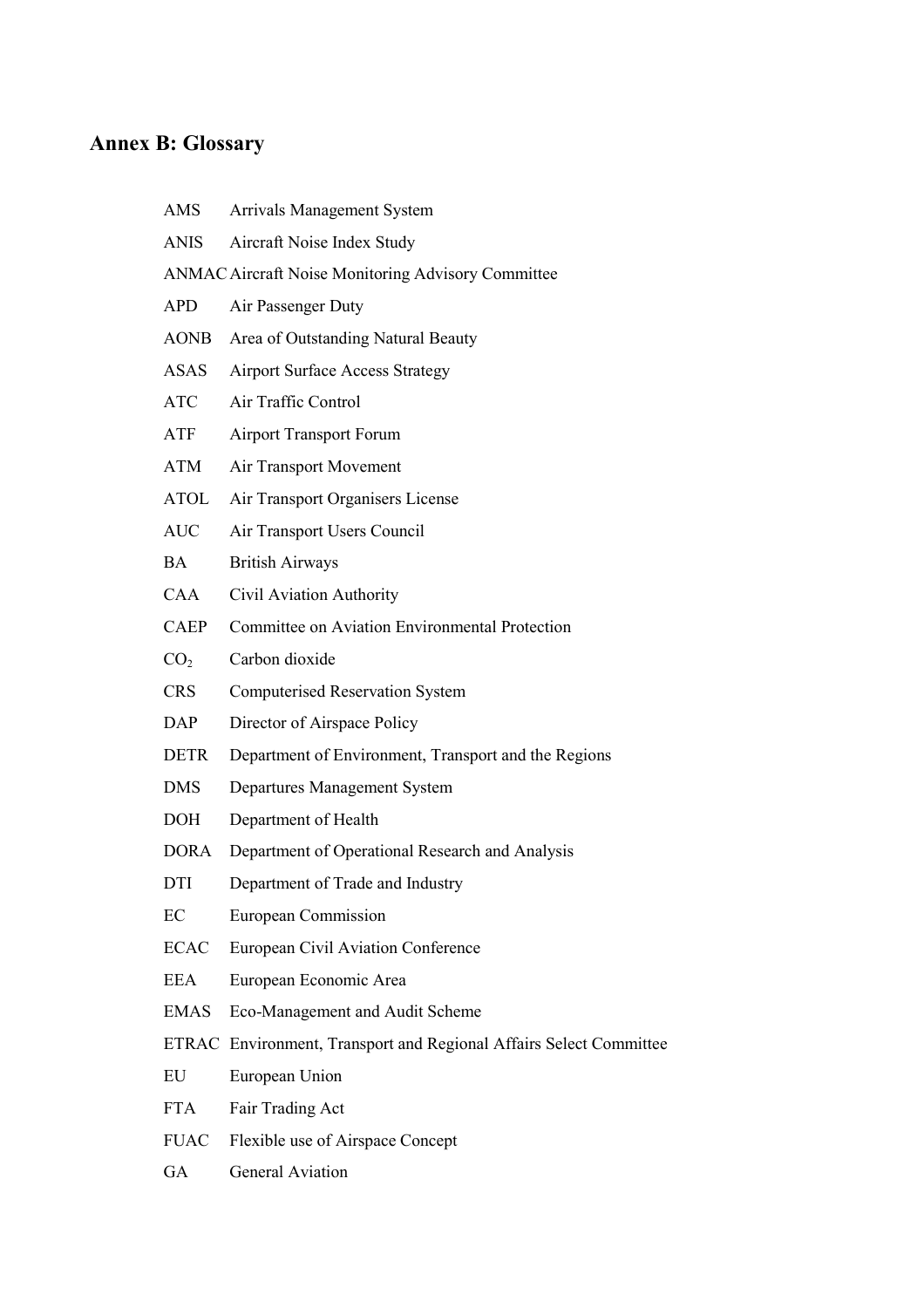# **Annex B: Glossary**

| AMS             | <b>Arrivals Management System</b>                                  |
|-----------------|--------------------------------------------------------------------|
| <b>ANIS</b>     | Aircraft Noise Index Study                                         |
|                 | <b>ANMAC Aircraft Noise Monitoring Advisory Committee</b>          |
| <b>APD</b>      | Air Passenger Duty                                                 |
| <b>AONB</b>     | Area of Outstanding Natural Beauty                                 |
| <b>ASAS</b>     | <b>Airport Surface Access Strategy</b>                             |
| <b>ATC</b>      | Air Traffic Control                                                |
| ATF             | <b>Airport Transport Forum</b>                                     |
| ATM             | Air Transport Movement                                             |
| ATOL            | Air Transport Organisers License                                   |
| <b>AUC</b>      | Air Transport Users Council                                        |
| <b>BA</b>       | <b>British Airways</b>                                             |
| <b>CAA</b>      | Civil Aviation Authority                                           |
| <b>CAEP</b>     | Committee on Aviation Environmental Protection                     |
| CO <sub>2</sub> | Carbon dioxide                                                     |
| <b>CRS</b>      | <b>Computerised Reservation System</b>                             |
| <b>DAP</b>      | Director of Airspace Policy                                        |
| <b>DETR</b>     | Department of Environment, Transport and the Regions               |
| <b>DMS</b>      | Departures Management System                                       |
| <b>DOH</b>      | Department of Health                                               |
| <b>DORA</b>     | Department of Operational Research and Analysis                    |
| DTI             | Department of Trade and Industry                                   |
| EC              | <b>European Commission</b>                                         |
| <b>ECAC</b>     | European Civil Aviation Conference                                 |
| <b>EEA</b>      | European Economic Area                                             |
| <b>EMAS</b>     | Eco-Management and Audit Scheme                                    |
|                 | ETRAC Environment, Transport and Regional Affairs Select Committee |
| EU              | European Union                                                     |
| <b>FTA</b>      | Fair Trading Act                                                   |
| <b>FUAC</b>     | Flexible use of Airspace Concept                                   |
|                 |                                                                    |

GA General Aviation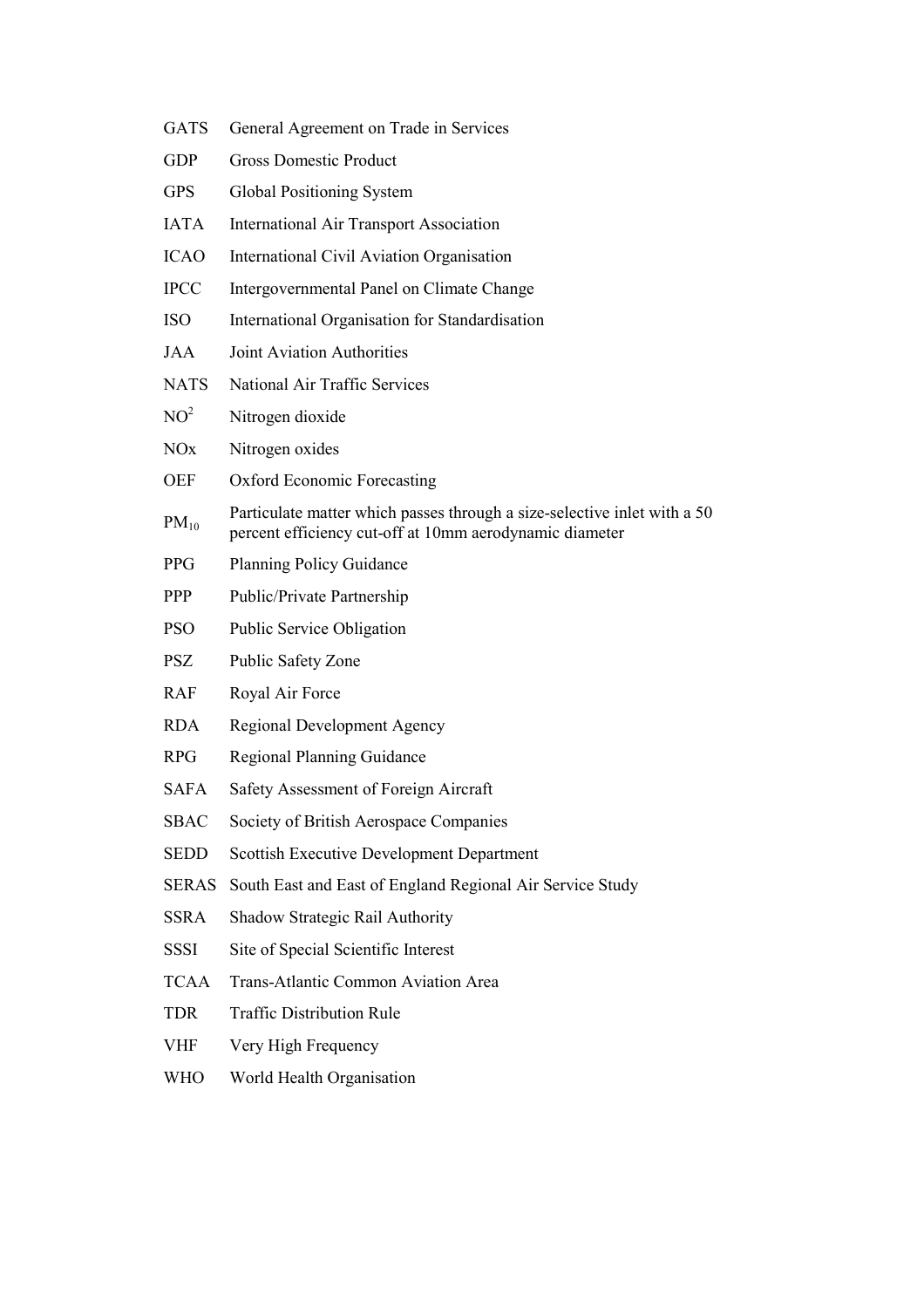- GATS General Agreement on Trade in Services
- GDP Gross Domestic Product
- GPS Global Positioning System
- IATA International Air Transport Association
- ICAO International Civil Aviation Organisation
- IPCC Intergovernmental Panel on Climate Change
- ISO International Organisation for Standardisation
- JAA Joint Aviation Authorities
- NATS National Air Traffic Services
- $NO<sup>2</sup>$  Nitrogen dioxide
- NO<sub>x</sub> Nitrogen oxides
- OEF Oxford Economic Forecasting
- $PM_{10}$ Particulate matter which passes through a size-selective inlet with a 50 percent efficiency cut-off at 10mm aerodynamic diameter
- PPG Planning Policy Guidance
- PPP Public/Private Partnership
- PSO Public Service Obligation
- PSZ Public Safety Zone
- RAF Royal Air Force
- RDA Regional Development Agency
- RPG Regional Planning Guidance
- SAFA Safety Assessment of Foreign Aircraft
- SBAC Society of British Aerospace Companies
- SEDD Scottish Executive Development Department
- SERAS South East and East of England Regional Air Service Study
- SSRA Shadow Strategic Rail Authority
- SSSI Site of Special Scientific Interest
- TCAA Trans-Atlantic Common Aviation Area
- TDR Traffic Distribution Rule
- VHF Very High Frequency
- WHO World Health Organisation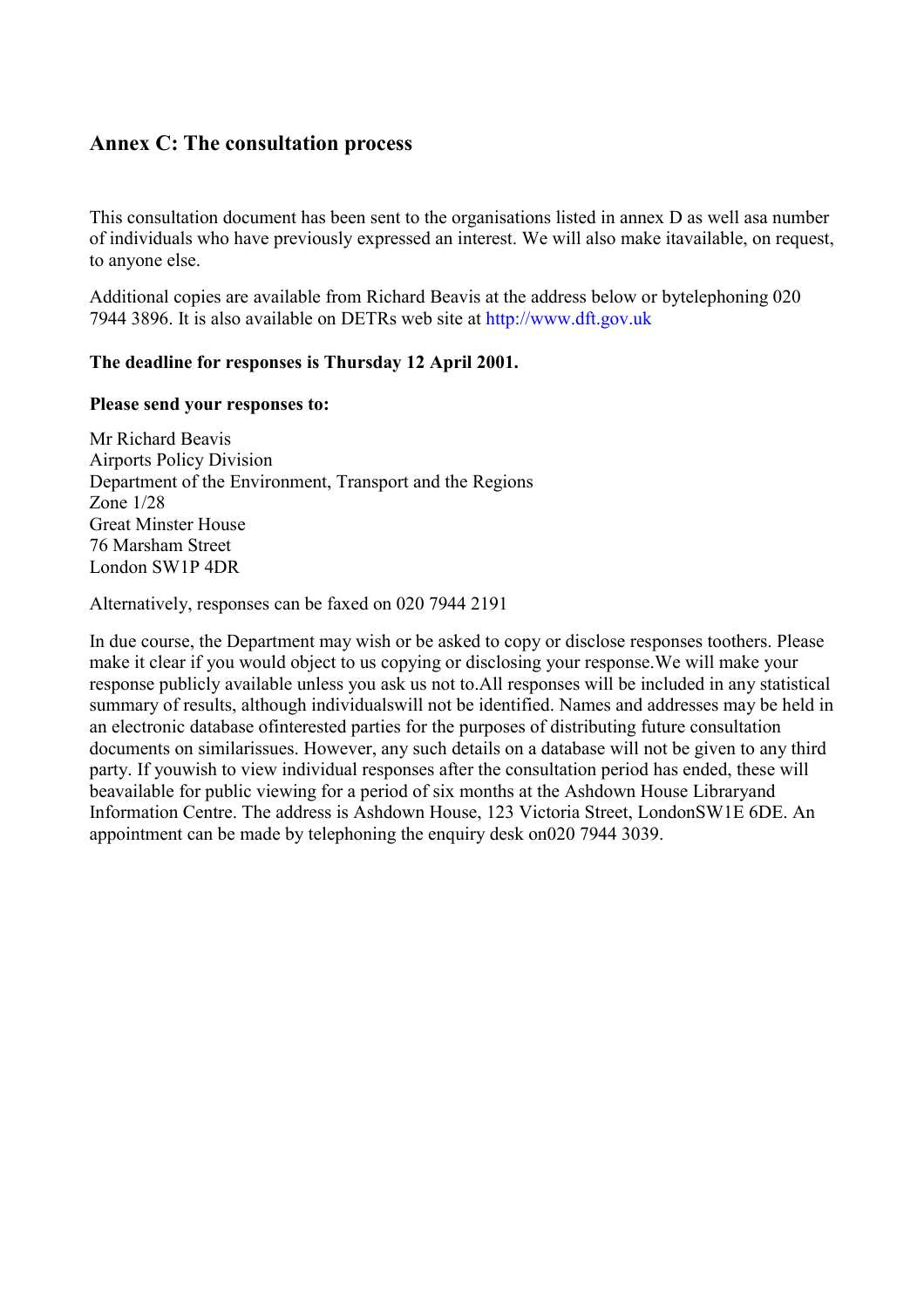# **Annex C: The consultation process**

This consultation document has been sent to the organisations listed in annex D as well asa number of individuals who have previously expressed an interest. We will also make itavailable, on request, to anyone else.

Additional copies are available from Richard Beavis at the address below or bytelephoning 020 7944 3896. It is also available on DETRs web site at [http://www.dft.gov.uk](http://www.dft.gov.uk/)

## **The deadline for responses is Thursday 12 April 2001.**

## **Please send your responses to:**

Mr Richard Beavis Airports Policy Division Department of the Environment, Transport and the Regions Zone 1/28 Great Minster House 76 Marsham Street London SW1P 4DR

Alternatively, responses can be faxed on 020 7944 2191

In due course, the Department may wish or be asked to copy or disclose responses toothers. Please make it clear if you would object to us copying or disclosing your response.We will make your response publicly available unless you ask us not to.All responses will be included in any statistical summary of results, although individualswill not be identified. Names and addresses may be held in an electronic database ofinterested parties for the purposes of distributing future consultation documents on similarissues. However, any such details on a database will not be given to any third party. If youwish to view individual responses after the consultation period has ended, these will beavailable for public viewing for a period of six months at the Ashdown House Libraryand Information Centre. The address is Ashdown House, 123 Victoria Street, LondonSW1E 6DE. An appointment can be made by telephoning the enquiry desk on020 7944 3039.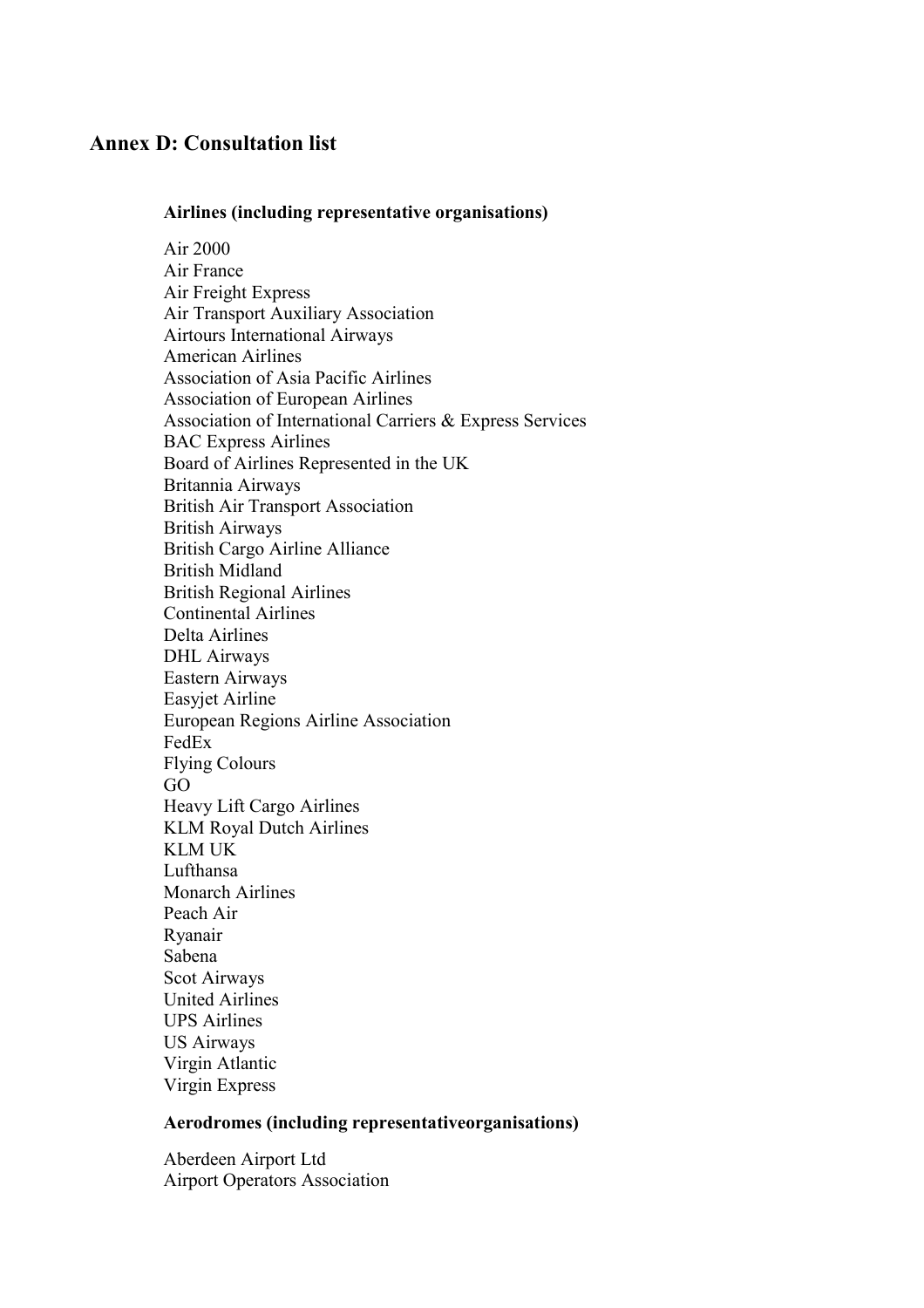## **Annex D: Consultation list**

## **Airlines (including representative organisations)**

Air 2000 Air France Air Freight Express Air Transport Auxiliary Association Airtours International Airways American Airlines Association of Asia Pacific Airlines Association of European Airlines Association of International Carriers & Express Services BAC Express Airlines Board of Airlines Represented in the UK Britannia Airways British Air Transport Association British Airways British Cargo Airline Alliance British Midland British Regional Airlines Continental Airlines Delta Airlines DHL Airways Eastern Airways Easyjet Airline European Regions Airline Association FedEx Flying Colours GO Heavy Lift Cargo Airlines KLM Royal Dutch Airlines KLM UK Lufthansa Monarch Airlines Peach Air Ryanair Sabena Scot Airways United Airlines UPS Airlines US Airways Virgin Atlantic Virgin Express

## **Aerodromes (including representativeorganisations)**

Aberdeen Airport Ltd Airport Operators Association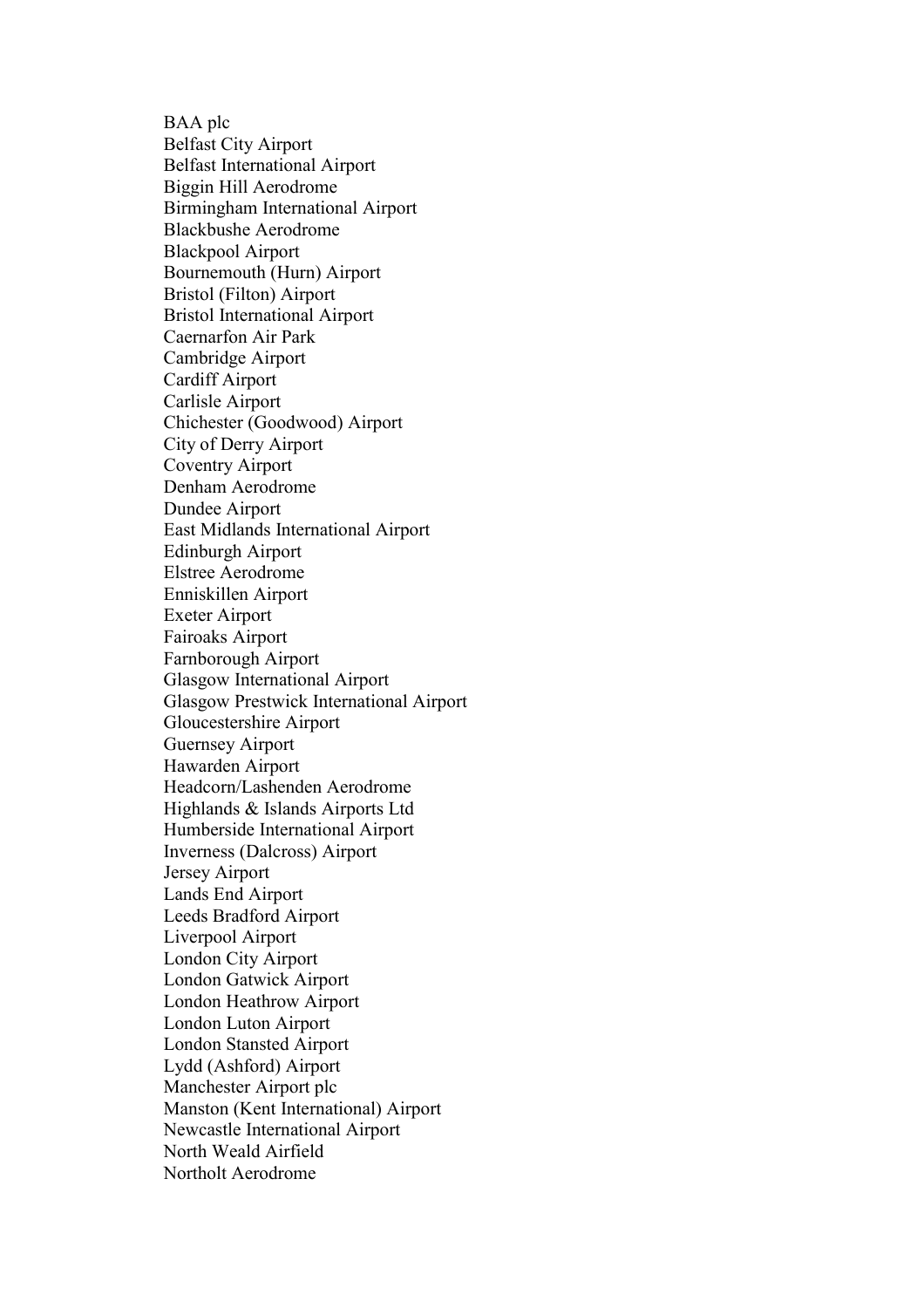BAA plc Belfast City Airport Belfast International Airport Biggin Hill Aerodrome Birmingham International Airport Blackbushe Aerodrome Blackpool Airport Bournemouth (Hurn) Airport Bristol (Filton) Airport Bristol International Airport Caernarfon Air Park Cambridge Airport Cardiff Airport Carlisle Airport Chichester (Goodwood) Airport City of Derry Airport Coventry Airport Denham Aerodrome Dundee Airport East Midlands International Airport Edinburgh Airport Elstree Aerodrome Enniskillen Airport Exeter Airport Fairoaks Airport Farnborough Airport Glasgow International Airport Glasgow Prestwick International Airport Gloucestershire Airport Guernsey Airport Hawarden Airport Headcorn/Lashenden Aerodrome Highlands & Islands Airports Ltd Humberside International Airport Inverness (Dalcross) Airport Jersey Airport Lands End Airport Leeds Bradford Airport Liverpool Airport London City Airport London Gatwick Airport London Heathrow Airport London Luton Airport London Stansted Airport Lydd (Ashford) Airport Manchester Airport plc Manston (Kent International) Airport Newcastle International Airport North Weald Airfield Northolt Aerodrome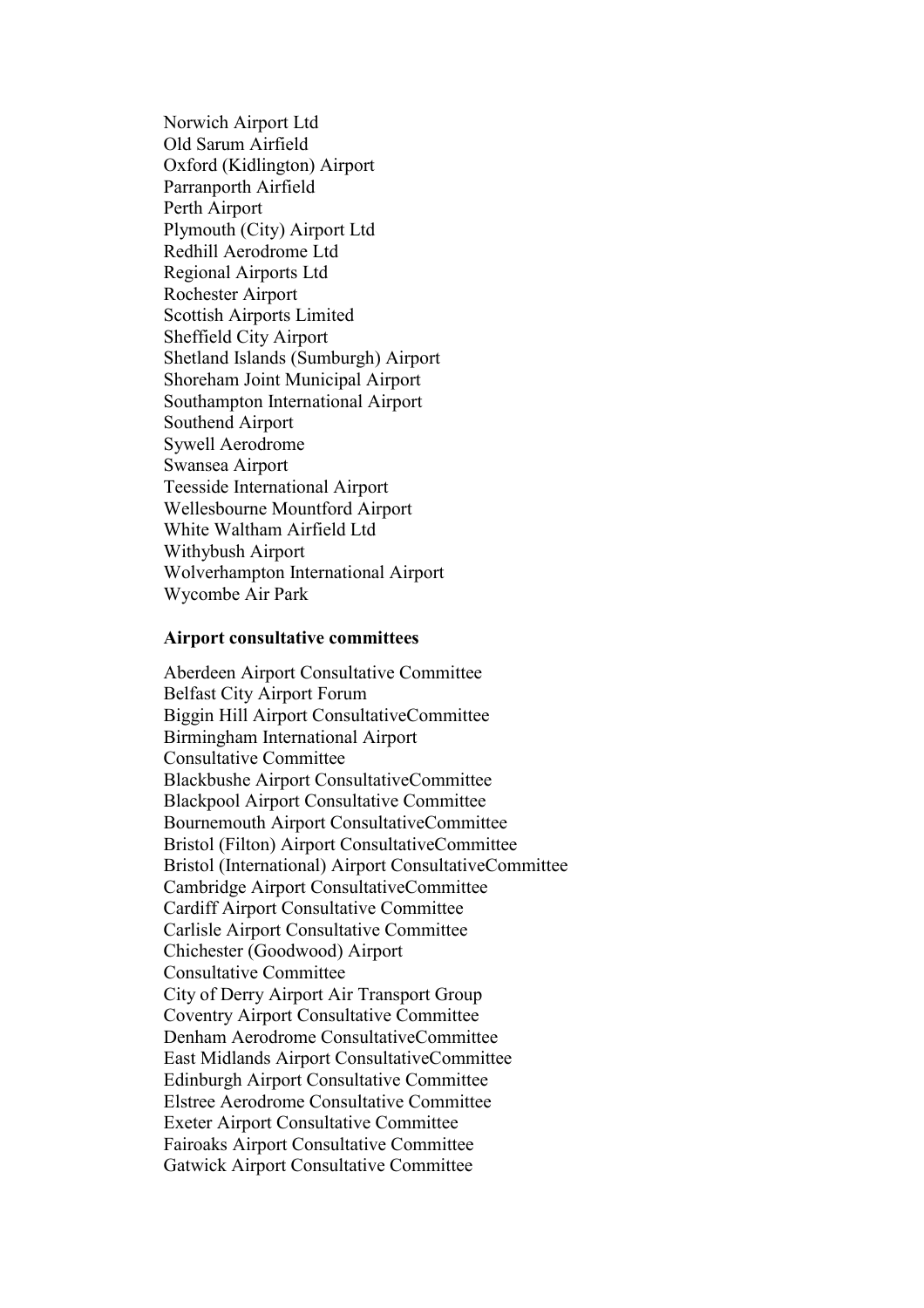Norwich Airport Ltd Old Sarum Airfield Oxford (Kidlington) Airport Parranporth Airfield Perth Airport Plymouth (City) Airport Ltd Redhill Aerodrome Ltd Regional Airports Ltd Rochester Airport Scottish Airports Limited Sheffield City Airport Shetland Islands (Sumburgh) Airport Shoreham Joint Municipal Airport Southampton International Airport Southend Airport Sywell Aerodrome Swansea Airport Teesside International Airport Wellesbourne Mountford Airport White Waltham Airfield Ltd Withybush Airport Wolverhampton International Airport Wycombe Air Park

#### **Airport consultative committees**

Aberdeen Airport Consultative Committee Belfast City Airport Forum Biggin Hill Airport ConsultativeCommittee Birmingham International Airport Consultative Committee Blackbushe Airport ConsultativeCommittee Blackpool Airport Consultative Committee Bournemouth Airport ConsultativeCommittee Bristol (Filton) Airport ConsultativeCommittee Bristol (International) Airport ConsultativeCommittee Cambridge Airport ConsultativeCommittee Cardiff Airport Consultative Committee Carlisle Airport Consultative Committee Chichester (Goodwood) Airport Consultative Committee City of Derry Airport Air Transport Group Coventry Airport Consultative Committee Denham Aerodrome ConsultativeCommittee East Midlands Airport ConsultativeCommittee Edinburgh Airport Consultative Committee Elstree Aerodrome Consultative Committee Exeter Airport Consultative Committee Fairoaks Airport Consultative Committee Gatwick Airport Consultative Committee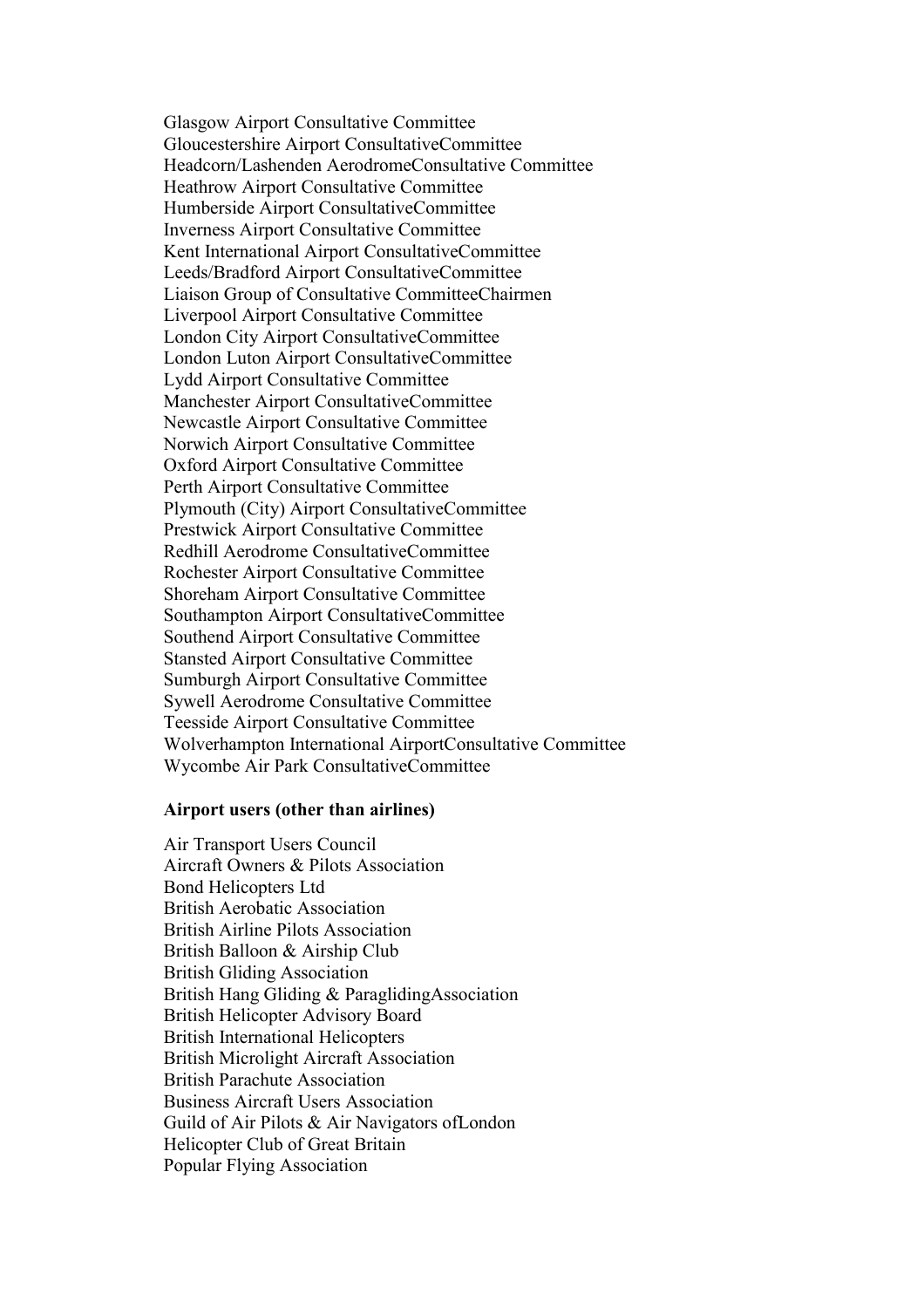Glasgow Airport Consultative Committee Gloucestershire Airport ConsultativeCommittee Headcorn/Lashenden AerodromeConsultative Committee Heathrow Airport Consultative Committee Humberside Airport ConsultativeCommittee Inverness Airport Consultative Committee Kent International Airport ConsultativeCommittee Leeds/Bradford Airport ConsultativeCommittee Liaison Group of Consultative CommitteeChairmen Liverpool Airport Consultative Committee London City Airport ConsultativeCommittee London Luton Airport ConsultativeCommittee Lydd Airport Consultative Committee Manchester Airport ConsultativeCommittee Newcastle Airport Consultative Committee Norwich Airport Consultative Committee Oxford Airport Consultative Committee Perth Airport Consultative Committee Plymouth (City) Airport ConsultativeCommittee Prestwick Airport Consultative Committee Redhill Aerodrome ConsultativeCommittee Rochester Airport Consultative Committee Shoreham Airport Consultative Committee Southampton Airport ConsultativeCommittee Southend Airport Consultative Committee Stansted Airport Consultative Committee Sumburgh Airport Consultative Committee Sywell Aerodrome Consultative Committee Teesside Airport Consultative Committee Wolverhampton International AirportConsultative Committee Wycombe Air Park ConsultativeCommittee

#### **Airport users (other than airlines)**

Air Transport Users Council Aircraft Owners & Pilots Association Bond Helicopters Ltd British Aerobatic Association British Airline Pilots Association British Balloon & Airship Club British Gliding Association British Hang Gliding & ParaglidingAssociation British Helicopter Advisory Board British International Helicopters British Microlight Aircraft Association British Parachute Association Business Aircraft Users Association Guild of Air Pilots & Air Navigators ofLondon Helicopter Club of Great Britain Popular Flying Association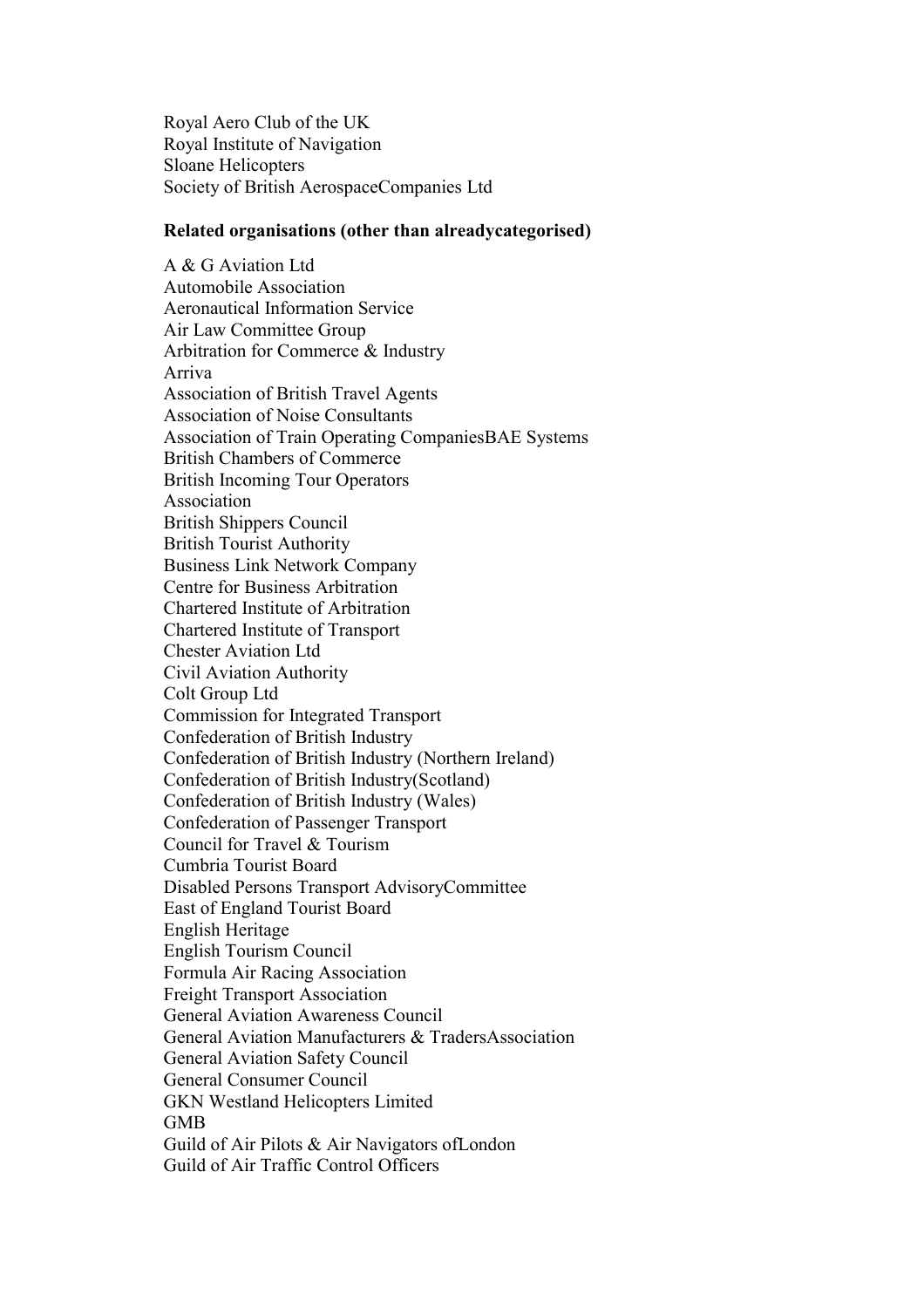Royal Aero Club of the UK Royal Institute of Navigation Sloane Helicopters Society of British AerospaceCompanies Ltd

## **Related organisations (other than alreadycategorised)**

A & G Aviation Ltd Automobile Association Aeronautical Information Service Air Law Committee Group Arbitration for Commerce & Industry Arriva Association of British Travel Agents Association of Noise Consultants Association of Train Operating CompaniesBAE Systems British Chambers of Commerce British Incoming Tour Operators Association British Shippers Council British Tourist Authority Business Link Network Company Centre for Business Arbitration Chartered Institute of Arbitration Chartered Institute of Transport Chester Aviation Ltd Civil Aviation Authority Colt Group Ltd Commission for Integrated Transport Confederation of British Industry Confederation of British Industry (Northern Ireland) Confederation of British Industry(Scotland) Confederation of British Industry (Wales) Confederation of Passenger Transport Council for Travel & Tourism Cumbria Tourist Board Disabled Persons Transport AdvisoryCommittee East of England Tourist Board English Heritage English Tourism Council Formula Air Racing Association Freight Transport Association General Aviation Awareness Council General Aviation Manufacturers & TradersAssociation General Aviation Safety Council General Consumer Council GKN Westland Helicopters Limited GMB Guild of Air Pilots & Air Navigators ofLondon Guild of Air Traffic Control Officers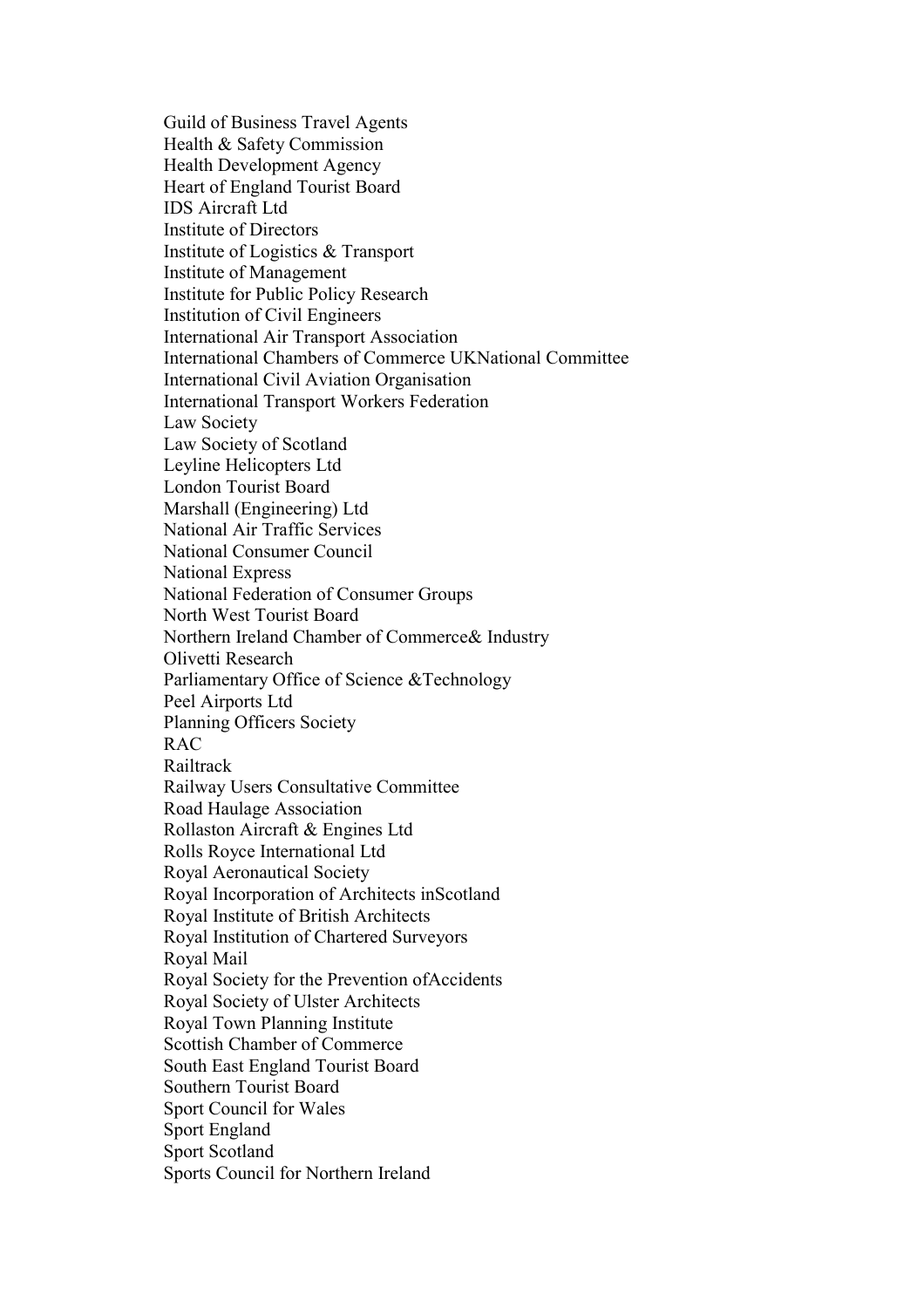Guild of Business Travel Agents Health & Safety Commission Health Development Agency Heart of England Tourist Board IDS Aircraft Ltd Institute of Directors Institute of Logistics & Transport Institute of Management Institute for Public Policy Research Institution of Civil Engineers International Air Transport Association International Chambers of Commerce UKNational Committee International Civil Aviation Organisation International Transport Workers Federation Law Society Law Society of Scotland Leyline Helicopters Ltd London Tourist Board Marshall (Engineering) Ltd National Air Traffic Services National Consumer Council National Express National Federation of Consumer Groups North West Tourist Board Northern Ireland Chamber of Commerce& Industry Olivetti Research Parliamentary Office of Science &Technology Peel Airports Ltd Planning Officers Society RAC Railtrack Railway Users Consultative Committee Road Haulage Association Rollaston Aircraft & Engines Ltd Rolls Royce International Ltd Royal Aeronautical Society Royal Incorporation of Architects inScotland Royal Institute of British Architects Royal Institution of Chartered Surveyors Royal Mail Royal Society for the Prevention ofAccidents Royal Society of Ulster Architects Royal Town Planning Institute Scottish Chamber of Commerce South East England Tourist Board Southern Tourist Board Sport Council for Wales Sport England Sport Scotland Sports Council for Northern Ireland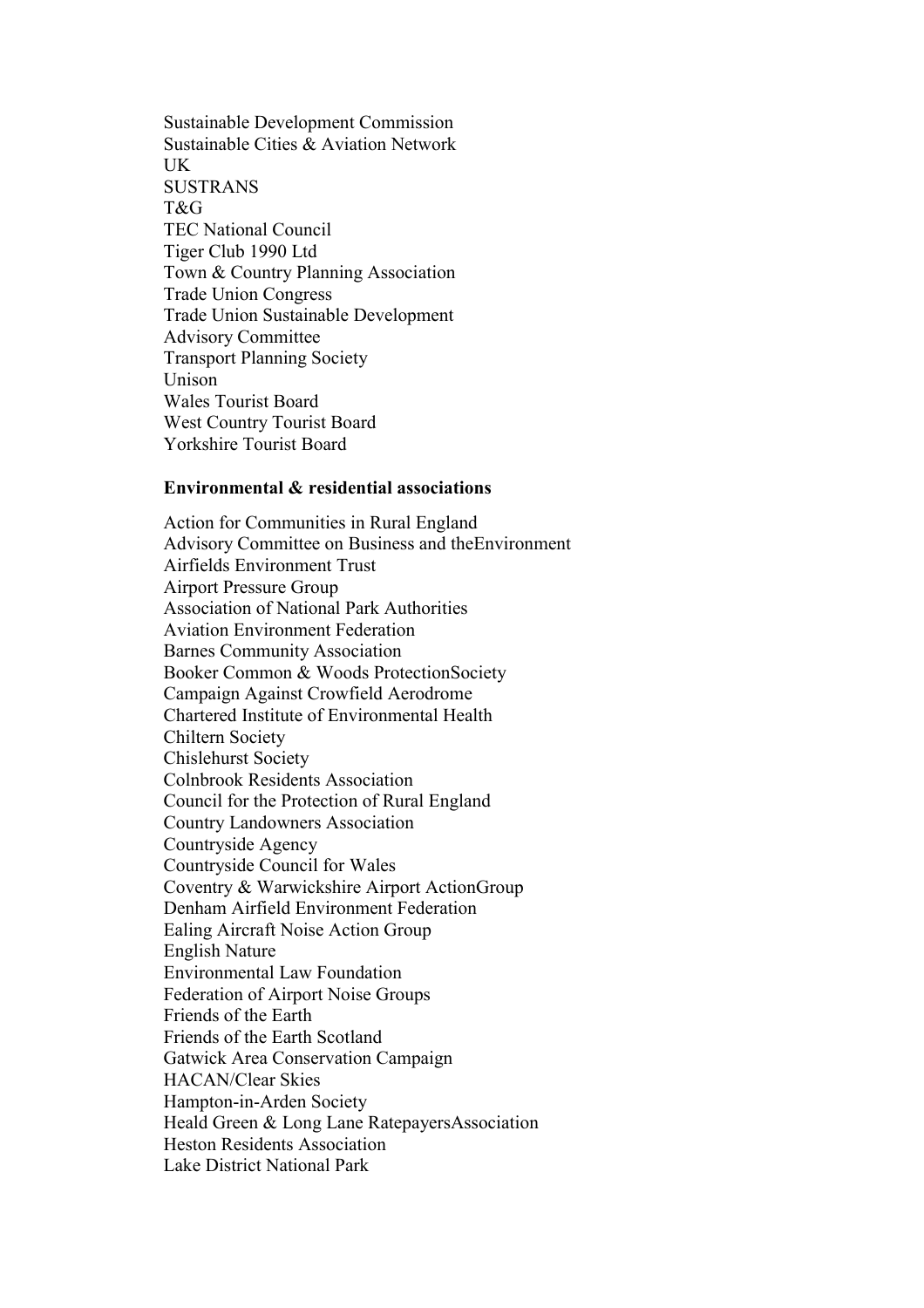Sustainable Development Commission Sustainable Cities & Aviation Network **IK SUSTRANS** T&G TEC National Council Tiger Club 1990 Ltd Town & Country Planning Association Trade Union Congress Trade Union Sustainable Development Advisory Committee Transport Planning Society Unison Wales Tourist Board West Country Tourist Board Yorkshire Tourist Board

#### **Environmental & residential associations**

Action for Communities in Rural England Advisory Committee on Business and theEnvironment Airfields Environment Trust Airport Pressure Group Association of National Park Authorities Aviation Environment Federation Barnes Community Association Booker Common & Woods ProtectionSociety Campaign Against Crowfield Aerodrome Chartered Institute of Environmental Health Chiltern Society Chislehurst Society Colnbrook Residents Association Council for the Protection of Rural England Country Landowners Association Countryside Agency Countryside Council for Wales Coventry & Warwickshire Airport ActionGroup Denham Airfield Environment Federation Ealing Aircraft Noise Action Group English Nature Environmental Law Foundation Federation of Airport Noise Groups Friends of the Earth Friends of the Earth Scotland Gatwick Area Conservation Campaign HACAN/Clear Skies Hampton-in-Arden Society Heald Green & Long Lane RatepayersAssociation Heston Residents Association Lake District National Park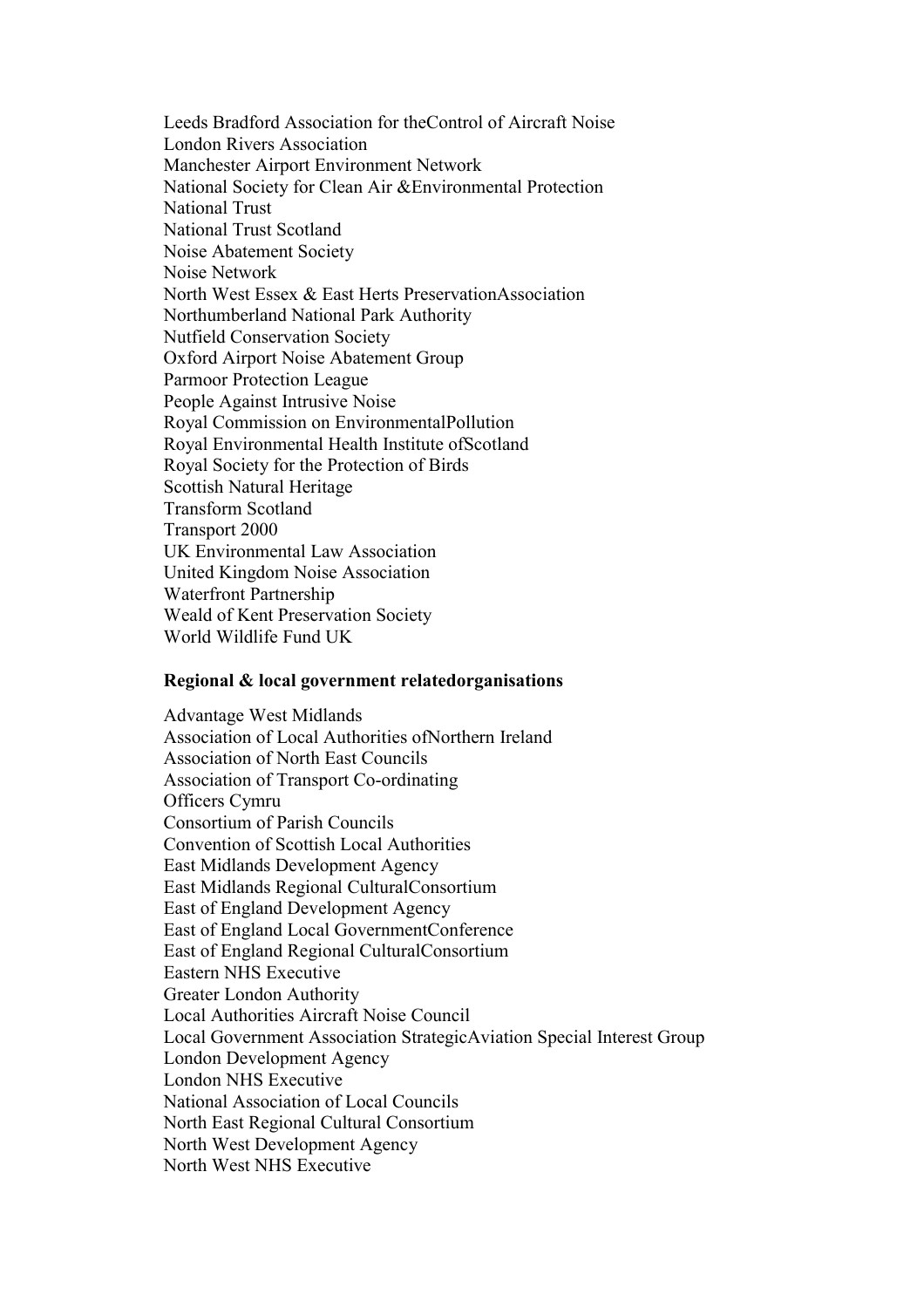Leeds Bradford Association for theControl of Aircraft Noise London Rivers Association Manchester Airport Environment Network National Society for Clean Air &Environmental Protection National Trust National Trust Scotland Noise Abatement Society Noise Network North West Essex & East Herts PreservationAssociation Northumberland National Park Authority Nutfield Conservation Society Oxford Airport Noise Abatement Group Parmoor Protection League People Against Intrusive Noise Royal Commission on EnvironmentalPollution Royal Environmental Health Institute ofScotland Royal Society for the Protection of Birds Scottish Natural Heritage Transform Scotland Transport 2000 UK Environmental Law Association United Kingdom Noise Association Waterfront Partnership Weald of Kent Preservation Society World Wildlife Fund UK

#### **Regional & local government relatedorganisations**

Advantage West Midlands Association of Local Authorities ofNorthern Ireland Association of North East Councils Association of Transport Co-ordinating Officers Cymru Consortium of Parish Councils Convention of Scottish Local Authorities East Midlands Development Agency East Midlands Regional CulturalConsortium East of England Development Agency East of England Local GovernmentConference East of England Regional CulturalConsortium Eastern NHS Executive Greater London Authority Local Authorities Aircraft Noise Council Local Government Association StrategicAviation Special Interest Group London Development Agency London NHS Executive National Association of Local Councils North East Regional Cultural Consortium North West Development Agency North West NHS Executive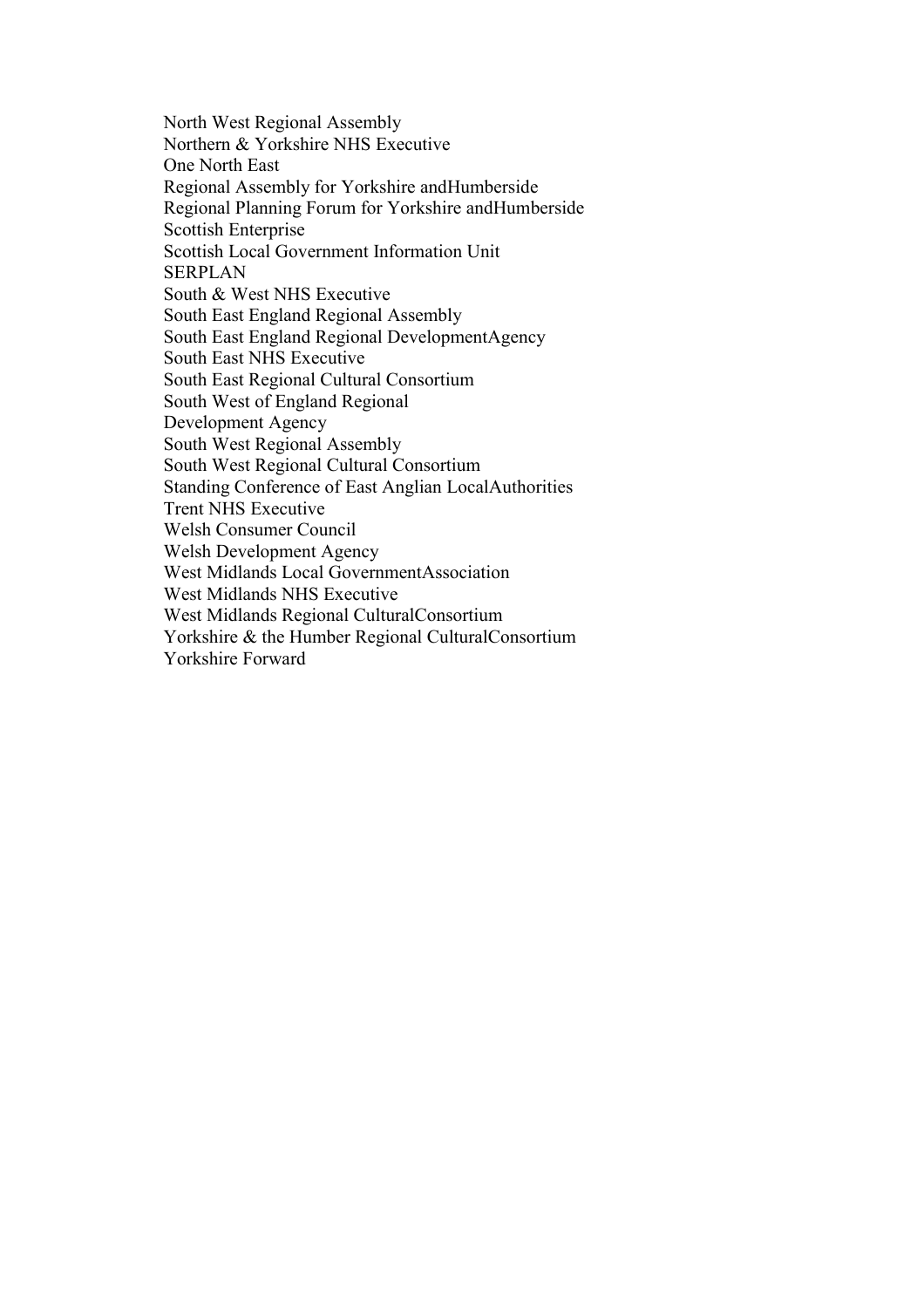North West Regional Assembly Northern & Yorkshire NHS Executive One North East Regional Assembly for Yorkshire andHumberside Regional Planning Forum for Yorkshire andHumberside Scottish Enterprise Scottish Local Government Information Unit **SERPLAN** South & West NHS Executive South East England Regional Assembly South East England Regional DevelopmentAgency South East NHS Executive South East Regional Cultural Consortium South West of England Regional Development Agency South West Regional Assembly South West Regional Cultural Consortium Standing Conference of East Anglian LocalAuthorities Trent NHS Executive Welsh Consumer Council Welsh Development Agency West Midlands Local GovernmentAssociation West Midlands NHS Executive West Midlands Regional CulturalConsortium Yorkshire & the Humber Regional CulturalConsortium Yorkshire Forward